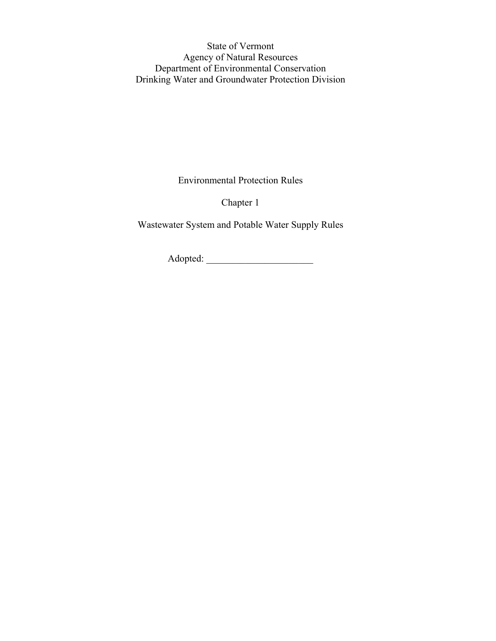State of Vermont Agency of Natural Resources Department of Environmental Conservation Drinking Water and Groundwater Protection Division

Environmental Protection Rules

Chapter 1

Wastewater System and Potable Water Supply Rules

Adopted: \_\_\_\_\_\_\_\_\_\_\_\_\_\_\_\_\_\_\_\_\_\_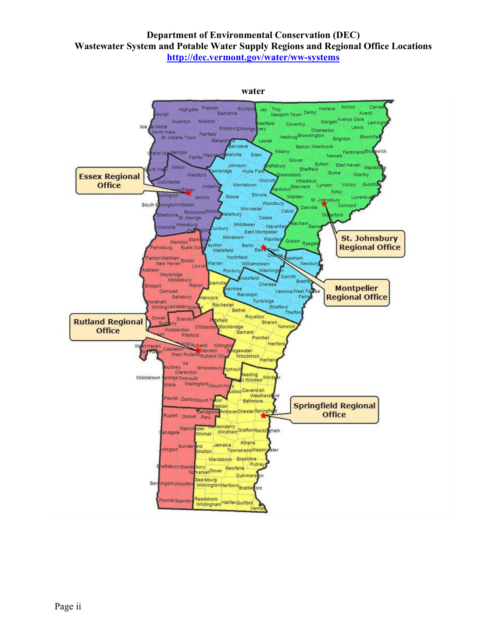#### **Department of Environmental Conservation (DEC) Wastewater System and Potable Water Supply Regions and Regional Office Locations http://dec.vermont.gov/water/ww-systems**

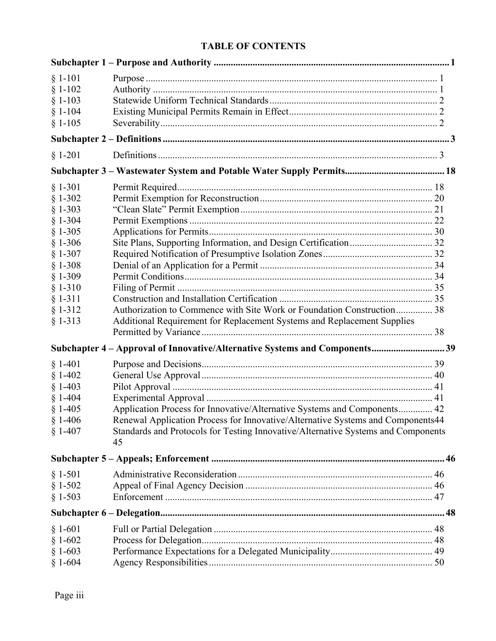# **TABLE OF CONTENTS**

| $§ 1-101$<br>$§ 1-102$<br>$§ 1-103$<br>$§ 1-104$<br>$§ 1-105$                                                                                                         |                                                                                                                                                                                                                                                        |  |
|-----------------------------------------------------------------------------------------------------------------------------------------------------------------------|--------------------------------------------------------------------------------------------------------------------------------------------------------------------------------------------------------------------------------------------------------|--|
|                                                                                                                                                                       |                                                                                                                                                                                                                                                        |  |
| $§ 1-201$                                                                                                                                                             |                                                                                                                                                                                                                                                        |  |
|                                                                                                                                                                       |                                                                                                                                                                                                                                                        |  |
| $§ 1-301$<br>$§ 1-302$<br>$§ 1-303$<br>$§ 1-304$<br>$§ 1-305$<br>$§ 1-306$<br>$§ 1-307$<br>$§ 1-308$<br>$§ 1-309$<br>$§ 1-310$<br>$§ 1-311$<br>$§ 1-312$<br>$§ 1-313$ | Authorization to Commence with Site Work or Foundation Construction 38<br>Additional Requirement for Replacement Systems and Replacement Supplies                                                                                                      |  |
|                                                                                                                                                                       |                                                                                                                                                                                                                                                        |  |
|                                                                                                                                                                       | Subchapter 4 - Approval of Innovative/Alternative Systems and Components39                                                                                                                                                                             |  |
| $§ 1-401$<br>$§ 1-402$<br>$§ 1-403$<br>$§ 1-404$<br>$§ 1-405$<br>$§ 1-406$<br>$§ 1-407$                                                                               | Application Process for Innovative/Alternative Systems and Components 42<br>Renewal Application Process for Innovative/Alternative Systems and Components44<br>Standards and Protocols for Testing Innovative/Alternative Systems and Components<br>45 |  |
|                                                                                                                                                                       |                                                                                                                                                                                                                                                        |  |
| $§ 1-501$<br>$§ 1-502$<br>$§ 1-503$                                                                                                                                   |                                                                                                                                                                                                                                                        |  |
|                                                                                                                                                                       |                                                                                                                                                                                                                                                        |  |
| $§ 1-601$<br>$§ 1-602$<br>$§ 1-603$<br>$§ 1-604$                                                                                                                      |                                                                                                                                                                                                                                                        |  |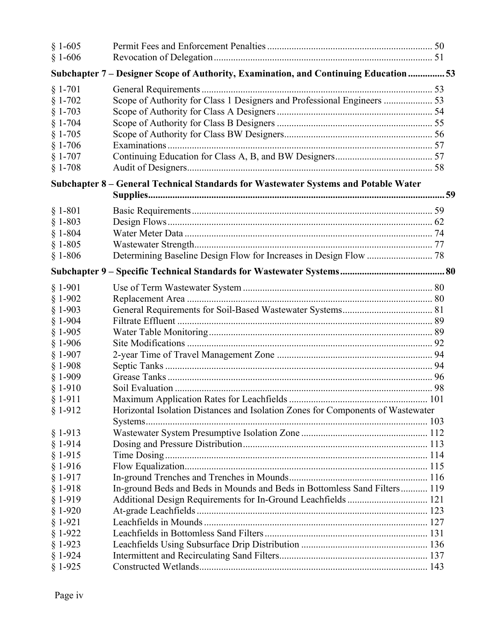| $§ 1-605$<br>$§ 1 - 606$ |                                                                                       |  |
|--------------------------|---------------------------------------------------------------------------------------|--|
|                          | Subchapter 7 - Designer Scope of Authority, Examination, and Continuing Education  53 |  |
| $§ 1-701$                |                                                                                       |  |
| $§ 1-702$                | Scope of Authority for Class 1 Designers and Professional Engineers  53               |  |
| $§ 1-703$                |                                                                                       |  |
| $§ 1-704$                |                                                                                       |  |
| $$1-705$                 |                                                                                       |  |
| $§ 1-706$                |                                                                                       |  |
| $§ 1-707$                |                                                                                       |  |
| $§ 1-708$                |                                                                                       |  |
|                          | Subchapter 8 - General Technical Standards for Wastewater Systems and Potable Water   |  |
|                          |                                                                                       |  |
| $§ 1-801$                |                                                                                       |  |
| $§ 1-803$                |                                                                                       |  |
| $$1-804$                 |                                                                                       |  |
| $§ 1-805$                |                                                                                       |  |
| $§ 1-806$                |                                                                                       |  |
|                          |                                                                                       |  |
| $§ 1-901$                |                                                                                       |  |
| $§ 1-902$                |                                                                                       |  |
| $§ 1-903$                |                                                                                       |  |
| $§ 1-904$                |                                                                                       |  |
| $§ 1-905$                |                                                                                       |  |
| $§ 1-906$                |                                                                                       |  |
| $§ 1-907$                |                                                                                       |  |
| $§ 1-908$                |                                                                                       |  |
| $§ 1-909$                |                                                                                       |  |
| $§ 1-910$                |                                                                                       |  |
| $§ 1-911$                |                                                                                       |  |
| $§ 1-912$                | Horizontal Isolation Distances and Isolation Zones for Components of Wastewater       |  |
| $§ 1-913$                |                                                                                       |  |
| $§ 1-914$                |                                                                                       |  |
| $§ 1-915$                |                                                                                       |  |
| $§ 1-916$                |                                                                                       |  |
| $§ 1-917$                |                                                                                       |  |
| $§ 1-918$                | In-ground Beds and Beds in Mounds and Beds in Bottomless Sand Filters 119             |  |
| $§ 1-919$                |                                                                                       |  |
| $§ 1-920$                |                                                                                       |  |
| $§ 1-921$                |                                                                                       |  |
| $§ 1-922$                |                                                                                       |  |
| $§ 1-923$                |                                                                                       |  |
| $§ 1-924$                |                                                                                       |  |
| $§ 1-925$                |                                                                                       |  |
|                          |                                                                                       |  |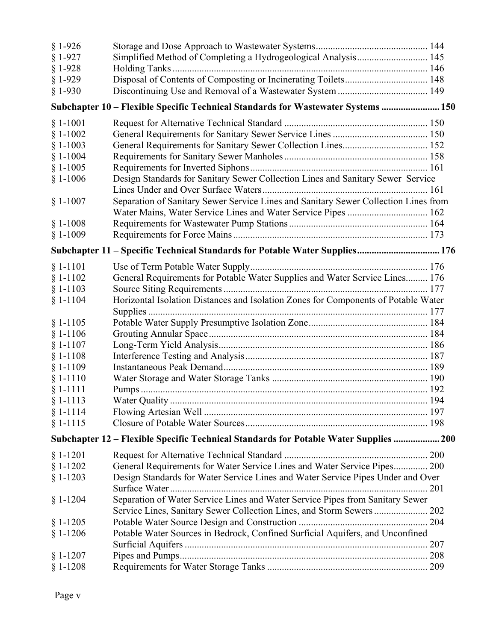| $§ 1-926$  |                                                                                       |     |
|------------|---------------------------------------------------------------------------------------|-----|
| $§ 1-927$  | Simplified Method of Completing a Hydrogeological Analysis 145                        |     |
| $§ 1-928$  |                                                                                       |     |
| $§ 1-929$  | Disposal of Contents of Composting or Incinerating Toilets 148                        |     |
| $§ 1-930$  |                                                                                       |     |
|            | Subchapter 10 - Flexible Specific Technical Standards for Wastewater Systems  150     |     |
| $§ 1-1001$ |                                                                                       |     |
| $§ 1-1002$ |                                                                                       |     |
| $§ 1-1003$ |                                                                                       |     |
| $§ 1-1004$ |                                                                                       |     |
| $§ 1-1005$ |                                                                                       |     |
| $§ 1-1006$ | Design Standards for Sanitary Sewer Collection Lines and Sanitary Sewer Service       |     |
|            |                                                                                       |     |
| $§ 1-1007$ | Separation of Sanitary Sewer Service Lines and Sanitary Sewer Collection Lines from   |     |
|            | Water Mains, Water Service Lines and Water Service Pipes  162                         |     |
| $§ 1-1008$ |                                                                                       |     |
| $§ 1-1009$ |                                                                                       |     |
|            | Subchapter 11 - Specific Technical Standards for Potable Water Supplies 176           |     |
| $§ 1-1101$ |                                                                                       |     |
| $§ 1-1102$ | General Requirements for Potable Water Supplies and Water Service Lines 176           |     |
| $§ 1-1103$ |                                                                                       |     |
| $§ 1-1104$ | Horizontal Isolation Distances and Isolation Zones for Components of Potable Water    |     |
|            |                                                                                       |     |
| $§ 1-1105$ |                                                                                       |     |
| $§ 1-1106$ |                                                                                       |     |
| $§ 1-1107$ |                                                                                       |     |
| $§ 1-1108$ |                                                                                       |     |
| $§ 1-1109$ |                                                                                       |     |
| $§ 1-1110$ |                                                                                       |     |
| $§ 1-1111$ |                                                                                       |     |
| $§ 1-1113$ |                                                                                       |     |
| $$1-1114$  |                                                                                       |     |
| $§ 1-1115$ |                                                                                       |     |
|            | Subchapter 12 - Flexible Specific Technical Standards for Potable Water Supplies  200 |     |
|            |                                                                                       |     |
| $§ 1-1201$ |                                                                                       |     |
| $§ 1-1202$ | General Requirements for Water Service Lines and Water Service Pipes 200              |     |
| $§ 1-1203$ | Design Standards for Water Service Lines and Water Service Pipes Under and Over       |     |
|            |                                                                                       |     |
| $§ 1-1204$ | Separation of Water Service Lines and Water Service Pipes from Sanitary Sewer         |     |
|            | Service Lines, Sanitary Sewer Collection Lines, and Storm Sewers  202                 |     |
| $§ 1-1205$ |                                                                                       |     |
| $§ 1-1206$ | Potable Water Sources in Bedrock, Confined Surficial Aquifers, and Unconfined         |     |
|            |                                                                                       | 207 |
| $§ 1-1207$ |                                                                                       |     |
| $§ 1-1208$ |                                                                                       |     |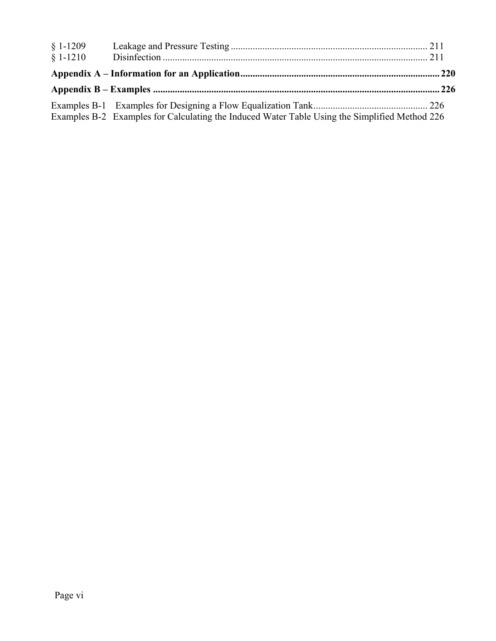| $§ 1-1209$<br>$$1-1210$ |                                                                                               |  |
|-------------------------|-----------------------------------------------------------------------------------------------|--|
|                         |                                                                                               |  |
|                         |                                                                                               |  |
|                         | Examples B-2 Examples for Calculating the Induced Water Table Using the Simplified Method 226 |  |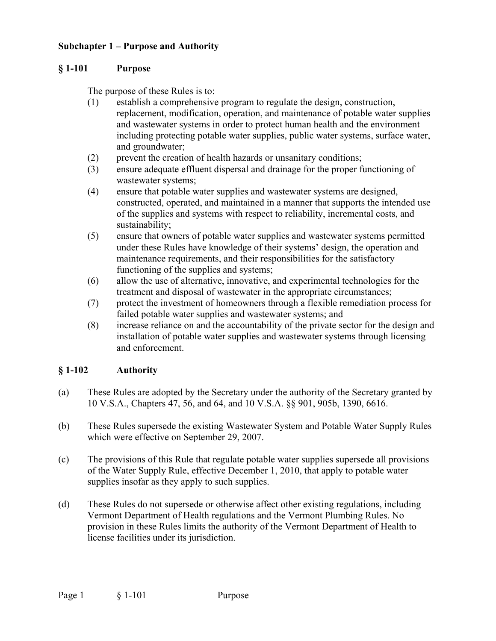# **Subchapter 1 – Purpose and Authority**

#### **§ 1-101 Purpose**

The purpose of these Rules is to:

- (1) establish a comprehensive program to regulate the design, construction, replacement, modification, operation, and maintenance of potable water supplies and wastewater systems in order to protect human health and the environment including protecting potable water supplies, public water systems, surface water, and groundwater;
- (2) prevent the creation of health hazards or unsanitary conditions;
- (3) ensure adequate effluent dispersal and drainage for the proper functioning of wastewater systems;
- (4) ensure that potable water supplies and wastewater systems are designed, constructed, operated, and maintained in a manner that supports the intended use of the supplies and systems with respect to reliability, incremental costs, and sustainability;
- (5) ensure that owners of potable water supplies and wastewater systems permitted under these Rules have knowledge of their systems' design, the operation and maintenance requirements, and their responsibilities for the satisfactory functioning of the supplies and systems;
- (6) allow the use of alternative, innovative, and experimental technologies for the treatment and disposal of wastewater in the appropriate circumstances;
- (7) protect the investment of homeowners through a flexible remediation process for failed potable water supplies and wastewater systems; and
- (8) increase reliance on and the accountability of the private sector for the design and installation of potable water supplies and wastewater systems through licensing and enforcement.

# **§ 1-102 Authority**

- (a) These Rules are adopted by the Secretary under the authority of the Secretary granted by 10 V.S.A., Chapters 47, 56, and 64, and 10 V.S.A. §§ 901, 905b, 1390, 6616.
- (b) These Rules supersede the existing Wastewater System and Potable Water Supply Rules which were effective on September 29, 2007.
- (c) The provisions of this Rule that regulate potable water supplies supersede all provisions of the Water Supply Rule, effective December 1, 2010, that apply to potable water supplies insofar as they apply to such supplies.
- (d) These Rules do not supersede or otherwise affect other existing regulations, including Vermont Department of Health regulations and the Vermont Plumbing Rules. No provision in these Rules limits the authority of the Vermont Department of Health to license facilities under its jurisdiction.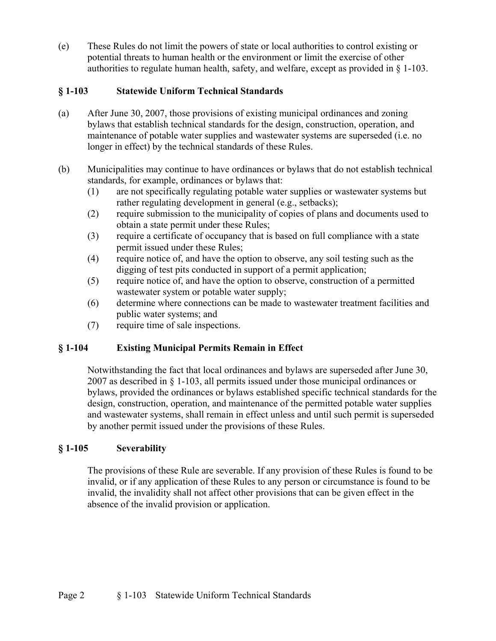(e) These Rules do not limit the powers of state or local authorities to control existing or potential threats to human health or the environment or limit the exercise of other authorities to regulate human health, safety, and welfare, except as provided in  $\S$  1-103.

# **§ 1-103 Statewide Uniform Technical Standards**

- (a) After June 30, 2007, those provisions of existing municipal ordinances and zoning bylaws that establish technical standards for the design, construction, operation, and maintenance of potable water supplies and wastewater systems are superseded (i.e. no longer in effect) by the technical standards of these Rules.
- (b) Municipalities may continue to have ordinances or bylaws that do not establish technical standards, for example, ordinances or bylaws that:
	- (1) are not specifically regulating potable water supplies or wastewater systems but rather regulating development in general (e.g., setbacks);
	- (2) require submission to the municipality of copies of plans and documents used to obtain a state permit under these Rules;
	- (3) require a certificate of occupancy that is based on full compliance with a state permit issued under these Rules;
	- (4) require notice of, and have the option to observe, any soil testing such as the digging of test pits conducted in support of a permit application;
	- (5) require notice of, and have the option to observe, construction of a permitted wastewater system or potable water supply;
	- (6) determine where connections can be made to wastewater treatment facilities and public water systems; and
	- (7) require time of sale inspections.

# **§ 1-104 Existing Municipal Permits Remain in Effect**

Notwithstanding the fact that local ordinances and bylaws are superseded after June 30, 2007 as described in § 1-103, all permits issued under those municipal ordinances or bylaws, provided the ordinances or bylaws established specific technical standards for the design, construction, operation, and maintenance of the permitted potable water supplies and wastewater systems, shall remain in effect unless and until such permit is superseded by another permit issued under the provisions of these Rules.

# **§ 1-105 Severability**

The provisions of these Rule are severable. If any provision of these Rules is found to be invalid, or if any application of these Rules to any person or circumstance is found to be invalid, the invalidity shall not affect other provisions that can be given effect in the absence of the invalid provision or application.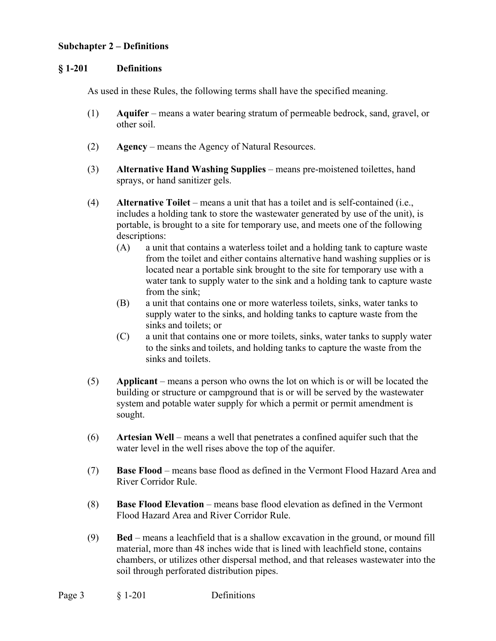#### **Subchapter 2 – Definitions**

#### **§ 1-201 Definitions**

As used in these Rules, the following terms shall have the specified meaning.

- (1) **Aquifer** means a water bearing stratum of permeable bedrock, sand, gravel, or other soil.
- (2) **Agency** means the Agency of Natural Resources.
- (3) **Alternative Hand Washing Supplies**  means pre-moistened toilettes, hand sprays, or hand sanitizer gels.
- (4) **Alternative Toilet** means a unit that has a toilet and is self-contained (i.e., includes a holding tank to store the wastewater generated by use of the unit), is portable, is brought to a site for temporary use, and meets one of the following descriptions:
	- (A) a unit that contains a waterless toilet and a holding tank to capture waste from the toilet and either contains alternative hand washing supplies or is located near a portable sink brought to the site for temporary use with a water tank to supply water to the sink and a holding tank to capture waste from the sink;
	- (B) a unit that contains one or more waterless toilets, sinks, water tanks to supply water to the sinks, and holding tanks to capture waste from the sinks and toilets; or
	- (C) a unit that contains one or more toilets, sinks, water tanks to supply water to the sinks and toilets, and holding tanks to capture the waste from the sinks and toilets.
- (5) **Applicant** means a person who owns the lot on which is or will be located the building or structure or campground that is or will be served by the wastewater system and potable water supply for which a permit or permit amendment is sought.
- (6) **Artesian Well** means a well that penetrates a confined aquifer such that the water level in the well rises above the top of the aquifer.
- (7) **Base Flood** means base flood as defined in the Vermont Flood Hazard Area and River Corridor Rule.
- (8) **Base Flood Elevation** means base flood elevation as defined in the Vermont Flood Hazard Area and River Corridor Rule.
- (9) **Bed** means a leachfield that is a shallow excavation in the ground, or mound fill material, more than 48 inches wide that is lined with leachfield stone, contains chambers, or utilizes other dispersal method, and that releases wastewater into the soil through perforated distribution pipes.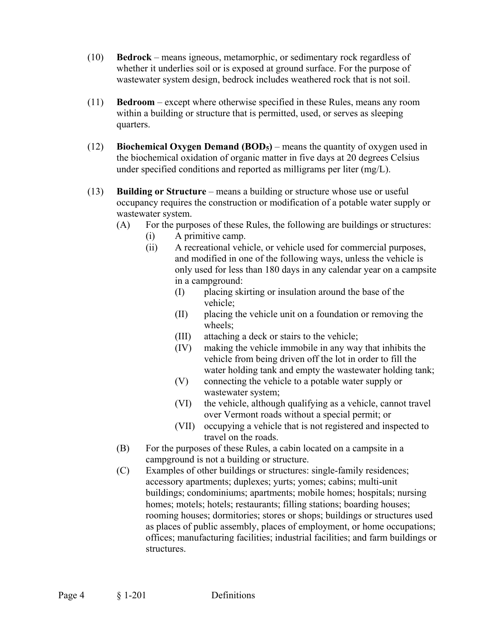- (10) **Bedrock** means igneous, metamorphic, or sedimentary rock regardless of whether it underlies soil or is exposed at ground surface. For the purpose of wastewater system design, bedrock includes weathered rock that is not soil.
- (11) **Bedroom** except where otherwise specified in these Rules, means any room within a building or structure that is permitted, used, or serves as sleeping quarters.
- (12) **Biochemical Oxygen Demand (BOD5)** means the quantity of oxygen used in the biochemical oxidation of organic matter in five days at 20 degrees Celsius under specified conditions and reported as milligrams per liter (mg/L).
- (13) **Building or Structure** means a building or structure whose use or useful occupancy requires the construction or modification of a potable water supply or wastewater system.
	- (A) For the purposes of these Rules, the following are buildings or structures:
		- (i) A primitive camp.
		- (ii) A recreational vehicle, or vehicle used for commercial purposes, and modified in one of the following ways, unless the vehicle is only used for less than 180 days in any calendar year on a campsite in a campground:
			- (I) placing skirting or insulation around the base of the vehicle;
			- (II) placing the vehicle unit on a foundation or removing the wheels;
			- (III) attaching a deck or stairs to the vehicle;
			- (IV) making the vehicle immobile in any way that inhibits the vehicle from being driven off the lot in order to fill the water holding tank and empty the wastewater holding tank;
			- (V) connecting the vehicle to a potable water supply or wastewater system;
			- (VI) the vehicle, although qualifying as a vehicle, cannot travel over Vermont roads without a special permit; or
			- (VII) occupying a vehicle that is not registered and inspected to travel on the roads.
	- (B) For the purposes of these Rules, a cabin located on a campsite in a campground is not a building or structure.
	- (C) Examples of other buildings or structures: single-family residences; accessory apartments; duplexes; yurts; yomes; cabins; multi-unit buildings; condominiums; apartments; mobile homes; hospitals; nursing homes; motels; hotels; restaurants; filling stations; boarding houses; rooming houses; dormitories; stores or shops; buildings or structures used as places of public assembly, places of employment, or home occupations; offices; manufacturing facilities; industrial facilities; and farm buildings or structures.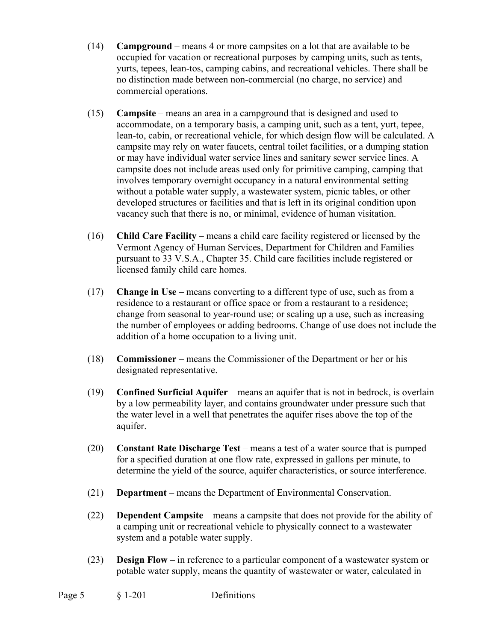- (14) **Campground** means 4 or more campsites on a lot that are available to be occupied for vacation or recreational purposes by camping units, such as tents, yurts, tepees, lean-tos, camping cabins, and recreational vehicles. There shall be no distinction made between non-commercial (no charge, no service) and commercial operations.
- (15) **Campsite** means an area in a campground that is designed and used to accommodate, on a temporary basis, a camping unit, such as a tent, yurt, tepee, lean-to, cabin, or recreational vehicle, for which design flow will be calculated. A campsite may rely on water faucets, central toilet facilities, or a dumping station or may have individual water service lines and sanitary sewer service lines. A campsite does not include areas used only for primitive camping, camping that involves temporary overnight occupancy in a natural environmental setting without a potable water supply, a wastewater system, picnic tables, or other developed structures or facilities and that is left in its original condition upon vacancy such that there is no, or minimal, evidence of human visitation.
- (16) **Child Care Facility** means a child care facility registered or licensed by the Vermont Agency of Human Services, Department for Children and Families pursuant to 33 V.S.A., Chapter 35. Child care facilities include registered or licensed family child care homes.
- (17) **Change in Use** means converting to a different type of use, such as from a residence to a restaurant or office space or from a restaurant to a residence; change from seasonal to year-round use; or scaling up a use, such as increasing the number of employees or adding bedrooms. Change of use does not include the addition of a home occupation to a living unit.
- (18) **Commissioner** means the Commissioner of the Department or her or his designated representative.
- (19) **Confined Surficial Aquifer** means an aquifer that is not in bedrock, is overlain by a low permeability layer, and contains groundwater under pressure such that the water level in a well that penetrates the aquifer rises above the top of the aquifer.
- (20) **Constant Rate Discharge Test** means a test of a water source that is pumped for a specified duration at one flow rate, expressed in gallons per minute, to determine the yield of the source, aquifer characteristics, or source interference.
- (21) **Department** means the Department of Environmental Conservation.
- (22) **Dependent Campsite** means a campsite that does not provide for the ability of a camping unit or recreational vehicle to physically connect to a wastewater system and a potable water supply.
- (23) **Design Flow**  in reference to a particular component of a wastewater system or potable water supply, means the quantity of wastewater or water, calculated in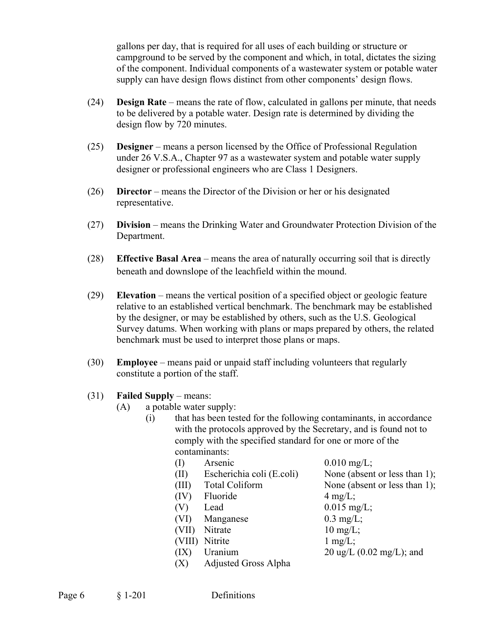gallons per day, that is required for all uses of each building or structure or campground to be served by the component and which, in total, dictates the sizing of the component. Individual components of a wastewater system or potable water supply can have design flows distinct from other components' design flows.

- (24) **Design Rate**  means the rate of flow, calculated in gallons per minute, that needs to be delivered by a potable water. Design rate is determined by dividing the design flow by 720 minutes.
- (25) **Designer** means a person licensed by the Office of Professional Regulation under 26 V.S.A., Chapter 97 as a wastewater system and potable water supply designer or professional engineers who are Class 1 Designers.
- (26) **Director** means the Director of the Division or her or his designated representative.
- (27) **Division** means the Drinking Water and Groundwater Protection Division of the Department.
- (28) **Effective Basal Area** means the area of naturally occurring soil that is directly beneath and downslope of the leachfield within the mound.
- (29) **Elevation** means the vertical position of a specified object or geologic feature relative to an established vertical benchmark. The benchmark may be established by the designer, or may be established by others, such as the U.S. Geological Survey datums. When working with plans or maps prepared by others, the related benchmark must be used to interpret those plans or maps.
- (30) **Employee** means paid or unpaid staff including volunteers that regularly constitute a portion of the staff.
- (31) **Failed Supply** means:
	- (A) a potable water supply:
		- (i) that has been tested for the following contaminants, in accordance with the protocols approved by the Secretary, and is found not to comply with the specified standard for one or more of the contaminants:
			- (I) Arsenic  $0.010 \text{ mg/L}$ ; (II) Escherichia coli (E.coli) None (absent or less than 1); (III) Total Coliform None (absent or less than 1);  $(IV)$  Fluoride 4 mg/L; (V) Lead  $0.015 \text{ mg/L}$ ; (VI) Manganese  $0.3 \text{ mg/L}$ ; (VII) Nitrate 10 mg/L; (VIII) Nitrite 1 mg/L; (IX) Uranium  $20 \text{ ug/L} (0.02 \text{ mg/L})$ ; and (X) Adjusted Gross Alpha
				-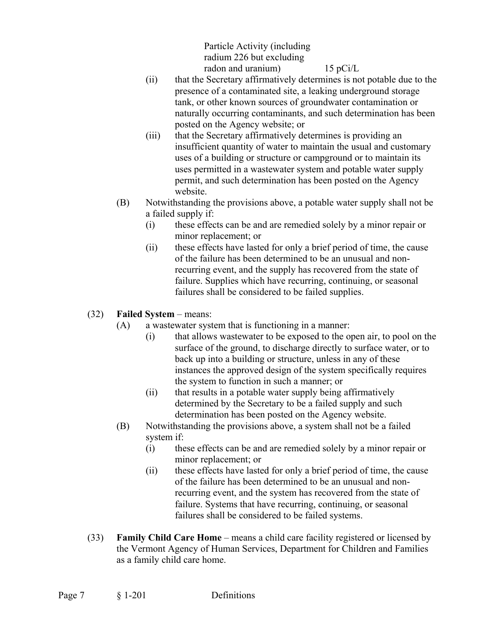Particle Activity (including radium 226 but excluding radon and uranium) 15 pCi/L

- (ii) that the Secretary affirmatively determines is not potable due to the presence of a contaminated site, a leaking underground storage tank, or other known sources of groundwater contamination or naturally occurring contaminants, and such determination has been posted on the Agency website; or
- (iii) that the Secretary affirmatively determines is providing an insufficient quantity of water to maintain the usual and customary uses of a building or structure or campground or to maintain its uses permitted in a wastewater system and potable water supply permit, and such determination has been posted on the Agency website.
- (B) Notwithstanding the provisions above, a potable water supply shall not be a failed supply if:
	- (i) these effects can be and are remedied solely by a minor repair or minor replacement; or
	- (ii) these effects have lasted for only a brief period of time, the cause of the failure has been determined to be an unusual and nonrecurring event, and the supply has recovered from the state of failure. Supplies which have recurring, continuing, or seasonal failures shall be considered to be failed supplies.
- (32) **Failed System** means:
	- (A) a wastewater system that is functioning in a manner:
		- (i) that allows wastewater to be exposed to the open air, to pool on the surface of the ground, to discharge directly to surface water, or to back up into a building or structure, unless in any of these instances the approved design of the system specifically requires the system to function in such a manner; or
		- (ii) that results in a potable water supply being affirmatively determined by the Secretary to be a failed supply and such determination has been posted on the Agency website.
	- (B) Notwithstanding the provisions above, a system shall not be a failed system if:
		- (i) these effects can be and are remedied solely by a minor repair or minor replacement; or
		- (ii) these effects have lasted for only a brief period of time, the cause of the failure has been determined to be an unusual and nonrecurring event, and the system has recovered from the state of failure. Systems that have recurring, continuing, or seasonal failures shall be considered to be failed systems.
- (33) **Family Child Care Home** means a child care facility registered or licensed by the Vermont Agency of Human Services, Department for Children and Families as a family child care home.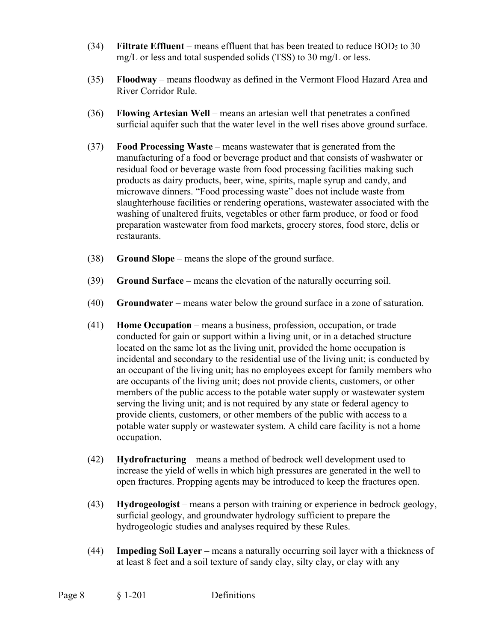- (34) **Filtrate Effluent** means effluent that has been treated to reduce BOD5 to 30 mg/L or less and total suspended solids (TSS) to 30 mg/L or less.
- (35) **Floodway** means floodway as defined in the Vermont Flood Hazard Area and River Corridor Rule.
- (36) **Flowing Artesian Well** means an artesian well that penetrates a confined surficial aquifer such that the water level in the well rises above ground surface.
- (37) **Food Processing Waste** means wastewater that is generated from the manufacturing of a food or beverage product and that consists of washwater or residual food or beverage waste from food processing facilities making such products as dairy products, beer, wine, spirits, maple syrup and candy, and microwave dinners. "Food processing waste" does not include waste from slaughterhouse facilities or rendering operations, wastewater associated with the washing of unaltered fruits, vegetables or other farm produce, or food or food preparation wastewater from food markets, grocery stores, food store, delis or restaurants.
- (38) **Ground Slope** means the slope of the ground surface.
- (39) **Ground Surface** means the elevation of the naturally occurring soil.
- (40) **Groundwater** means water below the ground surface in a zone of saturation.
- (41) **Home Occupation** means a business, profession, occupation, or trade conducted for gain or support within a living unit, or in a detached structure located on the same lot as the living unit, provided the home occupation is incidental and secondary to the residential use of the living unit; is conducted by an occupant of the living unit; has no employees except for family members who are occupants of the living unit; does not provide clients, customers, or other members of the public access to the potable water supply or wastewater system serving the living unit; and is not required by any state or federal agency to provide clients, customers, or other members of the public with access to a potable water supply or wastewater system. A child care facility is not a home occupation.
- (42) **Hydrofracturing** means a method of bedrock well development used to increase the yield of wells in which high pressures are generated in the well to open fractures. Propping agents may be introduced to keep the fractures open.
- (43) **Hydrogeologist**  means a person with training or experience in bedrock geology, surficial geology, and groundwater hydrology sufficient to prepare the hydrogeologic studies and analyses required by these Rules.
- (44) **Impeding Soil Layer** means a naturally occurring soil layer with a thickness of at least 8 feet and a soil texture of sandy clay, silty clay, or clay with any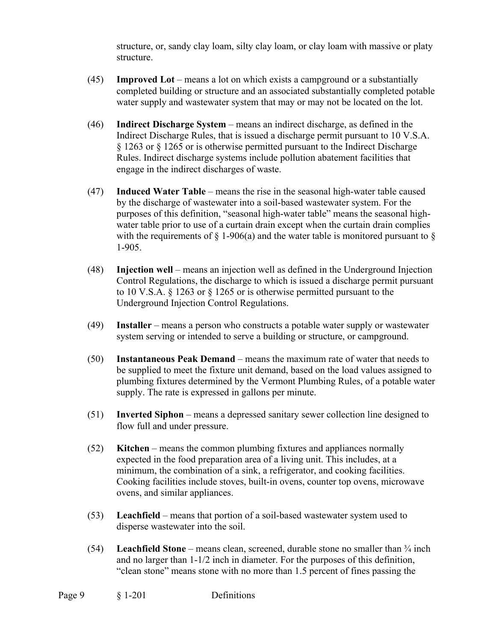structure, or, sandy clay loam, silty clay loam, or clay loam with massive or platy structure.

- (45) **Improved Lot** means a lot on which exists a campground or a substantially completed building or structure and an associated substantially completed potable water supply and wastewater system that may or may not be located on the lot.
- (46) **Indirect Discharge System** means an indirect discharge, as defined in the Indirect Discharge Rules, that is issued a discharge permit pursuant to 10 V.S.A. § 1263 or § 1265 or is otherwise permitted pursuant to the Indirect Discharge Rules. Indirect discharge systems include pollution abatement facilities that engage in the indirect discharges of waste.
- (47) **Induced Water Table** means the rise in the seasonal high-water table caused by the discharge of wastewater into a soil-based wastewater system. For the purposes of this definition, "seasonal high-water table" means the seasonal highwater table prior to use of a curtain drain except when the curtain drain complies with the requirements of  $\S$  1-906(a) and the water table is monitored pursuant to  $\S$ 1-905.
- (48) **Injection well** means an injection well as defined in the Underground Injection Control Regulations, the discharge to which is issued a discharge permit pursuant to 10 V.S.A. § 1263 or § 1265 or is otherwise permitted pursuant to the Underground Injection Control Regulations.
- (49) **Installer** means a person who constructs a potable water supply or wastewater system serving or intended to serve a building or structure, or campground.
- (50) **Instantaneous Peak Demand**  means the maximum rate of water that needs to be supplied to meet the fixture unit demand, based on the load values assigned to plumbing fixtures determined by the Vermont Plumbing Rules, of a potable water supply. The rate is expressed in gallons per minute.
- (51) **Inverted Siphon** means a depressed sanitary sewer collection line designed to flow full and under pressure.
- (52) **Kitchen** means the common plumbing fixtures and appliances normally expected in the food preparation area of a living unit. This includes, at a minimum, the combination of a sink, a refrigerator, and cooking facilities. Cooking facilities include stoves, built-in ovens, counter top ovens, microwave ovens, and similar appliances.
- (53) **Leachfield** means that portion of a soil-based wastewater system used to disperse wastewater into the soil.
- (54) **Leachfield Stone** means clean, screened, durable stone no smaller than ¾ inch and no larger than 1-1/2 inch in diameter. For the purposes of this definition, "clean stone" means stone with no more than 1.5 percent of fines passing the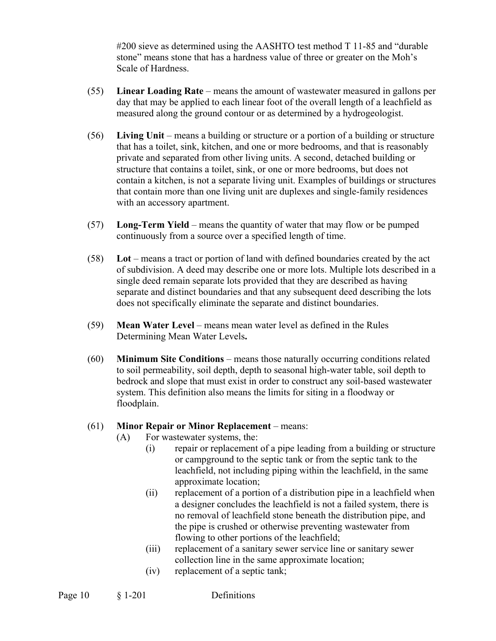#200 sieve as determined using the AASHTO test method T 11-85 and "durable stone" means stone that has a hardness value of three or greater on the Moh's Scale of Hardness.

- (55) **Linear Loading Rate** means the amount of wastewater measured in gallons per day that may be applied to each linear foot of the overall length of a leachfield as measured along the ground contour or as determined by a hydrogeologist.
- (56) **Living Unit** means a building or structure or a portion of a building or structure that has a toilet, sink, kitchen, and one or more bedrooms, and that is reasonably private and separated from other living units. A second, detached building or structure that contains a toilet, sink, or one or more bedrooms, but does not contain a kitchen, is not a separate living unit. Examples of buildings or structures that contain more than one living unit are duplexes and single-family residences with an accessory apartment.
- (57) **Long-Term Yield** means the quantity of water that may flow or be pumped continuously from a source over a specified length of time.
- (58) **Lot** means a tract or portion of land with defined boundaries created by the act of subdivision. A deed may describe one or more lots. Multiple lots described in a single deed remain separate lots provided that they are described as having separate and distinct boundaries and that any subsequent deed describing the lots does not specifically eliminate the separate and distinct boundaries.
- (59) **Mean Water Level**  means mean water level as defined in the Rules Determining Mean Water Levels**.**
- (60) **Minimum Site Conditions** means those naturally occurring conditions related to soil permeability, soil depth, depth to seasonal high-water table, soil depth to bedrock and slope that must exist in order to construct any soil-based wastewater system. This definition also means the limits for siting in a floodway or floodplain.

# (61) **Minor Repair or Minor Replacement** – means:

- (A) For wastewater systems, the:
	- (i) repair or replacement of a pipe leading from a building or structure or campground to the septic tank or from the septic tank to the leachfield, not including piping within the leachfield, in the same approximate location;
	- (ii) replacement of a portion of a distribution pipe in a leachfield when a designer concludes the leachfield is not a failed system, there is no removal of leachfield stone beneath the distribution pipe, and the pipe is crushed or otherwise preventing wastewater from flowing to other portions of the leachfield;
	- (iii) replacement of a sanitary sewer service line or sanitary sewer collection line in the same approximate location;
	- (iv) replacement of a septic tank;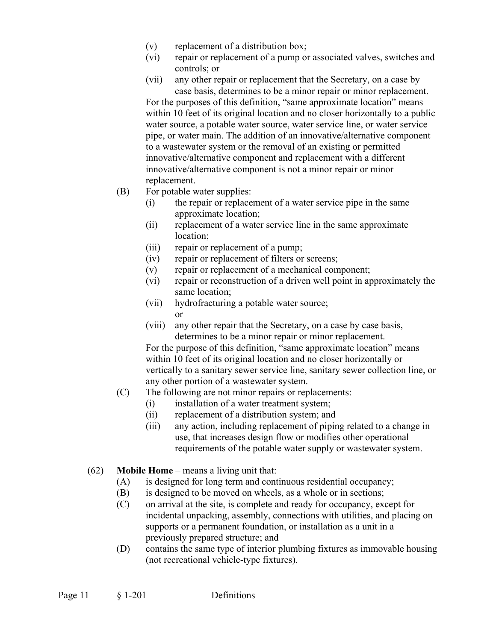- (v) replacement of a distribution box;
- (vi) repair or replacement of a pump or associated valves, switches and controls; or
- (vii) any other repair or replacement that the Secretary, on a case by case basis, determines to be a minor repair or minor replacement.

For the purposes of this definition, "same approximate location" means within 10 feet of its original location and no closer horizontally to a public water source, a potable water source, water service line, or water service pipe, or water main. The addition of an innovative/alternative component to a wastewater system or the removal of an existing or permitted innovative/alternative component and replacement with a different innovative/alternative component is not a minor repair or minor replacement.

- (B) For potable water supplies:
	- (i) the repair or replacement of a water service pipe in the same approximate location;
	- (ii) replacement of a water service line in the same approximate location;
	- (iii) repair or replacement of a pump;
	- (iv) repair or replacement of filters or screens;
	- (v) repair or replacement of a mechanical component;
	- (vi) repair or reconstruction of a driven well point in approximately the same location;
	- (vii) hydrofracturing a potable water source; or
	- (viii) any other repair that the Secretary, on a case by case basis, determines to be a minor repair or minor replacement.

For the purpose of this definition, "same approximate location" means within 10 feet of its original location and no closer horizontally or vertically to a sanitary sewer service line, sanitary sewer collection line, or any other portion of a wastewater system.

- (C) The following are not minor repairs or replacements:
	- (i) installation of a water treatment system;
	- (ii) replacement of a distribution system; and
	- (iii) any action, including replacement of piping related to a change in use, that increases design flow or modifies other operational requirements of the potable water supply or wastewater system.
- (62) **Mobile Home** means a living unit that:
	- (A) is designed for long term and continuous residential occupancy;
	- (B) is designed to be moved on wheels, as a whole or in sections;
	- (C) on arrival at the site, is complete and ready for occupancy, except for incidental unpacking, assembly, connections with utilities, and placing on supports or a permanent foundation, or installation as a unit in a previously prepared structure; and
	- (D) contains the same type of interior plumbing fixtures as immovable housing (not recreational vehicle-type fixtures).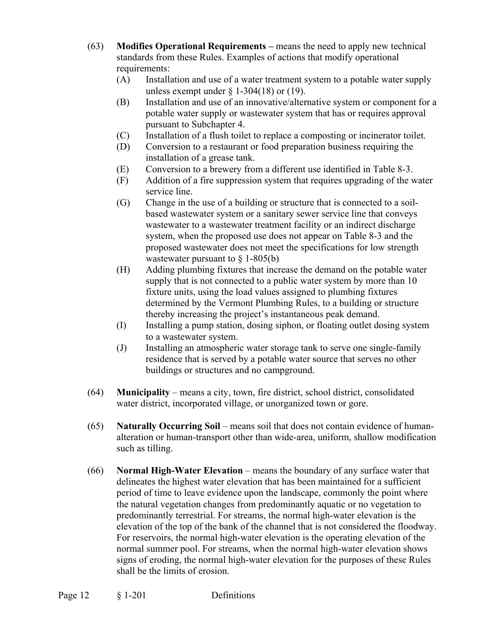- (63) **Modifies Operational Requirements** means the need to apply new technical standards from these Rules. Examples of actions that modify operational requirements:
	- (A) Installation and use of a water treatment system to a potable water supply unless exempt under  $\S$  1-304(18) or (19).
	- (B) Installation and use of an innovative/alternative system or component for a potable water supply or wastewater system that has or requires approval pursuant to Subchapter 4.
	- (C) Installation of a flush toilet to replace a composting or incinerator toilet.
	- (D) Conversion to a restaurant or food preparation business requiring the installation of a grease tank.
	- (E) Conversion to a brewery from a different use identified in Table 8-3.
	- (F) Addition of a fire suppression system that requires upgrading of the water service line.
	- (G) Change in the use of a building or structure that is connected to a soilbased wastewater system or a sanitary sewer service line that conveys wastewater to a wastewater treatment facility or an indirect discharge system, when the proposed use does not appear on Table 8-3 and the proposed wastewater does not meet the specifications for low strength wastewater pursuant to  $\S$  1-805(b).
	- (H) Adding plumbing fixtures that increase the demand on the potable water supply that is not connected to a public water system by more than 10 fixture units, using the load values assigned to plumbing fixtures determined by the Vermont Plumbing Rules, to a building or structure thereby increasing the project's instantaneous peak demand.
	- (I) Installing a pump station, dosing siphon, or floating outlet dosing system to a wastewater system.
	- (J) Installing an atmospheric water storage tank to serve one single-family residence that is served by a potable water source that serves no other buildings or structures and no campground.
- (64) **Municipality** means a city, town, fire district, school district, consolidated water district, incorporated village, or unorganized town or gore.
- (65) **Naturally Occurring Soil** means soil that does not contain evidence of humanalteration or human-transport other than wide-area, uniform, shallow modification such as tilling.
- (66) **Normal High-Water Elevation** means the boundary of any surface water that delineates the highest water elevation that has been maintained for a sufficient period of time to leave evidence upon the landscape, commonly the point where the natural vegetation changes from predominantly aquatic or no vegetation to predominantly terrestrial. For streams, the normal high-water elevation is the elevation of the top of the bank of the channel that is not considered the floodway. For reservoirs, the normal high-water elevation is the operating elevation of the normal summer pool. For streams, when the normal high-water elevation shows signs of eroding, the normal high-water elevation for the purposes of these Rules shall be the limits of erosion.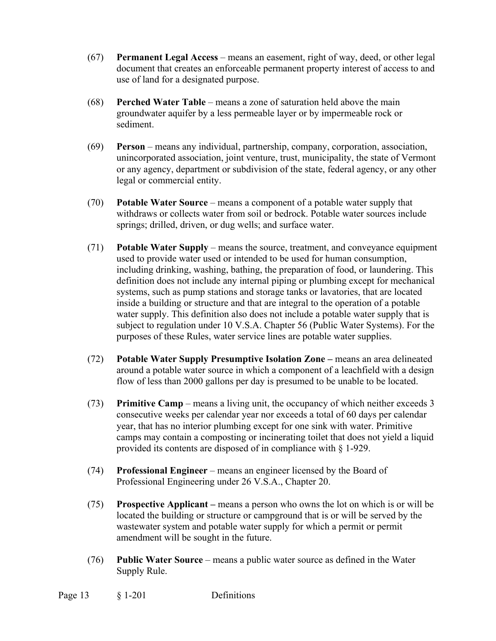- (67) **Permanent Legal Access** means an easement, right of way, deed, or other legal document that creates an enforceable permanent property interest of access to and use of land for a designated purpose.
- (68) **Perched Water Table** means a zone of saturation held above the main groundwater aquifer by a less permeable layer or by impermeable rock or sediment.
- (69) **Person** means any individual, partnership, company, corporation, association, unincorporated association, joint venture, trust, municipality, the state of Vermont or any agency, department or subdivision of the state, federal agency, or any other legal or commercial entity.
- (70) **Potable Water Source** means a component of a potable water supply that withdraws or collects water from soil or bedrock. Potable water sources include springs; drilled, driven, or dug wells; and surface water.
- (71) **Potable Water Supply** means the source, treatment, and conveyance equipment used to provide water used or intended to be used for human consumption, including drinking, washing, bathing, the preparation of food, or laundering. This definition does not include any internal piping or plumbing except for mechanical systems, such as pump stations and storage tanks or lavatories, that are located inside a building or structure and that are integral to the operation of a potable water supply. This definition also does not include a potable water supply that is subject to regulation under 10 V.S.A. Chapter 56 (Public Water Systems). For the purposes of these Rules, water service lines are potable water supplies.
- (72) **Potable Water Supply Presumptive Isolation Zone** means an area delineated around a potable water source in which a component of a leachfield with a design flow of less than 2000 gallons per day is presumed to be unable to be located.
- (73) **Primitive Camp** means a living unit, the occupancy of which neither exceeds 3 consecutive weeks per calendar year nor exceeds a total of 60 days per calendar year, that has no interior plumbing except for one sink with water. Primitive camps may contain a composting or incinerating toilet that does not yield a liquid provided its contents are disposed of in compliance with § 1-929.
- (74) **Professional Engineer**  means an engineer licensed by the Board of Professional Engineering under 26 V.S.A., Chapter 20.
- (75) **Prospective Applicant** means a person who owns the lot on which is or will be located the building or structure or campground that is or will be served by the wastewater system and potable water supply for which a permit or permit amendment will be sought in the future.
- (76) **Public Water Source** means a public water source as defined in the Water Supply Rule.

Page 13 § 1-201 Definitions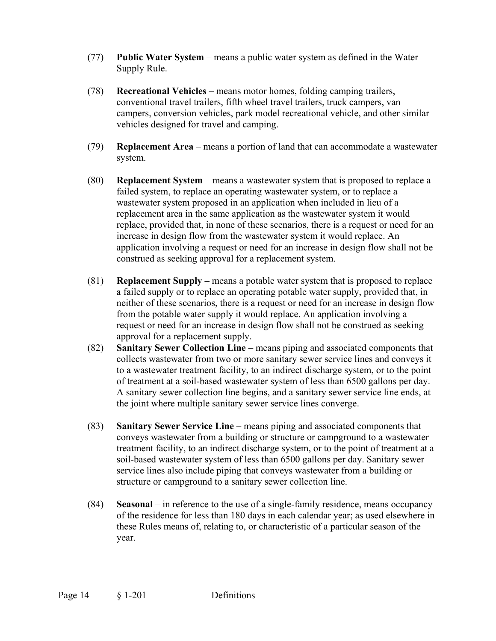- (77) **Public Water System** means a public water system as defined in the Water Supply Rule.
- (78) **Recreational Vehicles** means motor homes, folding camping trailers, conventional travel trailers, fifth wheel travel trailers, truck campers, van campers, conversion vehicles, park model recreational vehicle, and other similar vehicles designed for travel and camping.
- (79) **Replacement Area** means a portion of land that can accommodate a wastewater system.
- (80) **Replacement System** means a wastewater system that is proposed to replace a failed system, to replace an operating wastewater system, or to replace a wastewater system proposed in an application when included in lieu of a replacement area in the same application as the wastewater system it would replace, provided that, in none of these scenarios, there is a request or need for an increase in design flow from the wastewater system it would replace. An application involving a request or need for an increase in design flow shall not be construed as seeking approval for a replacement system.
- (81) **Replacement Supply** means a potable water system that is proposed to replace a failed supply or to replace an operating potable water supply, provided that, in neither of these scenarios, there is a request or need for an increase in design flow from the potable water supply it would replace. An application involving a request or need for an increase in design flow shall not be construed as seeking approval for a replacement supply.
- (82) **Sanitary Sewer Collection Line** means piping and associated components that collects wastewater from two or more sanitary sewer service lines and conveys it to a wastewater treatment facility, to an indirect discharge system, or to the point of treatment at a soil-based wastewater system of less than 6500 gallons per day. A sanitary sewer collection line begins, and a sanitary sewer service line ends, at the joint where multiple sanitary sewer service lines converge.
- (83) **Sanitary Sewer Service Line** means piping and associated components that conveys wastewater from a building or structure or campground to a wastewater treatment facility, to an indirect discharge system, or to the point of treatment at a soil-based wastewater system of less than 6500 gallons per day. Sanitary sewer service lines also include piping that conveys wastewater from a building or structure or campground to a sanitary sewer collection line.
- (84) **Seasonal**  in reference to the use of a single-family residence, means occupancy of the residence for less than 180 days in each calendar year; as used elsewhere in these Rules means of, relating to, or characteristic of a particular season of the year.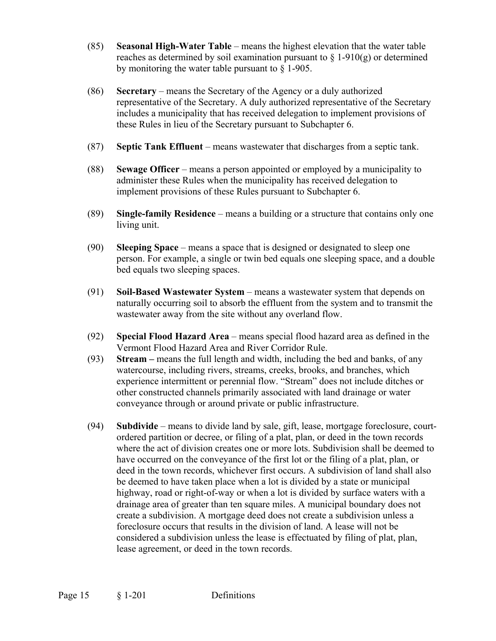- (85) **Seasonal High-Water Table** means the highest elevation that the water table reaches as determined by soil examination pursuant to  $\S 1-910(g)$  or determined by monitoring the water table pursuant to § 1-905.
- (86) **Secretary** means the Secretary of the Agency or a duly authorized representative of the Secretary. A duly authorized representative of the Secretary includes a municipality that has received delegation to implement provisions of these Rules in lieu of the Secretary pursuant to Subchapter 6.
- (87) **Septic Tank Effluent** means wastewater that discharges from a septic tank.
- (88) **Sewage Officer** means a person appointed or employed by a municipality to administer these Rules when the municipality has received delegation to implement provisions of these Rules pursuant to Subchapter 6.
- (89) **Single-family Residence**  means a building or a structure that contains only one living unit.
- (90) **Sleeping Space** means a space that is designed or designated to sleep one person. For example, a single or twin bed equals one sleeping space, and a double bed equals two sleeping spaces.
- (91) **Soil-Based Wastewater System** means a wastewater system that depends on naturally occurring soil to absorb the effluent from the system and to transmit the wastewater away from the site without any overland flow.
- (92) **Special Flood Hazard Area** means special flood hazard area as defined in the Vermont Flood Hazard Area and River Corridor Rule.
- (93) **Stream** means the full length and width, including the bed and banks, of any watercourse, including rivers, streams, creeks, brooks, and branches, which experience intermittent or perennial flow. "Stream" does not include ditches or other constructed channels primarily associated with land drainage or water conveyance through or around private or public infrastructure.
- (94) **Subdivide** means to divide land by sale, gift, lease, mortgage foreclosure, courtordered partition or decree, or filing of a plat, plan, or deed in the town records where the act of division creates one or more lots. Subdivision shall be deemed to have occurred on the conveyance of the first lot or the filing of a plat, plan, or deed in the town records, whichever first occurs. A subdivision of land shall also be deemed to have taken place when a lot is divided by a state or municipal highway, road or right-of-way or when a lot is divided by surface waters with a drainage area of greater than ten square miles. A municipal boundary does not create a subdivision. A mortgage deed does not create a subdivision unless a foreclosure occurs that results in the division of land. A lease will not be considered a subdivision unless the lease is effectuated by filing of plat, plan, lease agreement, or deed in the town records.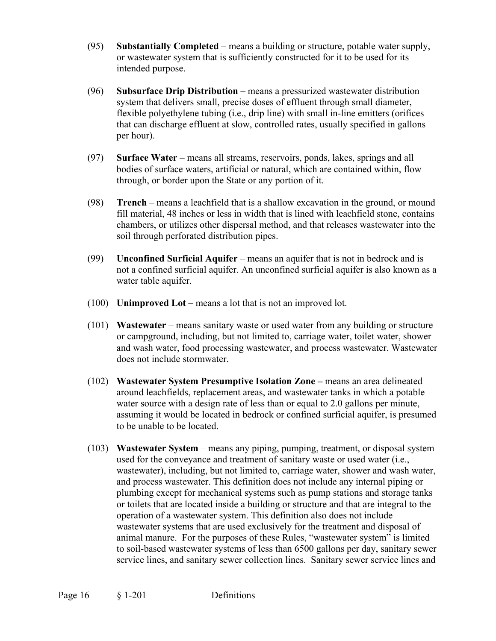- (95) **Substantially Completed** means a building or structure, potable water supply, or wastewater system that is sufficiently constructed for it to be used for its intended purpose.
- (96) **Subsurface Drip Distribution** means a pressurized wastewater distribution system that delivers small, precise doses of effluent through small diameter, flexible polyethylene tubing (i.e., drip line) with small in-line emitters (orifices that can discharge effluent at slow, controlled rates, usually specified in gallons per hour).
- (97) **Surface Water**  means all streams, reservoirs, ponds, lakes, springs and all bodies of surface waters, artificial or natural, which are contained within, flow through, or border upon the State or any portion of it.
- (98) **Trench** means a leachfield that is a shallow excavation in the ground, or mound fill material, 48 inches or less in width that is lined with leachfield stone, contains chambers, or utilizes other dispersal method, and that releases wastewater into the soil through perforated distribution pipes.
- (99) **Unconfined Surficial Aquifer** means an aquifer that is not in bedrock and is not a confined surficial aquifer. An unconfined surficial aquifer is also known as a water table aquifer.
- (100) **Unimproved Lot** means a lot that is not an improved lot.
- (101) **Wastewater** means sanitary waste or used water from any building or structure or campground, including, but not limited to, carriage water, toilet water, shower and wash water, food processing wastewater, and process wastewater. Wastewater does not include stormwater.
- (102) **Wastewater System Presumptive Isolation Zone** means an area delineated around leachfields, replacement areas, and wastewater tanks in which a potable water source with a design rate of less than or equal to 2.0 gallons per minute, assuming it would be located in bedrock or confined surficial aquifer, is presumed to be unable to be located.
- (103) **Wastewater System** means any piping, pumping, treatment, or disposal system used for the conveyance and treatment of sanitary waste or used water (i.e., wastewater), including, but not limited to, carriage water, shower and wash water, and process wastewater. This definition does not include any internal piping or plumbing except for mechanical systems such as pump stations and storage tanks or toilets that are located inside a building or structure and that are integral to the operation of a wastewater system. This definition also does not include wastewater systems that are used exclusively for the treatment and disposal of animal manure. For the purposes of these Rules, "wastewater system" is limited to soil-based wastewater systems of less than 6500 gallons per day, sanitary sewer service lines, and sanitary sewer collection lines. Sanitary sewer service lines and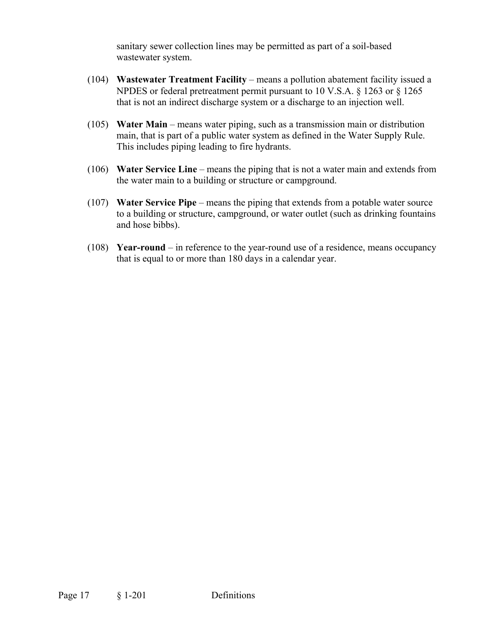sanitary sewer collection lines may be permitted as part of a soil-based wastewater system.

- (104) **Wastewater Treatment Facility** means a pollution abatement facility issued a NPDES or federal pretreatment permit pursuant to 10 V.S.A. § 1263 or § 1265 that is not an indirect discharge system or a discharge to an injection well.
- (105) **Water Main** means water piping, such as a transmission main or distribution main, that is part of a public water system as defined in the Water Supply Rule. This includes piping leading to fire hydrants.
- (106) **Water Service Line** means the piping that is not a water main and extends from the water main to a building or structure or campground.
- (107) **Water Service Pipe** means the piping that extends from a potable water source to a building or structure, campground, or water outlet (such as drinking fountains and hose bibbs).
- (108) **Year-round** in reference to the year-round use of a residence, means occupancy that is equal to or more than 180 days in a calendar year.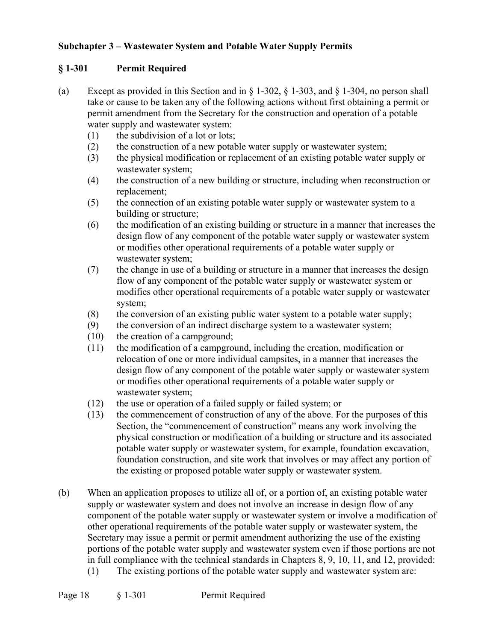# **Subchapter 3 – Wastewater System and Potable Water Supply Permits**

# **§ 1-301 Permit Required**

- (a) Except as provided in this Section and in  $\S 1-302$ ,  $\S 1-303$ , and  $\S 1-304$ , no person shall take or cause to be taken any of the following actions without first obtaining a permit or permit amendment from the Secretary for the construction and operation of a potable water supply and wastewater system:
	- (1) the subdivision of a lot or lots;
	- (2) the construction of a new potable water supply or wastewater system;
	- (3) the physical modification or replacement of an existing potable water supply or wastewater system;
	- (4) the construction of a new building or structure, including when reconstruction or replacement;
	- (5) the connection of an existing potable water supply or wastewater system to a building or structure;
	- (6) the modification of an existing building or structure in a manner that increases the design flow of any component of the potable water supply or wastewater system or modifies other operational requirements of a potable water supply or wastewater system;
	- (7) the change in use of a building or structure in a manner that increases the design flow of any component of the potable water supply or wastewater system or modifies other operational requirements of a potable water supply or wastewater system;
	- (8) the conversion of an existing public water system to a potable water supply;
	- (9) the conversion of an indirect discharge system to a wastewater system;
	- (10) the creation of a campground;
	- (11) the modification of a campground, including the creation, modification or relocation of one or more individual campsites, in a manner that increases the design flow of any component of the potable water supply or wastewater system or modifies other operational requirements of a potable water supply or wastewater system;
	- (12) the use or operation of a failed supply or failed system; or
	- (13) the commencement of construction of any of the above. For the purposes of this Section, the "commencement of construction" means any work involving the physical construction or modification of a building or structure and its associated potable water supply or wastewater system, for example, foundation excavation, foundation construction, and site work that involves or may affect any portion of the existing or proposed potable water supply or wastewater system.
- (b) When an application proposes to utilize all of, or a portion of, an existing potable water supply or wastewater system and does not involve an increase in design flow of any component of the potable water supply or wastewater system or involve a modification of other operational requirements of the potable water supply or wastewater system, the Secretary may issue a permit or permit amendment authorizing the use of the existing portions of the potable water supply and wastewater system even if those portions are not in full compliance with the technical standards in Chapters 8, 9, 10, 11, and 12, provided: (1) The existing portions of the potable water supply and wastewater system are:
- Page 18 § 1-301 Permit Required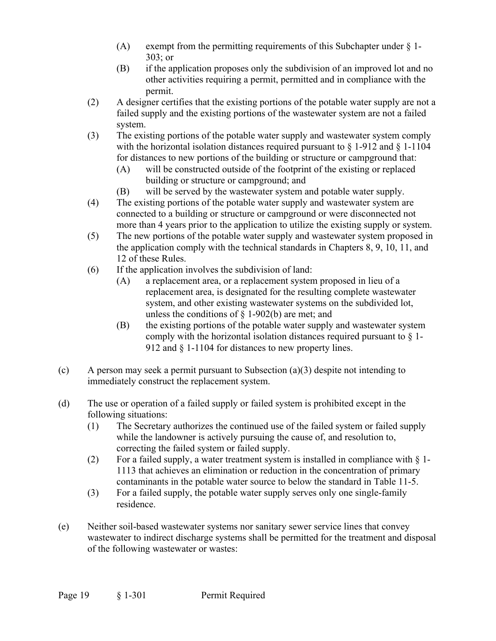- (A) exempt from the permitting requirements of this Subchapter under  $\S$  1-303; or
- (B) if the application proposes only the subdivision of an improved lot and no other activities requiring a permit, permitted and in compliance with the permit.
- (2) A designer certifies that the existing portions of the potable water supply are not a failed supply and the existing portions of the wastewater system are not a failed system.
- (3) The existing portions of the potable water supply and wastewater system comply with the horizontal isolation distances required pursuant to  $\S$  1-912 and  $\S$  1-1104 for distances to new portions of the building or structure or campground that:
	- (A) will be constructed outside of the footprint of the existing or replaced building or structure or campground; and
	- (B) will be served by the wastewater system and potable water supply.
- (4) The existing portions of the potable water supply and wastewater system are connected to a building or structure or campground or were disconnected not more than 4 years prior to the application to utilize the existing supply or system.
- (5) The new portions of the potable water supply and wastewater system proposed in the application comply with the technical standards in Chapters 8, 9, 10, 11, and 12 of these Rules.
- (6) If the application involves the subdivision of land:
	- (A) a replacement area, or a replacement system proposed in lieu of a replacement area, is designated for the resulting complete wastewater system, and other existing wastewater systems on the subdivided lot, unless the conditions of § 1-902(b) are met; and
	- (B) the existing portions of the potable water supply and wastewater system comply with the horizontal isolation distances required pursuant to § 1- 912 and § 1-1104 for distances to new property lines.
- (c) A person may seek a permit pursuant to Subsection (a)(3) despite not intending to immediately construct the replacement system.
- (d) The use or operation of a failed supply or failed system is prohibited except in the following situations:
	- (1) The Secretary authorizes the continued use of the failed system or failed supply while the landowner is actively pursuing the cause of, and resolution to, correcting the failed system or failed supply.
	- (2) For a failed supply, a water treatment system is installed in compliance with  $\S$  1-1113 that achieves an elimination or reduction in the concentration of primary contaminants in the potable water source to below the standard in Table 11-5.
	- (3) For a failed supply, the potable water supply serves only one single-family residence.
- (e) Neither soil-based wastewater systems nor sanitary sewer service lines that convey wastewater to indirect discharge systems shall be permitted for the treatment and disposal of the following wastewater or wastes: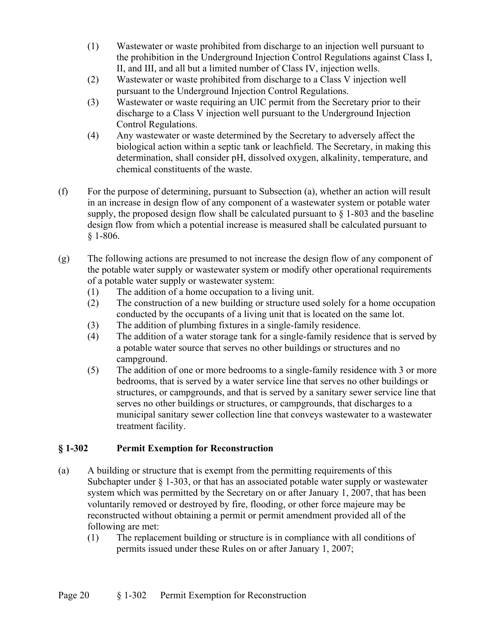- (1) Wastewater or waste prohibited from discharge to an injection well pursuant to the prohibition in the Underground Injection Control Regulations against Class I, II, and III, and all but a limited number of Class IV, injection wells.
- (2) Wastewater or waste prohibited from discharge to a Class V injection well pursuant to the Underground Injection Control Regulations.
- (3) Wastewater or waste requiring an UIC permit from the Secretary prior to their discharge to a Class V injection well pursuant to the Underground Injection Control Regulations.
- (4) Any wastewater or waste determined by the Secretary to adversely affect the biological action within a septic tank or leachfield. The Secretary, in making this determination, shall consider pH, dissolved oxygen, alkalinity, temperature, and chemical constituents of the waste.
- (f) For the purpose of determining, pursuant to Subsection (a), whether an action will result in an increase in design flow of any component of a wastewater system or potable water supply, the proposed design flow shall be calculated pursuant to  $\S$  1-803 and the baseline design flow from which a potential increase is measured shall be calculated pursuant to § 1-806.
- (g) The following actions are presumed to not increase the design flow of any component of the potable water supply or wastewater system or modify other operational requirements of a potable water supply or wastewater system:
	- (1) The addition of a home occupation to a living unit.
	- (2) The construction of a new building or structure used solely for a home occupation conducted by the occupants of a living unit that is located on the same lot.
	- (3) The addition of plumbing fixtures in a single-family residence.
	- (4) The addition of a water storage tank for a single-family residence that is served by a potable water source that serves no other buildings or structures and no campground.
	- (5) The addition of one or more bedrooms to a single-family residence with 3 or more bedrooms, that is served by a water service line that serves no other buildings or structures, or campgrounds, and that is served by a sanitary sewer service line that serves no other buildings or structures, or campgrounds, that discharges to a municipal sanitary sewer collection line that conveys wastewater to a wastewater treatment facility.

# **§ 1-302 Permit Exemption for Reconstruction**

- (a) A building or structure that is exempt from the permitting requirements of this Subchapter under  $\S$  1-303, or that has an associated potable water supply or wastewater system which was permitted by the Secretary on or after January 1, 2007, that has been voluntarily removed or destroyed by fire, flooding, or other force majeure may be reconstructed without obtaining a permit or permit amendment provided all of the following are met:
	- (1) The replacement building or structure is in compliance with all conditions of permits issued under these Rules on or after January 1, 2007;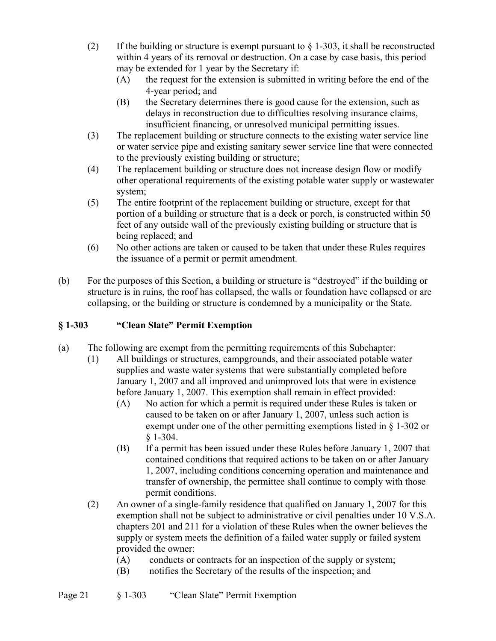- (2) If the building or structure is exempt pursuant to  $\S$  1-303, it shall be reconstructed within 4 years of its removal or destruction. On a case by case basis, this period may be extended for 1 year by the Secretary if:
	- (A) the request for the extension is submitted in writing before the end of the 4-year period; and
	- (B) the Secretary determines there is good cause for the extension, such as delays in reconstruction due to difficulties resolving insurance claims, insufficient financing, or unresolved municipal permitting issues.
- (3) The replacement building or structure connects to the existing water service line or water service pipe and existing sanitary sewer service line that were connected to the previously existing building or structure;
- (4) The replacement building or structure does not increase design flow or modify other operational requirements of the existing potable water supply or wastewater system;
- (5) The entire footprint of the replacement building or structure, except for that portion of a building or structure that is a deck or porch, is constructed within 50 feet of any outside wall of the previously existing building or structure that is being replaced; and
- (6) No other actions are taken or caused to be taken that under these Rules requires the issuance of a permit or permit amendment.
- (b) For the purposes of this Section, a building or structure is "destroyed" if the building or structure is in ruins, the roof has collapsed, the walls or foundation have collapsed or are collapsing, or the building or structure is condemned by a municipality or the State.

# **§ 1-303 "Clean Slate" Permit Exemption**

- (a) The following are exempt from the permitting requirements of this Subchapter:
	- (1) All buildings or structures, campgrounds, and their associated potable water supplies and waste water systems that were substantially completed before January 1, 2007 and all improved and unimproved lots that were in existence before January 1, 2007. This exemption shall remain in effect provided:
		- (A) No action for which a permit is required under these Rules is taken or caused to be taken on or after January 1, 2007, unless such action is exempt under one of the other permitting exemptions listed in § 1-302 or § 1-304.
		- (B) If a permit has been issued under these Rules before January 1, 2007 that contained conditions that required actions to be taken on or after January 1, 2007, including conditions concerning operation and maintenance and transfer of ownership, the permittee shall continue to comply with those permit conditions.
	- (2) An owner of a single-family residence that qualified on January 1, 2007 for this exemption shall not be subject to administrative or civil penalties under 10 V.S.A. chapters 201 and 211 for a violation of these Rules when the owner believes the supply or system meets the definition of a failed water supply or failed system provided the owner:
		- (A) conducts or contracts for an inspection of the supply or system;
		- (B) notifies the Secretary of the results of the inspection; and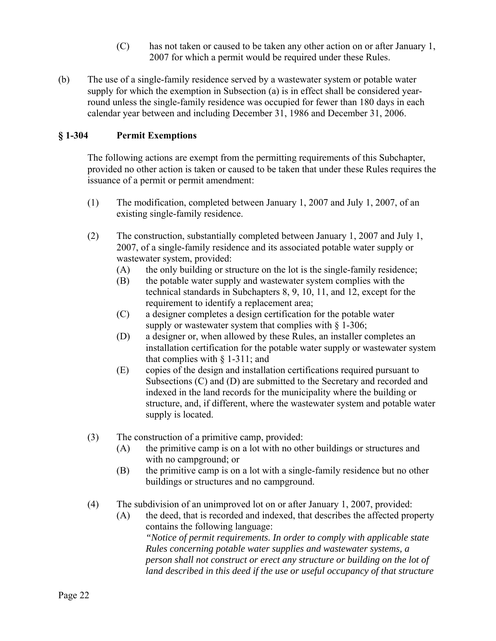- (C) has not taken or caused to be taken any other action on or after January 1, 2007 for which a permit would be required under these Rules.
- (b) The use of a single-family residence served by a wastewater system or potable water supply for which the exemption in Subsection (a) is in effect shall be considered yearround unless the single-family residence was occupied for fewer than 180 days in each calendar year between and including December 31, 1986 and December 31, 2006.

# **§ 1-304 Permit Exemptions**

The following actions are exempt from the permitting requirements of this Subchapter, provided no other action is taken or caused to be taken that under these Rules requires the issuance of a permit or permit amendment:

- (1) The modification, completed between January 1, 2007 and July 1, 2007, of an existing single-family residence.
- (2) The construction, substantially completed between January 1, 2007 and July 1, 2007, of a single-family residence and its associated potable water supply or wastewater system, provided:
	- (A) the only building or structure on the lot is the single-family residence;
	- (B) the potable water supply and wastewater system complies with the technical standards in Subchapters 8, 9, 10, 11, and 12, except for the requirement to identify a replacement area;
	- (C) a designer completes a design certification for the potable water supply or wastewater system that complies with  $\S$  1-306;
	- (D) a designer or, when allowed by these Rules, an installer completes an installation certification for the potable water supply or wastewater system that complies with  $\S$  1-311; and
	- (E) copies of the design and installation certifications required pursuant to Subsections (C) and (D) are submitted to the Secretary and recorded and indexed in the land records for the municipality where the building or structure, and, if different, where the wastewater system and potable water supply is located.
- (3) The construction of a primitive camp, provided:
	- (A) the primitive camp is on a lot with no other buildings or structures and with no campground; or
	- (B) the primitive camp is on a lot with a single-family residence but no other buildings or structures and no campground.
- (4) The subdivision of an unimproved lot on or after January 1, 2007, provided:
	- (A) the deed, that is recorded and indexed, that describes the affected property contains the following language: *"Notice of permit requirements. In order to comply with applicable state Rules concerning potable water supplies and wastewater systems, a person shall not construct or erect any structure or building on the lot of*  land described in this deed if the use or useful occupancy of that structure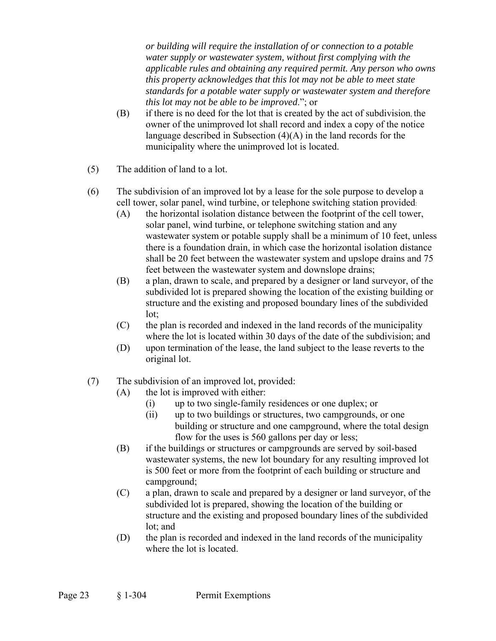*or building will require the installation of or connection to a potable water supply or wastewater system, without first complying with the applicable rules and obtaining any required permit. Any person who owns this property acknowledges that this lot may not be able to meet state standards for a potable water supply or wastewater system and therefore this lot may not be able to be improved*."; or

- (B) if there is no deed for the lot that is created by the act of subdivision, the owner of the unimproved lot shall record and index a copy of the notice language described in Subsection (4)(A) in the land records for the municipality where the unimproved lot is located.
- (5) The addition of land to a lot.
- (6) The subdivision of an improved lot by a lease for the sole purpose to develop a cell tower, solar panel, wind turbine, or telephone switching station provided:
	- (A) the horizontal isolation distance between the footprint of the cell tower, solar panel, wind turbine, or telephone switching station and any wastewater system or potable supply shall be a minimum of 10 feet, unless there is a foundation drain, in which case the horizontal isolation distance shall be 20 feet between the wastewater system and upslope drains and 75 feet between the wastewater system and downslope drains;
	- (B) a plan, drawn to scale, and prepared by a designer or land surveyor, of the subdivided lot is prepared showing the location of the existing building or structure and the existing and proposed boundary lines of the subdivided lot;
	- (C) the plan is recorded and indexed in the land records of the municipality where the lot is located within 30 days of the date of the subdivision; and
	- (D) upon termination of the lease, the land subject to the lease reverts to the original lot.
- (7) The subdivision of an improved lot, provided:
	- (A) the lot is improved with either:
		- (i) up to two single-family residences or one duplex; or
		- (ii) up to two buildings or structures, two campgrounds, or one building or structure and one campground, where the total design flow for the uses is 560 gallons per day or less;
	- (B) if the buildings or structures or campgrounds are served by soil-based wastewater systems, the new lot boundary for any resulting improved lot is 500 feet or more from the footprint of each building or structure and campground;
	- (C) a plan, drawn to scale and prepared by a designer or land surveyor, of the subdivided lot is prepared, showing the location of the building or structure and the existing and proposed boundary lines of the subdivided lot; and
	- (D) the plan is recorded and indexed in the land records of the municipality where the lot is located.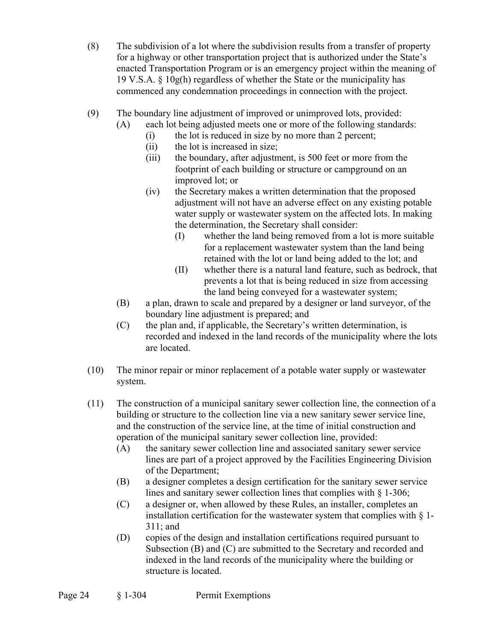- (8) The subdivision of a lot where the subdivision results from a transfer of property for a highway or other transportation project that is authorized under the State's enacted Transportation Program or is an emergency project within the meaning of 19 V.S.A. § 10g(h) regardless of whether the State or the municipality has commenced any condemnation proceedings in connection with the project.
- (9) The boundary line adjustment of improved or unimproved lots, provided:
	- (A) each lot being adjusted meets one or more of the following standards:
		- (i) the lot is reduced in size by no more than 2 percent;
		- (ii) the lot is increased in size;
		- (iii) the boundary, after adjustment, is 500 feet or more from the footprint of each building or structure or campground on an improved lot; or
		- (iv) the Secretary makes a written determination that the proposed adjustment will not have an adverse effect on any existing potable water supply or wastewater system on the affected lots. In making the determination, the Secretary shall consider:
			- (I) whether the land being removed from a lot is more suitable for a replacement wastewater system than the land being retained with the lot or land being added to the lot; and
			- (II) whether there is a natural land feature, such as bedrock, that prevents a lot that is being reduced in size from accessing the land being conveyed for a wastewater system;
	- (B) a plan, drawn to scale and prepared by a designer or land surveyor, of the boundary line adjustment is prepared; and
	- (C) the plan and, if applicable, the Secretary's written determination, is recorded and indexed in the land records of the municipality where the lots are located.
- (10) The minor repair or minor replacement of a potable water supply or wastewater system.
- (11) The construction of a municipal sanitary sewer collection line, the connection of a building or structure to the collection line via a new sanitary sewer service line, and the construction of the service line, at the time of initial construction and operation of the municipal sanitary sewer collection line, provided:
	- (A) the sanitary sewer collection line and associated sanitary sewer service lines are part of a project approved by the Facilities Engineering Division of the Department;
	- (B) a designer completes a design certification for the sanitary sewer service lines and sanitary sewer collection lines that complies with § 1-306;
	- (C) a designer or, when allowed by these Rules, an installer, completes an installation certification for the wastewater system that complies with  $\S$  1-311; and
	- (D) copies of the design and installation certifications required pursuant to Subsection (B) and (C) are submitted to the Secretary and recorded and indexed in the land records of the municipality where the building or structure is located.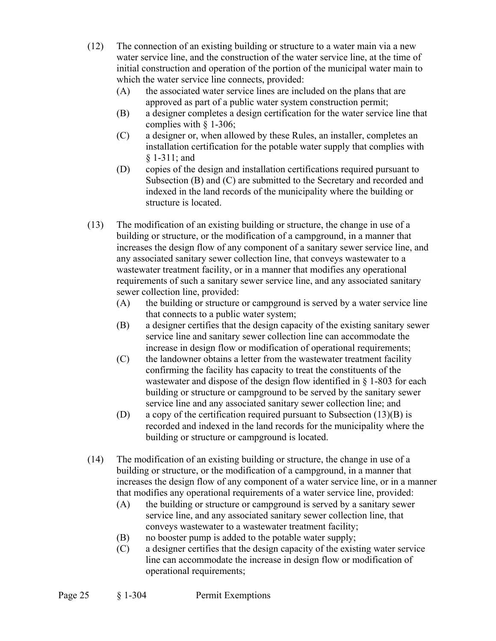- (12) The connection of an existing building or structure to a water main via a new water service line, and the construction of the water service line, at the time of initial construction and operation of the portion of the municipal water main to which the water service line connects, provided:
	- (A) the associated water service lines are included on the plans that are approved as part of a public water system construction permit;
	- (B) a designer completes a design certification for the water service line that complies with § 1-306;
	- (C) a designer or, when allowed by these Rules, an installer, completes an installation certification for the potable water supply that complies with § 1-311; and
	- (D) copies of the design and installation certifications required pursuant to Subsection (B) and (C) are submitted to the Secretary and recorded and indexed in the land records of the municipality where the building or structure is located.
- (13) The modification of an existing building or structure, the change in use of a building or structure, or the modification of a campground, in a manner that increases the design flow of any component of a sanitary sewer service line, and any associated sanitary sewer collection line, that conveys wastewater to a wastewater treatment facility, or in a manner that modifies any operational requirements of such a sanitary sewer service line, and any associated sanitary sewer collection line, provided:
	- (A) the building or structure or campground is served by a water service line that connects to a public water system;
	- (B) a designer certifies that the design capacity of the existing sanitary sewer service line and sanitary sewer collection line can accommodate the increase in design flow or modification of operational requirements;
	- (C) the landowner obtains a letter from the wastewater treatment facility confirming the facility has capacity to treat the constituents of the wastewater and dispose of the design flow identified in § 1-803 for each building or structure or campground to be served by the sanitary sewer service line and any associated sanitary sewer collection line; and
	- (D) a copy of the certification required pursuant to Subsection (13)(B) is recorded and indexed in the land records for the municipality where the building or structure or campground is located.
- (14) The modification of an existing building or structure, the change in use of a building or structure, or the modification of a campground, in a manner that increases the design flow of any component of a water service line, or in a manner that modifies any operational requirements of a water service line, provided:
	- (A) the building or structure or campground is served by a sanitary sewer service line, and any associated sanitary sewer collection line, that conveys wastewater to a wastewater treatment facility;
	- (B) no booster pump is added to the potable water supply;
	- (C) a designer certifies that the design capacity of the existing water service line can accommodate the increase in design flow or modification of operational requirements;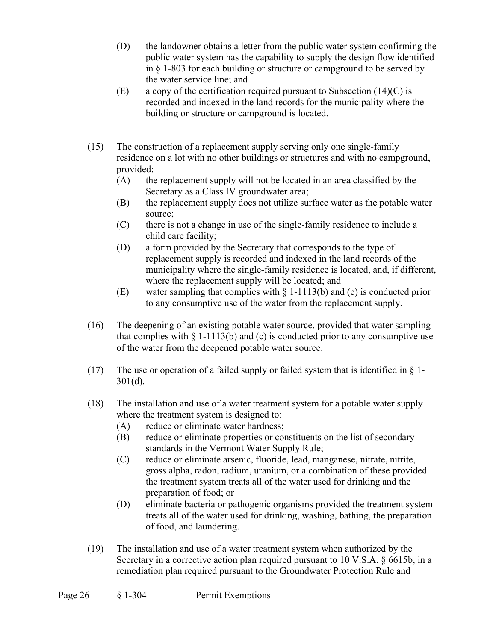- (D) the landowner obtains a letter from the public water system confirming the public water system has the capability to supply the design flow identified in § 1-803 for each building or structure or campground to be served by the water service line; and
- (E) a copy of the certification required pursuant to Subsection  $(14)(C)$  is recorded and indexed in the land records for the municipality where the building or structure or campground is located.
- (15) The construction of a replacement supply serving only one single-family residence on a lot with no other buildings or structures and with no campground, provided:
	- (A) the replacement supply will not be located in an area classified by the Secretary as a Class IV groundwater area;
	- (B) the replacement supply does not utilize surface water as the potable water source;
	- (C) there is not a change in use of the single-family residence to include a child care facility;
	- (D) a form provided by the Secretary that corresponds to the type of replacement supply is recorded and indexed in the land records of the municipality where the single-family residence is located, and, if different, where the replacement supply will be located; and
	- (E) water sampling that complies with § 1-1113(b) and (c) is conducted prior to any consumptive use of the water from the replacement supply.
- (16) The deepening of an existing potable water source, provided that water sampling that complies with  $\S 1$ -1113(b) and (c) is conducted prior to any consumptive use of the water from the deepened potable water source.
- (17) The use or operation of a failed supply or failed system that is identified in  $\S$  1-301(d).
- (18) The installation and use of a water treatment system for a potable water supply where the treatment system is designed to:
	- (A) reduce or eliminate water hardness;
	- (B) reduce or eliminate properties or constituents on the list of secondary standards in the Vermont Water Supply Rule;
	- (C) reduce or eliminate arsenic, fluoride, lead, manganese, nitrate, nitrite, gross alpha, radon, radium, uranium, or a combination of these provided the treatment system treats all of the water used for drinking and the preparation of food; or
	- (D) eliminate bacteria or pathogenic organisms provided the treatment system treats all of the water used for drinking, washing, bathing, the preparation of food, and laundering.
- (19) The installation and use of a water treatment system when authorized by the Secretary in a corrective action plan required pursuant to 10 V.S.A. § 6615b, in a remediation plan required pursuant to the Groundwater Protection Rule and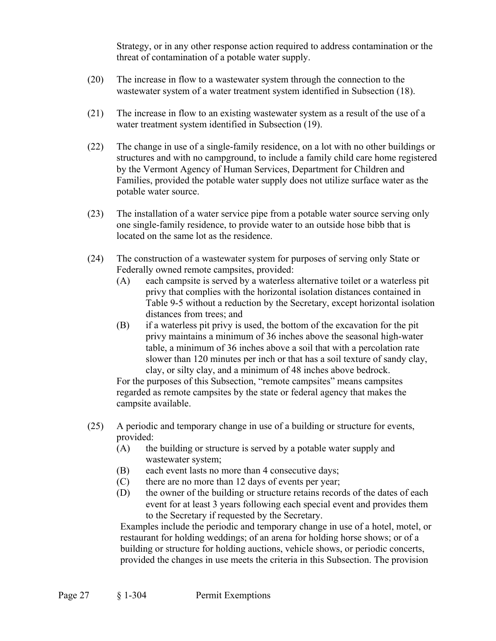Strategy, or in any other response action required to address contamination or the threat of contamination of a potable water supply.

- (20) The increase in flow to a wastewater system through the connection to the wastewater system of a water treatment system identified in Subsection (18).
- (21) The increase in flow to an existing wastewater system as a result of the use of a water treatment system identified in Subsection (19).
- (22) The change in use of a single-family residence, on a lot with no other buildings or structures and with no campground, to include a family child care home registered by the Vermont Agency of Human Services, Department for Children and Families, provided the potable water supply does not utilize surface water as the potable water source.
- (23) The installation of a water service pipe from a potable water source serving only one single-family residence, to provide water to an outside hose bibb that is located on the same lot as the residence.
- (24) The construction of a wastewater system for purposes of serving only State or Federally owned remote campsites, provided:
	- (A) each campsite is served by a waterless alternative toilet or a waterless pit privy that complies with the horizontal isolation distances contained in Table 9-5 without a reduction by the Secretary, except horizontal isolation distances from trees; and
	- (B) if a waterless pit privy is used, the bottom of the excavation for the pit privy maintains a minimum of 36 inches above the seasonal high-water table, a minimum of 36 inches above a soil that with a percolation rate slower than 120 minutes per inch or that has a soil texture of sandy clay, clay, or silty clay, and a minimum of 48 inches above bedrock.

For the purposes of this Subsection, "remote campsites" means campsites regarded as remote campsites by the state or federal agency that makes the campsite available.

- (25) A periodic and temporary change in use of a building or structure for events, provided:
	- (A) the building or structure is served by a potable water supply and wastewater system;
	- (B) each event lasts no more than 4 consecutive days;
	- (C) there are no more than 12 days of events per year;
	- (D) the owner of the building or structure retains records of the dates of each event for at least 3 years following each special event and provides them to the Secretary if requested by the Secretary.

 Examples include the periodic and temporary change in use of a hotel, motel, or restaurant for holding weddings; of an arena for holding horse shows; or of a building or structure for holding auctions, vehicle shows, or periodic concerts, provided the changes in use meets the criteria in this Subsection. The provision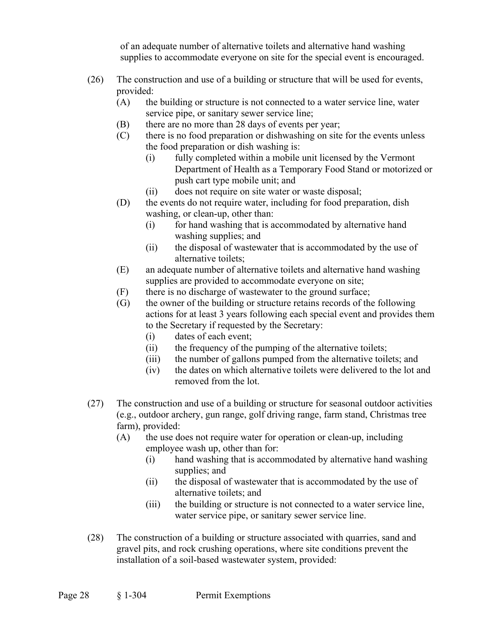of an adequate number of alternative toilets and alternative hand washing supplies to accommodate everyone on site for the special event is encouraged.

- (26) The construction and use of a building or structure that will be used for events, provided:
	- (A) the building or structure is not connected to a water service line, water service pipe, or sanitary sewer service line;
	- (B) there are no more than 28 days of events per year;
	- (C) there is no food preparation or dishwashing on site for the events unless the food preparation or dish washing is:
		- (i) fully completed within a mobile unit licensed by the Vermont Department of Health as a Temporary Food Stand or motorized or push cart type mobile unit; and
		- (ii) does not require on site water or waste disposal;
	- (D) the events do not require water, including for food preparation, dish washing, or clean-up, other than:
		- (i) for hand washing that is accommodated by alternative hand washing supplies; and
		- (ii) the disposal of wastewater that is accommodated by the use of alternative toilets;
	- (E) an adequate number of alternative toilets and alternative hand washing supplies are provided to accommodate everyone on site;
	- (F) there is no discharge of wastewater to the ground surface;
	- (G) the owner of the building or structure retains records of the following actions for at least 3 years following each special event and provides them to the Secretary if requested by the Secretary:
		- (i) dates of each event;
		- (ii) the frequency of the pumping of the alternative toilets;
		- (iii) the number of gallons pumped from the alternative toilets; and
		- (iv) the dates on which alternative toilets were delivered to the lot and removed from the lot.
- (27) The construction and use of a building or structure for seasonal outdoor activities (e.g., outdoor archery, gun range, golf driving range, farm stand, Christmas tree farm), provided:
	- (A) the use does not require water for operation or clean-up, including employee wash up, other than for:
		- (i) hand washing that is accommodated by alternative hand washing supplies; and
		- (ii) the disposal of wastewater that is accommodated by the use of alternative toilets; and
		- (iii) the building or structure is not connected to a water service line, water service pipe, or sanitary sewer service line.
- (28) The construction of a building or structure associated with quarries, sand and gravel pits, and rock crushing operations, where site conditions prevent the installation of a soil-based wastewater system, provided: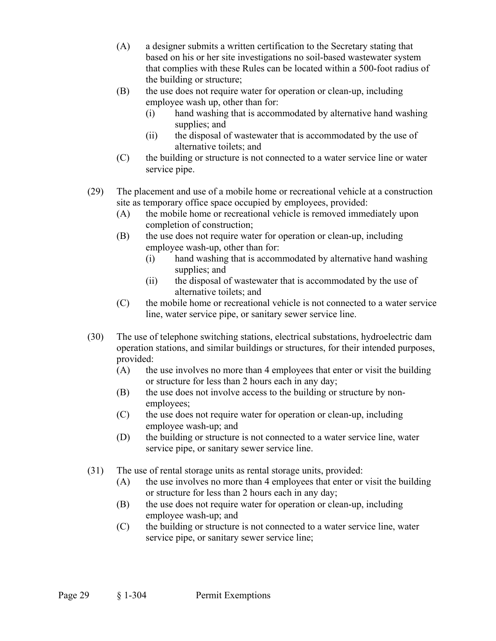- (A) a designer submits a written certification to the Secretary stating that based on his or her site investigations no soil-based wastewater system that complies with these Rules can be located within a 500-foot radius of the building or structure;
- (B) the use does not require water for operation or clean-up, including employee wash up, other than for:
	- (i) hand washing that is accommodated by alternative hand washing supplies; and
	- (ii) the disposal of wastewater that is accommodated by the use of alternative toilets; and
- (C) the building or structure is not connected to a water service line or water service pipe.
- (29) The placement and use of a mobile home or recreational vehicle at a construction site as temporary office space occupied by employees, provided:
	- (A) the mobile home or recreational vehicle is removed immediately upon completion of construction;
	- (B) the use does not require water for operation or clean-up, including employee wash-up, other than for:
		- (i) hand washing that is accommodated by alternative hand washing supplies; and
		- (ii) the disposal of wastewater that is accommodated by the use of alternative toilets; and
	- (C) the mobile home or recreational vehicle is not connected to a water service line, water service pipe, or sanitary sewer service line.
- (30) The use of telephone switching stations, electrical substations, hydroelectric dam operation stations, and similar buildings or structures, for their intended purposes, provided:
	- (A) the use involves no more than 4 employees that enter or visit the building or structure for less than 2 hours each in any day;
	- (B) the use does not involve access to the building or structure by nonemployees;
	- (C) the use does not require water for operation or clean-up, including employee wash-up; and
	- (D) the building or structure is not connected to a water service line, water service pipe, or sanitary sewer service line.
- (31) The use of rental storage units as rental storage units, provided:
	- (A) the use involves no more than 4 employees that enter or visit the building or structure for less than 2 hours each in any day;
	- (B) the use does not require water for operation or clean-up, including employee wash-up; and
	- (C) the building or structure is not connected to a water service line, water service pipe, or sanitary sewer service line;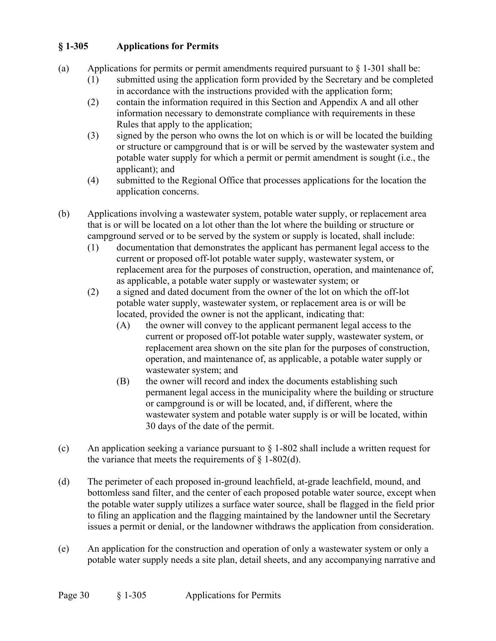# **§ 1-305 Applications for Permits**

- (a) Applications for permits or permit amendments required pursuant to  $\S$  1-301 shall be:
	- (1) submitted using the application form provided by the Secretary and be completed in accordance with the instructions provided with the application form;
	- (2) contain the information required in this Section and Appendix A and all other information necessary to demonstrate compliance with requirements in these Rules that apply to the application;
	- (3) signed by the person who owns the lot on which is or will be located the building or structure or campground that is or will be served by the wastewater system and potable water supply for which a permit or permit amendment is sought (i.e., the applicant); and
	- (4) submitted to the Regional Office that processes applications for the location the application concerns.
- (b) Applications involving a wastewater system, potable water supply, or replacement area that is or will be located on a lot other than the lot where the building or structure or campground served or to be served by the system or supply is located, shall include:
	- (1) documentation that demonstrates the applicant has permanent legal access to the current or proposed off-lot potable water supply, wastewater system, or replacement area for the purposes of construction, operation, and maintenance of, as applicable, a potable water supply or wastewater system; or
	- (2) a signed and dated document from the owner of the lot on which the off-lot potable water supply, wastewater system, or replacement area is or will be located, provided the owner is not the applicant, indicating that:
		- (A) the owner will convey to the applicant permanent legal access to the current or proposed off-lot potable water supply, wastewater system, or replacement area shown on the site plan for the purposes of construction, operation, and maintenance of, as applicable, a potable water supply or wastewater system; and
		- (B) the owner will record and index the documents establishing such permanent legal access in the municipality where the building or structure or campground is or will be located, and, if different, where the wastewater system and potable water supply is or will be located, within 30 days of the date of the permit.
- (c) An application seeking a variance pursuant to  $\S$  1-802 shall include a written request for the variance that meets the requirements of  $\S$  1-802(d).
- (d) The perimeter of each proposed in-ground leachfield, at-grade leachfield, mound, and bottomless sand filter, and the center of each proposed potable water source, except when the potable water supply utilizes a surface water source, shall be flagged in the field prior to filing an application and the flagging maintained by the landowner until the Secretary issues a permit or denial, or the landowner withdraws the application from consideration.
- (e) An application for the construction and operation of only a wastewater system or only a potable water supply needs a site plan, detail sheets, and any accompanying narrative and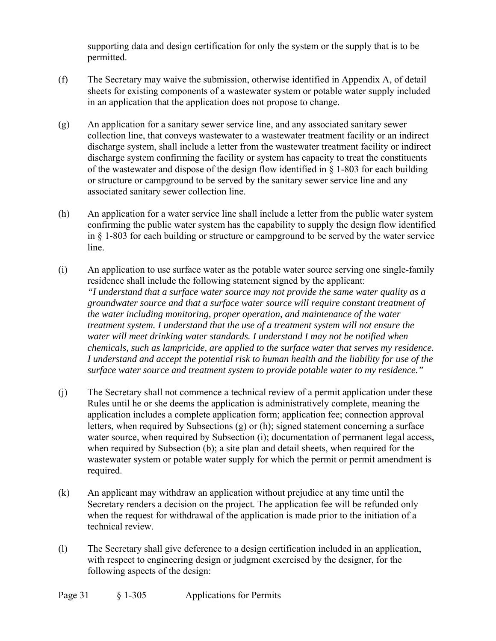supporting data and design certification for only the system or the supply that is to be permitted.

- (f) The Secretary may waive the submission, otherwise identified in Appendix A, of detail sheets for existing components of a wastewater system or potable water supply included in an application that the application does not propose to change.
- (g) An application for a sanitary sewer service line, and any associated sanitary sewer collection line, that conveys wastewater to a wastewater treatment facility or an indirect discharge system, shall include a letter from the wastewater treatment facility or indirect discharge system confirming the facility or system has capacity to treat the constituents of the wastewater and dispose of the design flow identified in  $\S$  1-803 for each building or structure or campground to be served by the sanitary sewer service line and any associated sanitary sewer collection line.
- (h) An application for a water service line shall include a letter from the public water system confirming the public water system has the capability to supply the design flow identified in § 1-803 for each building or structure or campground to be served by the water service line.
- (i) An application to use surface water as the potable water source serving one single-family residence shall include the following statement signed by the applicant: *"I understand that a surface water source may not provide the same water quality as a groundwater source and that a surface water source will require constant treatment of the water including monitoring, proper operation, and maintenance of the water treatment system. I understand that the use of a treatment system will not ensure the water will meet drinking water standards. I understand I may not be notified when chemicals, such as lampricide, are applied to the surface water that serves my residence. I understand and accept the potential risk to human health and the liability for use of the surface water source and treatment system to provide potable water to my residence."*
- (j) The Secretary shall not commence a technical review of a permit application under these Rules until he or she deems the application is administratively complete, meaning the application includes a complete application form; application fee; connection approval letters, when required by Subsections (g) or (h); signed statement concerning a surface water source, when required by Subsection (i); documentation of permanent legal access, when required by Subsection (b); a site plan and detail sheets, when required for the wastewater system or potable water supply for which the permit or permit amendment is required.
- (k) An applicant may withdraw an application without prejudice at any time until the Secretary renders a decision on the project. The application fee will be refunded only when the request for withdrawal of the application is made prior to the initiation of a technical review.
- (l) The Secretary shall give deference to a design certification included in an application, with respect to engineering design or judgment exercised by the designer, for the following aspects of the design: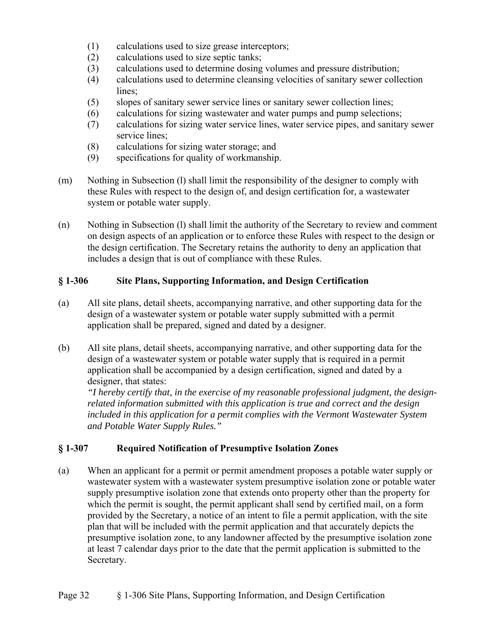- (1) calculations used to size grease interceptors;
- (2) calculations used to size septic tanks;
- (3) calculations used to determine dosing volumes and pressure distribution;
- (4) calculations used to determine cleansing velocities of sanitary sewer collection lines;
- (5) slopes of sanitary sewer service lines or sanitary sewer collection lines;
- (6) calculations for sizing wastewater and water pumps and pump selections;
- (7) calculations for sizing water service lines, water service pipes, and sanitary sewer service lines;
- (8) calculations for sizing water storage; and
- (9) specifications for quality of workmanship.
- (m) Nothing in Subsection (l) shall limit the responsibility of the designer to comply with these Rules with respect to the design of, and design certification for, a wastewater system or potable water supply.
- (n) Nothing in Subsection (l) shall limit the authority of the Secretary to review and comment on design aspects of an application or to enforce these Rules with respect to the design or the design certification. The Secretary retains the authority to deny an application that includes a design that is out of compliance with these Rules.

## **§ 1-306 Site Plans, Supporting Information, and Design Certification**

- (a) All site plans, detail sheets, accompanying narrative, and other supporting data for the design of a wastewater system or potable water supply submitted with a permit application shall be prepared, signed and dated by a designer.
- (b) All site plans, detail sheets, accompanying narrative, and other supporting data for the design of a wastewater system or potable water supply that is required in a permit application shall be accompanied by a design certification, signed and dated by a designer, that states:

*"I hereby certify that, in the exercise of my reasonable professional judgment, the designrelated information submitted with this application is true and correct and the design included in this application for a permit complies with the Vermont Wastewater System and Potable Water Supply Rules."* 

## **§ 1-307 Required Notification of Presumptive Isolation Zones**

(a) When an applicant for a permit or permit amendment proposes a potable water supply or wastewater system with a wastewater system presumptive isolation zone or potable water supply presumptive isolation zone that extends onto property other than the property for which the permit is sought, the permit applicant shall send by certified mail, on a form provided by the Secretary, a notice of an intent to file a permit application, with the site plan that will be included with the permit application and that accurately depicts the presumptive isolation zone, to any landowner affected by the presumptive isolation zone at least 7 calendar days prior to the date that the permit application is submitted to the Secretary.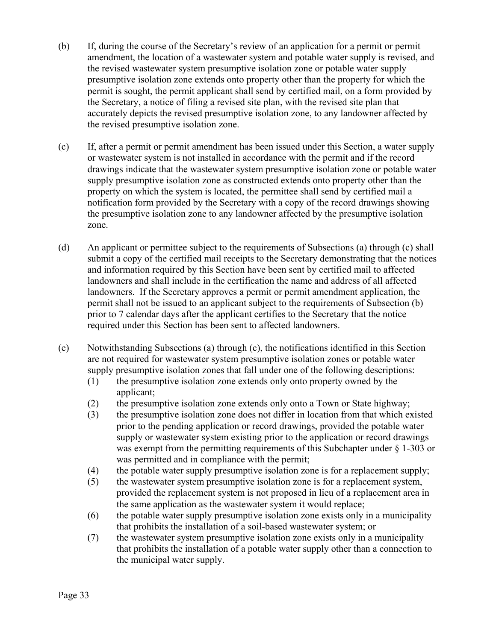- (b) If, during the course of the Secretary's review of an application for a permit or permit amendment, the location of a wastewater system and potable water supply is revised, and the revised wastewater system presumptive isolation zone or potable water supply presumptive isolation zone extends onto property other than the property for which the permit is sought, the permit applicant shall send by certified mail, on a form provided by the Secretary, a notice of filing a revised site plan, with the revised site plan that accurately depicts the revised presumptive isolation zone, to any landowner affected by the revised presumptive isolation zone.
- (c) If, after a permit or permit amendment has been issued under this Section, a water supply or wastewater system is not installed in accordance with the permit and if the record drawings indicate that the wastewater system presumptive isolation zone or potable water supply presumptive isolation zone as constructed extends onto property other than the property on which the system is located, the permittee shall send by certified mail a notification form provided by the Secretary with a copy of the record drawings showing the presumptive isolation zone to any landowner affected by the presumptive isolation zone.
- (d) An applicant or permittee subject to the requirements of Subsections (a) through (c) shall submit a copy of the certified mail receipts to the Secretary demonstrating that the notices and information required by this Section have been sent by certified mail to affected landowners and shall include in the certification the name and address of all affected landowners. If the Secretary approves a permit or permit amendment application, the permit shall not be issued to an applicant subject to the requirements of Subsection (b) prior to 7 calendar days after the applicant certifies to the Secretary that the notice required under this Section has been sent to affected landowners.
- (e) Notwithstanding Subsections (a) through (c), the notifications identified in this Section are not required for wastewater system presumptive isolation zones or potable water supply presumptive isolation zones that fall under one of the following descriptions:
	- (1) the presumptive isolation zone extends only onto property owned by the applicant;
	- (2) the presumptive isolation zone extends only onto a Town or State highway;
	- (3) the presumptive isolation zone does not differ in location from that which existed prior to the pending application or record drawings, provided the potable water supply or wastewater system existing prior to the application or record drawings was exempt from the permitting requirements of this Subchapter under § 1-303 or was permitted and in compliance with the permit;
	- (4) the potable water supply presumptive isolation zone is for a replacement supply;
	- (5) the wastewater system presumptive isolation zone is for a replacement system, provided the replacement system is not proposed in lieu of a replacement area in the same application as the wastewater system it would replace;
	- (6) the potable water supply presumptive isolation zone exists only in a municipality that prohibits the installation of a soil-based wastewater system; or
	- (7) the wastewater system presumptive isolation zone exists only in a municipality that prohibits the installation of a potable water supply other than a connection to the municipal water supply.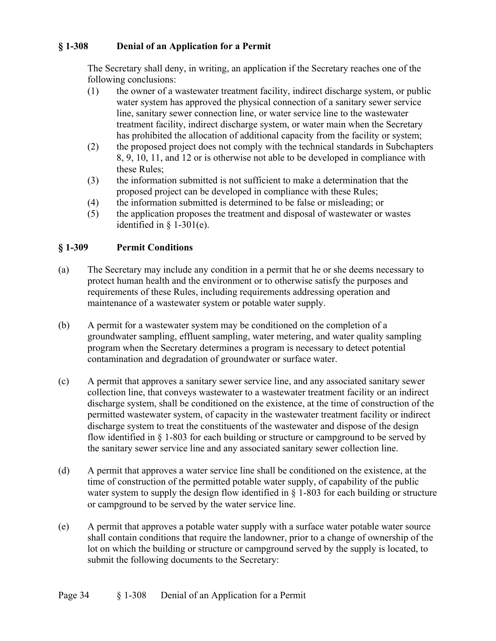## **§ 1-308 Denial of an Application for a Permit**

The Secretary shall deny, in writing, an application if the Secretary reaches one of the following conclusions:

- (1) the owner of a wastewater treatment facility, indirect discharge system, or public water system has approved the physical connection of a sanitary sewer service line, sanitary sewer connection line, or water service line to the wastewater treatment facility, indirect discharge system, or water main when the Secretary has prohibited the allocation of additional capacity from the facility or system;
- (2) the proposed project does not comply with the technical standards in Subchapters 8, 9, 10, 11, and 12 or is otherwise not able to be developed in compliance with these Rules;
- (3) the information submitted is not sufficient to make a determination that the proposed project can be developed in compliance with these Rules;
- (4) the information submitted is determined to be false or misleading; or
- (5) the application proposes the treatment and disposal of wastewater or wastes identified in  $\S$  1-301(e).

## **§ 1-309 Permit Conditions**

- (a) The Secretary may include any condition in a permit that he or she deems necessary to protect human health and the environment or to otherwise satisfy the purposes and requirements of these Rules, including requirements addressing operation and maintenance of a wastewater system or potable water supply.
- (b) A permit for a wastewater system may be conditioned on the completion of a groundwater sampling, effluent sampling, water metering, and water quality sampling program when the Secretary determines a program is necessary to detect potential contamination and degradation of groundwater or surface water.
- (c) A permit that approves a sanitary sewer service line, and any associated sanitary sewer collection line, that conveys wastewater to a wastewater treatment facility or an indirect discharge system, shall be conditioned on the existence, at the time of construction of the permitted wastewater system, of capacity in the wastewater treatment facility or indirect discharge system to treat the constituents of the wastewater and dispose of the design flow identified in § 1-803 for each building or structure or campground to be served by the sanitary sewer service line and any associated sanitary sewer collection line.
- (d) A permit that approves a water service line shall be conditioned on the existence, at the time of construction of the permitted potable water supply, of capability of the public water system to supply the design flow identified in § 1-803 for each building or structure or campground to be served by the water service line.
- (e) A permit that approves a potable water supply with a surface water potable water source shall contain conditions that require the landowner, prior to a change of ownership of the lot on which the building or structure or campground served by the supply is located, to submit the following documents to the Secretary: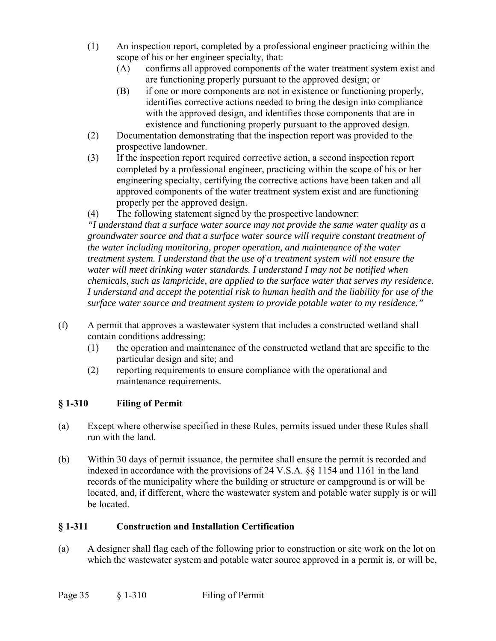- (1) An inspection report, completed by a professional engineer practicing within the scope of his or her engineer specialty, that:
	- (A) confirms all approved components of the water treatment system exist and are functioning properly pursuant to the approved design; or
	- (B) if one or more components are not in existence or functioning properly, identifies corrective actions needed to bring the design into compliance with the approved design, and identifies those components that are in existence and functioning properly pursuant to the approved design.
- (2) Documentation demonstrating that the inspection report was provided to the prospective landowner.
- (3) If the inspection report required corrective action, a second inspection report completed by a professional engineer, practicing within the scope of his or her engineering specialty, certifying the corrective actions have been taken and all approved components of the water treatment system exist and are functioning properly per the approved design.
- (4) The following statement signed by the prospective landowner:

 *"I understand that a surface water source may not provide the same water quality as a groundwater source and that a surface water source will require constant treatment of the water including monitoring, proper operation, and maintenance of the water treatment system. I understand that the use of a treatment system will not ensure the water will meet drinking water standards. I understand I may not be notified when chemicals, such as lampricide, are applied to the surface water that serves my residence. I understand and accept the potential risk to human health and the liability for use of the surface water source and treatment system to provide potable water to my residence."* 

- (f) A permit that approves a wastewater system that includes a constructed wetland shall contain conditions addressing:
	- (1) the operation and maintenance of the constructed wetland that are specific to the particular design and site; and
	- (2) reporting requirements to ensure compliance with the operational and maintenance requirements.

# **§ 1-310 Filing of Permit**

- (a) Except where otherwise specified in these Rules, permits issued under these Rules shall run with the land.
- (b) Within 30 days of permit issuance, the permitee shall ensure the permit is recorded and indexed in accordance with the provisions of 24 V.S.A. §§ 1154 and 1161 in the land records of the municipality where the building or structure or campground is or will be located, and, if different, where the wastewater system and potable water supply is or will be located.

## **§ 1-311 Construction and Installation Certification**

(a) A designer shall flag each of the following prior to construction or site work on the lot on which the wastewater system and potable water source approved in a permit is, or will be,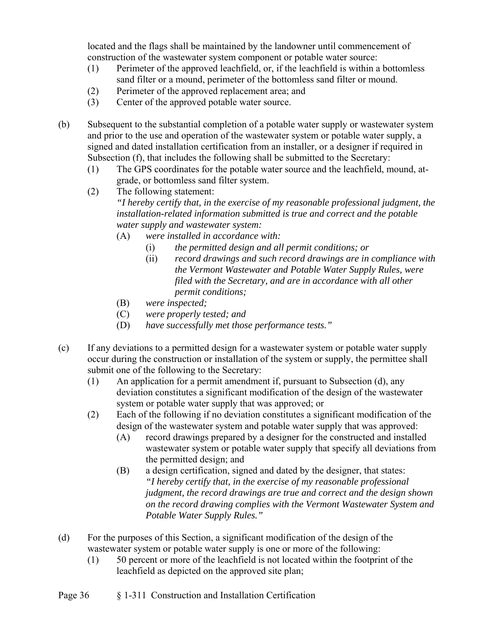located and the flags shall be maintained by the landowner until commencement of construction of the wastewater system component or potable water source:

- (1) Perimeter of the approved leachfield, or, if the leachfield is within a bottomless sand filter or a mound, perimeter of the bottomless sand filter or mound.
- (2) Perimeter of the approved replacement area; and
- (3) Center of the approved potable water source.
- (b) Subsequent to the substantial completion of a potable water supply or wastewater system and prior to the use and operation of the wastewater system or potable water supply, a signed and dated installation certification from an installer, or a designer if required in Subsection (f), that includes the following shall be submitted to the Secretary:
	- (1) The GPS coordinates for the potable water source and the leachfield, mound, atgrade, or bottomless sand filter system.
	- (2) The following statement: *"I hereby certify that, in the exercise of my reasonable professional judgment, the installation-related information submitted is true and correct and the potable water supply and wastewater system:* 
		- (A) *were installed in accordance with:* 
			- (i) *the permitted design and all permit conditions; or*
			- (ii) *record drawings and such record drawings are in compliance with the Vermont Wastewater and Potable Water Supply Rules, were filed with the Secretary, and are in accordance with all other permit conditions;*
		- (B) *were inspected;*
		- (C) *were properly tested; and*
		- (D) *have successfully met those performance tests."*
- (c) If any deviations to a permitted design for a wastewater system or potable water supply occur during the construction or installation of the system or supply, the permittee shall submit one of the following to the Secretary:
	- (1) An application for a permit amendment if, pursuant to Subsection (d), any deviation constitutes a significant modification of the design of the wastewater system or potable water supply that was approved; or
	- (2) Each of the following if no deviation constitutes a significant modification of the design of the wastewater system and potable water supply that was approved:
		- (A) record drawings prepared by a designer for the constructed and installed wastewater system or potable water supply that specify all deviations from the permitted design; and
		- (B) a design certification, signed and dated by the designer, that states: *"I hereby certify that, in the exercise of my reasonable professional judgment, the record drawings are true and correct and the design shown on the record drawing complies with the Vermont Wastewater System and Potable Water Supply Rules."*
- (d) For the purposes of this Section, a significant modification of the design of the wastewater system or potable water supply is one or more of the following:
	- (1) 50 percent or more of the leachfield is not located within the footprint of the leachfield as depicted on the approved site plan;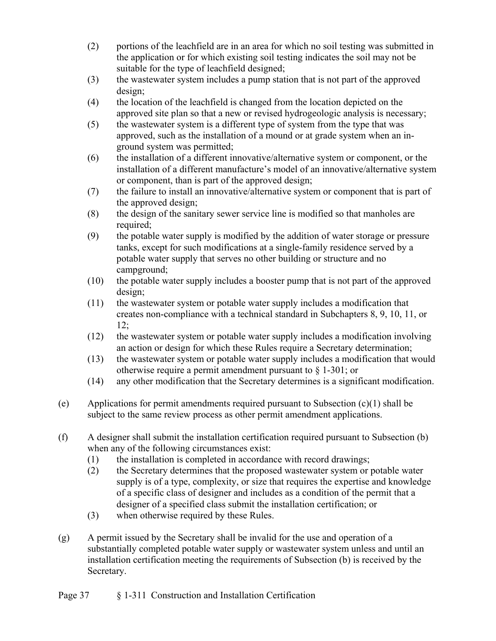- (2) portions of the leachfield are in an area for which no soil testing was submitted in the application or for which existing soil testing indicates the soil may not be suitable for the type of leachfield designed;
- (3) the wastewater system includes a pump station that is not part of the approved design;
- (4) the location of the leachfield is changed from the location depicted on the approved site plan so that a new or revised hydrogeologic analysis is necessary;
- (5) the wastewater system is a different type of system from the type that was approved, such as the installation of a mound or at grade system when an inground system was permitted;
- (6) the installation of a different innovative/alternative system or component, or the installation of a different manufacture's model of an innovative/alternative system or component, than is part of the approved design;
- (7) the failure to install an innovative/alternative system or component that is part of the approved design;
- (8) the design of the sanitary sewer service line is modified so that manholes are required;
- (9) the potable water supply is modified by the addition of water storage or pressure tanks, except for such modifications at a single-family residence served by a potable water supply that serves no other building or structure and no campground;
- (10) the potable water supply includes a booster pump that is not part of the approved design;
- (11) the wastewater system or potable water supply includes a modification that creates non-compliance with a technical standard in Subchapters 8, 9, 10, 11, or 12;
- (12) the wastewater system or potable water supply includes a modification involving an action or design for which these Rules require a Secretary determination;
- (13) the wastewater system or potable water supply includes a modification that would otherwise require a permit amendment pursuant to § 1-301; or
- (14) any other modification that the Secretary determines is a significant modification.
- (e) Applications for permit amendments required pursuant to Subsection  $(c)(1)$  shall be subject to the same review process as other permit amendment applications.
- (f) A designer shall submit the installation certification required pursuant to Subsection (b) when any of the following circumstances exist:
	- (1) the installation is completed in accordance with record drawings;
	- (2) the Secretary determines that the proposed wastewater system or potable water supply is of a type, complexity, or size that requires the expertise and knowledge of a specific class of designer and includes as a condition of the permit that a designer of a specified class submit the installation certification; or
	- (3) when otherwise required by these Rules.
- (g) A permit issued by the Secretary shall be invalid for the use and operation of a substantially completed potable water supply or wastewater system unless and until an installation certification meeting the requirements of Subsection (b) is received by the Secretary.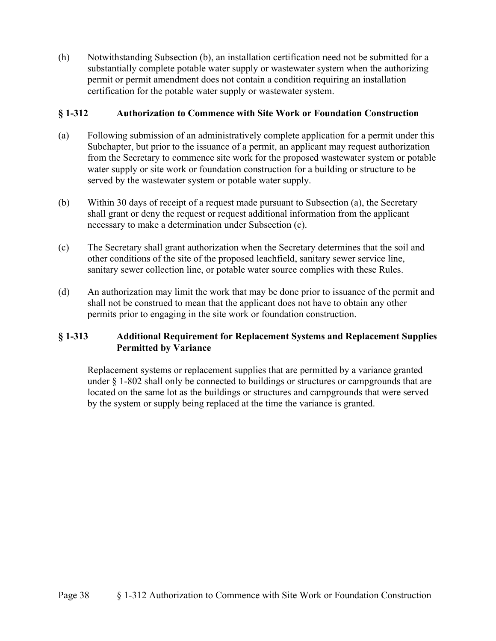(h) Notwithstanding Subsection (b), an installation certification need not be submitted for a substantially complete potable water supply or wastewater system when the authorizing permit or permit amendment does not contain a condition requiring an installation certification for the potable water supply or wastewater system.

## **§ 1-312 Authorization to Commence with Site Work or Foundation Construction**

- (a) Following submission of an administratively complete application for a permit under this Subchapter, but prior to the issuance of a permit, an applicant may request authorization from the Secretary to commence site work for the proposed wastewater system or potable water supply or site work or foundation construction for a building or structure to be served by the wastewater system or potable water supply.
- (b) Within 30 days of receipt of a request made pursuant to Subsection (a), the Secretary shall grant or deny the request or request additional information from the applicant necessary to make a determination under Subsection (c).
- (c) The Secretary shall grant authorization when the Secretary determines that the soil and other conditions of the site of the proposed leachfield, sanitary sewer service line, sanitary sewer collection line, or potable water source complies with these Rules.
- (d) An authorization may limit the work that may be done prior to issuance of the permit and shall not be construed to mean that the applicant does not have to obtain any other permits prior to engaging in the site work or foundation construction.

## **§ 1-313 Additional Requirement for Replacement Systems and Replacement Supplies Permitted by Variance**

Replacement systems or replacement supplies that are permitted by a variance granted under § 1-802 shall only be connected to buildings or structures or campgrounds that are located on the same lot as the buildings or structures and campgrounds that were served by the system or supply being replaced at the time the variance is granted.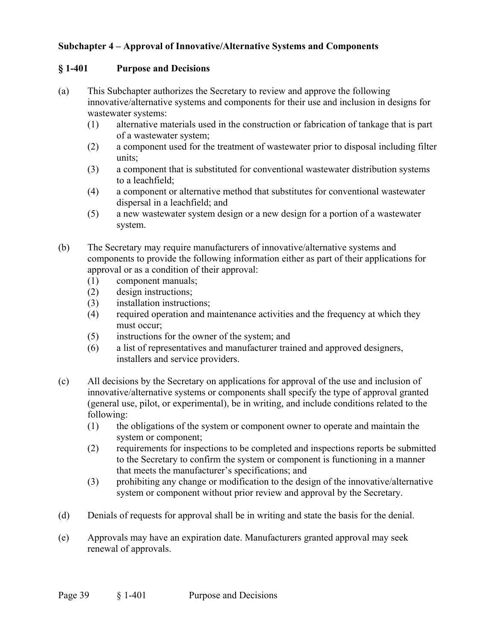## **Subchapter 4 – Approval of Innovative/Alternative Systems and Components**

### **§ 1-401 Purpose and Decisions**

- (a) This Subchapter authorizes the Secretary to review and approve the following innovative/alternative systems and components for their use and inclusion in designs for wastewater systems:
	- (1) alternative materials used in the construction or fabrication of tankage that is part of a wastewater system;
	- (2) a component used for the treatment of wastewater prior to disposal including filter units;
	- (3) a component that is substituted for conventional wastewater distribution systems to a leachfield;
	- (4) a component or alternative method that substitutes for conventional wastewater dispersal in a leachfield; and
	- (5) a new wastewater system design or a new design for a portion of a wastewater system.
- (b) The Secretary may require manufacturers of innovative/alternative systems and components to provide the following information either as part of their applications for approval or as a condition of their approval:
	- (1) component manuals;
	- (2) design instructions;
	- (3) installation instructions;
	- (4) required operation and maintenance activities and the frequency at which they must occur;
	- (5) instructions for the owner of the system; and
	- (6) a list of representatives and manufacturer trained and approved designers, installers and service providers.
- (c) All decisions by the Secretary on applications for approval of the use and inclusion of innovative/alternative systems or components shall specify the type of approval granted (general use, pilot, or experimental), be in writing, and include conditions related to the following:
	- (1) the obligations of the system or component owner to operate and maintain the system or component;
	- (2) requirements for inspections to be completed and inspections reports be submitted to the Secretary to confirm the system or component is functioning in a manner that meets the manufacturer's specifications; and
	- (3) prohibiting any change or modification to the design of the innovative/alternative system or component without prior review and approval by the Secretary.
- (d) Denials of requests for approval shall be in writing and state the basis for the denial.
- (e) Approvals may have an expiration date. Manufacturers granted approval may seek renewal of approvals.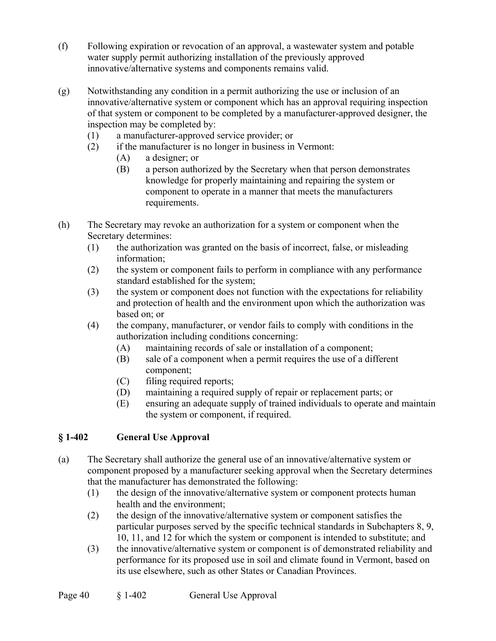- (f) Following expiration or revocation of an approval, a wastewater system and potable water supply permit authorizing installation of the previously approved innovative/alternative systems and components remains valid.
- (g) Notwithstanding any condition in a permit authorizing the use or inclusion of an innovative/alternative system or component which has an approval requiring inspection of that system or component to be completed by a manufacturer-approved designer, the inspection may be completed by:
	- (1) a manufacturer-approved service provider; or
	- (2) if the manufacturer is no longer in business in Vermont:
		- (A) a designer; or
		- (B) a person authorized by the Secretary when that person demonstrates knowledge for properly maintaining and repairing the system or component to operate in a manner that meets the manufacturers requirements.
- (h) The Secretary may revoke an authorization for a system or component when the Secretary determines:
	- (1) the authorization was granted on the basis of incorrect, false, or misleading information;
	- (2) the system or component fails to perform in compliance with any performance standard established for the system;
	- (3) the system or component does not function with the expectations for reliability and protection of health and the environment upon which the authorization was based on; or
	- (4) the company, manufacturer, or vendor fails to comply with conditions in the authorization including conditions concerning:
		- (A) maintaining records of sale or installation of a component;
		- (B) sale of a component when a permit requires the use of a different component;
		- (C) filing required reports;
		- (D) maintaining a required supply of repair or replacement parts; or
		- (E) ensuring an adequate supply of trained individuals to operate and maintain the system or component, if required.

# **§ 1-402 General Use Approval**

- (a) The Secretary shall authorize the general use of an innovative/alternative system or component proposed by a manufacturer seeking approval when the Secretary determines that the manufacturer has demonstrated the following:
	- (1) the design of the innovative/alternative system or component protects human health and the environment;
	- (2) the design of the innovative/alternative system or component satisfies the particular purposes served by the specific technical standards in Subchapters 8, 9, 10, 11, and 12 for which the system or component is intended to substitute; and
	- (3) the innovative/alternative system or component is of demonstrated reliability and performance for its proposed use in soil and climate found in Vermont, based on its use elsewhere, such as other States or Canadian Provinces.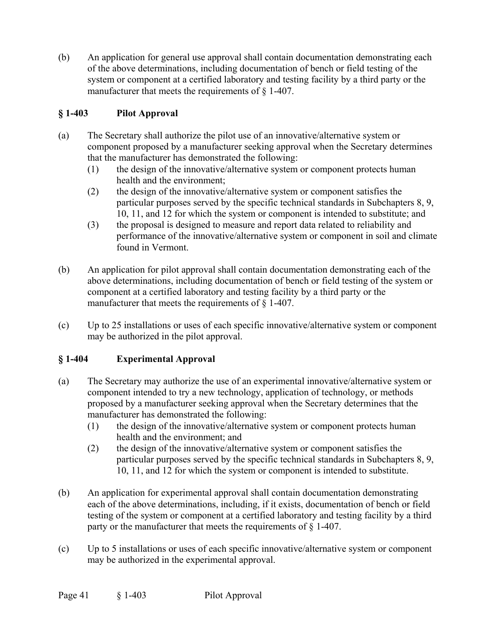(b) An application for general use approval shall contain documentation demonstrating each of the above determinations, including documentation of bench or field testing of the system or component at a certified laboratory and testing facility by a third party or the manufacturer that meets the requirements of § 1-407.

## **§ 1-403 Pilot Approval**

- (a) The Secretary shall authorize the pilot use of an innovative/alternative system or component proposed by a manufacturer seeking approval when the Secretary determines that the manufacturer has demonstrated the following:
	- (1) the design of the innovative/alternative system or component protects human health and the environment;
	- (2) the design of the innovative/alternative system or component satisfies the particular purposes served by the specific technical standards in Subchapters 8, 9, 10, 11, and 12 for which the system or component is intended to substitute; and
	- (3) the proposal is designed to measure and report data related to reliability and performance of the innovative/alternative system or component in soil and climate found in Vermont.
- (b) An application for pilot approval shall contain documentation demonstrating each of the above determinations, including documentation of bench or field testing of the system or component at a certified laboratory and testing facility by a third party or the manufacturer that meets the requirements of § 1-407.
- (c) Up to 25 installations or uses of each specific innovative/alternative system or component may be authorized in the pilot approval.

## **§ 1-404 Experimental Approval**

- (a) The Secretary may authorize the use of an experimental innovative/alternative system or component intended to try a new technology, application of technology, or methods proposed by a manufacturer seeking approval when the Secretary determines that the manufacturer has demonstrated the following:
	- (1) the design of the innovative/alternative system or component protects human health and the environment; and
	- (2) the design of the innovative/alternative system or component satisfies the particular purposes served by the specific technical standards in Subchapters 8, 9, 10, 11, and 12 for which the system or component is intended to substitute.
- (b) An application for experimental approval shall contain documentation demonstrating each of the above determinations, including, if it exists, documentation of bench or field testing of the system or component at a certified laboratory and testing facility by a third party or the manufacturer that meets the requirements of  $\S$  1-407.
- (c) Up to 5 installations or uses of each specific innovative/alternative system or component may be authorized in the experimental approval.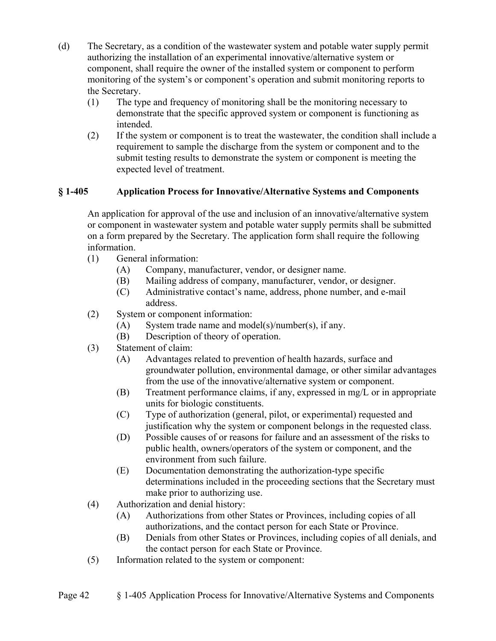- (d) The Secretary, as a condition of the wastewater system and potable water supply permit authorizing the installation of an experimental innovative/alternative system or component, shall require the owner of the installed system or component to perform monitoring of the system's or component's operation and submit monitoring reports to the Secretary.
	- (1) The type and frequency of monitoring shall be the monitoring necessary to demonstrate that the specific approved system or component is functioning as intended.
	- (2) If the system or component is to treat the wastewater, the condition shall include a requirement to sample the discharge from the system or component and to the submit testing results to demonstrate the system or component is meeting the expected level of treatment.

## **§ 1-405 Application Process for Innovative/Alternative Systems and Components**

An application for approval of the use and inclusion of an innovative/alternative system or component in wastewater system and potable water supply permits shall be submitted on a form prepared by the Secretary. The application form shall require the following information.

- (1) General information:
	- (A) Company, manufacturer, vendor, or designer name.
	- (B) Mailing address of company, manufacturer, vendor, or designer.
	- (C) Administrative contact's name, address, phone number, and e-mail address.
- (2) System or component information:
	- (A) System trade name and model(s)/number(s), if any.
	- (B) Description of theory of operation.
- (3) Statement of claim:
	- (A) Advantages related to prevention of health hazards, surface and groundwater pollution, environmental damage, or other similar advantages from the use of the innovative/alternative system or component.
	- (B) Treatment performance claims, if any, expressed in mg/L or in appropriate units for biologic constituents.
	- (C) Type of authorization (general, pilot, or experimental) requested and justification why the system or component belongs in the requested class.
	- (D) Possible causes of or reasons for failure and an assessment of the risks to public health, owners/operators of the system or component, and the environment from such failure.
	- (E) Documentation demonstrating the authorization-type specific determinations included in the proceeding sections that the Secretary must make prior to authorizing use.
- (4) Authorization and denial history:
	- (A) Authorizations from other States or Provinces, including copies of all authorizations, and the contact person for each State or Province.
	- (B) Denials from other States or Provinces, including copies of all denials, and the contact person for each State or Province.
- (5) Information related to the system or component: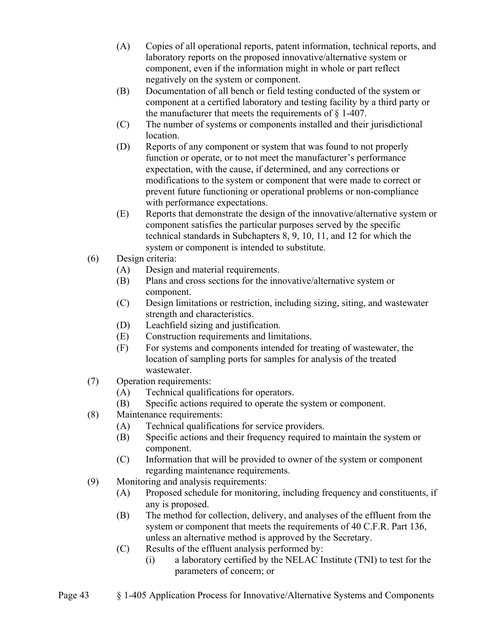- (A) Copies of all operational reports, patent information, technical reports, and laboratory reports on the proposed innovative/alternative system or component, even if the information might in whole or part reflect negatively on the system or component.
- (B) Documentation of all bench or field testing conducted of the system or component at a certified laboratory and testing facility by a third party or the manufacturer that meets the requirements of § 1-407.
- (C) The number of systems or components installed and their jurisdictional location.
- (D) Reports of any component or system that was found to not properly function or operate, or to not meet the manufacturer's performance expectation, with the cause, if determined, and any corrections or modifications to the system or component that were made to correct or prevent future functioning or operational problems or non-compliance with performance expectations.
- (E) Reports that demonstrate the design of the innovative/alternative system or component satisfies the particular purposes served by the specific technical standards in Subchapters 8, 9, 10, 11, and 12 for which the system or component is intended to substitute.
- (6) Design criteria:
	- (A) Design and material requirements.
	- (B) Plans and cross sections for the innovative/alternative system or component.
	- (C) Design limitations or restriction, including sizing, siting, and wastewater strength and characteristics.
	- (D) Leachfield sizing and justification.
	- (E) Construction requirements and limitations.
	- (F) For systems and components intended for treating of wastewater, the location of sampling ports for samples for analysis of the treated wastewater.
- (7) Operation requirements:
	- (A) Technical qualifications for operators.
	- (B) Specific actions required to operate the system or component.
- (8) Maintenance requirements:
	- (A) Technical qualifications for service providers.
	- (B) Specific actions and their frequency required to maintain the system or component.
	- (C) Information that will be provided to owner of the system or component regarding maintenance requirements.
- (9) Monitoring and analysis requirements:
	- (A) Proposed schedule for monitoring, including frequency and constituents, if any is proposed.
	- (B) The method for collection, delivery, and analyses of the effluent from the system or component that meets the requirements of 40 C.F.R. Part 136, unless an alternative method is approved by the Secretary.
	- (C) Results of the effluent analysis performed by:
		- (i) a laboratory certified by the NELAC Institute (TNI) to test for the parameters of concern; or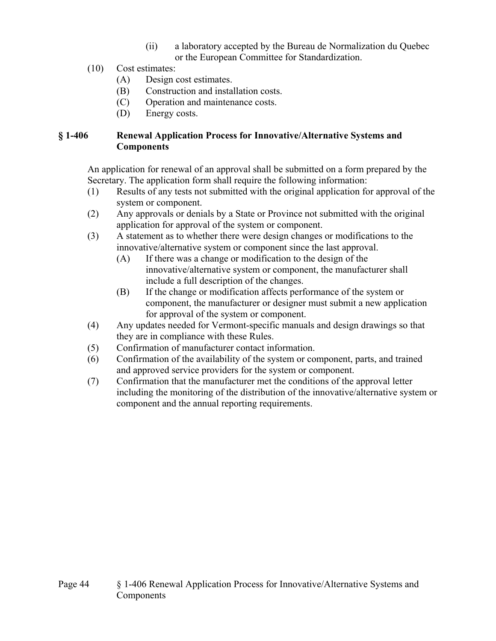- (ii) a laboratory accepted by the Bureau de Normalization du Quebec or the European Committee for Standardization.
- (10) Cost estimates:
	- (A) Design cost estimates.
	- (B) Construction and installation costs.
	- (C) Operation and maintenance costs.
	- (D) Energy costs.

## **§ 1-406 Renewal Application Process for Innovative/Alternative Systems and Components**

An application for renewal of an approval shall be submitted on a form prepared by the Secretary. The application form shall require the following information:

- (1) Results of any tests not submitted with the original application for approval of the system or component.
- (2) Any approvals or denials by a State or Province not submitted with the original application for approval of the system or component.
- (3) A statement as to whether there were design changes or modifications to the innovative/alternative system or component since the last approval.
	- (A) If there was a change or modification to the design of the innovative/alternative system or component, the manufacturer shall include a full description of the changes.
	- (B) If the change or modification affects performance of the system or component, the manufacturer or designer must submit a new application for approval of the system or component.
- (4) Any updates needed for Vermont-specific manuals and design drawings so that they are in compliance with these Rules.
- (5) Confirmation of manufacturer contact information.
- (6) Confirmation of the availability of the system or component, parts, and trained and approved service providers for the system or component.
- (7) Confirmation that the manufacturer met the conditions of the approval letter including the monitoring of the distribution of the innovative/alternative system or component and the annual reporting requirements.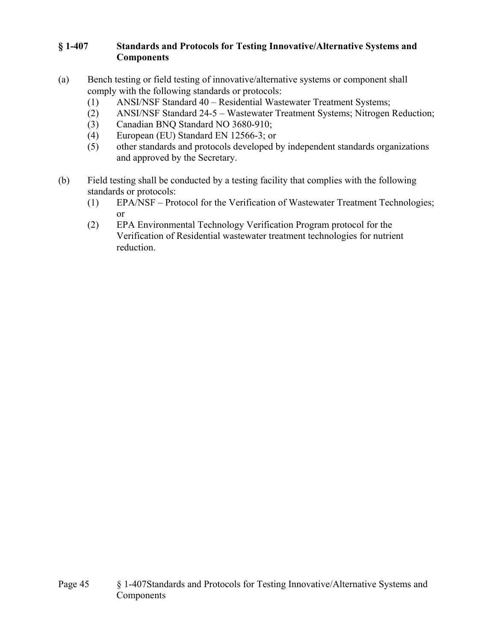## **§ 1-407 Standards and Protocols for Testing Innovative/Alternative Systems and Components**

- (a) Bench testing or field testing of innovative/alternative systems or component shall comply with the following standards or protocols:
	- (1) ANSI/NSF Standard 40 Residential Wastewater Treatment Systems;
	- (2) ANSI/NSF Standard 24-5 Wastewater Treatment Systems; Nitrogen Reduction;
	- (3) Canadian BNQ Standard NO 3680-910;
	- (4) European (EU) Standard EN 12566-3; or
	- (5) other standards and protocols developed by independent standards organizations and approved by the Secretary.
- (b) Field testing shall be conducted by a testing facility that complies with the following standards or protocols:
	- (1) EPA/NSF Protocol for the Verification of Wastewater Treatment Technologies; or
	- (2) EPA Environmental Technology Verification Program protocol for the Verification of Residential wastewater treatment technologies for nutrient reduction.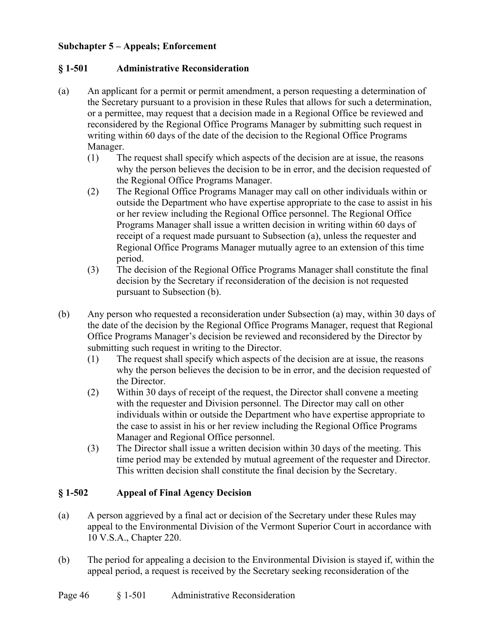### **Subchapter 5 – Appeals; Enforcement**

## **§ 1-501 Administrative Reconsideration**

- (a) An applicant for a permit or permit amendment, a person requesting a determination of the Secretary pursuant to a provision in these Rules that allows for such a determination, or a permittee, may request that a decision made in a Regional Office be reviewed and reconsidered by the Regional Office Programs Manager by submitting such request in writing within 60 days of the date of the decision to the Regional Office Programs Manager.
	- (1) The request shall specify which aspects of the decision are at issue, the reasons why the person believes the decision to be in error, and the decision requested of the Regional Office Programs Manager.
	- (2) The Regional Office Programs Manager may call on other individuals within or outside the Department who have expertise appropriate to the case to assist in his or her review including the Regional Office personnel. The Regional Office Programs Manager shall issue a written decision in writing within 60 days of receipt of a request made pursuant to Subsection (a), unless the requester and Regional Office Programs Manager mutually agree to an extension of this time period.
	- (3) The decision of the Regional Office Programs Manager shall constitute the final decision by the Secretary if reconsideration of the decision is not requested pursuant to Subsection (b).
- (b) Any person who requested a reconsideration under Subsection (a) may, within 30 days of the date of the decision by the Regional Office Programs Manager, request that Regional Office Programs Manager's decision be reviewed and reconsidered by the Director by submitting such request in writing to the Director.
	- (1) The request shall specify which aspects of the decision are at issue, the reasons why the person believes the decision to be in error, and the decision requested of the Director.
	- (2) Within 30 days of receipt of the request, the Director shall convene a meeting with the requester and Division personnel. The Director may call on other individuals within or outside the Department who have expertise appropriate to the case to assist in his or her review including the Regional Office Programs Manager and Regional Office personnel.
	- (3) The Director shall issue a written decision within 30 days of the meeting. This time period may be extended by mutual agreement of the requester and Director. This written decision shall constitute the final decision by the Secretary.

## **§ 1-502 Appeal of Final Agency Decision**

- (a) A person aggrieved by a final act or decision of the Secretary under these Rules may appeal to the Environmental Division of the Vermont Superior Court in accordance with 10 V.S.A., Chapter 220.
- (b) The period for appealing a decision to the Environmental Division is stayed if, within the appeal period, a request is received by the Secretary seeking reconsideration of the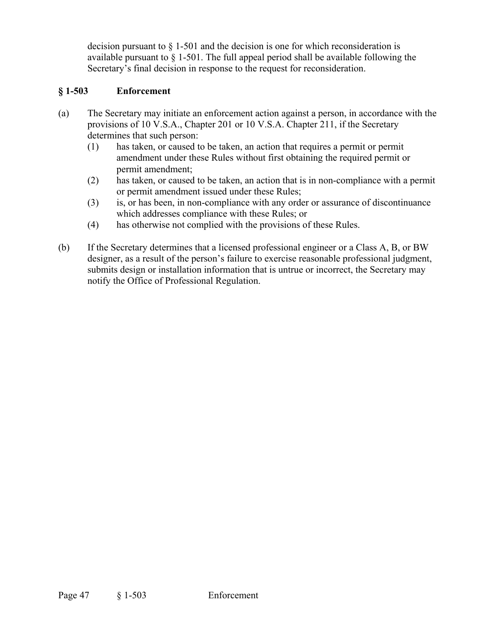decision pursuant to  $\S$  1-501 and the decision is one for which reconsideration is available pursuant to § 1-501. The full appeal period shall be available following the Secretary's final decision in response to the request for reconsideration.

## **§ 1-503 Enforcement**

- (a) The Secretary may initiate an enforcement action against a person, in accordance with the provisions of 10 V.S.A., Chapter 201 or 10 V.S.A. Chapter 211, if the Secretary determines that such person:
	- (1) has taken, or caused to be taken, an action that requires a permit or permit amendment under these Rules without first obtaining the required permit or permit amendment;
	- (2) has taken, or caused to be taken, an action that is in non-compliance with a permit or permit amendment issued under these Rules;
	- (3) is, or has been, in non-compliance with any order or assurance of discontinuance which addresses compliance with these Rules; or
	- (4) has otherwise not complied with the provisions of these Rules.
- (b) If the Secretary determines that a licensed professional engineer or a Class A, B, or BW designer, as a result of the person's failure to exercise reasonable professional judgment, submits design or installation information that is untrue or incorrect, the Secretary may notify the Office of Professional Regulation.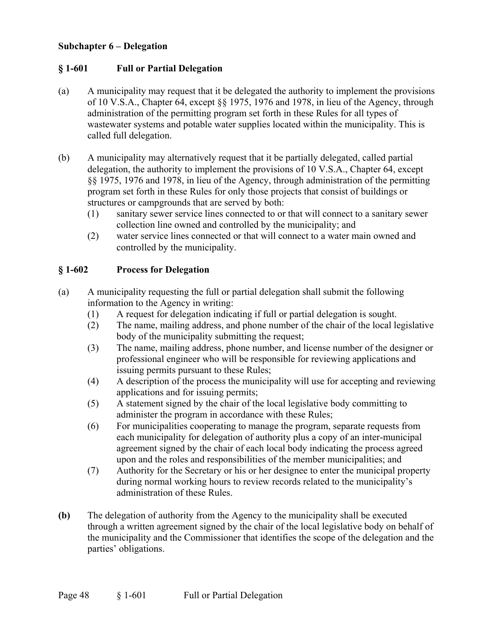#### **Subchapter 6 – Delegation**

#### **§ 1-601 Full or Partial Delegation**

- (a) A municipality may request that it be delegated the authority to implement the provisions of 10 V.S.A., Chapter 64, except §§ 1975, 1976 and 1978, in lieu of the Agency, through administration of the permitting program set forth in these Rules for all types of wastewater systems and potable water supplies located within the municipality. This is called full delegation.
- (b) A municipality may alternatively request that it be partially delegated, called partial delegation, the authority to implement the provisions of 10 V.S.A., Chapter 64, except §§ 1975, 1976 and 1978, in lieu of the Agency, through administration of the permitting program set forth in these Rules for only those projects that consist of buildings or structures or campgrounds that are served by both:
	- (1) sanitary sewer service lines connected to or that will connect to a sanitary sewer collection line owned and controlled by the municipality; and
	- (2) water service lines connected or that will connect to a water main owned and controlled by the municipality.

#### **§ 1-602 Process for Delegation**

- (a) A municipality requesting the full or partial delegation shall submit the following information to the Agency in writing:
	- (1) A request for delegation indicating if full or partial delegation is sought.
	- (2) The name, mailing address, and phone number of the chair of the local legislative body of the municipality submitting the request;
	- (3) The name, mailing address, phone number, and license number of the designer or professional engineer who will be responsible for reviewing applications and issuing permits pursuant to these Rules;
	- (4) A description of the process the municipality will use for accepting and reviewing applications and for issuing permits;
	- (5) A statement signed by the chair of the local legislative body committing to administer the program in accordance with these Rules;
	- (6) For municipalities cooperating to manage the program, separate requests from each municipality for delegation of authority plus a copy of an inter-municipal agreement signed by the chair of each local body indicating the process agreed upon and the roles and responsibilities of the member municipalities; and
	- (7) Authority for the Secretary or his or her designee to enter the municipal property during normal working hours to review records related to the municipality's administration of these Rules.
- **(b)** The delegation of authority from the Agency to the municipality shall be executed through a written agreement signed by the chair of the local legislative body on behalf of the municipality and the Commissioner that identifies the scope of the delegation and the parties' obligations.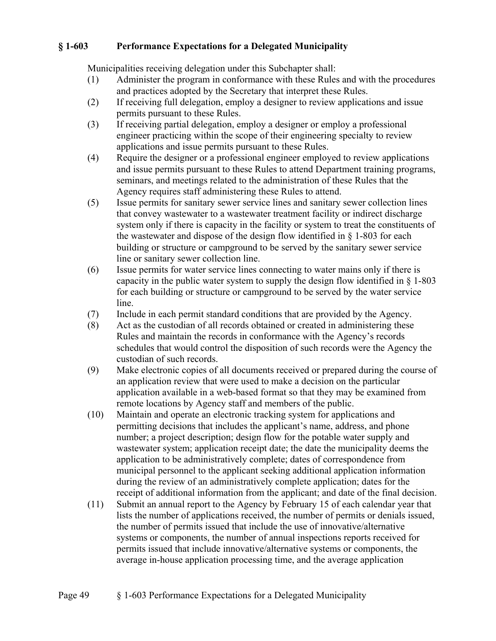## **§ 1-603 Performance Expectations for a Delegated Municipality**

Municipalities receiving delegation under this Subchapter shall:

- (1) Administer the program in conformance with these Rules and with the procedures and practices adopted by the Secretary that interpret these Rules.
- (2) If receiving full delegation, employ a designer to review applications and issue permits pursuant to these Rules.
- (3) If receiving partial delegation, employ a designer or employ a professional engineer practicing within the scope of their engineering specialty to review applications and issue permits pursuant to these Rules.
- (4) Require the designer or a professional engineer employed to review applications and issue permits pursuant to these Rules to attend Department training programs, seminars, and meetings related to the administration of these Rules that the Agency requires staff administering these Rules to attend.
- (5) Issue permits for sanitary sewer service lines and sanitary sewer collection lines that convey wastewater to a wastewater treatment facility or indirect discharge system only if there is capacity in the facility or system to treat the constituents of the wastewater and dispose of the design flow identified in § 1-803 for each building or structure or campground to be served by the sanitary sewer service line or sanitary sewer collection line.
- (6) Issue permits for water service lines connecting to water mains only if there is capacity in the public water system to supply the design flow identified in  $\S$  1-803 for each building or structure or campground to be served by the water service line.
- (7) Include in each permit standard conditions that are provided by the Agency.
- (8) Act as the custodian of all records obtained or created in administering these Rules and maintain the records in conformance with the Agency's records schedules that would control the disposition of such records were the Agency the custodian of such records.
- (9) Make electronic copies of all documents received or prepared during the course of an application review that were used to make a decision on the particular application available in a web-based format so that they may be examined from remote locations by Agency staff and members of the public.
- (10) Maintain and operate an electronic tracking system for applications and permitting decisions that includes the applicant's name, address, and phone number; a project description; design flow for the potable water supply and wastewater system; application receipt date; the date the municipality deems the application to be administratively complete; dates of correspondence from municipal personnel to the applicant seeking additional application information during the review of an administratively complete application; dates for the receipt of additional information from the applicant; and date of the final decision.
- (11) Submit an annual report to the Agency by February 15 of each calendar year that lists the number of applications received, the number of permits or denials issued, the number of permits issued that include the use of innovative/alternative systems or components, the number of annual inspections reports received for permits issued that include innovative/alternative systems or components, the average in-house application processing time, and the average application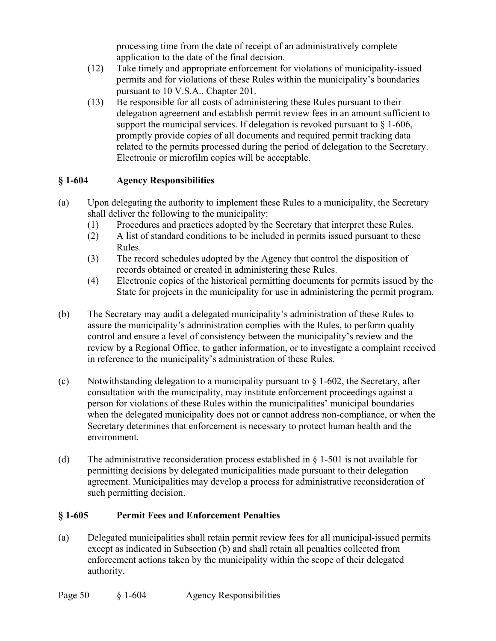processing time from the date of receipt of an administratively complete application to the date of the final decision.

- (12) Take timely and appropriate enforcement for violations of municipality-issued permits and for violations of these Rules within the municipality's boundaries pursuant to 10 V.S.A., Chapter 201.
- (13) Be responsible for all costs of administering these Rules pursuant to their delegation agreement and establish permit review fees in an amount sufficient to support the municipal services. If delegation is revoked pursuant to  $\S$  1-606, promptly provide copies of all documents and required permit tracking data related to the permits processed during the period of delegation to the Secretary. Electronic or microfilm copies will be acceptable.

## **§ 1-604 Agency Responsibilities**

- (a) Upon delegating the authority to implement these Rules to a municipality, the Secretary shall deliver the following to the municipality:
	- (1) Procedures and practices adopted by the Secretary that interpret these Rules.
	- (2) A list of standard conditions to be included in permits issued pursuant to these Rules.
	- (3) The record schedules adopted by the Agency that control the disposition of records obtained or created in administering these Rules.
	- (4) Electronic copies of the historical permitting documents for permits issued by the State for projects in the municipality for use in administering the permit program.
- (b) The Secretary may audit a delegated municipality's administration of these Rules to assure the municipality's administration complies with the Rules, to perform quality control and ensure a level of consistency between the municipality's review and the review by a Regional Office, to gather information, or to investigate a complaint received in reference to the municipality's administration of these Rules.
- (c) Notwithstanding delegation to a municipality pursuant to  $\S$  1-602, the Secretary, after consultation with the municipality, may institute enforcement proceedings against a person for violations of these Rules within the municipalities' municipal boundaries when the delegated municipality does not or cannot address non-compliance, or when the Secretary determines that enforcement is necessary to protect human health and the environment.
- (d) The administrative reconsideration process established in  $\S$  1-501 is not available for permitting decisions by delegated municipalities made pursuant to their delegation agreement. Municipalities may develop a process for administrative reconsideration of such permitting decision.

### **§ 1-605 Permit Fees and Enforcement Penalties**

(a) Delegated municipalities shall retain permit review fees for all municipal-issued permits except as indicated in Subsection (b) and shall retain all penalties collected from enforcement actions taken by the municipality within the scope of their delegated authority.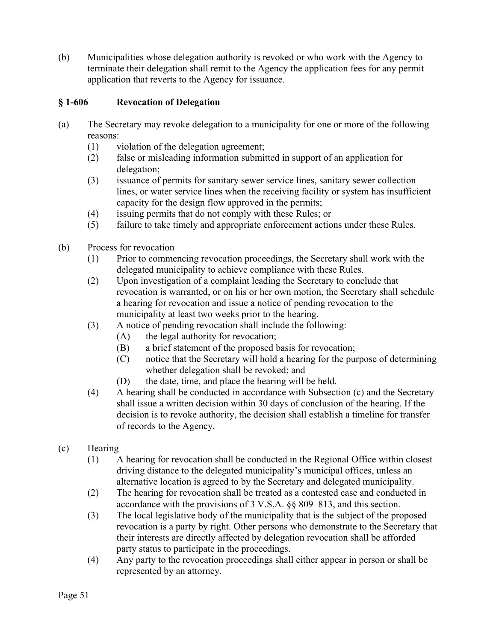(b) Municipalities whose delegation authority is revoked or who work with the Agency to terminate their delegation shall remit to the Agency the application fees for any permit application that reverts to the Agency for issuance.

## **§ 1-606 Revocation of Delegation**

- (a) The Secretary may revoke delegation to a municipality for one or more of the following reasons:
	- (1) violation of the delegation agreement;
	- (2) false or misleading information submitted in support of an application for delegation;
	- (3) issuance of permits for sanitary sewer service lines, sanitary sewer collection lines, or water service lines when the receiving facility or system has insufficient capacity for the design flow approved in the permits;
	- (4) issuing permits that do not comply with these Rules; or
	- (5) failure to take timely and appropriate enforcement actions under these Rules.
- (b) Process for revocation
	- (1) Prior to commencing revocation proceedings, the Secretary shall work with the delegated municipality to achieve compliance with these Rules.
	- (2) Upon investigation of a complaint leading the Secretary to conclude that revocation is warranted, or on his or her own motion, the Secretary shall schedule a hearing for revocation and issue a notice of pending revocation to the municipality at least two weeks prior to the hearing.
	- (3) A notice of pending revocation shall include the following:
		- (A) the legal authority for revocation;
		- (B) a brief statement of the proposed basis for revocation;
		- (C) notice that the Secretary will hold a hearing for the purpose of determining whether delegation shall be revoked; and
		- (D) the date, time, and place the hearing will be held.
	- (4) A hearing shall be conducted in accordance with Subsection (c) and the Secretary shall issue a written decision within 30 days of conclusion of the hearing. If the decision is to revoke authority, the decision shall establish a timeline for transfer of records to the Agency.
- (c) Hearing
	- (1) A hearing for revocation shall be conducted in the Regional Office within closest driving distance to the delegated municipality's municipal offices, unless an alternative location is agreed to by the Secretary and delegated municipality.
	- (2) The hearing for revocation shall be treated as a contested case and conducted in accordance with the provisions of 3 V.S.A. §§ 809–813, and this section.
	- (3) The local legislative body of the municipality that is the subject of the proposed revocation is a party by right. Other persons who demonstrate to the Secretary that their interests are directly affected by delegation revocation shall be afforded party status to participate in the proceedings.
	- (4) Any party to the revocation proceedings shall either appear in person or shall be represented by an attorney.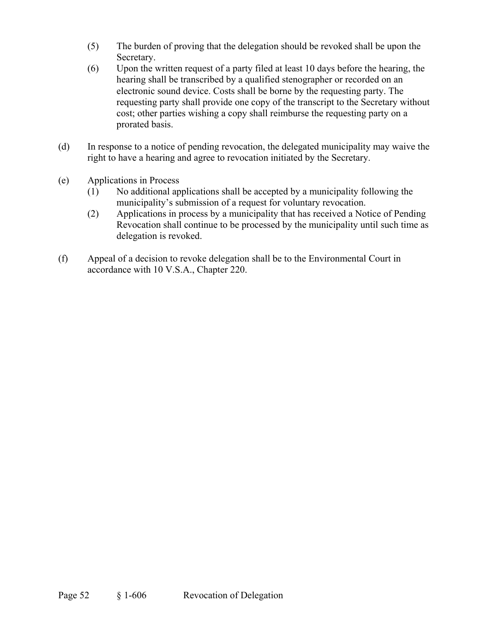- (5) The burden of proving that the delegation should be revoked shall be upon the Secretary.
- (6) Upon the written request of a party filed at least 10 days before the hearing, the hearing shall be transcribed by a qualified stenographer or recorded on an electronic sound device. Costs shall be borne by the requesting party. The requesting party shall provide one copy of the transcript to the Secretary without cost; other parties wishing a copy shall reimburse the requesting party on a prorated basis.
- (d) In response to a notice of pending revocation, the delegated municipality may waive the right to have a hearing and agree to revocation initiated by the Secretary.
- (e) Applications in Process
	- (1) No additional applications shall be accepted by a municipality following the municipality's submission of a request for voluntary revocation.
	- (2) Applications in process by a municipality that has received a Notice of Pending Revocation shall continue to be processed by the municipality until such time as delegation is revoked.
- (f) Appeal of a decision to revoke delegation shall be to the Environmental Court in accordance with 10 V.S.A., Chapter 220.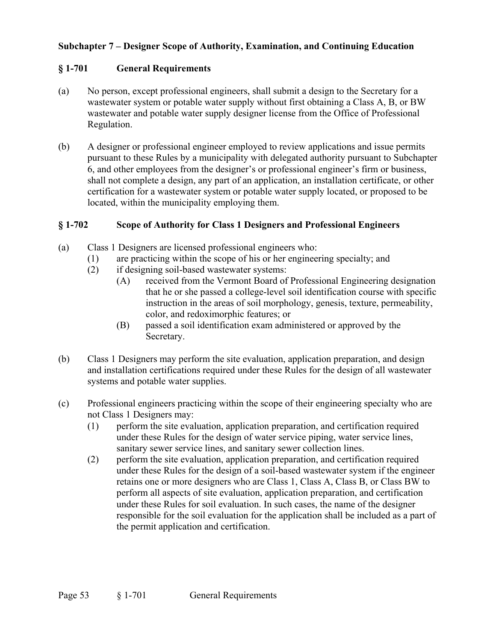## **Subchapter 7 – Designer Scope of Authority, Examination, and Continuing Education**

### **§ 1-701 General Requirements**

- (a) No person, except professional engineers, shall submit a design to the Secretary for a wastewater system or potable water supply without first obtaining a Class A, B, or BW wastewater and potable water supply designer license from the Office of Professional Regulation.
- (b) A designer or professional engineer employed to review applications and issue permits pursuant to these Rules by a municipality with delegated authority pursuant to Subchapter 6, and other employees from the designer's or professional engineer's firm or business, shall not complete a design, any part of an application, an installation certificate, or other certification for a wastewater system or potable water supply located, or proposed to be located, within the municipality employing them.

#### **§ 1-702 Scope of Authority for Class 1 Designers and Professional Engineers**

- (a) Class 1 Designers are licensed professional engineers who:
	- (1) are practicing within the scope of his or her engineering specialty; and
	- (2) if designing soil-based wastewater systems:
		- (A) received from the Vermont Board of Professional Engineering designation that he or she passed a college-level soil identification course with specific instruction in the areas of soil morphology, genesis, texture, permeability, color, and redoximorphic features; or
		- (B) passed a soil identification exam administered or approved by the Secretary.
- (b) Class 1 Designers may perform the site evaluation, application preparation, and design and installation certifications required under these Rules for the design of all wastewater systems and potable water supplies.
- (c) Professional engineers practicing within the scope of their engineering specialty who are not Class 1 Designers may:
	- (1) perform the site evaluation, application preparation, and certification required under these Rules for the design of water service piping, water service lines, sanitary sewer service lines, and sanitary sewer collection lines.
	- (2) perform the site evaluation, application preparation, and certification required under these Rules for the design of a soil-based wastewater system if the engineer retains one or more designers who are Class 1, Class A, Class B, or Class BW to perform all aspects of site evaluation, application preparation, and certification under these Rules for soil evaluation. In such cases, the name of the designer responsible for the soil evaluation for the application shall be included as a part of the permit application and certification.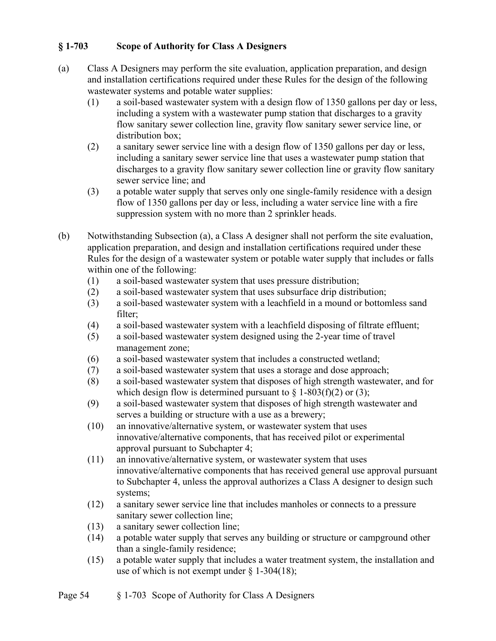## **§ 1-703 Scope of Authority for Class A Designers**

- (a) Class A Designers may perform the site evaluation, application preparation, and design and installation certifications required under these Rules for the design of the following wastewater systems and potable water supplies:
	- (1) a soil-based wastewater system with a design flow of 1350 gallons per day or less, including a system with a wastewater pump station that discharges to a gravity flow sanitary sewer collection line, gravity flow sanitary sewer service line, or distribution box;
	- (2) a sanitary sewer service line with a design flow of 1350 gallons per day or less, including a sanitary sewer service line that uses a wastewater pump station that discharges to a gravity flow sanitary sewer collection line or gravity flow sanitary sewer service line; and
	- (3) a potable water supply that serves only one single-family residence with a design flow of 1350 gallons per day or less, including a water service line with a fire suppression system with no more than 2 sprinkler heads.
- (b) Notwithstanding Subsection (a), a Class A designer shall not perform the site evaluation, application preparation, and design and installation certifications required under these Rules for the design of a wastewater system or potable water supply that includes or falls within one of the following:
	- (1) a soil-based wastewater system that uses pressure distribution;
	- (2) a soil-based wastewater system that uses subsurface drip distribution;
	- (3) a soil-based wastewater system with a leachfield in a mound or bottomless sand filter;
	- (4) a soil-based wastewater system with a leachfield disposing of filtrate effluent;
	- (5) a soil-based wastewater system designed using the 2-year time of travel management zone;
	- (6) a soil-based wastewater system that includes a constructed wetland;
	- (7) a soil-based wastewater system that uses a storage and dose approach;
	- (8) a soil-based wastewater system that disposes of high strength wastewater, and for which design flow is determined pursuant to  $\S$  1-803(f)(2) or (3);
	- (9) a soil-based wastewater system that disposes of high strength wastewater and serves a building or structure with a use as a brewery;
	- (10) an innovative/alternative system, or wastewater system that uses innovative/alternative components, that has received pilot or experimental approval pursuant to Subchapter 4;
	- (11) an innovative/alternative system, or wastewater system that uses innovative/alternative components that has received general use approval pursuant to Subchapter 4, unless the approval authorizes a Class A designer to design such systems;
	- (12) a sanitary sewer service line that includes manholes or connects to a pressure sanitary sewer collection line;
	- (13) a sanitary sewer collection line;
	- (14) a potable water supply that serves any building or structure or campground other than a single-family residence;
	- (15) a potable water supply that includes a water treatment system, the installation and use of which is not exempt under  $\S$  1-304(18);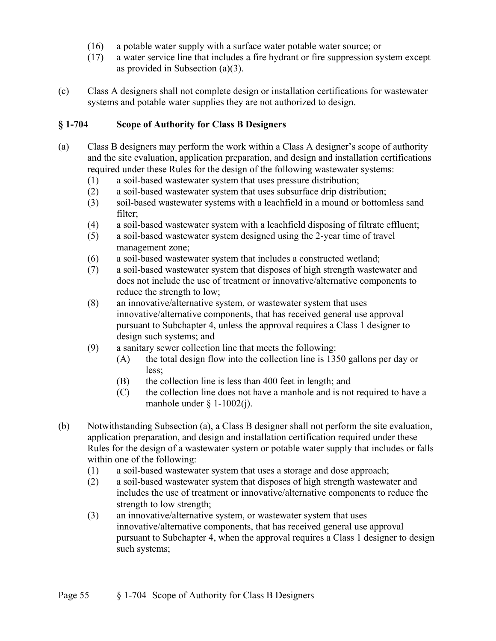- (16) a potable water supply with a surface water potable water source; or
- (17) a water service line that includes a fire hydrant or fire suppression system except as provided in Subsection (a)(3).
- (c) Class A designers shall not complete design or installation certifications for wastewater systems and potable water supplies they are not authorized to design.

### **§ 1-704 Scope of Authority for Class B Designers**

- (a) Class B designers may perform the work within a Class A designer's scope of authority and the site evaluation, application preparation, and design and installation certifications required under these Rules for the design of the following wastewater systems:
	- (1) a soil-based wastewater system that uses pressure distribution;
	- (2) a soil-based wastewater system that uses subsurface drip distribution;
	- (3) soil-based wastewater systems with a leachfield in a mound or bottomless sand filter;
	- (4) a soil-based wastewater system with a leachfield disposing of filtrate effluent;
	- (5) a soil-based wastewater system designed using the 2-year time of travel management zone;
	- (6) a soil-based wastewater system that includes a constructed wetland;
	- (7) a soil-based wastewater system that disposes of high strength wastewater and does not include the use of treatment or innovative/alternative components to reduce the strength to low;
	- (8) an innovative/alternative system, or wastewater system that uses innovative/alternative components, that has received general use approval pursuant to Subchapter 4, unless the approval requires a Class 1 designer to design such systems; and
	- (9) a sanitary sewer collection line that meets the following:
		- (A) the total design flow into the collection line is 1350 gallons per day or less;
		- (B) the collection line is less than 400 feet in length; and
		- (C) the collection line does not have a manhole and is not required to have a manhole under  $\S$  1-1002(j).
- (b) Notwithstanding Subsection (a), a Class B designer shall not perform the site evaluation, application preparation, and design and installation certification required under these Rules for the design of a wastewater system or potable water supply that includes or falls within one of the following:
	- (1) a soil-based wastewater system that uses a storage and dose approach;
	- (2) a soil-based wastewater system that disposes of high strength wastewater and includes the use of treatment or innovative/alternative components to reduce the strength to low strength;
	- (3) an innovative/alternative system, or wastewater system that uses innovative/alternative components, that has received general use approval pursuant to Subchapter 4, when the approval requires a Class 1 designer to design such systems;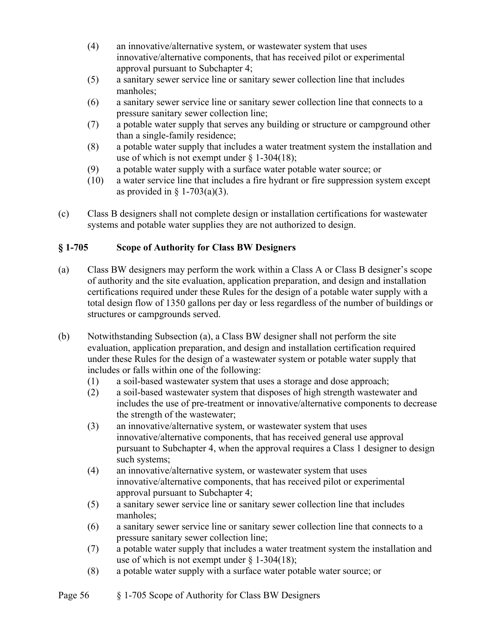- (4) an innovative/alternative system, or wastewater system that uses innovative/alternative components, that has received pilot or experimental approval pursuant to Subchapter 4;
- (5) a sanitary sewer service line or sanitary sewer collection line that includes manholes;
- (6) a sanitary sewer service line or sanitary sewer collection line that connects to a pressure sanitary sewer collection line;
- (7) a potable water supply that serves any building or structure or campground other than a single-family residence;
- (8) a potable water supply that includes a water treatment system the installation and use of which is not exempt under  $\S$  1-304(18);
- (9) a potable water supply with a surface water potable water source; or
- (10) a water service line that includes a fire hydrant or fire suppression system except as provided in  $\S$  1-703(a)(3).
- (c) Class B designers shall not complete design or installation certifications for wastewater systems and potable water supplies they are not authorized to design.

# **§ 1-705 Scope of Authority for Class BW Designers**

- (a) Class BW designers may perform the work within a Class A or Class B designer's scope of authority and the site evaluation, application preparation, and design and installation certifications required under these Rules for the design of a potable water supply with a total design flow of 1350 gallons per day or less regardless of the number of buildings or structures or campgrounds served.
- (b) Notwithstanding Subsection (a), a Class BW designer shall not perform the site evaluation, application preparation, and design and installation certification required under these Rules for the design of a wastewater system or potable water supply that includes or falls within one of the following:
	- (1) a soil-based wastewater system that uses a storage and dose approach;
	- (2) a soil-based wastewater system that disposes of high strength wastewater and includes the use of pre-treatment or innovative/alternative components to decrease the strength of the wastewater;
	- (3) an innovative/alternative system, or wastewater system that uses innovative/alternative components, that has received general use approval pursuant to Subchapter 4, when the approval requires a Class 1 designer to design such systems;
	- (4) an innovative/alternative system, or wastewater system that uses innovative/alternative components, that has received pilot or experimental approval pursuant to Subchapter 4;
	- (5) a sanitary sewer service line or sanitary sewer collection line that includes manholes;
	- (6) a sanitary sewer service line or sanitary sewer collection line that connects to a pressure sanitary sewer collection line;
	- (7) a potable water supply that includes a water treatment system the installation and use of which is not exempt under  $\S 1-304(18)$ ;
	- (8) a potable water supply with a surface water potable water source; or
- Page 56 § 1-705 Scope of Authority for Class BW Designers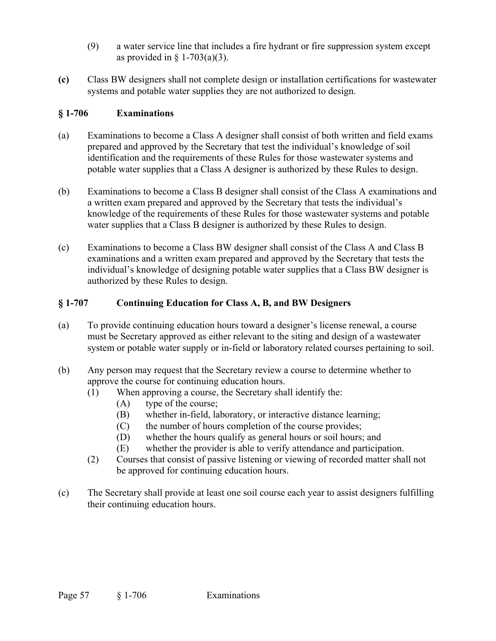- (9) a water service line that includes a fire hydrant or fire suppression system except as provided in  $\S$  1-703(a)(3).
- **(c)** Class BW designers shall not complete design or installation certifications for wastewater systems and potable water supplies they are not authorized to design.

## **§ 1-706 Examinations**

- (a) Examinations to become a Class A designer shall consist of both written and field exams prepared and approved by the Secretary that test the individual's knowledge of soil identification and the requirements of these Rules for those wastewater systems and potable water supplies that a Class A designer is authorized by these Rules to design.
- (b) Examinations to become a Class B designer shall consist of the Class A examinations and a written exam prepared and approved by the Secretary that tests the individual's knowledge of the requirements of these Rules for those wastewater systems and potable water supplies that a Class B designer is authorized by these Rules to design.
- (c) Examinations to become a Class BW designer shall consist of the Class A and Class B examinations and a written exam prepared and approved by the Secretary that tests the individual's knowledge of designing potable water supplies that a Class BW designer is authorized by these Rules to design.

## **§ 1-707 Continuing Education for Class A, B, and BW Designers**

- (a) To provide continuing education hours toward a designer's license renewal, a course must be Secretary approved as either relevant to the siting and design of a wastewater system or potable water supply or in-field or laboratory related courses pertaining to soil.
- (b) Any person may request that the Secretary review a course to determine whether to approve the course for continuing education hours.
	- (1) When approving a course, the Secretary shall identify the:
		- (A) type of the course;
		- (B) whether in-field, laboratory, or interactive distance learning;
		- (C) the number of hours completion of the course provides;
		- (D) whether the hours qualify as general hours or soil hours; and
		- (E) whether the provider is able to verify attendance and participation.
	- (2) Courses that consist of passive listening or viewing of recorded matter shall not be approved for continuing education hours.
- (c) The Secretary shall provide at least one soil course each year to assist designers fulfilling their continuing education hours.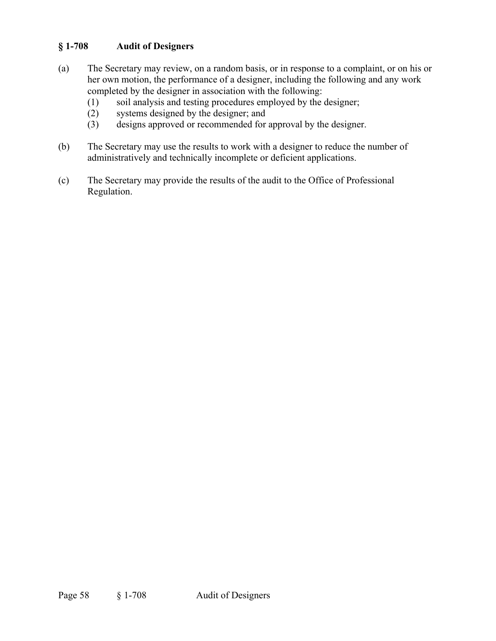## **§ 1-708 Audit of Designers**

- (a) The Secretary may review, on a random basis, or in response to a complaint, or on his or her own motion, the performance of a designer, including the following and any work completed by the designer in association with the following:
	- (1) soil analysis and testing procedures employed by the designer;
	- (2) systems designed by the designer; and
	- (3) designs approved or recommended for approval by the designer.
- (b) The Secretary may use the results to work with a designer to reduce the number of administratively and technically incomplete or deficient applications.
- (c) The Secretary may provide the results of the audit to the Office of Professional Regulation.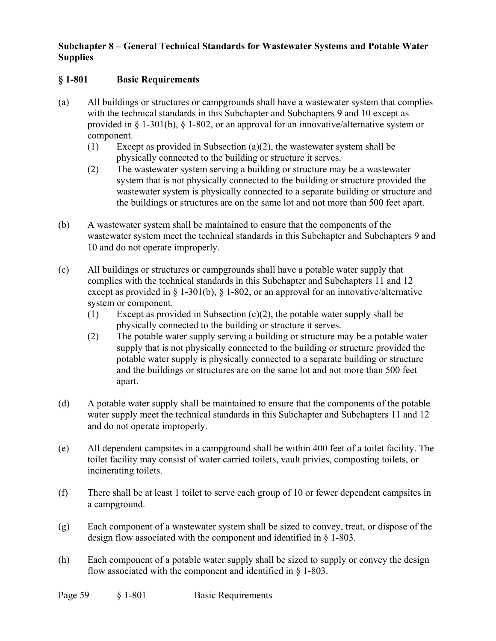## **Subchapter 8 – General Technical Standards for Wastewater Systems and Potable Water Supplies**

## **§ 1-801 Basic Requirements**

- (a) All buildings or structures or campgrounds shall have a wastewater system that complies with the technical standards in this Subchapter and Subchapters 9 and 10 except as provided in § 1-301(b), § 1-802, or an approval for an innovative/alternative system or component.
	- (1) Except as provided in Subsection (a)(2), the wastewater system shall be physically connected to the building or structure it serves.
	- (2) The wastewater system serving a building or structure may be a wastewater system that is not physically connected to the building or structure provided the wastewater system is physically connected to a separate building or structure and the buildings or structures are on the same lot and not more than 500 feet apart.
- (b) A wastewater system shall be maintained to ensure that the components of the wastewater system meet the technical standards in this Subchapter and Subchapters 9 and 10 and do not operate improperly.
- (c) All buildings or structures or campgrounds shall have a potable water supply that complies with the technical standards in this Subchapter and Subchapters 11 and 12 except as provided in § 1-301(b), § 1-802, or an approval for an innovative/alternative system or component.
	- (1) Except as provided in Subsection (c)(2), the potable water supply shall be physically connected to the building or structure it serves.
	- (2) The potable water supply serving a building or structure may be a potable water supply that is not physically connected to the building or structure provided the potable water supply is physically connected to a separate building or structure and the buildings or structures are on the same lot and not more than 500 feet apart.
- (d) A potable water supply shall be maintained to ensure that the components of the potable water supply meet the technical standards in this Subchapter and Subchapters 11 and 12 and do not operate improperly.
- (e) All dependent campsites in a campground shall be within 400 feet of a toilet facility. The toilet facility may consist of water carried toilets, vault privies, composting toilets, or incinerating toilets.
- (f) There shall be at least 1 toilet to serve each group of 10 or fewer dependent campsites in a campground.
- (g) Each component of a wastewater system shall be sized to convey, treat, or dispose of the design flow associated with the component and identified in § 1-803.
- (h) Each component of a potable water supply shall be sized to supply or convey the design flow associated with the component and identified in § 1-803.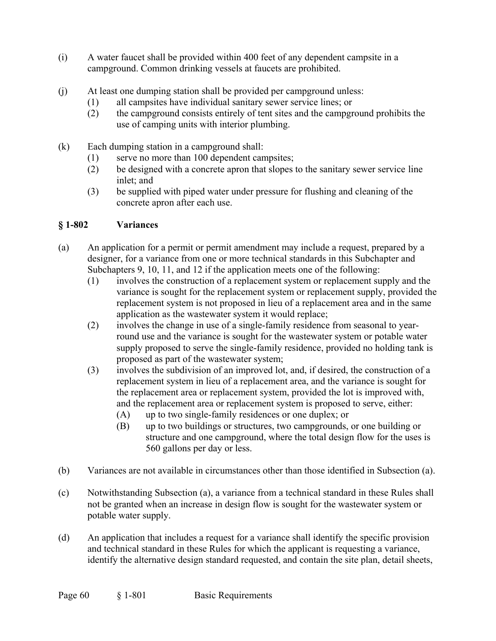- (i) A water faucet shall be provided within 400 feet of any dependent campsite in a campground. Common drinking vessels at faucets are prohibited.
- (j) At least one dumping station shall be provided per campground unless:
	- (1) all campsites have individual sanitary sewer service lines; or
	- (2) the campground consists entirely of tent sites and the campground prohibits the use of camping units with interior plumbing.
- (k) Each dumping station in a campground shall:
	- (1) serve no more than 100 dependent campsites;
	- (2) be designed with a concrete apron that slopes to the sanitary sewer service line inlet; and
	- (3) be supplied with piped water under pressure for flushing and cleaning of the concrete apron after each use.

## **§ 1-802 Variances**

- (a) An application for a permit or permit amendment may include a request, prepared by a designer, for a variance from one or more technical standards in this Subchapter and Subchapters 9, 10, 11, and 12 if the application meets one of the following:
	- (1) involves the construction of a replacement system or replacement supply and the variance is sought for the replacement system or replacement supply, provided the replacement system is not proposed in lieu of a replacement area and in the same application as the wastewater system it would replace;
	- (2) involves the change in use of a single-family residence from seasonal to yearround use and the variance is sought for the wastewater system or potable water supply proposed to serve the single-family residence, provided no holding tank is proposed as part of the wastewater system;
	- (3) involves the subdivision of an improved lot, and, if desired, the construction of a replacement system in lieu of a replacement area, and the variance is sought for the replacement area or replacement system, provided the lot is improved with, and the replacement area or replacement system is proposed to serve, either:
		- (A) up to two single-family residences or one duplex; or
		- (B) up to two buildings or structures, two campgrounds, or one building or structure and one campground, where the total design flow for the uses is 560 gallons per day or less.
- (b) Variances are not available in circumstances other than those identified in Subsection (a).
- (c) Notwithstanding Subsection (a), a variance from a technical standard in these Rules shall not be granted when an increase in design flow is sought for the wastewater system or potable water supply.
- (d) An application that includes a request for a variance shall identify the specific provision and technical standard in these Rules for which the applicant is requesting a variance, identify the alternative design standard requested, and contain the site plan, detail sheets,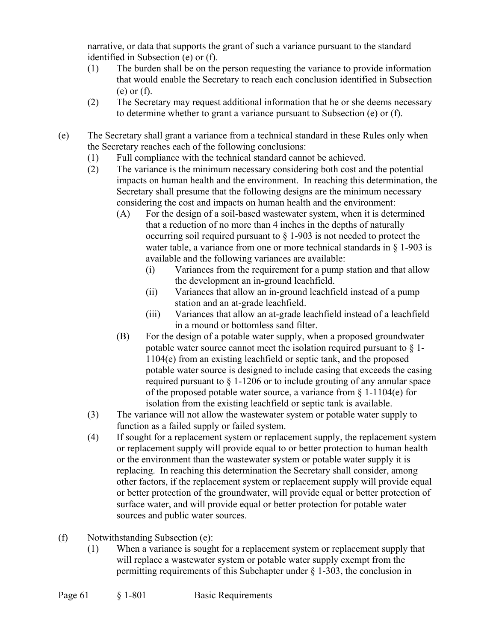narrative, or data that supports the grant of such a variance pursuant to the standard identified in Subsection (e) or (f).

- (1) The burden shall be on the person requesting the variance to provide information that would enable the Secretary to reach each conclusion identified in Subsection (e) or (f).
- (2) The Secretary may request additional information that he or she deems necessary to determine whether to grant a variance pursuant to Subsection (e) or (f).
- (e) The Secretary shall grant a variance from a technical standard in these Rules only when the Secretary reaches each of the following conclusions:
	- (1) Full compliance with the technical standard cannot be achieved.
	- (2) The variance is the minimum necessary considering both cost and the potential impacts on human health and the environment. In reaching this determination, the Secretary shall presume that the following designs are the minimum necessary considering the cost and impacts on human health and the environment:
		- (A) For the design of a soil-based wastewater system, when it is determined that a reduction of no more than 4 inches in the depths of naturally occurring soil required pursuant to § 1-903 is not needed to protect the water table, a variance from one or more technical standards in § 1-903 is available and the following variances are available:
			- (i) Variances from the requirement for a pump station and that allow the development an in-ground leachfield.
			- (ii) Variances that allow an in-ground leachfield instead of a pump station and an at-grade leachfield.
			- (iii) Variances that allow an at-grade leachfield instead of a leachfield in a mound or bottomless sand filter.
		- (B) For the design of a potable water supply, when a proposed groundwater potable water source cannot meet the isolation required pursuant to  $\S$  1-1104(e) from an existing leachfield or septic tank, and the proposed potable water source is designed to include casing that exceeds the casing required pursuant to § 1-1206 or to include grouting of any annular space of the proposed potable water source, a variance from  $\S$  1-1104(e) for isolation from the existing leachfield or septic tank is available.
	- (3) The variance will not allow the wastewater system or potable water supply to function as a failed supply or failed system.
	- (4) If sought for a replacement system or replacement supply, the replacement system or replacement supply will provide equal to or better protection to human health or the environment than the wastewater system or potable water supply it is replacing. In reaching this determination the Secretary shall consider, among other factors, if the replacement system or replacement supply will provide equal or better protection of the groundwater, will provide equal or better protection of surface water, and will provide equal or better protection for potable water sources and public water sources.
- (f) Notwithstanding Subsection (e):
	- (1) When a variance is sought for a replacement system or replacement supply that will replace a wastewater system or potable water supply exempt from the permitting requirements of this Subchapter under  $\S$  1-303, the conclusion in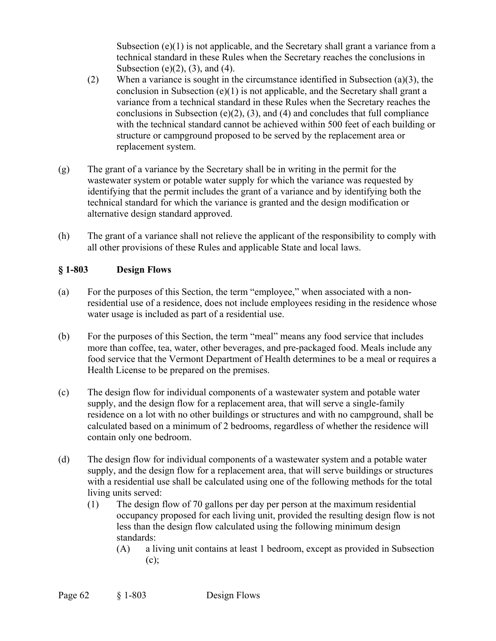Subsection  $(e)(1)$  is not applicable, and the Secretary shall grant a variance from a technical standard in these Rules when the Secretary reaches the conclusions in Subsection (e) $(2)$ ,  $(3)$ , and  $(4)$ .

- (2) When a variance is sought in the circumstance identified in Subsection (a)(3), the conclusion in Subsection (e)(1) is not applicable, and the Secretary shall grant a variance from a technical standard in these Rules when the Secretary reaches the conclusions in Subsection (e) $(2)$ ,  $(3)$ , and  $(4)$  and concludes that full compliance with the technical standard cannot be achieved within 500 feet of each building or structure or campground proposed to be served by the replacement area or replacement system.
- (g) The grant of a variance by the Secretary shall be in writing in the permit for the wastewater system or potable water supply for which the variance was requested by identifying that the permit includes the grant of a variance and by identifying both the technical standard for which the variance is granted and the design modification or alternative design standard approved.
- (h) The grant of a variance shall not relieve the applicant of the responsibility to comply with all other provisions of these Rules and applicable State and local laws.

## **§ 1-803 Design Flows**

- (a) For the purposes of this Section, the term "employee," when associated with a nonresidential use of a residence, does not include employees residing in the residence whose water usage is included as part of a residential use.
- (b) For the purposes of this Section, the term "meal" means any food service that includes more than coffee, tea, water, other beverages, and pre-packaged food. Meals include any food service that the Vermont Department of Health determines to be a meal or requires a Health License to be prepared on the premises.
- (c) The design flow for individual components of a wastewater system and potable water supply, and the design flow for a replacement area, that will serve a single-family residence on a lot with no other buildings or structures and with no campground, shall be calculated based on a minimum of 2 bedrooms, regardless of whether the residence will contain only one bedroom.
- (d) The design flow for individual components of a wastewater system and a potable water supply, and the design flow for a replacement area, that will serve buildings or structures with a residential use shall be calculated using one of the following methods for the total living units served:
	- (1) The design flow of 70 gallons per day per person at the maximum residential occupancy proposed for each living unit, provided the resulting design flow is not less than the design flow calculated using the following minimum design standards:
		- (A) a living unit contains at least 1 bedroom, except as provided in Subsection (c);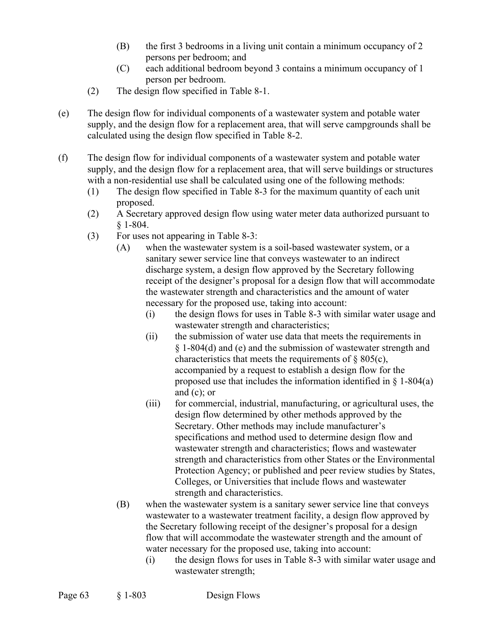- (B) the first 3 bedrooms in a living unit contain a minimum occupancy of 2 persons per bedroom; and
- (C) each additional bedroom beyond 3 contains a minimum occupancy of 1 person per bedroom.
- (2) The design flow specified in Table 8-1.
- (e) The design flow for individual components of a wastewater system and potable water supply, and the design flow for a replacement area, that will serve campgrounds shall be calculated using the design flow specified in Table 8-2.
- (f) The design flow for individual components of a wastewater system and potable water supply, and the design flow for a replacement area, that will serve buildings or structures with a non-residential use shall be calculated using one of the following methods:
	- (1) The design flow specified in Table 8-3 for the maximum quantity of each unit proposed.
	- (2) A Secretary approved design flow using water meter data authorized pursuant to § 1-804.
	- (3) For uses not appearing in Table 8-3:
		- (A) when the wastewater system is a soil-based wastewater system, or a sanitary sewer service line that conveys wastewater to an indirect discharge system, a design flow approved by the Secretary following receipt of the designer's proposal for a design flow that will accommodate the wastewater strength and characteristics and the amount of water necessary for the proposed use, taking into account:
			- (i) the design flows for uses in Table 8-3 with similar water usage and wastewater strength and characteristics;
			- (ii) the submission of water use data that meets the requirements in § 1-804(d) and (e) and the submission of wastewater strength and characteristics that meets the requirements of § 805(c), accompanied by a request to establish a design flow for the proposed use that includes the information identified in  $\S$  1-804(a) and (c); or
			- (iii) for commercial, industrial, manufacturing, or agricultural uses, the design flow determined by other methods approved by the Secretary. Other methods may include manufacturer's specifications and method used to determine design flow and wastewater strength and characteristics; flows and wastewater strength and characteristics from other States or the Environmental Protection Agency; or published and peer review studies by States, Colleges, or Universities that include flows and wastewater strength and characteristics.
		- (B) when the wastewater system is a sanitary sewer service line that conveys wastewater to a wastewater treatment facility, a design flow approved by the Secretary following receipt of the designer's proposal for a design flow that will accommodate the wastewater strength and the amount of water necessary for the proposed use, taking into account:
			- (i) the design flows for uses in Table 8-3 with similar water usage and wastewater strength;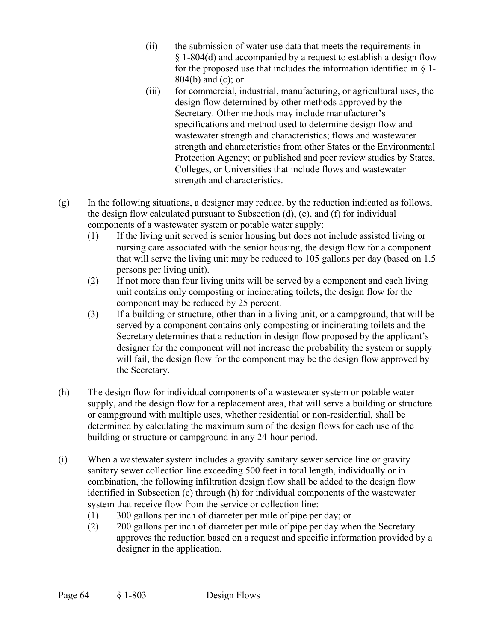- (ii) the submission of water use data that meets the requirements in § 1-804(d) and accompanied by a request to establish a design flow for the proposed use that includes the information identified in  $\S$  1-804(b) and (c); or
- (iii) for commercial, industrial, manufacturing, or agricultural uses, the design flow determined by other methods approved by the Secretary. Other methods may include manufacturer's specifications and method used to determine design flow and wastewater strength and characteristics; flows and wastewater strength and characteristics from other States or the Environmental Protection Agency; or published and peer review studies by States, Colleges, or Universities that include flows and wastewater strength and characteristics.
- (g) In the following situations, a designer may reduce, by the reduction indicated as follows, the design flow calculated pursuant to Subsection (d), (e), and (f) for individual components of a wastewater system or potable water supply:
	- (1) If the living unit served is senior housing but does not include assisted living or nursing care associated with the senior housing, the design flow for a component that will serve the living unit may be reduced to 105 gallons per day (based on 1.5 persons per living unit).
	- (2) If not more than four living units will be served by a component and each living unit contains only composting or incinerating toilets, the design flow for the component may be reduced by 25 percent.
	- (3) If a building or structure, other than in a living unit, or a campground, that will be served by a component contains only composting or incinerating toilets and the Secretary determines that a reduction in design flow proposed by the applicant's designer for the component will not increase the probability the system or supply will fail, the design flow for the component may be the design flow approved by the Secretary.
- (h) The design flow for individual components of a wastewater system or potable water supply, and the design flow for a replacement area, that will serve a building or structure or campground with multiple uses, whether residential or non-residential, shall be determined by calculating the maximum sum of the design flows for each use of the building or structure or campground in any 24-hour period.
- (i) When a wastewater system includes a gravity sanitary sewer service line or gravity sanitary sewer collection line exceeding 500 feet in total length, individually or in combination, the following infiltration design flow shall be added to the design flow identified in Subsection (c) through (h) for individual components of the wastewater system that receive flow from the service or collection line:
	- (1) 300 gallons per inch of diameter per mile of pipe per day; or
	- (2) 200 gallons per inch of diameter per mile of pipe per day when the Secretary approves the reduction based on a request and specific information provided by a designer in the application.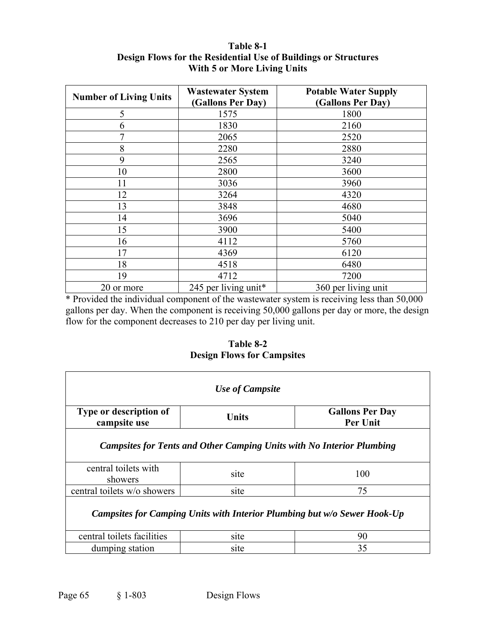| <b>Number of Living Units</b> | <b>Wastewater System</b><br>(Gallons Per Day) | <b>Potable Water Supply</b><br>(Gallons Per Day) |
|-------------------------------|-----------------------------------------------|--------------------------------------------------|
| 5                             | 1575                                          | 1800                                             |
| 6                             | 1830                                          | 2160                                             |
| 7                             | 2065                                          | 2520                                             |
| 8                             | 2280                                          | 2880                                             |
| 9                             | 2565                                          | 3240                                             |
| 10                            | 2800                                          | 3600                                             |
| 11                            | 3036                                          | 3960                                             |
| 12                            | 3264                                          | 4320                                             |
| 13                            | 3848                                          | 4680                                             |
| 14                            | 3696                                          | 5040                                             |
| 15                            | 3900                                          | 5400                                             |
| 16                            | 4112                                          | 5760                                             |
| 17                            | 4369                                          | 6120                                             |
| 18                            | 4518                                          | 6480                                             |
| 19                            | 4712                                          | 7200                                             |
| 20 or more                    | 245 per living unit*                          | 360 per living unit                              |

#### **Table 8-1 Design Flows for the Residential Use of Buildings or Structures With 5 or More Living Units**

\* Provided the individual component of the wastewater system is receiving less than 50,000 gallons per day. When the component is receiving 50,000 gallons per day or more, the design flow for the component decreases to 210 per day per living unit.

**Table 8-2 Design Flows for Campsites** 

| Use of Campsite                                                              |       |                                           |  |  |  |
|------------------------------------------------------------------------------|-------|-------------------------------------------|--|--|--|
| Type or description of<br>campsite use                                       | Units | <b>Gallons Per Day</b><br><b>Per Unit</b> |  |  |  |
| <b>Campsites for Tents and Other Camping Units with No Interior Plumbing</b> |       |                                           |  |  |  |
| central toilets with<br>showers                                              | site  | 100                                       |  |  |  |
| central toilets w/o showers                                                  | site  | 75                                        |  |  |  |
| Campsites for Camping Units with Interior Plumbing but w/o Sewer Hook-Up     |       |                                           |  |  |  |
| central toilets facilities                                                   | site  | 90                                        |  |  |  |
| dumping station                                                              | site  | 35                                        |  |  |  |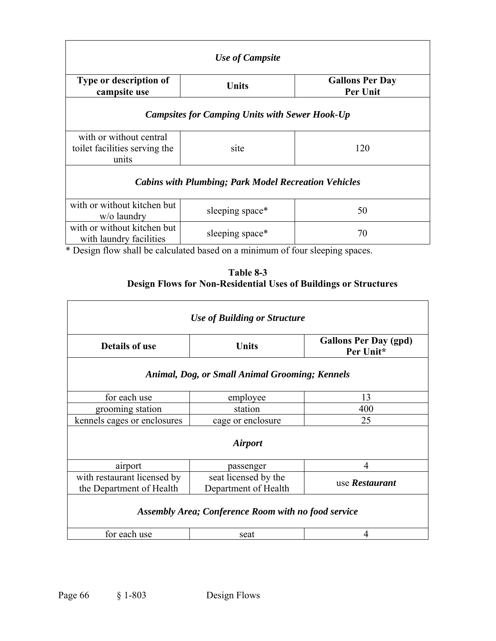| <b>Use of Campsite</b>                                                        |                 |                                    |  |  |  |
|-------------------------------------------------------------------------------|-----------------|------------------------------------|--|--|--|
| Type or description of<br>campsite use                                        | <b>Units</b>    | <b>Gallons Per Day</b><br>Per Unit |  |  |  |
| <b>Campsites for Camping Units with Sewer Hook-Up</b>                         |                 |                                    |  |  |  |
| with or without central<br>toilet facilities serving the<br>units             | site            | 120                                |  |  |  |
| <b>Cabins with Plumbing; Park Model Recreation Vehicles</b>                   |                 |                                    |  |  |  |
| with or without kitchen but<br>w/o laundry                                    | sleeping space* | 50                                 |  |  |  |
| with or without kitchen but<br>with laundry facilities                        | sleeping space* | 70                                 |  |  |  |
| * Design flow shall be calculated based on a minimum of four sleeping spaces. |                 |                                    |  |  |  |

| Table 8-3                                                               |
|-------------------------------------------------------------------------|
| <b>Design Flows for Non-Residential Uses of Buildings or Structures</b> |

| <b>Use of Building or Structure</b>                        |                                              |                                           |  |  |  |
|------------------------------------------------------------|----------------------------------------------|-------------------------------------------|--|--|--|
| <b>Details of use</b>                                      | Units                                        | <b>Gallons Per Day (gpd)</b><br>Per Unit* |  |  |  |
| <b>Animal, Dog, or Small Animal Grooming; Kennels</b>      |                                              |                                           |  |  |  |
| for each use                                               | employee                                     | 13                                        |  |  |  |
| grooming station                                           | station                                      | 400                                       |  |  |  |
| kennels cages or enclosures                                | cage or enclosure                            | 25                                        |  |  |  |
| <b>Airport</b>                                             |                                              |                                           |  |  |  |
| airport                                                    | passenger                                    | 4                                         |  |  |  |
| with restaurant licensed by<br>the Department of Health    | seat licensed by the<br>Department of Health | use Restaurant                            |  |  |  |
| <b>Assembly Area; Conference Room with no food service</b> |                                              |                                           |  |  |  |
| for each use                                               | seat                                         | 4                                         |  |  |  |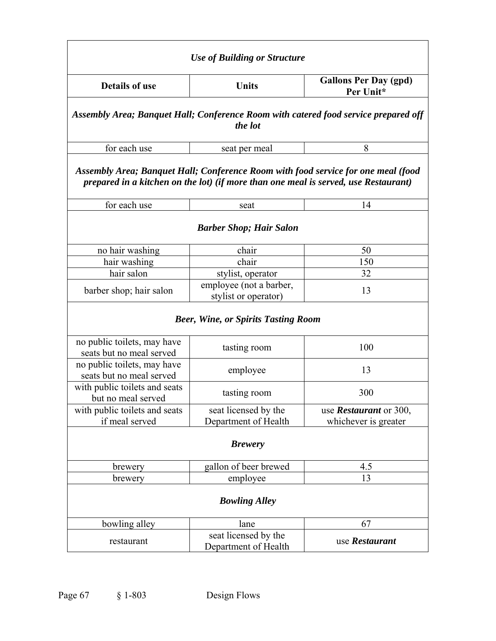| <b>Use of Building or Structure</b>                                                                                                                                      |                                                                                                |                                           |  |  |  |
|--------------------------------------------------------------------------------------------------------------------------------------------------------------------------|------------------------------------------------------------------------------------------------|-------------------------------------------|--|--|--|
| <b>Details of use</b><br><b>Units</b>                                                                                                                                    |                                                                                                | <b>Gallons Per Day (gpd)</b><br>Per Unit* |  |  |  |
|                                                                                                                                                                          | Assembly Area; Banquet Hall; Conference Room with catered food service prepared off<br>the lot |                                           |  |  |  |
| for each use                                                                                                                                                             | seat per meal                                                                                  | 8                                         |  |  |  |
| Assembly Area; Banquet Hall; Conference Room with food service for one meal (food<br>prepared in a kitchen on the lot) (if more than one meal is served, use Restaurant) |                                                                                                |                                           |  |  |  |
| for each use                                                                                                                                                             | seat                                                                                           | 14                                        |  |  |  |
|                                                                                                                                                                          | <b>Barber Shop; Hair Salon</b>                                                                 |                                           |  |  |  |
| no hair washing                                                                                                                                                          | chair                                                                                          | 50                                        |  |  |  |
| hair washing                                                                                                                                                             | chair                                                                                          | 150                                       |  |  |  |
| hair salon                                                                                                                                                               | stylist, operator                                                                              | 32                                        |  |  |  |
| barber shop; hair salon                                                                                                                                                  | employee (not a barber,<br>stylist or operator)                                                | 13                                        |  |  |  |
|                                                                                                                                                                          | <b>Beer, Wine, or Spirits Tasting Room</b>                                                     |                                           |  |  |  |
| no public toilets, may have<br>seats but no meal served                                                                                                                  | tasting room                                                                                   | 100                                       |  |  |  |
| no public toilets, may have<br>seats but no meal served                                                                                                                  | employee                                                                                       | 13                                        |  |  |  |
| with public toilets and seats<br>but no meal served                                                                                                                      | tasting room                                                                                   | 300                                       |  |  |  |
| with public toilets and seats                                                                                                                                            | seat licensed by the                                                                           | use <i>Restaurant</i> or 300,             |  |  |  |
| if meal served                                                                                                                                                           | Department of Health                                                                           | whichever is greater                      |  |  |  |
| <b>Brewery</b>                                                                                                                                                           |                                                                                                |                                           |  |  |  |
| brewery                                                                                                                                                                  | gallon of beer brewed                                                                          | 4.5                                       |  |  |  |
| brewery                                                                                                                                                                  | employee                                                                                       | 13                                        |  |  |  |
| <b>Bowling Alley</b>                                                                                                                                                     |                                                                                                |                                           |  |  |  |
| bowling alley                                                                                                                                                            | lane                                                                                           | 67                                        |  |  |  |
| restaurant                                                                                                                                                               | seat licensed by the<br>Department of Health                                                   | use Restaurant                            |  |  |  |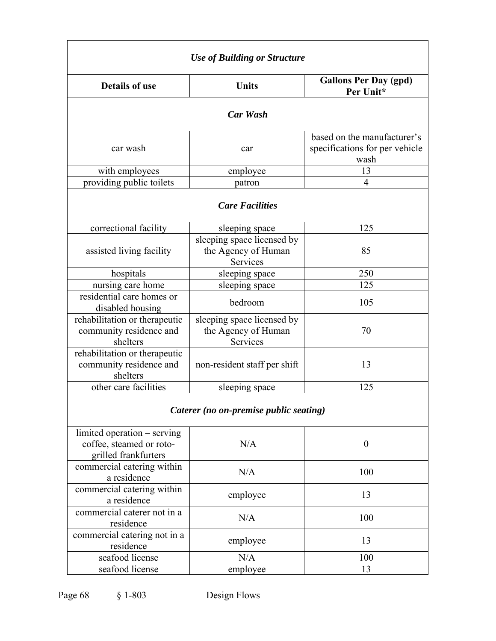| <b>Use of Building or Structure</b>                                             |                                                                      |                                                                       |  |  |  |  |
|---------------------------------------------------------------------------------|----------------------------------------------------------------------|-----------------------------------------------------------------------|--|--|--|--|
| <b>Details of use</b><br><b>Units</b>                                           |                                                                      | <b>Gallons Per Day (gpd)</b><br>Per Unit*                             |  |  |  |  |
|                                                                                 | <b>Car Wash</b>                                                      |                                                                       |  |  |  |  |
| car wash                                                                        | car                                                                  | based on the manufacturer's<br>specifications for per vehicle<br>wash |  |  |  |  |
| with employees                                                                  | employee                                                             | 13                                                                    |  |  |  |  |
| providing public toilets                                                        | patron                                                               | 4                                                                     |  |  |  |  |
|                                                                                 | <b>Care Facilities</b>                                               |                                                                       |  |  |  |  |
| correctional facility                                                           | sleeping space                                                       | 125                                                                   |  |  |  |  |
| assisted living facility                                                        | sleeping space licensed by<br>the Agency of Human<br><b>Services</b> | 85                                                                    |  |  |  |  |
| hospitals                                                                       | sleeping space                                                       | 250                                                                   |  |  |  |  |
| nursing care home                                                               | sleeping space                                                       | 125                                                                   |  |  |  |  |
| residential care homes or<br>disabled housing                                   | bedroom                                                              | 105                                                                   |  |  |  |  |
| rehabilitation or therapeutic<br>community residence and<br>shelters            | sleeping space licensed by<br>the Agency of Human<br>Services        | 70                                                                    |  |  |  |  |
| rehabilitation or therapeutic<br>community residence and<br>shelters            | non-resident staff per shift                                         | 13                                                                    |  |  |  |  |
| other care facilities                                                           | sleeping space                                                       | 125                                                                   |  |  |  |  |
|                                                                                 | Caterer (no on-premise public seating)                               |                                                                       |  |  |  |  |
| limited operation – serving<br>coffee, steamed or roto-<br>grilled frankfurters | N/A                                                                  | $\boldsymbol{0}$                                                      |  |  |  |  |
| commercial catering within<br>a residence                                       | N/A                                                                  | 100                                                                   |  |  |  |  |
| commercial catering within<br>a residence                                       | employee                                                             | 13                                                                    |  |  |  |  |
| commercial caterer not in a<br>residence                                        | N/A                                                                  | 100                                                                   |  |  |  |  |
| commercial catering not in a<br>residence                                       | employee                                                             | 13                                                                    |  |  |  |  |
| seafood license                                                                 | N/A                                                                  | 100                                                                   |  |  |  |  |
| seafood license                                                                 | employee                                                             | 13                                                                    |  |  |  |  |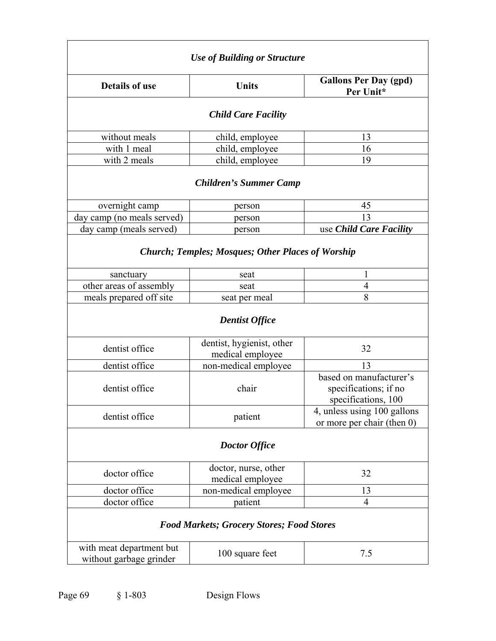| <b>Use of Building or Structure</b>                       |                                                          |                                                                         |  |  |
|-----------------------------------------------------------|----------------------------------------------------------|-------------------------------------------------------------------------|--|--|
| <b>Details of use</b>                                     | <b>Units</b>                                             | <b>Gallons Per Day (gpd)</b><br>Per Unit*                               |  |  |
|                                                           | <b>Child Care Facility</b>                               |                                                                         |  |  |
| without meals                                             | child, employee                                          | 13                                                                      |  |  |
| with 1 meal                                               | child, employee                                          | 16                                                                      |  |  |
| with 2 meals                                              | child, employee                                          | 19                                                                      |  |  |
|                                                           | <b>Children's Summer Camp</b>                            |                                                                         |  |  |
| overnight camp                                            | person                                                   | 45                                                                      |  |  |
| day camp (no meals served)                                | person                                                   | 13                                                                      |  |  |
| day camp (meals served)                                   | person                                                   | use Child Care Facility                                                 |  |  |
|                                                           | <b>Church; Temples; Mosques; Other Places of Worship</b> |                                                                         |  |  |
| sanctuary                                                 | seat                                                     | 1                                                                       |  |  |
| other areas of assembly                                   | seat                                                     | 4                                                                       |  |  |
| meals prepared off site<br>seat per meal                  |                                                          | 8                                                                       |  |  |
|                                                           | <b>Dentist Office</b>                                    |                                                                         |  |  |
| dentist office                                            | dentist, hygienist, other<br>medical employee            | 32                                                                      |  |  |
| dentist office                                            | non-medical employee                                     | 13                                                                      |  |  |
| dentist office<br>chair                                   |                                                          | based on manufacturer's<br>specifications; if no<br>specifications, 100 |  |  |
| dentist office                                            | patient                                                  | 4, unless using 100 gallons<br>or more per chair (then $0$ )            |  |  |
| <b>Doctor Office</b>                                      |                                                          |                                                                         |  |  |
| doctor, nurse, other<br>doctor office<br>medical employee |                                                          | 32                                                                      |  |  |
| doctor office                                             | non-medical employee                                     | 13                                                                      |  |  |
| doctor office<br>patient                                  |                                                          | 4                                                                       |  |  |
| <b>Food Markets; Grocery Stores; Food Stores</b>          |                                                          |                                                                         |  |  |
| with meat department but<br>without garbage grinder       | 100 square feet                                          | 7.5                                                                     |  |  |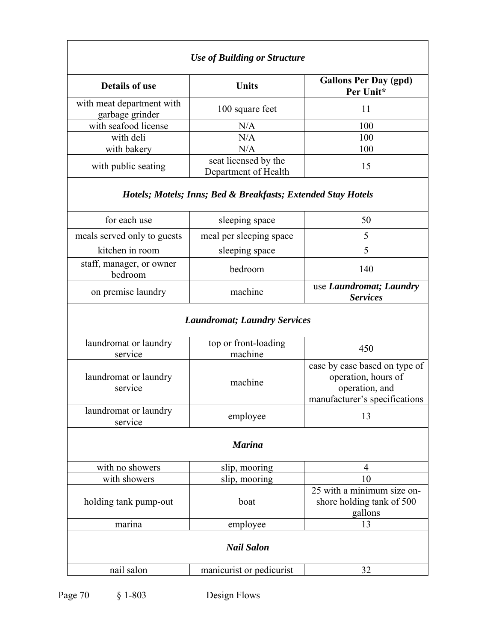| <b>Use of Building or Structure</b>          |                                                                                                  |                                            |  |  |
|----------------------------------------------|--------------------------------------------------------------------------------------------------|--------------------------------------------|--|--|
| <b>Details of use</b>                        | Units                                                                                            | <b>Gallons Per Day (gpd)</b><br>Per Unit*  |  |  |
| with meat department with<br>garbage grinder | 100 square feet                                                                                  | 11                                         |  |  |
| with seafood license                         | N/A                                                                                              | 100                                        |  |  |
| with deli                                    | N/A                                                                                              | 100                                        |  |  |
| with bakery                                  | N/A                                                                                              | 100                                        |  |  |
| with public seating                          | seat licensed by the<br>Department of Health                                                     | 15                                         |  |  |
|                                              | Hotels; Motels; Inns; Bed & Breakfasts; Extended Stay Hotels                                     |                                            |  |  |
| for each use                                 | sleeping space                                                                                   | 50                                         |  |  |
| meals served only to guests                  | meal per sleeping space                                                                          | 5                                          |  |  |
| kitchen in room                              | sleeping space                                                                                   | 5                                          |  |  |
| staff, manager, or owner<br>bedroom          | bedroom                                                                                          | 140                                        |  |  |
| on premise laundry                           | machine                                                                                          | use Laundromat; Laundry<br><b>Services</b> |  |  |
|                                              | <b>Laundromat; Laundry Services</b>                                                              |                                            |  |  |
| laundromat or laundry<br>service             | top or front-loading<br>machine                                                                  | 450                                        |  |  |
| laundromat or laundry<br>service             | case by case based on type of<br>operation, hours of<br>machine<br>manufacturer's specifications |                                            |  |  |
| laundromat or laundry<br>service             | employee                                                                                         | 13                                         |  |  |
| <b>Marina</b>                                |                                                                                                  |                                            |  |  |
| with no showers                              | slip, mooring                                                                                    | 4                                          |  |  |
| with showers                                 | slip, mooring                                                                                    | 10                                         |  |  |
| holding tank pump-out                        | 25 with a minimum size on-<br>shore holding tank of 500<br>boat<br>gallons                       |                                            |  |  |
| marina                                       | employee                                                                                         | 13                                         |  |  |
| <b>Nail Salon</b>                            |                                                                                                  |                                            |  |  |
| nail salon                                   | manicurist or pedicurist                                                                         | 32                                         |  |  |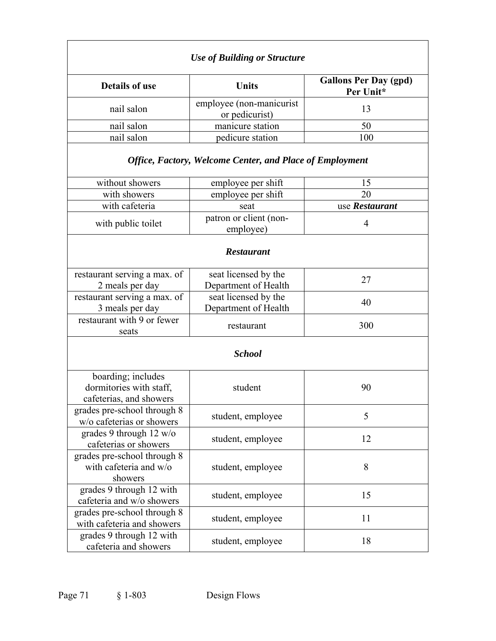| <b>Use of Building or Structure</b>                                      |                                                                 |                                           |  |
|--------------------------------------------------------------------------|-----------------------------------------------------------------|-------------------------------------------|--|
| <b>Details of use</b>                                                    | <b>Units</b>                                                    | <b>Gallons Per Day (gpd)</b><br>Per Unit* |  |
| nail salon                                                               | employee (non-manicurist<br>or pedicurist)                      | 13                                        |  |
| nail salon                                                               | manicure station                                                | 50                                        |  |
| nail salon                                                               | pedicure station                                                | 100                                       |  |
|                                                                          | <b>Office, Factory, Welcome Center, and Place of Employment</b> |                                           |  |
| without showers                                                          | employee per shift                                              | 15                                        |  |
| with showers                                                             | employee per shift                                              | 20                                        |  |
| with cafeteria                                                           | seat                                                            | use Restaurant                            |  |
| with public toilet                                                       | patron or client (non-<br>employee)                             | $\overline{4}$                            |  |
|                                                                          | <b>Restaurant</b>                                               |                                           |  |
| restaurant serving a max. of<br>2 meals per day                          | seat licensed by the<br>Department of Health                    | 27                                        |  |
| restaurant serving a max. of<br>3 meals per day                          | seat licensed by the<br>Department of Health                    | 40                                        |  |
| restaurant with 9 or fewer<br>seats                                      | restaurant                                                      | 300                                       |  |
| <b>School</b>                                                            |                                                                 |                                           |  |
| boarding; includes<br>dormitories with staff,<br>cafeterias, and showers | student                                                         | 90                                        |  |
| grades pre-school through 8<br>w/o cafeterias or showers                 | student, employee                                               | 5                                         |  |
| grades 9 through 12 w/o<br>cafeterias or showers                         | student, employee                                               | 12                                        |  |
| grades pre-school through 8<br>with cafeteria and w/o<br>showers         | student, employee                                               | 8                                         |  |
| grades 9 through 12 with<br>cafeteria and w/o showers                    | student, employee                                               | 15                                        |  |
| grades pre-school through 8<br>with cafeteria and showers                | student, employee                                               | 11                                        |  |
| grades 9 through 12 with<br>cafeteria and showers                        | student, employee                                               | 18                                        |  |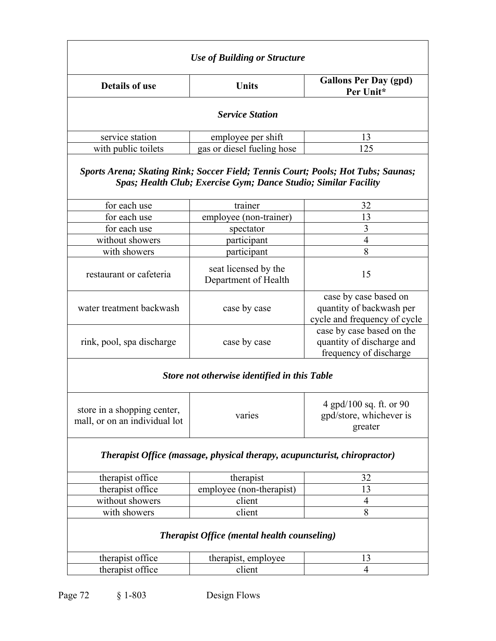| <b>Use of Building or Structure</b>                                       |                                                                                                                                                     |                                                               |  |
|---------------------------------------------------------------------------|-----------------------------------------------------------------------------------------------------------------------------------------------------|---------------------------------------------------------------|--|
| <b>Details of use</b><br><b>Units</b>                                     |                                                                                                                                                     | <b>Gallons Per Day (gpd)</b><br>Per Unit*                     |  |
|                                                                           | <b>Service Station</b>                                                                                                                              |                                                               |  |
| service station                                                           | employee per shift                                                                                                                                  |                                                               |  |
| with public toilets                                                       | gas or diesel fueling hose                                                                                                                          | 125                                                           |  |
|                                                                           | Sports Arena; Skating Rink; Soccer Field; Tennis Court; Pools; Hot Tubs; Saunas;<br>Spas; Health Club; Exercise Gym; Dance Studio; Similar Facility |                                                               |  |
| for each use                                                              | trainer                                                                                                                                             | 32                                                            |  |
| for each use                                                              | employee (non-trainer)                                                                                                                              | 13                                                            |  |
| for each use                                                              | spectator                                                                                                                                           | 3                                                             |  |
| without showers                                                           | participant                                                                                                                                         | 4                                                             |  |
| with showers                                                              | participant                                                                                                                                         | 8                                                             |  |
| restaurant or cafeteria                                                   | seat licensed by the<br>Department of Health                                                                                                        | 15                                                            |  |
| water treatment backwash                                                  | case by case                                                                                                                                        |                                                               |  |
| rink, pool, spa discharge                                                 | case by case                                                                                                                                        |                                                               |  |
|                                                                           | Store not otherwise identified in this Table                                                                                                        |                                                               |  |
| store in a shopping center,<br>mall, or on an individual lot              | varies                                                                                                                                              | 4 gpd/100 sq. ft. or 90<br>gpd/store, whichever is<br>greater |  |
| Therapist Office (massage, physical therapy, acupuncturist, chiropractor) |                                                                                                                                                     |                                                               |  |
| therapist office                                                          | therapist                                                                                                                                           | 32                                                            |  |
| therapist office                                                          | employee (non-therapist)                                                                                                                            | 13                                                            |  |
| without showers                                                           | client<br>4                                                                                                                                         |                                                               |  |
| with showers                                                              | client<br>8                                                                                                                                         |                                                               |  |
| <b>Therapist Office (mental health counseling)</b>                        |                                                                                                                                                     |                                                               |  |
| therapist office                                                          | therapist, employee                                                                                                                                 | 13                                                            |  |
| therapist office<br>client                                                |                                                                                                                                                     | 4                                                             |  |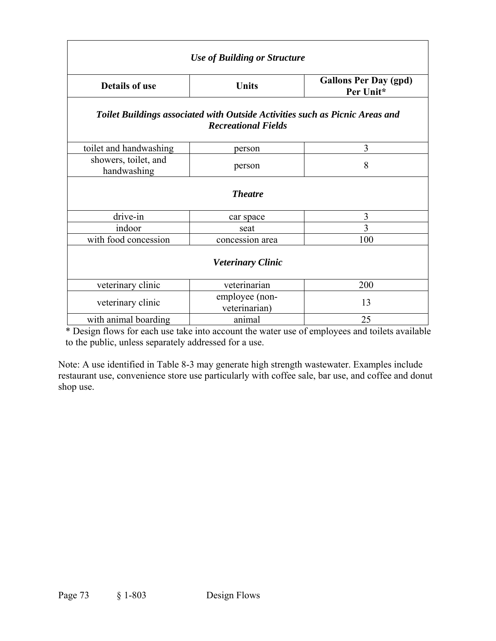| <b>Use of Building or Structure</b>                                                                        |                          |                                           |  |  |
|------------------------------------------------------------------------------------------------------------|--------------------------|-------------------------------------------|--|--|
| <b>Details of use</b>                                                                                      | <b>Units</b>             | <b>Gallons Per Day (gpd)</b><br>Per Unit* |  |  |
| Toilet Buildings associated with Outside Activities such as Picnic Areas and<br><b>Recreational Fields</b> |                          |                                           |  |  |
| toilet and handwashing                                                                                     | person                   | 3                                         |  |  |
| showers, toilet, and<br>handwashing                                                                        | person                   | 8                                         |  |  |
|                                                                                                            | <b>Theatre</b>           |                                           |  |  |
| drive-in                                                                                                   | car space                | 3                                         |  |  |
| indoor                                                                                                     | seat                     | 3                                         |  |  |
| with food concession                                                                                       | concession area          |                                           |  |  |
|                                                                                                            | <b>Veterinary Clinic</b> |                                           |  |  |
| veterinary clinic                                                                                          | veterinarian             | 200                                       |  |  |
| employee (non-<br>veterinary clinic<br>veterinarian)                                                       |                          | 13                                        |  |  |
| with animal boarding                                                                                       | animal                   | 25                                        |  |  |

\* Design flows for each use take into account the water use of employees and toilets available to the public, unless separately addressed for a use.

Note: A use identified in Table 8-3 may generate high strength wastewater. Examples include restaurant use, convenience store use particularly with coffee sale, bar use, and coffee and donut shop use.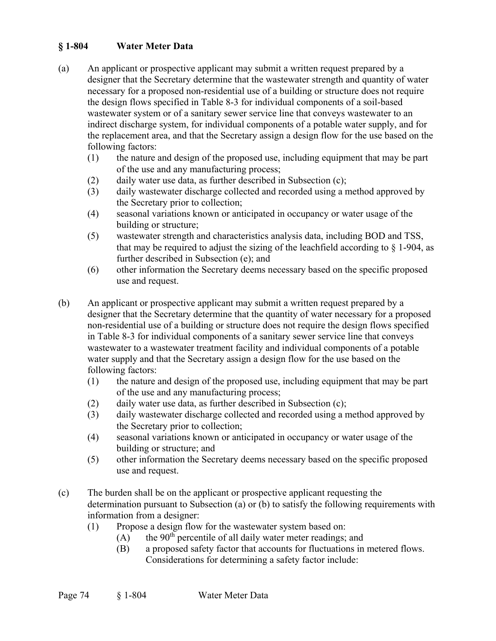# **§ 1-804 Water Meter Data**

- (a) An applicant or prospective applicant may submit a written request prepared by a designer that the Secretary determine that the wastewater strength and quantity of water necessary for a proposed non-residential use of a building or structure does not require the design flows specified in Table 8-3 for individual components of a soil-based wastewater system or of a sanitary sewer service line that conveys wastewater to an indirect discharge system, for individual components of a potable water supply, and for the replacement area, and that the Secretary assign a design flow for the use based on the following factors:
	- (1) the nature and design of the proposed use, including equipment that may be part of the use and any manufacturing process;
	- (2) daily water use data, as further described in Subsection (c);
	- (3) daily wastewater discharge collected and recorded using a method approved by the Secretary prior to collection;
	- (4) seasonal variations known or anticipated in occupancy or water usage of the building or structure;
	- (5) wastewater strength and characteristics analysis data, including BOD and TSS, that may be required to adjust the sizing of the leachfield according to  $\S$  1-904, as further described in Subsection (e); and
	- (6) other information the Secretary deems necessary based on the specific proposed use and request.
- (b) An applicant or prospective applicant may submit a written request prepared by a designer that the Secretary determine that the quantity of water necessary for a proposed non-residential use of a building or structure does not require the design flows specified in Table 8-3 for individual components of a sanitary sewer service line that conveys wastewater to a wastewater treatment facility and individual components of a potable water supply and that the Secretary assign a design flow for the use based on the following factors:
	- (1) the nature and design of the proposed use, including equipment that may be part of the use and any manufacturing process;
	- (2) daily water use data, as further described in Subsection (c);
	- (3) daily wastewater discharge collected and recorded using a method approved by the Secretary prior to collection;
	- (4) seasonal variations known or anticipated in occupancy or water usage of the building or structure; and
	- (5) other information the Secretary deems necessary based on the specific proposed use and request.
- (c) The burden shall be on the applicant or prospective applicant requesting the determination pursuant to Subsection (a) or (b) to satisfy the following requirements with information from a designer:
	- (1) Propose a design flow for the wastewater system based on:
		- $(A)$  the 90<sup>th</sup> percentile of all daily water meter readings; and
		- (B) a proposed safety factor that accounts for fluctuations in metered flows. Considerations for determining a safety factor include: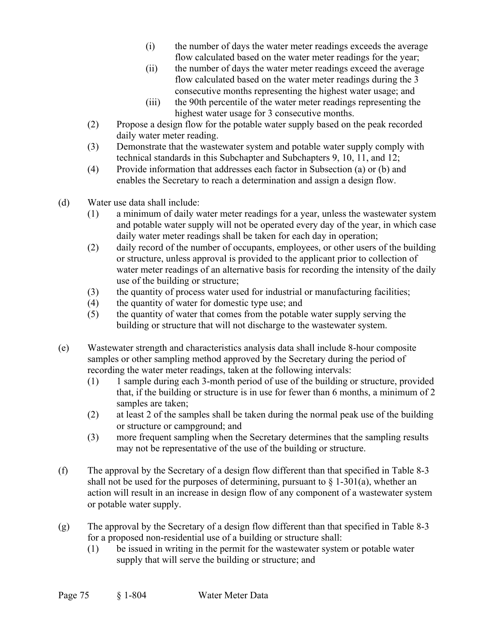- (i) the number of days the water meter readings exceeds the average flow calculated based on the water meter readings for the year;
- (ii) the number of days the water meter readings exceed the average flow calculated based on the water meter readings during the 3 consecutive months representing the highest water usage; and
- (iii) the 90th percentile of the water meter readings representing the highest water usage for 3 consecutive months.
- (2) Propose a design flow for the potable water supply based on the peak recorded daily water meter reading.
- (3) Demonstrate that the wastewater system and potable water supply comply with technical standards in this Subchapter and Subchapters 9, 10, 11, and 12;
- (4) Provide information that addresses each factor in Subsection (a) or (b) and enables the Secretary to reach a determination and assign a design flow.
- (d) Water use data shall include:
	- (1) a minimum of daily water meter readings for a year, unless the wastewater system and potable water supply will not be operated every day of the year, in which case daily water meter readings shall be taken for each day in operation;
	- (2) daily record of the number of occupants, employees, or other users of the building or structure, unless approval is provided to the applicant prior to collection of water meter readings of an alternative basis for recording the intensity of the daily use of the building or structure;
	- (3) the quantity of process water used for industrial or manufacturing facilities;
	- (4) the quantity of water for domestic type use; and
	- (5) the quantity of water that comes from the potable water supply serving the building or structure that will not discharge to the wastewater system.
- (e) Wastewater strength and characteristics analysis data shall include 8-hour composite samples or other sampling method approved by the Secretary during the period of recording the water meter readings, taken at the following intervals:
	- (1) 1 sample during each 3-month period of use of the building or structure, provided that, if the building or structure is in use for fewer than 6 months, a minimum of 2 samples are taken;
	- (2) at least 2 of the samples shall be taken during the normal peak use of the building or structure or campground; and
	- (3) more frequent sampling when the Secretary determines that the sampling results may not be representative of the use of the building or structure.
- (f) The approval by the Secretary of a design flow different than that specified in Table 8-3 shall not be used for the purposes of determining, pursuant to  $\S$  1-301(a), whether an action will result in an increase in design flow of any component of a wastewater system or potable water supply.
- (g) The approval by the Secretary of a design flow different than that specified in Table 8-3 for a proposed non-residential use of a building or structure shall:
	- (1) be issued in writing in the permit for the wastewater system or potable water supply that will serve the building or structure; and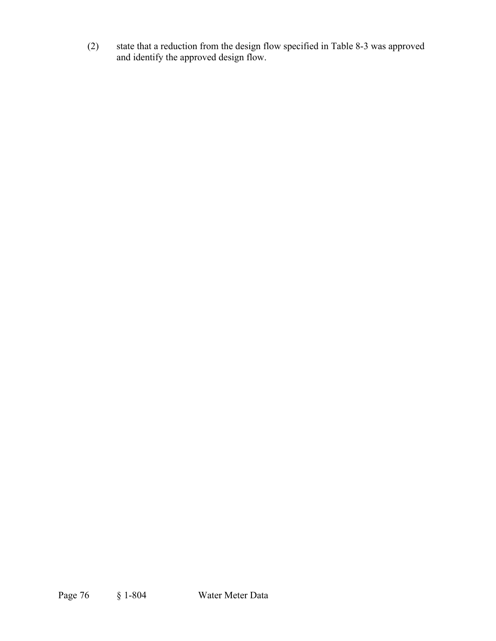(2) state that a reduction from the design flow specified in Table 8-3 was approved and identify the approved design flow.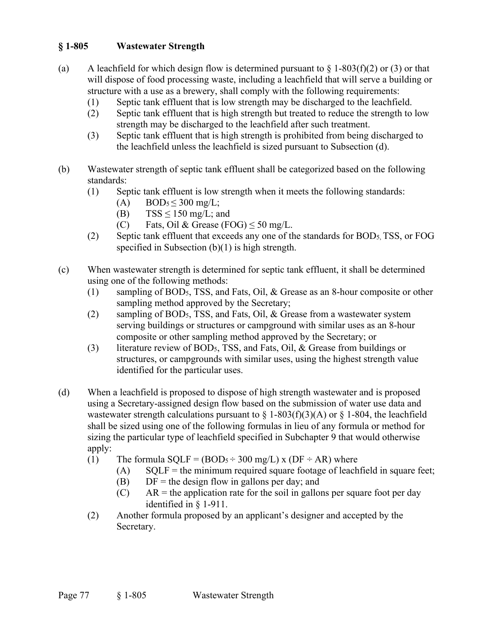# **§ 1-805 Wastewater Strength**

- (a) A leachfield for which design flow is determined pursuant to  $\S 1-803(f)(2)$  or (3) or that will dispose of food processing waste, including a leachfield that will serve a building or structure with a use as a brewery, shall comply with the following requirements:
	- (1) Septic tank effluent that is low strength may be discharged to the leachfield.
	- (2) Septic tank effluent that is high strength but treated to reduce the strength to low strength may be discharged to the leachfield after such treatment.
	- (3) Septic tank effluent that is high strength is prohibited from being discharged to the leachfield unless the leachfield is sized pursuant to Subsection (d).
- (b) Wastewater strength of septic tank effluent shall be categorized based on the following standards:
	- (1) Septic tank effluent is low strength when it meets the following standards:
		- (A) BOD<sub>5</sub> $\leq$  300 mg/L;
		- (B)  $TSS \le 150$  mg/L; and
		- (C) Fats, Oil & Grease (FOG)  $\leq$  50 mg/L.
	- (2) Septic tank effluent that exceeds any one of the standards for BOD5, TSS, or FOG specified in Subsection (b)(1) is high strength.
- (c) When wastewater strength is determined for septic tank effluent, it shall be determined using one of the following methods:
	- (1) sampling of BOD5, TSS, and Fats, Oil, & Grease as an 8-hour composite or other sampling method approved by the Secretary;
	- (2) sampling of BOD5, TSS, and Fats, Oil, & Grease from a wastewater system serving buildings or structures or campground with similar uses as an 8-hour composite or other sampling method approved by the Secretary; or
	- (3) literature review of BOD5, TSS, and Fats, Oil, & Grease from buildings or structures, or campgrounds with similar uses, using the highest strength value identified for the particular uses.
- (d) When a leachfield is proposed to dispose of high strength wastewater and is proposed using a Secretary-assigned design flow based on the submission of water use data and wastewater strength calculations pursuant to  $\S$  1-803(f)(3)(A) or  $\S$  1-804, the leachfield shall be sized using one of the following formulas in lieu of any formula or method for sizing the particular type of leachfield specified in Subchapter 9 that would otherwise apply:
	- (1) The formula  $\text{SQLF} = (\text{BODs} \div 300 \text{ mg/L}) \times (\text{DF} \div \text{AR})$  where
		- $(A)$  SQLF = the minimum required square footage of leachfield in square feet;
		- (B)  $DF =$  the design flow in gallons per day; and
		- $(C)$  AR = the application rate for the soil in gallons per square foot per day identified in § 1-911.
	- (2) Another formula proposed by an applicant's designer and accepted by the Secretary.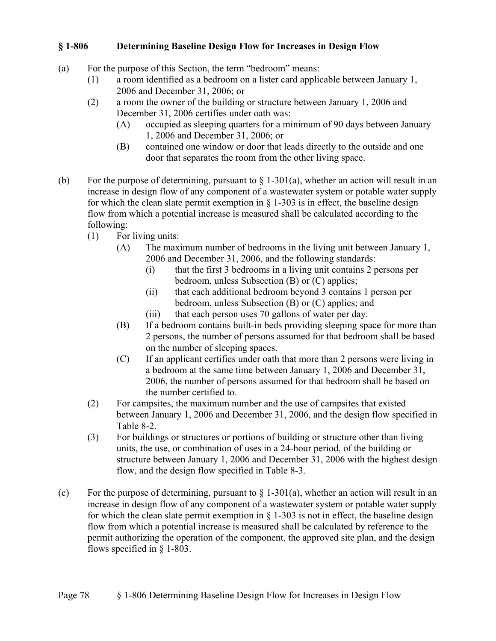#### **§ 1-806 Determining Baseline Design Flow for Increases in Design Flow**

- (a) For the purpose of this Section, the term "bedroom" means:
	- (1) a room identified as a bedroom on a lister card applicable between January 1, 2006 and December 31, 2006; or
	- (2) a room the owner of the building or structure between January 1, 2006 and December 31, 2006 certifies under oath was:
		- (A) occupied as sleeping quarters for a minimum of 90 days between January 1, 2006 and December 31, 2006; or
		- (B) contained one window or door that leads directly to the outside and one door that separates the room from the other living space.
- (b) For the purpose of determining, pursuant to  $\S 1-301(a)$ , whether an action will result in an increase in design flow of any component of a wastewater system or potable water supply for which the clean slate permit exemption in  $\S$  1-303 is in effect, the baseline design flow from which a potential increase is measured shall be calculated according to the following:
	- (1) For living units:
		- (A) The maximum number of bedrooms in the living unit between January 1, 2006 and December 31, 2006, and the following standards:
			- (i) that the first 3 bedrooms in a living unit contains 2 persons per bedroom, unless Subsection (B) or (C) applies;
			- (ii) that each additional bedroom beyond 3 contains 1 person per bedroom, unless Subsection (B) or (C) applies; and
			- (iii) that each person uses 70 gallons of water per day.
		- (B) If a bedroom contains built-in beds providing sleeping space for more than 2 persons, the number of persons assumed for that bedroom shall be based on the number of sleeping spaces.
		- (C) If an applicant certifies under oath that more than 2 persons were living in a bedroom at the same time between January 1, 2006 and December 31, 2006, the number of persons assumed for that bedroom shall be based on the number certified to.
	- (2) For campsites, the maximum number and the use of campsites that existed between January 1, 2006 and December 31, 2006, and the design flow specified in Table 8-2.
	- (3) For buildings or structures or portions of building or structure other than living units, the use, or combination of uses in a 24-hour period, of the building or structure between January 1, 2006 and December 31, 2006 with the highest design flow, and the design flow specified in Table 8-3.
- (c) For the purpose of determining, pursuant to  $\S$  1-301(a), whether an action will result in an increase in design flow of any component of a wastewater system or potable water supply for which the clean slate permit exemption in  $\S$  1-303 is not in effect, the baseline design flow from which a potential increase is measured shall be calculated by reference to the permit authorizing the operation of the component, the approved site plan, and the design flows specified in § 1-803.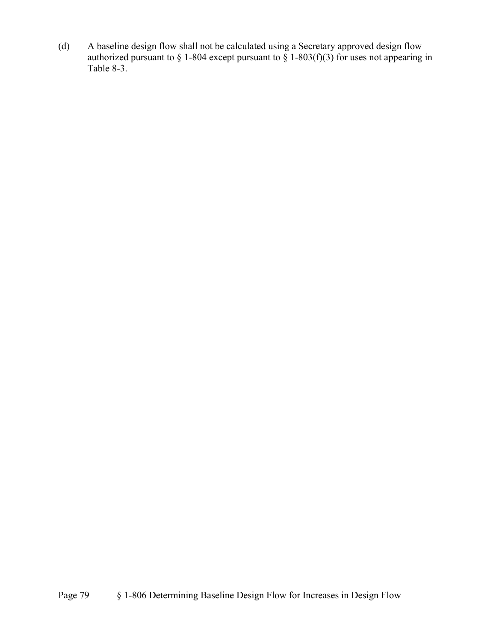(d) A baseline design flow shall not be calculated using a Secretary approved design flow authorized pursuant to § 1-804 except pursuant to § 1-803(f)(3) for uses not appearing in Table 8-3.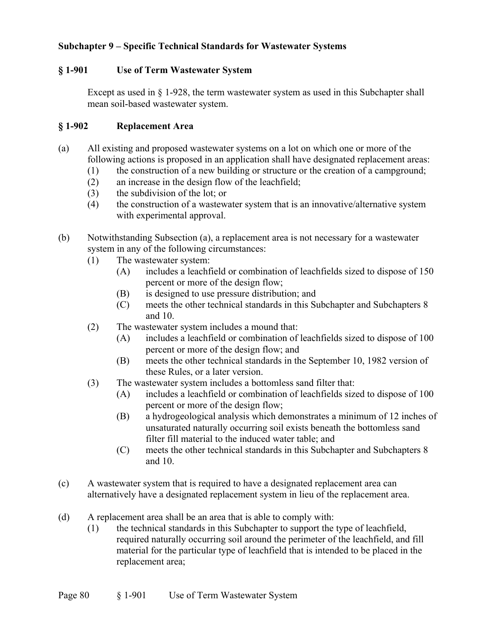### **Subchapter 9 – Specific Technical Standards for Wastewater Systems**

#### **§ 1-901 Use of Term Wastewater System**

Except as used in § 1-928, the term wastewater system as used in this Subchapter shall mean soil-based wastewater system.

#### **§ 1-902 Replacement Area**

- (a) All existing and proposed wastewater systems on a lot on which one or more of the following actions is proposed in an application shall have designated replacement areas:
	- (1) the construction of a new building or structure or the creation of a campground;
	- (2) an increase in the design flow of the leachfield;
	- (3) the subdivision of the lot; or
	- (4) the construction of a wastewater system that is an innovative/alternative system with experimental approval.
- (b) Notwithstanding Subsection (a), a replacement area is not necessary for a wastewater system in any of the following circumstances:
	- (1) The wastewater system:
		- (A) includes a leachfield or combination of leachfields sized to dispose of 150 percent or more of the design flow;
		- (B) is designed to use pressure distribution; and
		- (C) meets the other technical standards in this Subchapter and Subchapters 8 and 10.
	- (2) The wastewater system includes a mound that:
		- (A) includes a leachfield or combination of leachfields sized to dispose of 100 percent or more of the design flow; and
		- (B) meets the other technical standards in the September 10, 1982 version of these Rules, or a later version.
	- (3) The wastewater system includes a bottomless sand filter that:
		- (A) includes a leachfield or combination of leachfields sized to dispose of 100 percent or more of the design flow;
		- (B) a hydrogeological analysis which demonstrates a minimum of 12 inches of unsaturated naturally occurring soil exists beneath the bottomless sand filter fill material to the induced water table; and
		- (C) meets the other technical standards in this Subchapter and Subchapters 8 and 10.
- (c) A wastewater system that is required to have a designated replacement area can alternatively have a designated replacement system in lieu of the replacement area.
- (d) A replacement area shall be an area that is able to comply with:
	- (1) the technical standards in this Subchapter to support the type of leachfield, required naturally occurring soil around the perimeter of the leachfield, and fill material for the particular type of leachfield that is intended to be placed in the replacement area;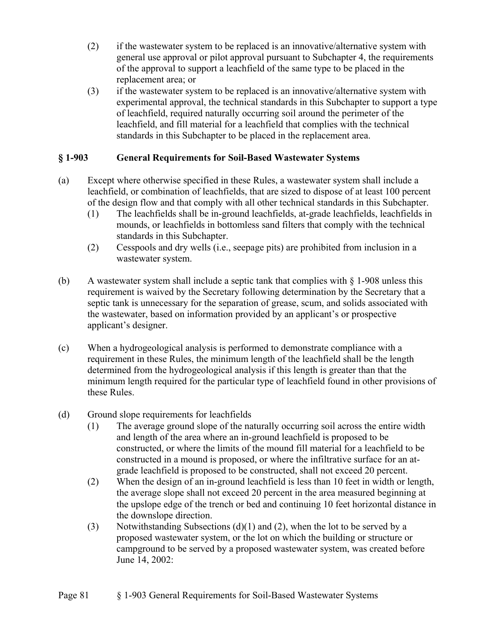- (2) if the wastewater system to be replaced is an innovative/alternative system with general use approval or pilot approval pursuant to Subchapter 4, the requirements of the approval to support a leachfield of the same type to be placed in the replacement area; or
- (3) if the wastewater system to be replaced is an innovative/alternative system with experimental approval, the technical standards in this Subchapter to support a type of leachfield, required naturally occurring soil around the perimeter of the leachfield, and fill material for a leachfield that complies with the technical standards in this Subchapter to be placed in the replacement area.

# **§ 1-903 General Requirements for Soil-Based Wastewater Systems**

- (a) Except where otherwise specified in these Rules, a wastewater system shall include a leachfield, or combination of leachfields, that are sized to dispose of at least 100 percent of the design flow and that comply with all other technical standards in this Subchapter.
	- (1) The leachfields shall be in-ground leachfields, at-grade leachfields, leachfields in mounds, or leachfields in bottomless sand filters that comply with the technical standards in this Subchapter.
	- (2) Cesspools and dry wells (i.e., seepage pits) are prohibited from inclusion in a wastewater system.
- (b) A wastewater system shall include a septic tank that complies with  $\S$  1-908 unless this requirement is waived by the Secretary following determination by the Secretary that a septic tank is unnecessary for the separation of grease, scum, and solids associated with the wastewater, based on information provided by an applicant's or prospective applicant's designer.
- (c) When a hydrogeological analysis is performed to demonstrate compliance with a requirement in these Rules, the minimum length of the leachfield shall be the length determined from the hydrogeological analysis if this length is greater than that the minimum length required for the particular type of leachfield found in other provisions of these Rules.

### (d) Ground slope requirements for leachfields

- (1) The average ground slope of the naturally occurring soil across the entire width and length of the area where an in-ground leachfield is proposed to be constructed, or where the limits of the mound fill material for a leachfield to be constructed in a mound is proposed, or where the infiltrative surface for an atgrade leachfield is proposed to be constructed, shall not exceed 20 percent.
- (2) When the design of an in-ground leachfield is less than 10 feet in width or length, the average slope shall not exceed 20 percent in the area measured beginning at the upslope edge of the trench or bed and continuing 10 feet horizontal distance in the downslope direction.
- (3) Notwithstanding Subsections (d)(1) and (2), when the lot to be served by a proposed wastewater system, or the lot on which the building or structure or campground to be served by a proposed wastewater system, was created before June 14, 2002: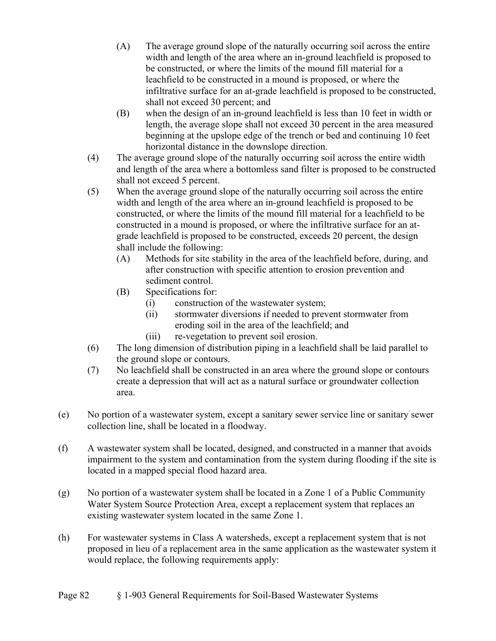- (A) The average ground slope of the naturally occurring soil across the entire width and length of the area where an in-ground leachfield is proposed to be constructed, or where the limits of the mound fill material for a leachfield to be constructed in a mound is proposed, or where the infiltrative surface for an at-grade leachfield is proposed to be constructed, shall not exceed 30 percent; and
- (B) when the design of an in-ground leachfield is less than 10 feet in width or length, the average slope shall not exceed 30 percent in the area measured beginning at the upslope edge of the trench or bed and continuing 10 feet horizontal distance in the downslope direction.
- (4) The average ground slope of the naturally occurring soil across the entire width and length of the area where a bottomless sand filter is proposed to be constructed shall not exceed 5 percent.
- (5) When the average ground slope of the naturally occurring soil across the entire width and length of the area where an in-ground leachfield is proposed to be constructed, or where the limits of the mound fill material for a leachfield to be constructed in a mound is proposed, or where the infiltrative surface for an atgrade leachfield is proposed to be constructed, exceeds 20 percent, the design shall include the following:
	- (A) Methods for site stability in the area of the leachfield before, during, and after construction with specific attention to erosion prevention and sediment control.
	- (B) Specifications for:
		- (i) construction of the wastewater system;
		- (ii) stormwater diversions if needed to prevent stormwater from eroding soil in the area of the leachfield; and
		- (iii) re-vegetation to prevent soil erosion.
- (6) The long dimension of distribution piping in a leachfield shall be laid parallel to the ground slope or contours.
- (7) No leachfield shall be constructed in an area where the ground slope or contours create a depression that will act as a natural surface or groundwater collection area.
- (e) No portion of a wastewater system, except a sanitary sewer service line or sanitary sewer collection line, shall be located in a floodway.
- (f) A wastewater system shall be located, designed, and constructed in a manner that avoids impairment to the system and contamination from the system during flooding if the site is located in a mapped special flood hazard area.
- (g) No portion of a wastewater system shall be located in a Zone 1 of a Public Community Water System Source Protection Area, except a replacement system that replaces an existing wastewater system located in the same Zone 1.
- (h) For wastewater systems in Class A watersheds, except a replacement system that is not proposed in lieu of a replacement area in the same application as the wastewater system it would replace, the following requirements apply: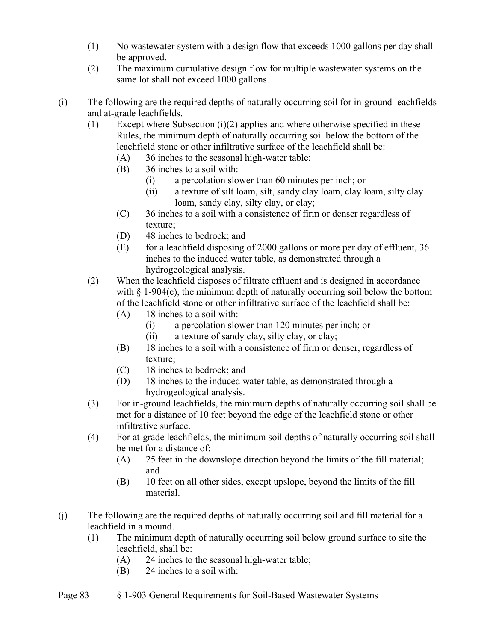- (1) No wastewater system with a design flow that exceeds 1000 gallons per day shall be approved.
- (2) The maximum cumulative design flow for multiple wastewater systems on the same lot shall not exceed 1000 gallons.
- (i) The following are the required depths of naturally occurring soil for in-ground leachfields and at-grade leachfields.
	- (1) Except where Subsection (i)(2) applies and where otherwise specified in these Rules, the minimum depth of naturally occurring soil below the bottom of the leachfield stone or other infiltrative surface of the leachfield shall be:
		- (A) 36 inches to the seasonal high-water table;
		- (B) 36 inches to a soil with:
			- (i) a percolation slower than 60 minutes per inch; or
			- (ii) a texture of silt loam, silt, sandy clay loam, clay loam, silty clay loam, sandy clay, silty clay, or clay;
		- (C) 36 inches to a soil with a consistence of firm or denser regardless of texture;
		- (D) 48 inches to bedrock; and
		- (E) for a leachfield disposing of 2000 gallons or more per day of effluent, 36 inches to the induced water table, as demonstrated through a hydrogeological analysis.
	- (2) When the leachfield disposes of filtrate effluent and is designed in accordance with  $\S$  1-904(c), the minimum depth of naturally occurring soil below the bottom of the leachfield stone or other infiltrative surface of the leachfield shall be:
		- (A) 18 inches to a soil with:
			- (i) a percolation slower than 120 minutes per inch; or
			- (ii) a texture of sandy clay, silty clay, or clay;
		- (B) 18 inches to a soil with a consistence of firm or denser, regardless of texture;
		- (C) 18 inches to bedrock; and
		- (D) 18 inches to the induced water table, as demonstrated through a hydrogeological analysis.
	- (3) For in-ground leachfields, the minimum depths of naturally occurring soil shall be met for a distance of 10 feet beyond the edge of the leachfield stone or other infiltrative surface.
	- (4) For at-grade leachfields, the minimum soil depths of naturally occurring soil shall be met for a distance of:
		- (A) 25 feet in the downslope direction beyond the limits of the fill material; and
		- (B) 10 feet on all other sides, except upslope, beyond the limits of the fill material.
- (j) The following are the required depths of naturally occurring soil and fill material for a leachfield in a mound.
	- (1) The minimum depth of naturally occurring soil below ground surface to site the leachfield, shall be:
		- (A) 24 inches to the seasonal high-water table;
		- (B) 24 inches to a soil with: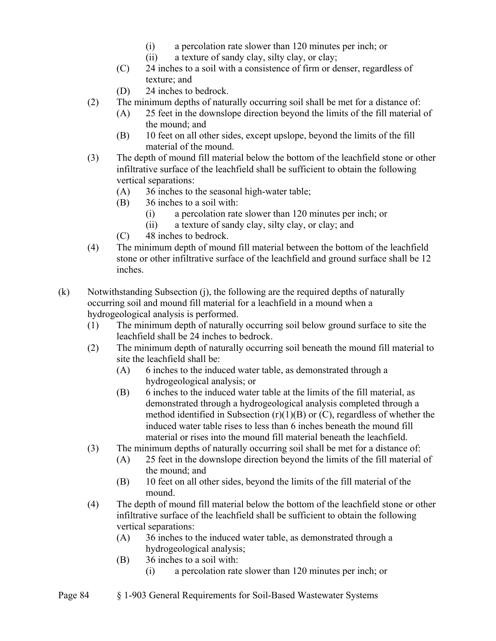- (i) a percolation rate slower than 120 minutes per inch; or
- (ii) a texture of sandy clay, silty clay, or clay;
- (C) 24 inches to a soil with a consistence of firm or denser, regardless of texture; and
- (D) 24 inches to bedrock.
- (2) The minimum depths of naturally occurring soil shall be met for a distance of:
	- (A) 25 feet in the downslope direction beyond the limits of the fill material of the mound; and
	- (B) 10 feet on all other sides, except upslope, beyond the limits of the fill material of the mound.
- (3) The depth of mound fill material below the bottom of the leachfield stone or other infiltrative surface of the leachfield shall be sufficient to obtain the following vertical separations:
	- (A) 36 inches to the seasonal high-water table;
	- (B) 36 inches to a soil with:
		- (i) a percolation rate slower than 120 minutes per inch; or
		- (ii) a texture of sandy clay, silty clay, or clay; and
	- (C) 48 inches to bedrock.
- (4) The minimum depth of mound fill material between the bottom of the leachfield stone or other infiltrative surface of the leachfield and ground surface shall be 12 inches.
- (k) Notwithstanding Subsection (j), the following are the required depths of naturally occurring soil and mound fill material for a leachfield in a mound when a hydrogeological analysis is performed.
	- (1) The minimum depth of naturally occurring soil below ground surface to site the leachfield shall be 24 inches to bedrock.
	- (2) The minimum depth of naturally occurring soil beneath the mound fill material to site the leachfield shall be:
		- (A) 6 inches to the induced water table, as demonstrated through a hydrogeological analysis; or
		- (B) 6 inches to the induced water table at the limits of the fill material, as demonstrated through a hydrogeological analysis completed through a method identified in Subsection  $(r)(1)(B)$  or  $(C)$ , regardless of whether the induced water table rises to less than 6 inches beneath the mound fill material or rises into the mound fill material beneath the leachfield.
	- (3) The minimum depths of naturally occurring soil shall be met for a distance of:
		- (A) 25 feet in the downslope direction beyond the limits of the fill material of the mound; and
		- (B) 10 feet on all other sides, beyond the limits of the fill material of the mound.
	- (4) The depth of mound fill material below the bottom of the leachfield stone or other infiltrative surface of the leachfield shall be sufficient to obtain the following vertical separations:
		- (A) 36 inches to the induced water table, as demonstrated through a hydrogeological analysis;
		- (B) 36 inches to a soil with:
			- (i) a percolation rate slower than 120 minutes per inch; or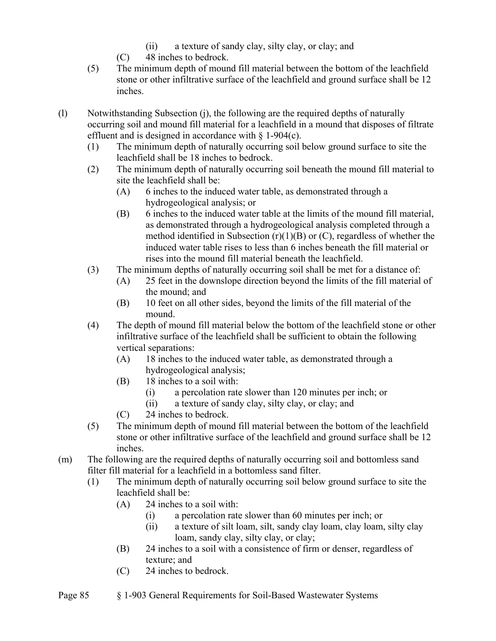- (ii) a texture of sandy clay, silty clay, or clay; and
- (C) 48 inches to bedrock.
- (5) The minimum depth of mound fill material between the bottom of the leachfield stone or other infiltrative surface of the leachfield and ground surface shall be 12 inches.
- (l) Notwithstanding Subsection (j), the following are the required depths of naturally occurring soil and mound fill material for a leachfield in a mound that disposes of filtrate effluent and is designed in accordance with  $\S$  1-904(c).
	- (1) The minimum depth of naturally occurring soil below ground surface to site the leachfield shall be 18 inches to bedrock.
	- (2) The minimum depth of naturally occurring soil beneath the mound fill material to site the leachfield shall be:
		- (A) 6 inches to the induced water table, as demonstrated through a hydrogeological analysis; or
		- (B) 6 inches to the induced water table at the limits of the mound fill material, as demonstrated through a hydrogeological analysis completed through a method identified in Subsection  $(r)(1)(B)$  or  $(C)$ , regardless of whether the induced water table rises to less than 6 inches beneath the fill material or rises into the mound fill material beneath the leachfield.
	- (3) The minimum depths of naturally occurring soil shall be met for a distance of:
		- (A) 25 feet in the downslope direction beyond the limits of the fill material of the mound; and
		- (B) 10 feet on all other sides, beyond the limits of the fill material of the mound.
	- (4) The depth of mound fill material below the bottom of the leachfield stone or other infiltrative surface of the leachfield shall be sufficient to obtain the following vertical separations:
		- (A) 18 inches to the induced water table, as demonstrated through a hydrogeological analysis;
		- (B) 18 inches to a soil with:
			- (i) a percolation rate slower than 120 minutes per inch; or
			- (ii) a texture of sandy clay, silty clay, or clay; and
		- (C) 24 inches to bedrock.
	- (5) The minimum depth of mound fill material between the bottom of the leachfield stone or other infiltrative surface of the leachfield and ground surface shall be 12 inches.
- (m) The following are the required depths of naturally occurring soil and bottomless sand filter fill material for a leachfield in a bottomless sand filter.
	- (1) The minimum depth of naturally occurring soil below ground surface to site the leachfield shall be:
		- (A) 24 inches to a soil with:
			- (i) a percolation rate slower than 60 minutes per inch; or
			- (ii) a texture of silt loam, silt, sandy clay loam, clay loam, silty clay loam, sandy clay, silty clay, or clay;
		- (B) 24 inches to a soil with a consistence of firm or denser, regardless of texture; and
		- (C) 24 inches to bedrock.
- Page 85 § 1-903 General Requirements for Soil-Based Wastewater Systems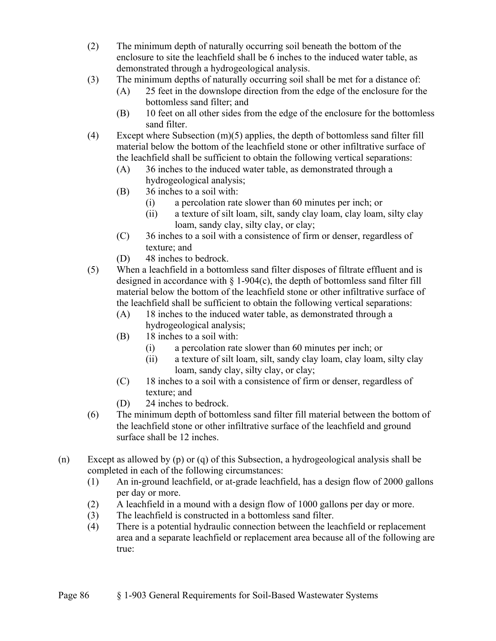- (2) The minimum depth of naturally occurring soil beneath the bottom of the enclosure to site the leachfield shall be 6 inches to the induced water table, as demonstrated through a hydrogeological analysis.
- (3) The minimum depths of naturally occurring soil shall be met for a distance of:
	- (A) 25 feet in the downslope direction from the edge of the enclosure for the bottomless sand filter; and
	- (B) 10 feet on all other sides from the edge of the enclosure for the bottomless sand filter.
- (4) Except where Subsection (m)(5) applies, the depth of bottomless sand filter fill material below the bottom of the leachfield stone or other infiltrative surface of the leachfield shall be sufficient to obtain the following vertical separations:
	- (A) 36 inches to the induced water table, as demonstrated through a hydrogeological analysis;
	- (B) 36 inches to a soil with:
		- (i) a percolation rate slower than 60 minutes per inch; or
		- (ii) a texture of silt loam, silt, sandy clay loam, clay loam, silty clay loam, sandy clay, silty clay, or clay;
	- (C) 36 inches to a soil with a consistence of firm or denser, regardless of texture; and
	- (D) 48 inches to bedrock.
- (5) When a leachfield in a bottomless sand filter disposes of filtrate effluent and is designed in accordance with  $\S$  1-904(c), the depth of bottomless sand filter fill material below the bottom of the leachfield stone or other infiltrative surface of the leachfield shall be sufficient to obtain the following vertical separations:
	- (A) 18 inches to the induced water table, as demonstrated through a hydrogeological analysis;
	- (B) 18 inches to a soil with:
		- (i) a percolation rate slower than 60 minutes per inch; or
		- (ii) a texture of silt loam, silt, sandy clay loam, clay loam, silty clay loam, sandy clay, silty clay, or clay;
	- (C) 18 inches to a soil with a consistence of firm or denser, regardless of texture; and
	- (D) 24 inches to bedrock.
- (6) The minimum depth of bottomless sand filter fill material between the bottom of the leachfield stone or other infiltrative surface of the leachfield and ground surface shall be 12 inches.
- (n) Except as allowed by (p) or (q) of this Subsection, a hydrogeological analysis shall be completed in each of the following circumstances:
	- (1) An in-ground leachfield, or at-grade leachfield, has a design flow of 2000 gallons per day or more.
	- (2) A leachfield in a mound with a design flow of 1000 gallons per day or more.
	- (3) The leachfield is constructed in a bottomless sand filter.
	- (4) There is a potential hydraulic connection between the leachfield or replacement area and a separate leachfield or replacement area because all of the following are true: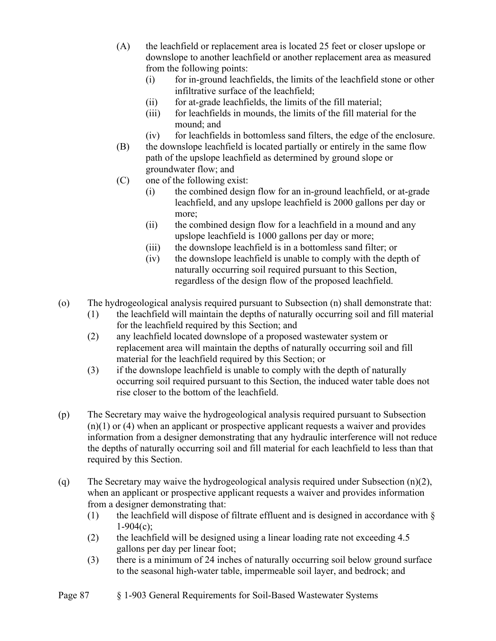- (A) the leachfield or replacement area is located 25 feet or closer upslope or downslope to another leachfield or another replacement area as measured from the following points:
	- (i) for in-ground leachfields, the limits of the leachfield stone or other infiltrative surface of the leachfield;
	- (ii) for at-grade leachfields, the limits of the fill material;
	- (iii) for leachfields in mounds, the limits of the fill material for the mound; and
	- (iv) for leachfields in bottomless sand filters, the edge of the enclosure.
- (B) the downslope leachfield is located partially or entirely in the same flow path of the upslope leachfield as determined by ground slope or groundwater flow; and
- (C) one of the following exist:
	- (i) the combined design flow for an in-ground leachfield, or at-grade leachfield, and any upslope leachfield is 2000 gallons per day or more;
	- (ii) the combined design flow for a leachfield in a mound and any upslope leachfield is 1000 gallons per day or more;
	- (iii) the downslope leachfield is in a bottomless sand filter; or
	- (iv) the downslope leachfield is unable to comply with the depth of naturally occurring soil required pursuant to this Section, regardless of the design flow of the proposed leachfield.
- (o) The hydrogeological analysis required pursuant to Subsection (n) shall demonstrate that:
	- (1) the leachfield will maintain the depths of naturally occurring soil and fill material for the leachfield required by this Section; and
	- (2) any leachfield located downslope of a proposed wastewater system or replacement area will maintain the depths of naturally occurring soil and fill material for the leachfield required by this Section; or
	- (3) if the downslope leachfield is unable to comply with the depth of naturally occurring soil required pursuant to this Section, the induced water table does not rise closer to the bottom of the leachfield.
- (p) The Secretary may waive the hydrogeological analysis required pursuant to Subsection  $(n)(1)$  or  $(4)$  when an applicant or prospective applicant requests a waiver and provides information from a designer demonstrating that any hydraulic interference will not reduce the depths of naturally occurring soil and fill material for each leachfield to less than that required by this Section.
- (q) The Secretary may waive the hydrogeological analysis required under Subsection (n)(2), when an applicant or prospective applicant requests a waiver and provides information from a designer demonstrating that:
	- (1) the leachfield will dispose of filtrate effluent and is designed in accordance with  $\S$  $1-904(c)$ ;
	- (2) the leachfield will be designed using a linear loading rate not exceeding 4.5 gallons per day per linear foot;
	- (3) there is a minimum of 24 inches of naturally occurring soil below ground surface to the seasonal high-water table, impermeable soil layer, and bedrock; and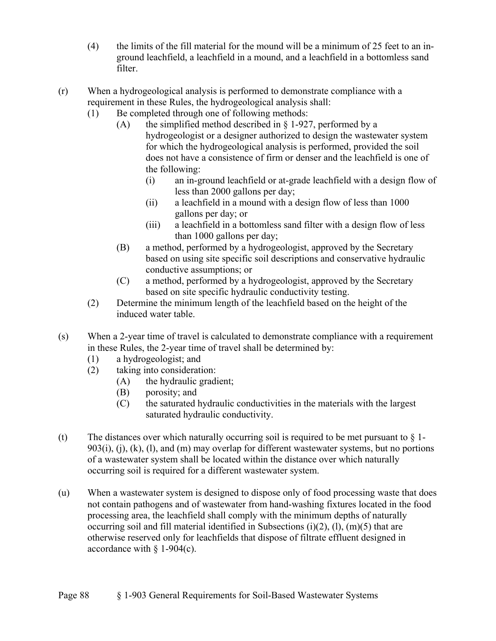- (4) the limits of the fill material for the mound will be a minimum of 25 feet to an inground leachfield, a leachfield in a mound, and a leachfield in a bottomless sand filter.
- (r) When a hydrogeological analysis is performed to demonstrate compliance with a requirement in these Rules, the hydrogeological analysis shall:
	- (1) Be completed through one of following methods:
		- (A) the simplified method described in  $\S$  1-927, performed by a hydrogeologist or a designer authorized to design the wastewater system for which the hydrogeological analysis is performed, provided the soil does not have a consistence of firm or denser and the leachfield is one of the following:
			- (i) an in-ground leachfield or at-grade leachfield with a design flow of less than 2000 gallons per day;
			- (ii) a leachfield in a mound with a design flow of less than 1000 gallons per day; or
			- (iii) a leachfield in a bottomless sand filter with a design flow of less than 1000 gallons per day;
		- (B) a method, performed by a hydrogeologist, approved by the Secretary based on using site specific soil descriptions and conservative hydraulic conductive assumptions; or
		- (C) a method, performed by a hydrogeologist, approved by the Secretary based on site specific hydraulic conductivity testing.
	- (2) Determine the minimum length of the leachfield based on the height of the induced water table.
- (s) When a 2-year time of travel is calculated to demonstrate compliance with a requirement in these Rules, the 2-year time of travel shall be determined by:
	- (1) a hydrogeologist; and
	- (2) taking into consideration:
		- (A) the hydraulic gradient;
		- (B) porosity; and
		- (C) the saturated hydraulic conductivities in the materials with the largest saturated hydraulic conductivity.
- (t) The distances over which naturally occurring soil is required to be met pursuant to  $\S$  1- $903(i)$ , (i), (k), (l), and (m) may overlap for different wastewater systems, but no portions of a wastewater system shall be located within the distance over which naturally occurring soil is required for a different wastewater system.
- (u) When a wastewater system is designed to dispose only of food processing waste that does not contain pathogens and of wastewater from hand-washing fixtures located in the food processing area, the leachfield shall comply with the minimum depths of naturally occurring soil and fill material identified in Subsections (i)(2), (1), (m)(5) that are otherwise reserved only for leachfields that dispose of filtrate effluent designed in accordance with  $\S$  1-904(c).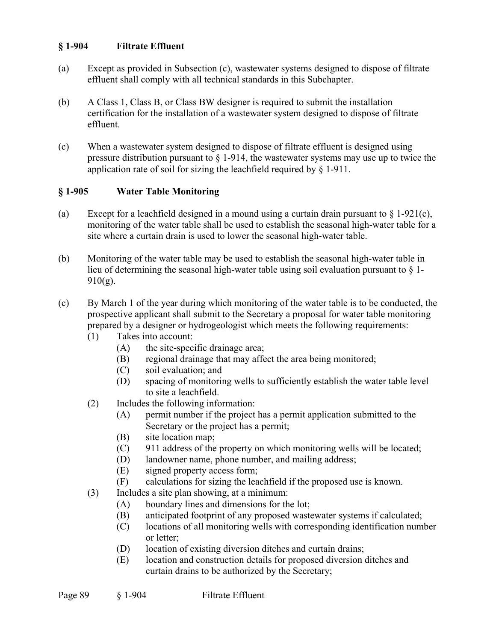### **§ 1-904 Filtrate Effluent**

- (a) Except as provided in Subsection (c), wastewater systems designed to dispose of filtrate effluent shall comply with all technical standards in this Subchapter.
- (b) A Class 1, Class B, or Class BW designer is required to submit the installation certification for the installation of a wastewater system designed to dispose of filtrate effluent.
- (c) When a wastewater system designed to dispose of filtrate effluent is designed using pressure distribution pursuant to  $\S$  1-914, the wastewater systems may use up to twice the application rate of soil for sizing the leachfield required by § 1-911.

# **§ 1-905 Water Table Monitoring**

- (a) Except for a leachfield designed in a mound using a curtain drain pursuant to  $\S 1-921(c)$ , monitoring of the water table shall be used to establish the seasonal high-water table for a site where a curtain drain is used to lower the seasonal high-water table.
- (b) Monitoring of the water table may be used to establish the seasonal high-water table in lieu of determining the seasonal high-water table using soil evaluation pursuant to § 1-  $910(g)$ .
- (c) By March 1 of the year during which monitoring of the water table is to be conducted, the prospective applicant shall submit to the Secretary a proposal for water table monitoring prepared by a designer or hydrogeologist which meets the following requirements:
	- (1) Takes into account:
		- (A) the site-specific drainage area;
		- (B) regional drainage that may affect the area being monitored;
		- (C) soil evaluation; and
		- (D) spacing of monitoring wells to sufficiently establish the water table level to site a leachfield.
	- (2) Includes the following information:
		- (A) permit number if the project has a permit application submitted to the Secretary or the project has a permit;
		- (B) site location map;
		- (C) 911 address of the property on which monitoring wells will be located;
		- (D) landowner name, phone number, and mailing address;
		- (E) signed property access form;
		- (F) calculations for sizing the leachfield if the proposed use is known.
	- (3) Includes a site plan showing, at a minimum:
		- (A) boundary lines and dimensions for the lot;
		- (B) anticipated footprint of any proposed wastewater systems if calculated;
		- (C) locations of all monitoring wells with corresponding identification number or letter;
		- (D) location of existing diversion ditches and curtain drains;
		- (E) location and construction details for proposed diversion ditches and curtain drains to be authorized by the Secretary;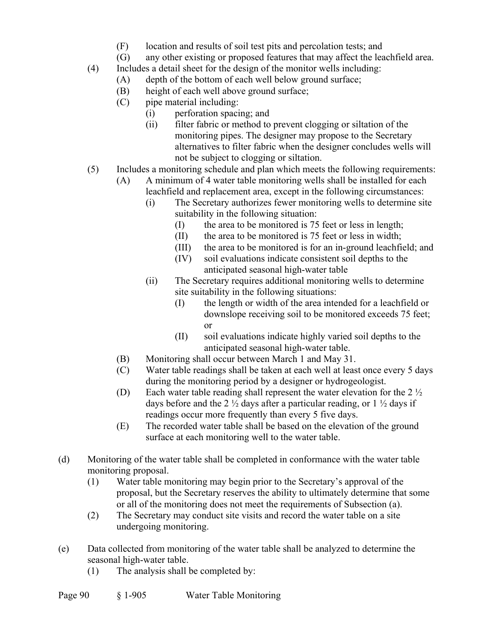- (F) location and results of soil test pits and percolation tests; and
- (G) any other existing or proposed features that may affect the leachfield area.
- (4) Includes a detail sheet for the design of the monitor wells including:
	- (A) depth of the bottom of each well below ground surface;
	- (B) height of each well above ground surface;
	- (C) pipe material including:
		- (i) perforation spacing; and
		- (ii) filter fabric or method to prevent clogging or siltation of the monitoring pipes. The designer may propose to the Secretary alternatives to filter fabric when the designer concludes wells will not be subject to clogging or siltation.
- (5) Includes a monitoring schedule and plan which meets the following requirements:
	- (A) A minimum of 4 water table monitoring wells shall be installed for each leachfield and replacement area, except in the following circumstances:
		- (i) The Secretary authorizes fewer monitoring wells to determine site suitability in the following situation:
			- (I) the area to be monitored is 75 feet or less in length;
			- (II) the area to be monitored is 75 feet or less in width;
			- (III) the area to be monitored is for an in-ground leachfield; and
			- (IV) soil evaluations indicate consistent soil depths to the anticipated seasonal high-water table
		- (ii) The Secretary requires additional monitoring wells to determine site suitability in the following situations:
			- (I) the length or width of the area intended for a leachfield or downslope receiving soil to be monitored exceeds 75 feet; or
			- (II) soil evaluations indicate highly varied soil depths to the anticipated seasonal high-water table.
	- (B) Monitoring shall occur between March 1 and May 31.
	- (C) Water table readings shall be taken at each well at least once every 5 days during the monitoring period by a designer or hydrogeologist.
	- (D) Each water table reading shall represent the water elevation for the 2 ½ days before and the 2  $\frac{1}{2}$  days after a particular reading, or 1  $\frac{1}{2}$  days if readings occur more frequently than every 5 five days.
	- (E) The recorded water table shall be based on the elevation of the ground surface at each monitoring well to the water table.
- (d) Monitoring of the water table shall be completed in conformance with the water table monitoring proposal.
	- (1) Water table monitoring may begin prior to the Secretary's approval of the proposal, but the Secretary reserves the ability to ultimately determine that some or all of the monitoring does not meet the requirements of Subsection (a).
	- (2) The Secretary may conduct site visits and record the water table on a site undergoing monitoring.
- (e) Data collected from monitoring of the water table shall be analyzed to determine the seasonal high-water table.
	- (1) The analysis shall be completed by: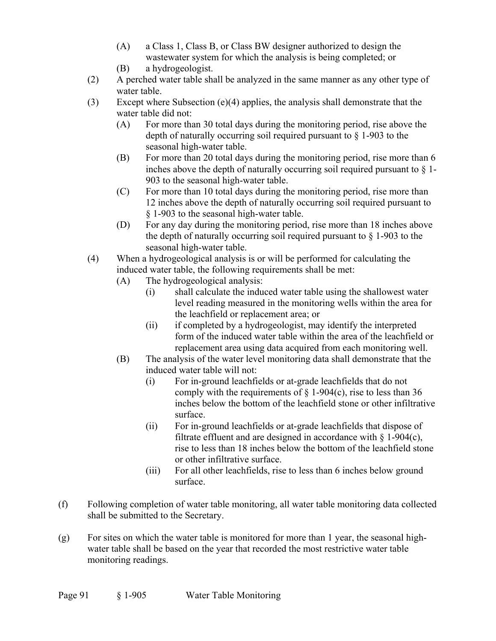- (A) a Class 1, Class B, or Class BW designer authorized to design the wastewater system for which the analysis is being completed; or
- (B) a hydrogeologist.
- (2) A perched water table shall be analyzed in the same manner as any other type of water table.
- (3) Except where Subsection (e)(4) applies, the analysis shall demonstrate that the water table did not:
	- (A) For more than 30 total days during the monitoring period, rise above the depth of naturally occurring soil required pursuant to § 1-903 to the seasonal high-water table.
	- (B) For more than 20 total days during the monitoring period, rise more than 6 inches above the depth of naturally occurring soil required pursuant to § 1- 903 to the seasonal high-water table.
	- (C) For more than 10 total days during the monitoring period, rise more than 12 inches above the depth of naturally occurring soil required pursuant to § 1-903 to the seasonal high-water table.
	- (D) For any day during the monitoring period, rise more than 18 inches above the depth of naturally occurring soil required pursuant to  $\S$  1-903 to the seasonal high-water table.
- (4) When a hydrogeological analysis is or will be performed for calculating the induced water table, the following requirements shall be met:
	- (A) The hydrogeological analysis:
		- (i) shall calculate the induced water table using the shallowest water level reading measured in the monitoring wells within the area for the leachfield or replacement area; or
		- (ii) if completed by a hydrogeologist, may identify the interpreted form of the induced water table within the area of the leachfield or replacement area using data acquired from each monitoring well.
	- (B) The analysis of the water level monitoring data shall demonstrate that the induced water table will not:
		- (i) For in-ground leachfields or at-grade leachfields that do not comply with the requirements of  $\S$  1-904(c), rise to less than 36 inches below the bottom of the leachfield stone or other infiltrative surface.
		- (ii) For in-ground leachfields or at-grade leachfields that dispose of filtrate effluent and are designed in accordance with  $\S$  1-904(c), rise to less than 18 inches below the bottom of the leachfield stone or other infiltrative surface.
		- (iii) For all other leachfields, rise to less than 6 inches below ground surface.
- (f) Following completion of water table monitoring, all water table monitoring data collected shall be submitted to the Secretary.
- $(g)$  For sites on which the water table is monitored for more than 1 year, the seasonal highwater table shall be based on the year that recorded the most restrictive water table monitoring readings.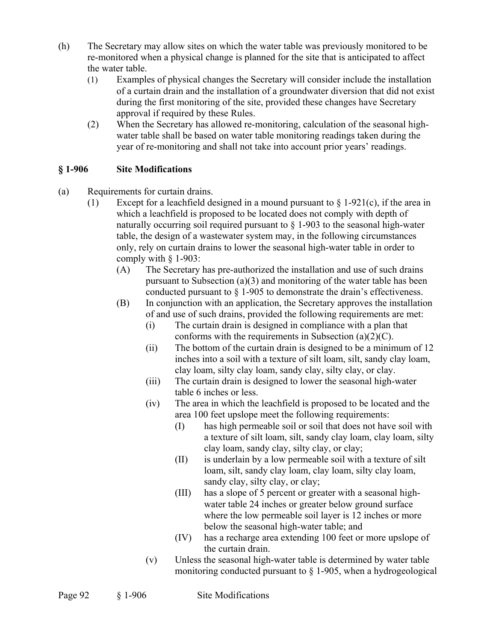- (h) The Secretary may allow sites on which the water table was previously monitored to be re-monitored when a physical change is planned for the site that is anticipated to affect the water table.
	- (1) Examples of physical changes the Secretary will consider include the installation of a curtain drain and the installation of a groundwater diversion that did not exist during the first monitoring of the site, provided these changes have Secretary approval if required by these Rules.
	- (2) When the Secretary has allowed re-monitoring, calculation of the seasonal highwater table shall be based on water table monitoring readings taken during the year of re-monitoring and shall not take into account prior years' readings.

# **§ 1-906 Site Modifications**

- (a) Requirements for curtain drains.
	- (1) Except for a leachfield designed in a mound pursuant to  $\S$  1-921(c), if the area in which a leachfield is proposed to be located does not comply with depth of naturally occurring soil required pursuant to  $\S$  1-903 to the seasonal high-water table, the design of a wastewater system may, in the following circumstances only, rely on curtain drains to lower the seasonal high-water table in order to comply with  $§$  1-903:
		- (A) The Secretary has pre-authorized the installation and use of such drains pursuant to Subsection (a)(3) and monitoring of the water table has been conducted pursuant to  $\S$  1-905 to demonstrate the drain's effectiveness.
		- (B) In conjunction with an application, the Secretary approves the installation of and use of such drains, provided the following requirements are met:
			- (i) The curtain drain is designed in compliance with a plan that conforms with the requirements in Subsection  $(a)(2)(C)$ .
			- (ii) The bottom of the curtain drain is designed to be a minimum of 12 inches into a soil with a texture of silt loam, silt, sandy clay loam, clay loam, silty clay loam, sandy clay, silty clay, or clay.
			- (iii) The curtain drain is designed to lower the seasonal high-water table 6 inches or less.
			- (iv) The area in which the leachfield is proposed to be located and the area 100 feet upslope meet the following requirements:
				- (I) has high permeable soil or soil that does not have soil with a texture of silt loam, silt, sandy clay loam, clay loam, silty clay loam, sandy clay, silty clay, or clay;
				- (II) is underlain by a low permeable soil with a texture of silt loam, silt, sandy clay loam, clay loam, silty clay loam, sandy clay, silty clay, or clay;
				- (III) has a slope of 5 percent or greater with a seasonal highwater table 24 inches or greater below ground surface where the low permeable soil layer is 12 inches or more below the seasonal high-water table; and
				- (IV) has a recharge area extending 100 feet or more upslope of the curtain drain.
			- (v) Unless the seasonal high-water table is determined by water table monitoring conducted pursuant to  $\S$  1-905, when a hydrogeological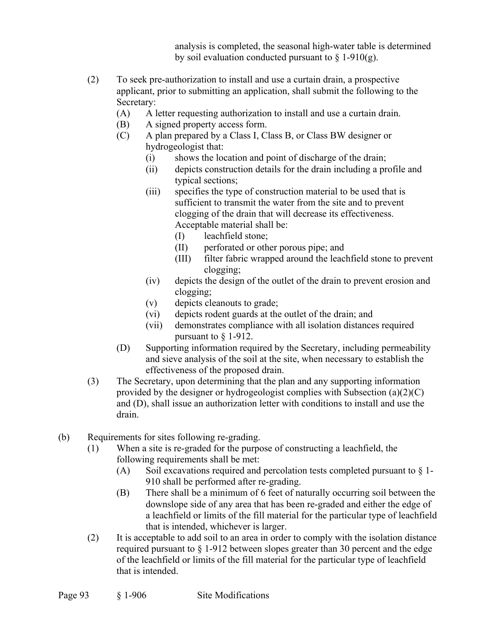analysis is completed, the seasonal high-water table is determined by soil evaluation conducted pursuant to  $\S$  1-910(g).

- (2) To seek pre-authorization to install and use a curtain drain, a prospective applicant, prior to submitting an application, shall submit the following to the Secretary:
	- (A) A letter requesting authorization to install and use a curtain drain.
	- (B) A signed property access form.
	- (C) A plan prepared by a Class I, Class B, or Class BW designer or hydrogeologist that:
		- (i) shows the location and point of discharge of the drain;
		- (ii) depicts construction details for the drain including a profile and typical sections;
		- (iii) specifies the type of construction material to be used that is sufficient to transmit the water from the site and to prevent clogging of the drain that will decrease its effectiveness. Acceptable material shall be:
			- (I) leachfield stone;
			- (II) perforated or other porous pipe; and
			- (III) filter fabric wrapped around the leachfield stone to prevent clogging;
		- (iv) depicts the design of the outlet of the drain to prevent erosion and clogging;
		- (v) depicts cleanouts to grade;
		- (vi) depicts rodent guards at the outlet of the drain; and
		- (vii) demonstrates compliance with all isolation distances required pursuant to § 1-912.
	- (D) Supporting information required by the Secretary, including permeability and sieve analysis of the soil at the site, when necessary to establish the effectiveness of the proposed drain.
- (3) The Secretary, upon determining that the plan and any supporting information provided by the designer or hydrogeologist complies with Subsection  $(a)(2)(C)$ and (D), shall issue an authorization letter with conditions to install and use the drain.
- (b) Requirements for sites following re-grading.
	- (1) When a site is re-graded for the purpose of constructing a leachfield, the following requirements shall be met:
		- (A) Soil excavations required and percolation tests completed pursuant to  $\S$  1-910 shall be performed after re-grading.
		- (B) There shall be a minimum of 6 feet of naturally occurring soil between the downslope side of any area that has been re-graded and either the edge of a leachfield or limits of the fill material for the particular type of leachfield that is intended, whichever is larger.
	- (2) It is acceptable to add soil to an area in order to comply with the isolation distance required pursuant to  $\S 1-912$  between slopes greater than 30 percent and the edge of the leachfield or limits of the fill material for the particular type of leachfield that is intended.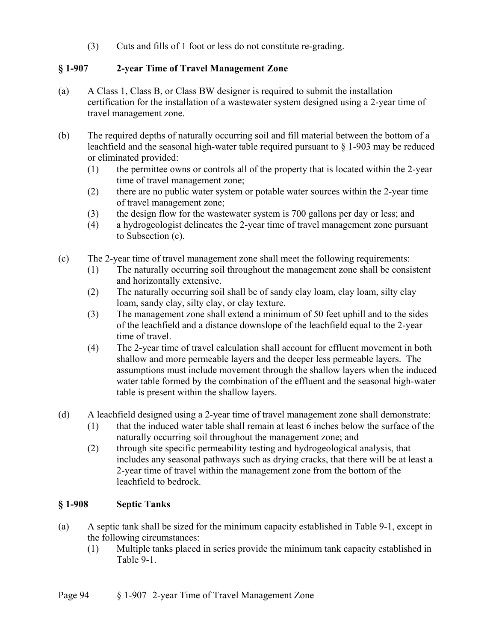(3) Cuts and fills of 1 foot or less do not constitute re-grading.

# **§ 1-907 2-year Time of Travel Management Zone**

- (a) A Class 1, Class B, or Class BW designer is required to submit the installation certification for the installation of a wastewater system designed using a 2-year time of travel management zone.
- (b) The required depths of naturally occurring soil and fill material between the bottom of a leachfield and the seasonal high-water table required pursuant to § 1-903 may be reduced or eliminated provided:
	- (1) the permittee owns or controls all of the property that is located within the 2-year time of travel management zone;
	- (2) there are no public water system or potable water sources within the 2-year time of travel management zone;
	- (3) the design flow for the wastewater system is 700 gallons per day or less; and
	- (4) a hydrogeologist delineates the 2-year time of travel management zone pursuant to Subsection (c).
- (c) The 2-year time of travel management zone shall meet the following requirements:
	- (1) The naturally occurring soil throughout the management zone shall be consistent and horizontally extensive.
	- (2) The naturally occurring soil shall be of sandy clay loam, clay loam, silty clay loam, sandy clay, silty clay, or clay texture.
	- (3) The management zone shall extend a minimum of 50 feet uphill and to the sides of the leachfield and a distance downslope of the leachfield equal to the 2-year time of travel.
	- (4) The 2-year time of travel calculation shall account for effluent movement in both shallow and more permeable layers and the deeper less permeable layers. The assumptions must include movement through the shallow layers when the induced water table formed by the combination of the effluent and the seasonal high-water table is present within the shallow layers.
- (d) A leachfield designed using a 2-year time of travel management zone shall demonstrate:
	- (1) that the induced water table shall remain at least 6 inches below the surface of the naturally occurring soil throughout the management zone; and
	- (2) through site specific permeability testing and hydrogeological analysis, that includes any seasonal pathways such as drying cracks, that there will be at least a 2-year time of travel within the management zone from the bottom of the leachfield to bedrock.

# **§ 1-908 Septic Tanks**

- (a) A septic tank shall be sized for the minimum capacity established in Table 9-1, except in the following circumstances:
	- (1) Multiple tanks placed in series provide the minimum tank capacity established in Table 9-1.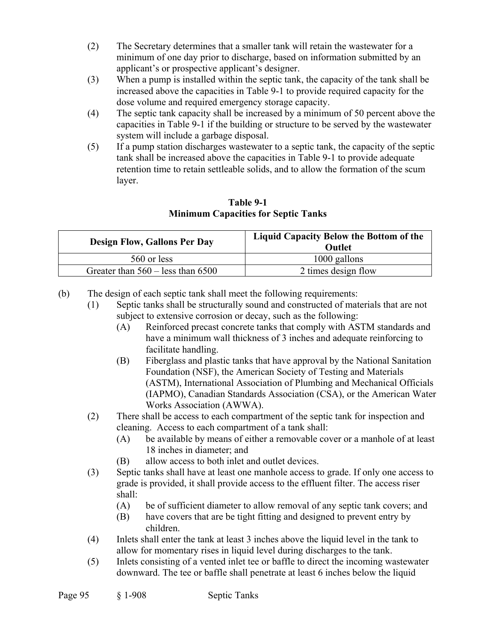- (2) The Secretary determines that a smaller tank will retain the wastewater for a minimum of one day prior to discharge, based on information submitted by an applicant's or prospective applicant's designer.
- (3) When a pump is installed within the septic tank, the capacity of the tank shall be increased above the capacities in Table 9-1 to provide required capacity for the dose volume and required emergency storage capacity.
- (4) The septic tank capacity shall be increased by a minimum of 50 percent above the capacities in Table 9-1 if the building or structure to be served by the wastewater system will include a garbage disposal.
- (5) If a pump station discharges wastewater to a septic tank, the capacity of the septic tank shall be increased above the capacities in Table 9-1 to provide adequate retention time to retain settleable solids, and to allow the formation of the scum layer.

### **Table 9-1 Minimum Capacities for Septic Tanks**

| <b>Design Flow, Gallons Per Day</b>          | Liquid Capacity Below the Bottom of the<br>Outlet |  |
|----------------------------------------------|---------------------------------------------------|--|
| 560 or less                                  | $1000$ gallons                                    |  |
| Greater than $560 - \text{less}$ than $6500$ | 2 times design flow                               |  |

(b) The design of each septic tank shall meet the following requirements:

- (1) Septic tanks shall be structurally sound and constructed of materials that are not subject to extensive corrosion or decay, such as the following:
	- (A) Reinforced precast concrete tanks that comply with ASTM standards and have a minimum wall thickness of 3 inches and adequate reinforcing to facilitate handling.
	- (B) Fiberglass and plastic tanks that have approval by the National Sanitation Foundation (NSF), the American Society of Testing and Materials (ASTM), International Association of Plumbing and Mechanical Officials (IAPMO), Canadian Standards Association (CSA), or the American Water Works Association (AWWA).
- (2) There shall be access to each compartment of the septic tank for inspection and cleaning. Access to each compartment of a tank shall:
	- (A) be available by means of either a removable cover or a manhole of at least 18 inches in diameter; and
	- (B) allow access to both inlet and outlet devices.
- (3) Septic tanks shall have at least one manhole access to grade. If only one access to grade is provided, it shall provide access to the effluent filter. The access riser shall:
	- (A) be of sufficient diameter to allow removal of any septic tank covers; and
	- (B) have covers that are be tight fitting and designed to prevent entry by children.
- (4) Inlets shall enter the tank at least 3 inches above the liquid level in the tank to allow for momentary rises in liquid level during discharges to the tank.
- (5) Inlets consisting of a vented inlet tee or baffle to direct the incoming wastewater downward. The tee or baffle shall penetrate at least 6 inches below the liquid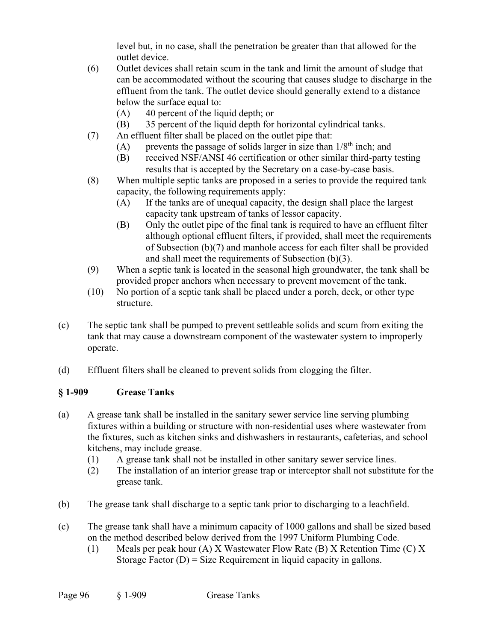level but, in no case, shall the penetration be greater than that allowed for the outlet device.

- (6) Outlet devices shall retain scum in the tank and limit the amount of sludge that can be accommodated without the scouring that causes sludge to discharge in the effluent from the tank. The outlet device should generally extend to a distance below the surface equal to:
	- (A) 40 percent of the liquid depth; or
	- (B) 35 percent of the liquid depth for horizontal cylindrical tanks.
- (7) An effluent filter shall be placed on the outlet pipe that:
	- (A) prevents the passage of solids larger in size than  $1/8<sup>th</sup>$  inch; and
	- (B) received NSF/ANSI 46 certification or other similar third-party testing results that is accepted by the Secretary on a case-by-case basis.
- (8) When multiple septic tanks are proposed in a series to provide the required tank capacity, the following requirements apply:
	- (A) If the tanks are of unequal capacity, the design shall place the largest capacity tank upstream of tanks of lessor capacity.
	- (B) Only the outlet pipe of the final tank is required to have an effluent filter although optional effluent filters, if provided, shall meet the requirements of Subsection (b)(7) and manhole access for each filter shall be provided and shall meet the requirements of Subsection (b)(3).
- (9) When a septic tank is located in the seasonal high groundwater, the tank shall be provided proper anchors when necessary to prevent movement of the tank.
- (10) No portion of a septic tank shall be placed under a porch, deck, or other type structure.
- (c) The septic tank shall be pumped to prevent settleable solids and scum from exiting the tank that may cause a downstream component of the wastewater system to improperly operate.
- (d) Effluent filters shall be cleaned to prevent solids from clogging the filter.

# **§ 1-909 Grease Tanks**

- (a) A grease tank shall be installed in the sanitary sewer service line serving plumbing fixtures within a building or structure with non-residential uses where wastewater from the fixtures, such as kitchen sinks and dishwashers in restaurants, cafeterias, and school kitchens, may include grease.
	- (1) A grease tank shall not be installed in other sanitary sewer service lines.
	- (2) The installation of an interior grease trap or interceptor shall not substitute for the grease tank.
- (b) The grease tank shall discharge to a septic tank prior to discharging to a leachfield.
- (c) The grease tank shall have a minimum capacity of 1000 gallons and shall be sized based on the method described below derived from the 1997 Uniform Plumbing Code.
	- (1) Meals per peak hour (A) X Wastewater Flow Rate (B) X Retention Time (C) X Storage Factor  $(D)$  = Size Requirement in liquid capacity in gallons.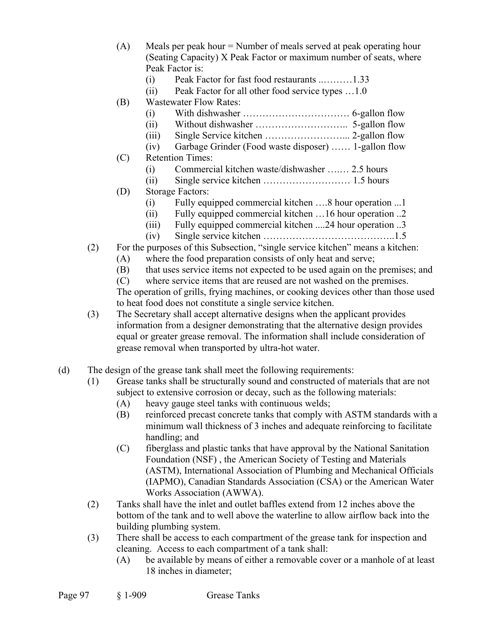- (A) Meals per peak hour = Number of meals served at peak operating hour (Seating Capacity) X Peak Factor or maximum number of seats, where Peak Factor is:
	- (i) Peak Factor for fast food restaurants ..………1.33
	- (ii) Peak Factor for all other food service types …1.0
- (B) Wastewater Flow Rates:
	- (i) With dishwasher …………………………… 6-gallon flow
	- (ii) Without dishwasher ……………………….. 5-gallon flow
	- (iii) Single Service kitchen ……………………... 2-gallon flow
	- (iv) Garbage Grinder (Food waste disposer) …… 1-gallon flow
- (C) Retention Times:
	- (i) Commercial kitchen waste/dishwasher ….… 2.5 hours
	- (ii) Single service kitchen ……………………… 1.5 hours
- (D) Storage Factors:
	- (i) Fully equipped commercial kitchen ….8 hour operation ...1
	- (ii) Fully equipped commercial kitchen …16 hour operation ..2
	- (iii) Fully equipped commercial kitchen ....24 hour operation ..3
	- (iv) Single service kitchen …………………………………..1.5
- (2) For the purposes of this Subsection, "single service kitchen" means a kitchen:
	- (A) where the food preparation consists of only heat and serve;
	- (B) that uses service items not expected to be used again on the premises; and
	- (C) where service items that are reused are not washed on the premises.

The operation of grills, frying machines, or cooking devices other than those used to heat food does not constitute a single service kitchen.

- (3) The Secretary shall accept alternative designs when the applicant provides information from a designer demonstrating that the alternative design provides equal or greater grease removal. The information shall include consideration of grease removal when transported by ultra-hot water.
- (d) The design of the grease tank shall meet the following requirements:
	- (1) Grease tanks shall be structurally sound and constructed of materials that are not subject to extensive corrosion or decay, such as the following materials:
		- (A) heavy gauge steel tanks with continuous welds;
		- (B) reinforced precast concrete tanks that comply with ASTM standards with a minimum wall thickness of 3 inches and adequate reinforcing to facilitate handling; and
		- (C) fiberglass and plastic tanks that have approval by the National Sanitation Foundation (NSF) , the American Society of Testing and Materials (ASTM), International Association of Plumbing and Mechanical Officials (IAPMO), Canadian Standards Association (CSA) or the American Water Works Association (AWWA).
	- (2) Tanks shall have the inlet and outlet baffles extend from 12 inches above the bottom of the tank and to well above the waterline to allow airflow back into the building plumbing system.
	- (3) There shall be access to each compartment of the grease tank for inspection and cleaning. Access to each compartment of a tank shall:
		- (A) be available by means of either a removable cover or a manhole of at least 18 inches in diameter;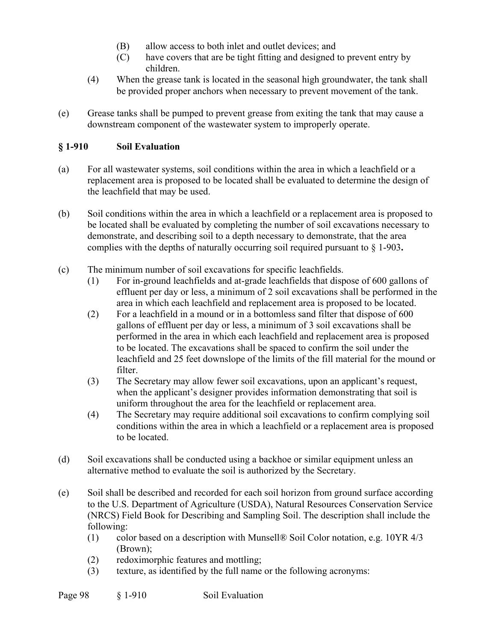- (B) allow access to both inlet and outlet devices; and
- (C) have covers that are be tight fitting and designed to prevent entry by children.
- (4) When the grease tank is located in the seasonal high groundwater, the tank shall be provided proper anchors when necessary to prevent movement of the tank.
- (e) Grease tanks shall be pumped to prevent grease from exiting the tank that may cause a downstream component of the wastewater system to improperly operate.

# **§ 1-910 Soil Evaluation**

- (a) For all wastewater systems, soil conditions within the area in which a leachfield or a replacement area is proposed to be located shall be evaluated to determine the design of the leachfield that may be used.
- (b) Soil conditions within the area in which a leachfield or a replacement area is proposed to be located shall be evaluated by completing the number of soil excavations necessary to demonstrate, and describing soil to a depth necessary to demonstrate, that the area complies with the depths of naturally occurring soil required pursuant to § 1-903**.**
- (c) The minimum number of soil excavations for specific leachfields.
	- (1) For in-ground leachfields and at-grade leachfields that dispose of 600 gallons of effluent per day or less, a minimum of 2 soil excavations shall be performed in the area in which each leachfield and replacement area is proposed to be located.
	- (2) For a leachfield in a mound or in a bottomless sand filter that dispose of 600 gallons of effluent per day or less, a minimum of 3 soil excavations shall be performed in the area in which each leachfield and replacement area is proposed to be located. The excavations shall be spaced to confirm the soil under the leachfield and 25 feet downslope of the limits of the fill material for the mound or filter.
	- (3) The Secretary may allow fewer soil excavations, upon an applicant's request, when the applicant's designer provides information demonstrating that soil is uniform throughout the area for the leachfield or replacement area.
	- (4) The Secretary may require additional soil excavations to confirm complying soil conditions within the area in which a leachfield or a replacement area is proposed to be located.
- (d) Soil excavations shall be conducted using a backhoe or similar equipment unless an alternative method to evaluate the soil is authorized by the Secretary.
- (e) Soil shall be described and recorded for each soil horizon from ground surface according to the U.S. Department of Agriculture (USDA), Natural Resources Conservation Service (NRCS) Field Book for Describing and Sampling Soil. The description shall include the following:
	- (1) color based on a description with Munsell® Soil Color notation, e.g. 10YR 4/3 (Brown);
	- (2) redoximorphic features and mottling;
	- (3) texture, as identified by the full name or the following acronyms: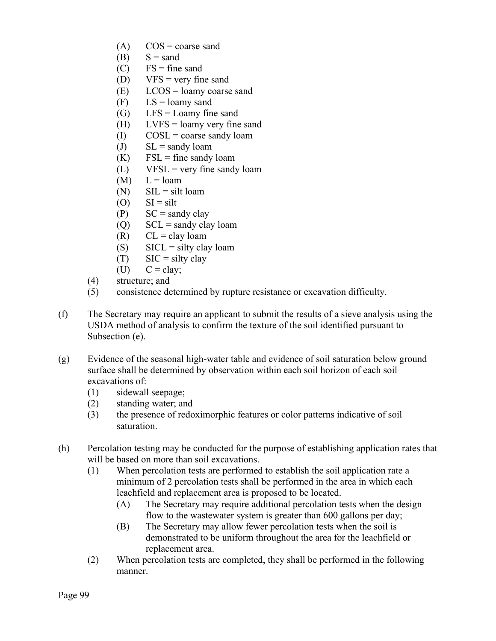- $(A)$  COS = coarse sand
- $(B)$   $S =$ sand
- $(C)$  FS = fine sand
- (D)  $VFS = very fine sand$
- $(E)$  LCOS = loamy coarse sand
- $(F)$  LS = loamy sand
- (G)  $LFS =$  Loamy fine sand
- (H) LVFS = loamy very fine sand
- $(1)$   $COSL = \text{coarse}$  sandy loam
- (J)  $SL =$  sandy loam
- $(K)$  FSL = fine sandy loam
- $(L)$  VFSL = very fine sandy loam
- $(M)$   $L =$  loam
- $(N)$  SIL = silt loam
- $(O)$   $SI = silt$
- $(P)$  SC = sandy clay
- (Q)  $\text{SCL} = \text{sandy clay loan}$
- $(R)$  CL = clay loam
- (S)  $SICL =$  silty clay loam
- $(T)$  SIC = silty clay
- $(U)$   $C = \text{clay}$ ;
- (4) structure; and
- (5) consistence determined by rupture resistance or excavation difficulty.
- (f) The Secretary may require an applicant to submit the results of a sieve analysis using the USDA method of analysis to confirm the texture of the soil identified pursuant to Subsection (e).
- (g) Evidence of the seasonal high-water table and evidence of soil saturation below ground surface shall be determined by observation within each soil horizon of each soil excavations of:
	- (1) sidewall seepage;
	- (2) standing water; and
	- (3) the presence of redoximorphic features or color patterns indicative of soil saturation.
- (h) Percolation testing may be conducted for the purpose of establishing application rates that will be based on more than soil excavations.
	- (1) When percolation tests are performed to establish the soil application rate a minimum of 2 percolation tests shall be performed in the area in which each leachfield and replacement area is proposed to be located.
		- (A) The Secretary may require additional percolation tests when the design flow to the wastewater system is greater than 600 gallons per day;
		- (B) The Secretary may allow fewer percolation tests when the soil is demonstrated to be uniform throughout the area for the leachfield or replacement area.
	- (2) When percolation tests are completed, they shall be performed in the following manner.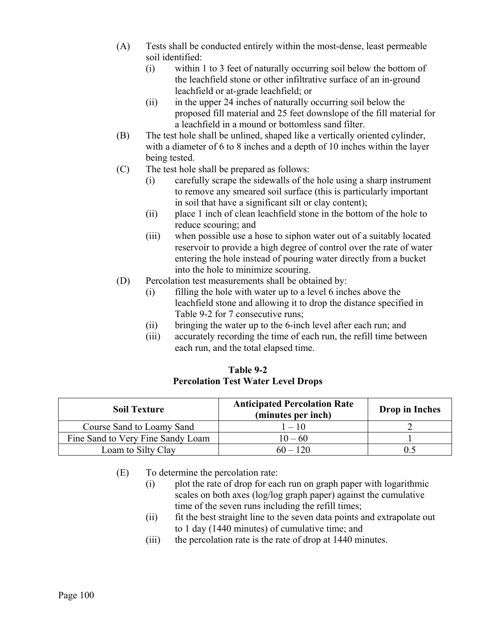- (A) Tests shall be conducted entirely within the most-dense, least permeable soil identified:
	- (i) within 1 to 3 feet of naturally occurring soil below the bottom of the leachfield stone or other infiltrative surface of an in-ground leachfield or at-grade leachfield; or
	- (ii) in the upper 24 inches of naturally occurring soil below the proposed fill material and 25 feet downslope of the fill material for a leachfield in a mound or bottomless sand filter.
- (B) The test hole shall be unlined, shaped like a vertically oriented cylinder, with a diameter of 6 to 8 inches and a depth of 10 inches within the layer being tested.
- (C) The test hole shall be prepared as follows:
	- (i) carefully scrape the sidewalls of the hole using a sharp instrument to remove any smeared soil surface (this is particularly important in soil that have a significant silt or clay content);
	- (ii) place 1 inch of clean leachfield stone in the bottom of the hole to reduce scouring; and
	- (iii) when possible use a hose to siphon water out of a suitably located reservoir to provide a high degree of control over the rate of water entering the hole instead of pouring water directly from a bucket into the hole to minimize scouring.
- (D) Percolation test measurements shall be obtained by:
	- (i) filling the hole with water up to a level 6 inches above the leachfield stone and allowing it to drop the distance specified in Table 9-2 for 7 consecutive runs;
	- (ii) bringing the water up to the 6-inch level after each run; and
	- (iii) accurately recording the time of each run, the refill time between each run, and the total elapsed time.

### **Table 9-2 Percolation Test Water Level Drops**

| <b>Soil Texture</b>               | <b>Anticipated Percolation Rate</b><br>(minutes per inch) | <b>Drop</b> in Inches |
|-----------------------------------|-----------------------------------------------------------|-----------------------|
| Course Sand to Loamy Sand         | $1 - 10$                                                  |                       |
| Fine Sand to Very Fine Sandy Loam | $10 - 60$                                                 |                       |
| Loam to Silty Clay                | $60 - 120$                                                |                       |

- (E) To determine the percolation rate:
	- (i) plot the rate of drop for each run on graph paper with logarithmic scales on both axes (log/log graph paper) against the cumulative time of the seven runs including the refill times;
	- (ii) fit the best straight line to the seven data points and extrapolate out to 1 day (1440 minutes) of cumulative time; and
	- (iii) the percolation rate is the rate of drop at 1440 minutes.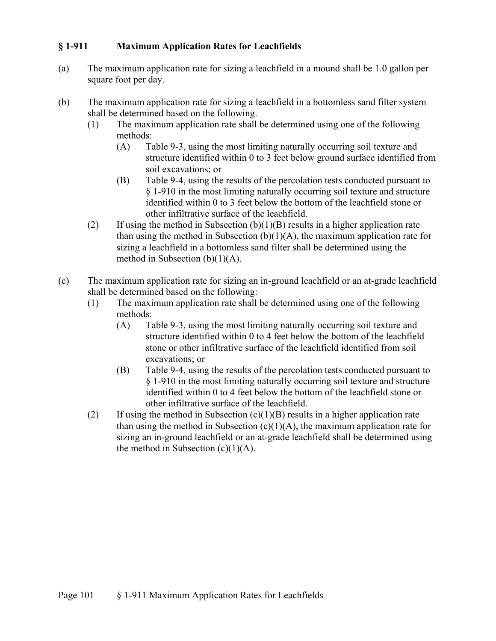### **§ 1-911 Maximum Application Rates for Leachfields**

- (a) The maximum application rate for sizing a leachfield in a mound shall be 1.0 gallon per square foot per day.
- (b) The maximum application rate for sizing a leachfield in a bottomless sand filter system shall be determined based on the following.
	- (1) The maximum application rate shall be determined using one of the following methods:
		- (A) Table 9-3, using the most limiting naturally occurring soil texture and structure identified within 0 to 3 feet below ground surface identified from soil excavations; or
		- (B) Table 9-4, using the results of the percolation tests conducted pursuant to § 1-910 in the most limiting naturally occurring soil texture and structure identified within 0 to 3 feet below the bottom of the leachfield stone or other infiltrative surface of the leachfield.
	- (2) If using the method in Subsection  $(b)(1)(B)$  results in a higher application rate than using the method in Subsection  $(b)(1)(A)$ , the maximum application rate for sizing a leachfield in a bottomless sand filter shall be determined using the method in Subsection (b)(1)(A).
- (c) The maximum application rate for sizing an in-ground leachfield or an at-grade leachfield shall be determined based on the following:
	- (1) The maximum application rate shall be determined using one of the following methods:
		- (A) Table 9-3, using the most limiting naturally occurring soil texture and structure identified within 0 to 4 feet below the bottom of the leachfield stone or other infiltrative surface of the leachfield identified from soil excavations; or
		- (B) Table 9-4, using the results of the percolation tests conducted pursuant to § 1-910 in the most limiting naturally occurring soil texture and structure identified within 0 to 4 feet below the bottom of the leachfield stone or other infiltrative surface of the leachfield.
	- (2) If using the method in Subsection  $(c)(1)(B)$  results in a higher application rate than using the method in Subsection  $(c)(1)(A)$ , the maximum application rate for sizing an in-ground leachfield or an at-grade leachfield shall be determined using the method in Subsection  $(c)(1)(A)$ .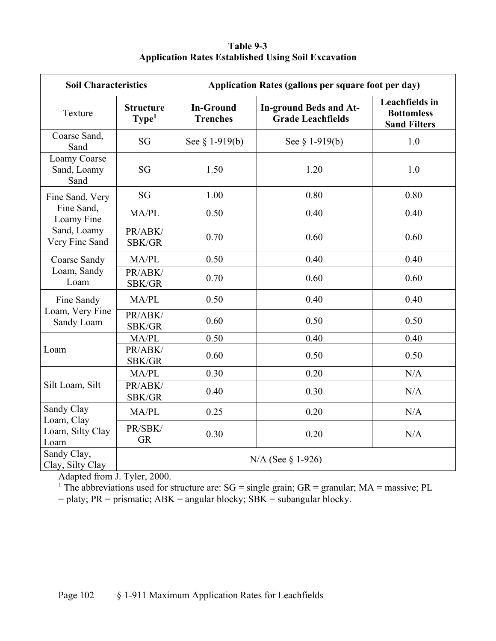|                                                            | Table 9-3 |  |
|------------------------------------------------------------|-----------|--|
| <b>Application Rates Established Using Soil Excavation</b> |           |  |

| <b>Soil Characteristics</b>            |                                       | Application Rates (gallons per square foot per day) |                                                           |                                                                   |
|----------------------------------------|---------------------------------------|-----------------------------------------------------|-----------------------------------------------------------|-------------------------------------------------------------------|
| Texture                                | <b>Structure</b><br>Type <sup>1</sup> | <b>In-Ground</b><br><b>Trenches</b>                 | <b>In-ground Beds and At-</b><br><b>Grade Leachfields</b> | <b>Leachfields</b> in<br><b>Bottomless</b><br><b>Sand Filters</b> |
| Coarse Sand,<br>Sand                   | SG                                    | See $§$ 1-919(b)                                    | See $\S 1-919(b)$                                         | 1.0                                                               |
| Loamy Coarse<br>Sand, Loamy<br>Sand    | SG                                    | 1.50                                                | 1.20                                                      | 1.0                                                               |
| Fine Sand, Very                        | SG                                    | 1.00                                                | 0.80                                                      | 0.80                                                              |
| Fine Sand,<br>Loamy Fine               | MA/PL                                 | 0.50                                                | 0.40                                                      | 0.40                                                              |
| Sand, Loamy<br>Very Fine Sand          | PR/ABK/<br>SBK/GR                     | 0.70                                                | 0.60                                                      | 0.60                                                              |
| Coarse Sandy                           | MA/PL                                 | 0.50                                                | 0.40                                                      | 0.40                                                              |
| Loam, Sandy<br>Loam                    | PR/ABK/<br>SBK/GR                     | 0.70                                                | 0.60                                                      | 0.60                                                              |
| Fine Sandy                             | MA/PL                                 | 0.50                                                | 0.40                                                      | 0.40                                                              |
| Loam, Very Fine<br>Sandy Loam          | PR/ABK/<br>SBK/GR                     | 0.60                                                | 0.50                                                      | 0.50                                                              |
|                                        | MA/PL                                 | 0.50                                                | 0.40                                                      | 0.40                                                              |
| Loam                                   | PR/ABK/<br>SBK/GR                     | 0.60                                                | 0.50                                                      | 0.50                                                              |
|                                        | MA/PL                                 | 0.30                                                | 0.20                                                      | N/A                                                               |
| Silt Loam, Silt                        | PR/ABK/<br>SBK/GR                     | 0.40                                                | 0.30                                                      | N/A                                                               |
| Sandy Clay                             | MA/PL                                 | 0.25                                                | 0.20                                                      | N/A                                                               |
| Loam, Clay<br>Loam, Silty Clay<br>Loam | PR/SBK/<br><b>GR</b>                  | 0.30                                                | 0.20                                                      | N/A                                                               |
| Sandy Clay,<br>Clay, Silty Clay        | $N/A$ (See § 1-926)                   |                                                     |                                                           |                                                                   |

Adapted from J. Tyler, 2000.

<sup>1</sup> The abbreviations used for structure are:  $SG = single \, grain$ ;  $GR = granular$ ;  $MA = massive$ ;  $PL$ 

 $=$  platy; PR = prismatic; ABK = angular blocky; SBK = subangular blocky.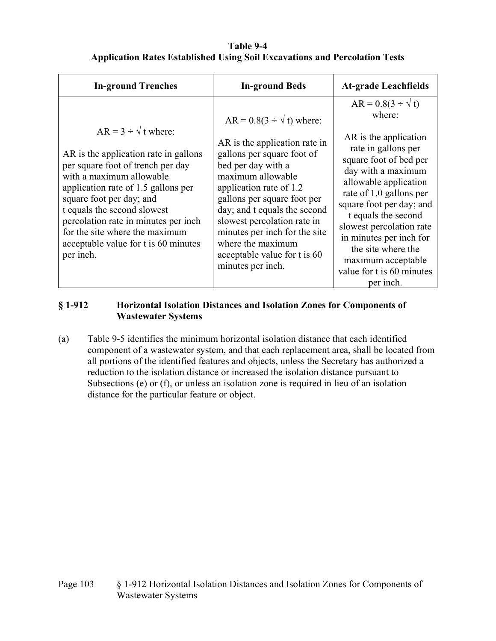### **Table 9-4 Application Rates Established Using Soil Excavations and Percolation Tests**

| <b>In-ground Trenches</b>                                                                                                                                                                                                                                                                                                                                                | <b>In-ground Beds</b>                                                                                                                                                                                                                                                                                                                                                            | <b>At-grade Leachfields</b>                                                                                                                                                                                                                                                                                                                                                               |
|--------------------------------------------------------------------------------------------------------------------------------------------------------------------------------------------------------------------------------------------------------------------------------------------------------------------------------------------------------------------------|----------------------------------------------------------------------------------------------------------------------------------------------------------------------------------------------------------------------------------------------------------------------------------------------------------------------------------------------------------------------------------|-------------------------------------------------------------------------------------------------------------------------------------------------------------------------------------------------------------------------------------------------------------------------------------------------------------------------------------------------------------------------------------------|
| $AR = 3 \div \sqrt{t}$ where:<br>AR is the application rate in gallons<br>per square foot of trench per day<br>with a maximum allowable<br>application rate of 1.5 gallons per<br>square foot per day; and<br>t equals the second slowest<br>percolation rate in minutes per inch<br>for the site where the maximum<br>acceptable value for t is 60 minutes<br>per inch. | $AR = 0.8(3 \div \sqrt{t})$ where:<br>AR is the application rate in<br>gallons per square foot of<br>bed per day with a<br>maximum allowable<br>application rate of 1.2<br>gallons per square foot per<br>day; and t equals the second<br>slowest percolation rate in<br>minutes per inch for the site<br>where the maximum<br>acceptable value for t is 60<br>minutes per inch. | $AR = 0.8(3 \div \sqrt{t})$<br>where:<br>AR is the application<br>rate in gallons per<br>square foot of bed per<br>day with a maximum<br>allowable application<br>rate of 1.0 gallons per<br>square foot per day; and<br>t equals the second<br>slowest percolation rate<br>in minutes per inch for<br>the site where the<br>maximum acceptable<br>value for t is 60 minutes<br>per inch. |

### **§ 1-912 Horizontal Isolation Distances and Isolation Zones for Components of Wastewater Systems**

(a) Table 9-5 identifies the minimum horizontal isolation distance that each identified component of a wastewater system, and that each replacement area, shall be located from all portions of the identified features and objects, unless the Secretary has authorized a reduction to the isolation distance or increased the isolation distance pursuant to Subsections (e) or (f), or unless an isolation zone is required in lieu of an isolation distance for the particular feature or object.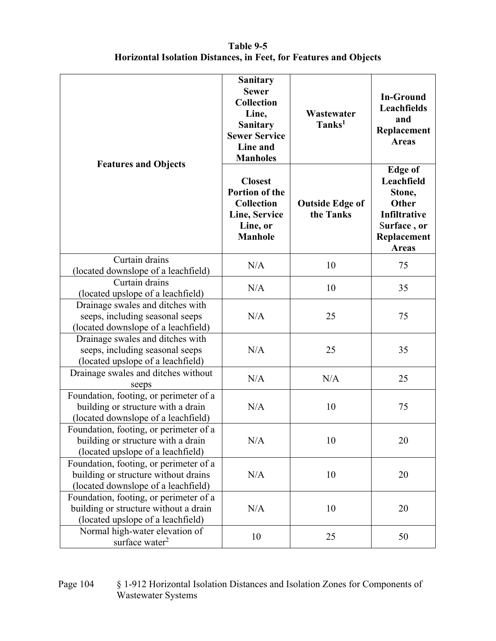## **Table 9-5 Horizontal Isolation Distances, in Feet, for Features and Objects**

|                                                                                                                       | <b>Sanitary</b><br><b>Sewer</b><br><b>Collection</b><br>Line,<br><b>Sanitary</b><br><b>Sewer Service</b><br>Line and<br><b>Manholes</b> | Wastewater<br>Tanks <sup>1</sup>    | <b>In-Ground</b><br>Leachfields<br>and<br>Replacement<br><b>Areas</b>                                         |
|-----------------------------------------------------------------------------------------------------------------------|-----------------------------------------------------------------------------------------------------------------------------------------|-------------------------------------|---------------------------------------------------------------------------------------------------------------|
| <b>Features and Objects</b>                                                                                           | <b>Closest</b><br><b>Portion of the</b><br><b>Collection</b><br>Line, Service<br>Line, or<br><b>Manhole</b>                             | <b>Outside Edge of</b><br>the Tanks | <b>Edge of</b><br>Leachfield<br>Stone,<br>Other<br>Infiltrative<br>Surface, or<br>Replacement<br><b>Areas</b> |
| Curtain drains<br>(located downslope of a leachfield)                                                                 | N/A                                                                                                                                     | 10                                  | 75                                                                                                            |
| Curtain drains<br>(located upslope of a leachfield)                                                                   | N/A                                                                                                                                     | 10                                  | 35                                                                                                            |
| Drainage swales and ditches with<br>seeps, including seasonal seeps<br>(located downslope of a leachfield)            | N/A                                                                                                                                     | 25                                  | 75                                                                                                            |
| Drainage swales and ditches with<br>seeps, including seasonal seeps<br>(located upslope of a leachfield)              | N/A                                                                                                                                     | 25                                  | 35                                                                                                            |
| Drainage swales and ditches without<br>seeps                                                                          | N/A                                                                                                                                     | N/A                                 | 25                                                                                                            |
| Foundation, footing, or perimeter of a<br>building or structure with a drain<br>(located downslope of a leachfield)   | N/A                                                                                                                                     | 10                                  | 75                                                                                                            |
| Foundation, footing, or perimeter of a<br>building or structure with a drain<br>(located upslope of a leachfield)     | N/A                                                                                                                                     | 10                                  | 20                                                                                                            |
| Foundation, footing, or perimeter of a<br>building or structure without drains<br>(located downslope of a leachfield) | N/A                                                                                                                                     | 10                                  | 20                                                                                                            |
| Foundation, footing, or perimeter of a<br>building or structure without a drain<br>(located upslope of a leachfield)  | N/A                                                                                                                                     | 10                                  | 20                                                                                                            |
| Normal high-water elevation of<br>surface water <sup>2</sup>                                                          | 10                                                                                                                                      | 25                                  | 50                                                                                                            |

Page 104 § 1-912 Horizontal Isolation Distances and Isolation Zones for Components of Wastewater Systems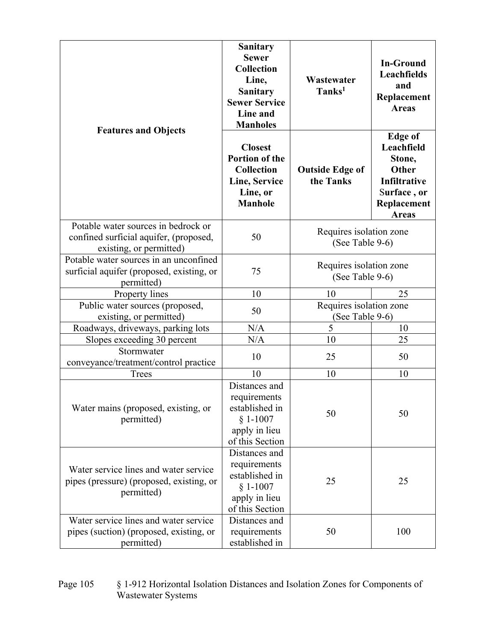|                                                                                                                                          | <b>Sanitary</b><br><b>Sewer</b><br><b>Collection</b><br>Line,<br><b>Sanitary</b><br><b>Sewer Service</b><br>Line and<br><b>Manholes</b> | Wastewater<br>Tanks <sup>1</sup>           | <b>In-Ground</b><br>Leachfields<br>and<br>Replacement<br><b>Areas</b>                                         |
|------------------------------------------------------------------------------------------------------------------------------------------|-----------------------------------------------------------------------------------------------------------------------------------------|--------------------------------------------|---------------------------------------------------------------------------------------------------------------|
| <b>Features and Objects</b>                                                                                                              | <b>Closest</b><br>Portion of the<br><b>Collection</b><br>Line, Service<br>Line, or<br><b>Manhole</b>                                    | <b>Outside Edge of</b><br>the Tanks        | <b>Edge of</b><br>Leachfield<br>Stone,<br>Other<br>Infiltrative<br>Surface, or<br>Replacement<br><b>Areas</b> |
| Potable water sources in bedrock or<br>confined surficial aquifer, (proposed,<br>existing, or permitted)                                 | 50                                                                                                                                      | Requires isolation zone<br>(See Table 9-6) |                                                                                                               |
| Potable water sources in an unconfined<br>surficial aquifer (proposed, existing, or<br>permitted)                                        | 75                                                                                                                                      | Requires isolation zone<br>(See Table 9-6) |                                                                                                               |
| Property lines                                                                                                                           | 10                                                                                                                                      | 10                                         | 25                                                                                                            |
| Public water sources (proposed,<br>existing, or permitted)                                                                               | 50                                                                                                                                      | Requires isolation zone<br>(See Table 9-6) |                                                                                                               |
| Roadways, driveways, parking lots                                                                                                        | N/A                                                                                                                                     | 5                                          | 10                                                                                                            |
| Slopes exceeding 30 percent                                                                                                              | N/A                                                                                                                                     | 10                                         | 25                                                                                                            |
| Stormwater<br>conveyance/treatment/control practice                                                                                      | 10                                                                                                                                      | 25                                         | 50                                                                                                            |
| <b>Trees</b>                                                                                                                             | 10                                                                                                                                      | 10                                         | 10                                                                                                            |
| Water mains (proposed, existing, or<br>permitted)                                                                                        | Distances and<br>requirements<br>established in<br>$§ 1-1007$<br>apply in lieu<br>of this Section                                       | 50                                         | 50                                                                                                            |
| Water service lines and water service<br>pipes (pressure) (proposed, existing, or<br>permitted)<br>Water service lines and water service | Distances and<br>requirements<br>established in<br>$§ 1-1007$<br>apply in lieu<br>of this Section                                       | 25                                         | 25                                                                                                            |
| pipes (suction) (proposed, existing, or<br>permitted)                                                                                    | Distances and<br>requirements<br>established in                                                                                         | 50                                         | 100                                                                                                           |

#### Page 105 § 1-912 Horizontal Isolation Distances and Isolation Zones for Components of Wastewater Systems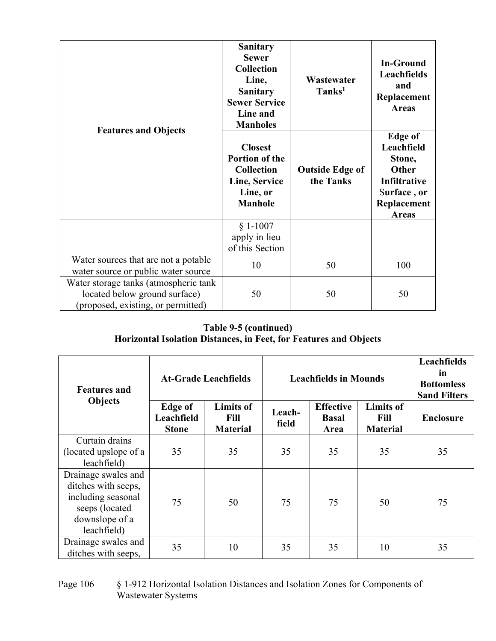| <b>Features and Objects</b>                                                                                  | <b>Sanitary</b><br><b>Sewer</b><br><b>Collection</b><br>Line,<br><b>Sanitary</b><br><b>Sewer Service</b><br>Line and<br><b>Manholes</b> | Wastewater<br>Tanks <sup>1</sup>    | <b>In-Ground</b><br>Leachfields<br>and<br>Replacement<br><b>Areas</b>                                                |
|--------------------------------------------------------------------------------------------------------------|-----------------------------------------------------------------------------------------------------------------------------------------|-------------------------------------|----------------------------------------------------------------------------------------------------------------------|
|                                                                                                              | <b>Closest</b><br><b>Portion of the</b><br><b>Collection</b><br>Line, Service<br>Line, or<br><b>Manhole</b>                             | <b>Outside Edge of</b><br>the Tanks | <b>Edge of</b><br>Leachfield<br>Stone,<br><b>Other</b><br>Infiltrative<br>Surface, or<br>Replacement<br><b>Areas</b> |
|                                                                                                              | $§ 1-1007$<br>apply in lieu<br>of this Section                                                                                          |                                     |                                                                                                                      |
| Water sources that are not a potable<br>water source or public water source                                  | 10                                                                                                                                      | 50                                  | 100                                                                                                                  |
| Water storage tanks (atmospheric tank<br>located below ground surface)<br>(proposed, existing, or permitted) | 50                                                                                                                                      | 50                                  | 50                                                                                                                   |

# **Table 9-5 (continued) Horizontal Isolation Distances, in Feet, for Features and Objects**

| <b>Features and</b>                                                                                                 | <b>At-Grade Leachfields</b>                  |                                             |                 | <b>Leachfields in Mounds</b>             |                                             |                  |  |
|---------------------------------------------------------------------------------------------------------------------|----------------------------------------------|---------------------------------------------|-----------------|------------------------------------------|---------------------------------------------|------------------|--|
| Objects                                                                                                             | <b>Edge of</b><br>Leachfield<br><b>Stone</b> | <b>Limits of</b><br>Fill<br><b>Material</b> | Leach-<br>field | <b>Effective</b><br><b>Basal</b><br>Area | <b>Limits of</b><br>Fill<br><b>Material</b> | <b>Enclosure</b> |  |
| Curtain drains<br>(located upslope of a<br>leachfield)                                                              | 35                                           | 35                                          | 35              | 35                                       | 35                                          | 35               |  |
| Drainage swales and<br>ditches with seeps,<br>including seasonal<br>seeps (located<br>downslope of a<br>leachfield) | 75                                           | 50                                          | 75              | 75                                       | 50                                          | 75               |  |
| Drainage swales and<br>ditches with seeps,                                                                          | 35                                           | 10                                          | 35              | 35                                       | 10                                          | 35               |  |

### Page 106 § 1-912 Horizontal Isolation Distances and Isolation Zones for Components of Wastewater Systems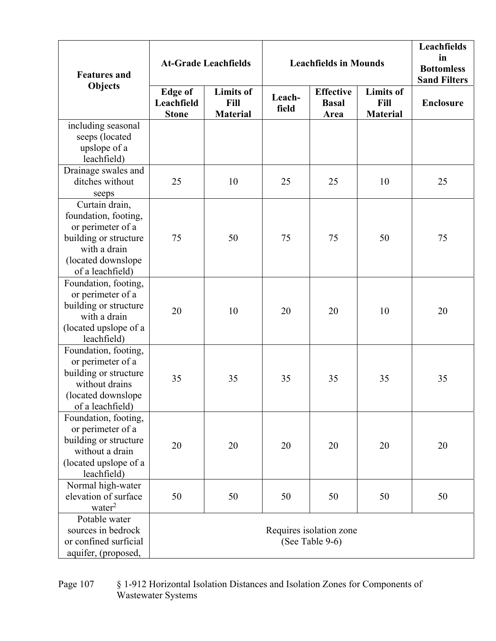| <b>Features and</b>                                                                                                                            |                                              | <b>At-Grade Leachfields</b>                 |                 | <b>Leachfields in Mounds</b>               | Leachfields<br>in<br><b>Bottomless</b><br><b>Sand Filters</b> |                  |
|------------------------------------------------------------------------------------------------------------------------------------------------|----------------------------------------------|---------------------------------------------|-----------------|--------------------------------------------|---------------------------------------------------------------|------------------|
| <b>Objects</b>                                                                                                                                 | <b>Edge of</b><br>Leachfield<br><b>Stone</b> | <b>Limits</b> of<br>Fill<br><b>Material</b> | Leach-<br>field | <b>Effective</b><br><b>Basal</b><br>Area   | <b>Limits of</b><br>Fill<br><b>Material</b>                   | <b>Enclosure</b> |
| including seasonal<br>seeps (located<br>upslope of a<br>leachfield)                                                                            |                                              |                                             |                 |                                            |                                                               |                  |
| Drainage swales and<br>ditches without<br>seeps                                                                                                | 25                                           | 10                                          | 25              | 25                                         | 10                                                            | 25               |
| Curtain drain,<br>foundation, footing,<br>or perimeter of a<br>building or structure<br>with a drain<br>(located downslope<br>of a leachfield) | 75                                           | 50                                          | 75              | 75                                         | 50                                                            | 75               |
| Foundation, footing,<br>or perimeter of a<br>building or structure<br>with a drain<br>(located upslope of a<br>leachfield)                     | 20                                           | 10                                          | 20              | 20                                         | 10                                                            | 20               |
| Foundation, footing,<br>or perimeter of a<br>building or structure<br>without drains<br>(located downslope)<br>of a leachfield)                | 35                                           | 35                                          | 35              | 35                                         | 35                                                            | 35               |
| Foundation, footing,<br>or perimeter of a<br>building or structure<br>without a drain<br>(located upslope of a<br>leachfield)                  | 20                                           | 20                                          | 20              | 20                                         | 20                                                            | 20               |
| Normal high-water<br>elevation of surface<br>water <sup>2</sup>                                                                                | 50                                           | 50                                          | 50              | 50                                         | 50                                                            | 50               |
| Potable water<br>sources in bedrock<br>or confined surficial<br>aquifer, (proposed,                                                            |                                              |                                             |                 | Requires isolation zone<br>(See Table 9-6) |                                                               |                  |

#### Page 107 § 1-912 Horizontal Isolation Distances and Isolation Zones for Components of Wastewater Systems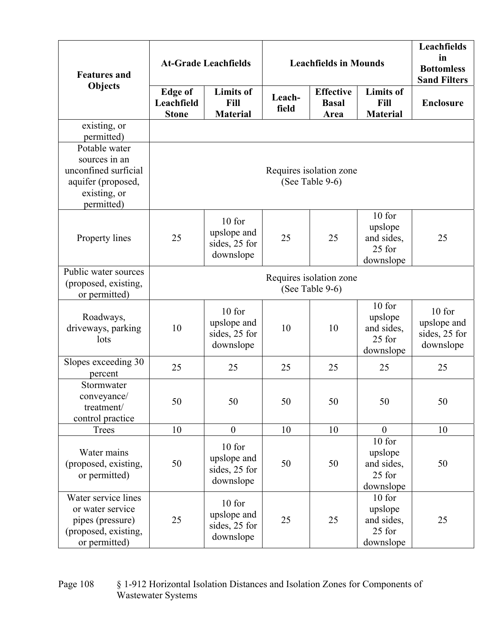|                                                                                                            |                                              |                                                     |                 |                                          |                                                        | Leachfields<br>in                                     |
|------------------------------------------------------------------------------------------------------------|----------------------------------------------|-----------------------------------------------------|-----------------|------------------------------------------|--------------------------------------------------------|-------------------------------------------------------|
| <b>Features and</b>                                                                                        | <b>At-Grade Leachfields</b>                  |                                                     |                 | <b>Leachfields in Mounds</b>             |                                                        |                                                       |
| <b>Objects</b>                                                                                             | <b>Edge</b> of<br>Leachfield<br><b>Stone</b> | <b>Limits</b> of<br>Fill<br><b>Material</b>         | Leach-<br>field | <b>Effective</b><br><b>Basal</b><br>Area | <b>Limits of</b><br>Fill<br><b>Material</b>            | <b>Enclosure</b>                                      |
| existing, or<br>permitted)                                                                                 |                                              |                                                     |                 |                                          |                                                        |                                                       |
| Potable water<br>sources in an<br>unconfined surficial<br>aquifer (proposed,<br>existing, or<br>permitted) | Requires isolation zone<br>(See Table 9-6)   |                                                     |                 |                                          |                                                        |                                                       |
| Property lines                                                                                             | 25                                           | 10 for<br>upslope and<br>sides, 25 for<br>downslope | 25              | 25                                       | 10 for<br>upslope<br>and sides,<br>25 for<br>downslope | 25                                                    |
| Public water sources<br>(proposed, existing,<br>or permitted)                                              | Requires isolation zone<br>(See Table 9-6)   |                                                     |                 |                                          |                                                        |                                                       |
| Roadways,<br>driveways, parking<br>lots                                                                    | 10                                           | 10 for<br>upslope and<br>sides, 25 for<br>downslope | 10              | 10                                       | 10 for<br>upslope<br>and sides,<br>25 for<br>downslope | $10$ for<br>upslope and<br>sides, 25 for<br>downslope |
| Slopes exceeding 30<br>percent                                                                             | 25                                           | 25                                                  | 25              | 25                                       | 25                                                     | 25                                                    |
| Stormwater<br>conveyance/<br>treatment/<br>control practice                                                | 50                                           | 50                                                  | 50              | 50                                       | 50                                                     | 50                                                    |
| Trees                                                                                                      | 10                                           | $\boldsymbol{0}$                                    | 10              | 10                                       | $\overline{0}$                                         | 10                                                    |
| Water mains<br>(proposed, existing,<br>or permitted)                                                       | 50                                           | 10 for<br>upslope and<br>sides, 25 for<br>downslope | 50              | 50                                       | 10 for<br>upslope<br>and sides,<br>25 for<br>downslope | 50                                                    |
| Water service lines<br>or water service<br>pipes (pressure)<br>(proposed, existing,<br>or permitted)       | 25                                           | 10 for<br>upslope and<br>sides, 25 for<br>downslope | 25              | 25                                       | 10 for<br>upslope<br>and sides,<br>25 for<br>downslope | 25                                                    |

Page 108 § 1-912 Horizontal Isolation Distances and Isolation Zones for Components of Wastewater Systems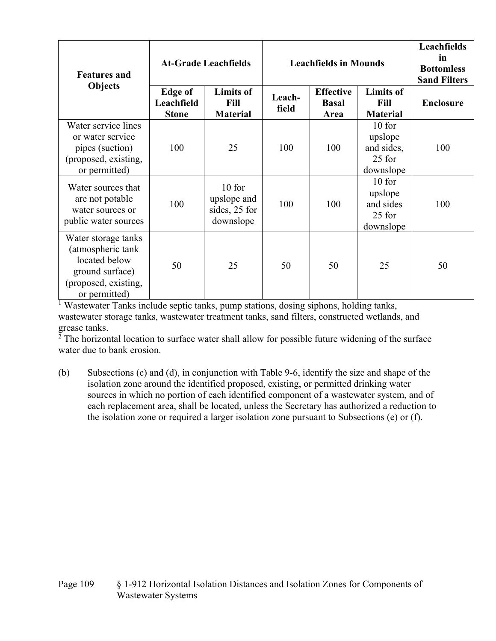| <b>Features and</b>                                                                                                   | <b>At-Grade Leachfields</b>                  |                                                       | <b>Leachfields in Mounds</b> |                                          |                                                          | Leachfields<br>in<br><b>Bottomless</b><br><b>Sand Filters</b> |
|-----------------------------------------------------------------------------------------------------------------------|----------------------------------------------|-------------------------------------------------------|------------------------------|------------------------------------------|----------------------------------------------------------|---------------------------------------------------------------|
| <b>Objects</b>                                                                                                        | <b>Edge of</b><br>Leachfield<br><b>Stone</b> | <b>Limits of</b><br><b>Fill</b><br><b>Material</b>    | Leach-<br>field              | <b>Effective</b><br><b>Basal</b><br>Area | <b>Limits of</b><br><b>Fill</b><br><b>Material</b>       | <b>Enclosure</b>                                              |
| Water service lines<br>or water service<br>pipes (suction)<br>(proposed, existing,<br>or permitted)                   | 100                                          | 25                                                    | 100                          | 100                                      | $10$ for<br>upslope<br>and sides,<br>25 for<br>downslope | 100                                                           |
| Water sources that<br>are not potable<br>water sources or<br>public water sources                                     | 100                                          | $10$ for<br>upslope and<br>sides, 25 for<br>downslope | 100                          | 100                                      | $10$ for<br>upslope<br>and sides<br>25 for<br>downslope  | 100                                                           |
| Water storage tanks<br>(atmospheric tank<br>located below<br>ground surface)<br>(proposed, existing,<br>or permitted) | 50                                           | 25                                                    | 50                           | 50                                       | 25                                                       | 50                                                            |

<sup>1</sup> Wastewater Tanks include septic tanks, pump stations, dosing siphons, holding tanks, wastewater storage tanks, wastewater treatment tanks, sand filters, constructed wetlands, and grease tanks.

 $2$  The horizontal location to surface water shall allow for possible future widening of the surface water due to bank erosion.

(b) Subsections (c) and (d), in conjunction with Table 9-6, identify the size and shape of the isolation zone around the identified proposed, existing, or permitted drinking water sources in which no portion of each identified component of a wastewater system, and of each replacement area, shall be located, unless the Secretary has authorized a reduction to the isolation zone or required a larger isolation zone pursuant to Subsections (e) or (f).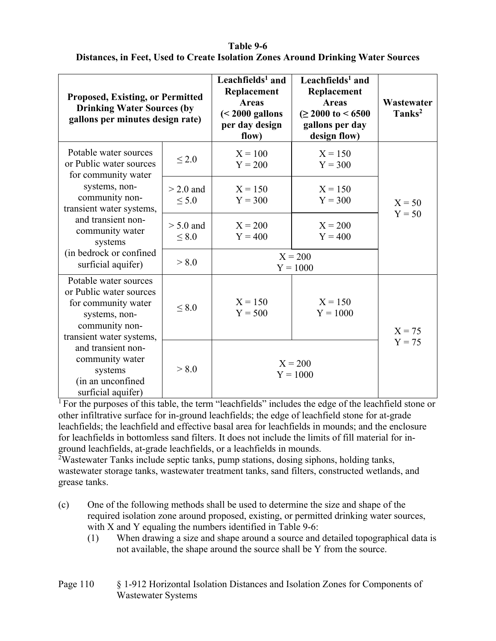### **Table 9-6 Distances, in Feet, Used to Create Isolation Zones Around Drinking Water Sources**

| <b>Proposed, Existing, or Permitted</b><br><b>Drinking Water Sources (by</b><br>gallons per minutes design rate)                       |                      | Leachfields <sup>1</sup> and<br>Replacement<br><b>Areas</b><br>$(2000 gallonsper day designflow)$ | Leachfields <sup>1</sup> and<br>Replacement<br><b>Areas</b><br>$( \geq 2000 \text{ to } 5000$<br>gallons per day<br>design flow) | Wastewater<br>Tanks <sup>2</sup> |
|----------------------------------------------------------------------------------------------------------------------------------------|----------------------|---------------------------------------------------------------------------------------------------|----------------------------------------------------------------------------------------------------------------------------------|----------------------------------|
| Potable water sources<br>or Public water sources<br>for community water                                                                | $\leq 2.0$           | $X = 100$<br>$Y = 200$                                                                            | $X = 150$<br>$Y = 300$                                                                                                           |                                  |
| systems, non-<br>community non-<br>transient water systems,                                                                            | $>$ 2.0 and<br>< 5.0 | $X = 150$<br>$Y = 300$                                                                            | $X = 150$<br>$Y = 300$                                                                                                           | $X = 50$                         |
| and transient non-<br>community water<br>systems                                                                                       | $> 5.0$ and<br>< 8.0 | $X = 200$<br>$Y = 400$                                                                            | $X = 200$<br>$Y = 400$                                                                                                           | $Y = 50$                         |
| (in bedrock or confined<br>surficial aquifer)                                                                                          | > 8.0                |                                                                                                   | $X = 200$<br>$Y = 1000$                                                                                                          |                                  |
| Potable water sources<br>or Public water sources<br>for community water<br>systems, non-<br>community non-<br>transient water systems, | < 8.0                | $X = 150$<br>$Y = 500$                                                                            | $X = 150$<br>$Y = 1000$                                                                                                          | $X = 75$                         |
| and transient non-<br>community water<br>systems<br>(in an unconfined<br>surficial aquifer)                                            | > 8.0                | $X = 200$<br>$Y = 1000$                                                                           |                                                                                                                                  | $Y = 75$                         |

<sup>1</sup> For the purposes of this table, the term "leachfields" includes the edge of the leachfield stone or other infiltrative surface for in-ground leachfields; the edge of leachfield stone for at-grade leachfields; the leachfield and effective basal area for leachfields in mounds; and the enclosure for leachfields in bottomless sand filters. It does not include the limits of fill material for inground leachfields, at-grade leachfields, or a leachfields in mounds.

<sup>2</sup>Wastewater Tanks include septic tanks, pump stations, dosing siphons, holding tanks, wastewater storage tanks, wastewater treatment tanks, sand filters, constructed wetlands, and grease tanks.

- (c) One of the following methods shall be used to determine the size and shape of the required isolation zone around proposed, existing, or permitted drinking water sources, with X and Y equaling the numbers identified in Table 9-6:
	- (1) When drawing a size and shape around a source and detailed topographical data is not available, the shape around the source shall be Y from the source.

#### Page 110 § 1-912 Horizontal Isolation Distances and Isolation Zones for Components of Wastewater Systems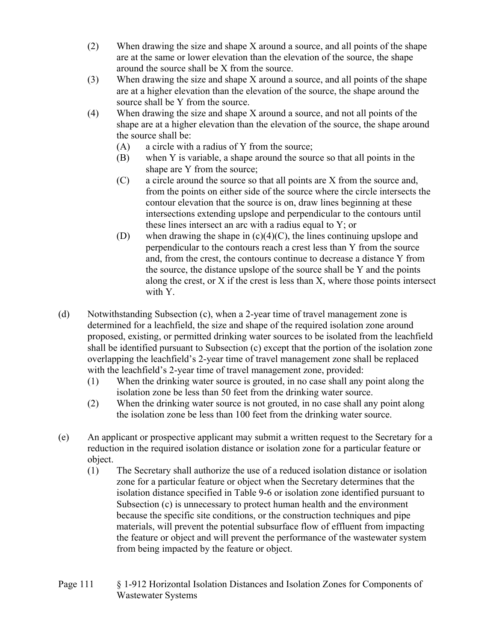- (2) When drawing the size and shape X around a source, and all points of the shape are at the same or lower elevation than the elevation of the source, the shape around the source shall be X from the source.
- (3) When drawing the size and shape X around a source, and all points of the shape are at a higher elevation than the elevation of the source, the shape around the source shall be Y from the source.
- (4) When drawing the size and shape X around a source, and not all points of the shape are at a higher elevation than the elevation of the source, the shape around the source shall be:
	- (A) a circle with a radius of Y from the source;
	- (B) when Y is variable, a shape around the source so that all points in the shape are Y from the source;
	- (C) a circle around the source so that all points are X from the source and, from the points on either side of the source where the circle intersects the contour elevation that the source is on, draw lines beginning at these intersections extending upslope and perpendicular to the contours until these lines intersect an arc with a radius equal to Y; or
	- (D) when drawing the shape in  $(c)(4)(C)$ , the lines continuing upslope and perpendicular to the contours reach a crest less than Y from the source and, from the crest, the contours continue to decrease a distance Y from the source, the distance upslope of the source shall be Y and the points along the crest, or X if the crest is less than X, where those points intersect with Y.
- (d) Notwithstanding Subsection (c), when a 2-year time of travel management zone is determined for a leachfield, the size and shape of the required isolation zone around proposed, existing, or permitted drinking water sources to be isolated from the leachfield shall be identified pursuant to Subsection (c) except that the portion of the isolation zone overlapping the leachfield's 2-year time of travel management zone shall be replaced with the leachfield's 2-year time of travel management zone, provided:
	- (1) When the drinking water source is grouted, in no case shall any point along the isolation zone be less than 50 feet from the drinking water source.
	- (2) When the drinking water source is not grouted, in no case shall any point along the isolation zone be less than 100 feet from the drinking water source.
- (e) An applicant or prospective applicant may submit a written request to the Secretary for a reduction in the required isolation distance or isolation zone for a particular feature or object.
	- (1) The Secretary shall authorize the use of a reduced isolation distance or isolation zone for a particular feature or object when the Secretary determines that the isolation distance specified in Table 9-6 or isolation zone identified pursuant to Subsection (c) is unnecessary to protect human health and the environment because the specific site conditions, or the construction techniques and pipe materials, will prevent the potential subsurface flow of effluent from impacting the feature or object and will prevent the performance of the wastewater system from being impacted by the feature or object.
- Page 111 § 1-912 Horizontal Isolation Distances and Isolation Zones for Components of Wastewater Systems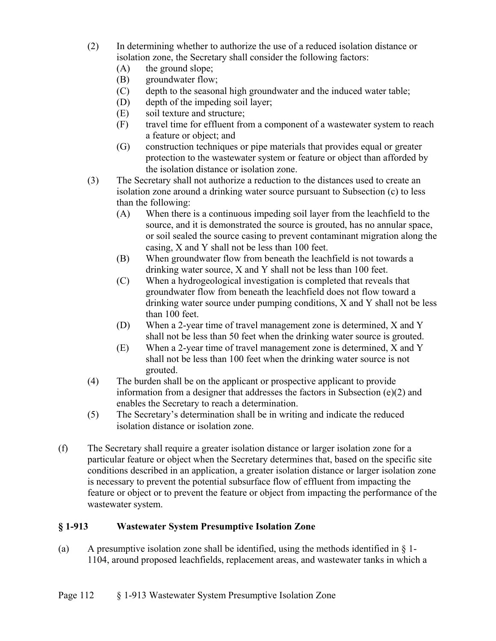- (2) In determining whether to authorize the use of a reduced isolation distance or isolation zone, the Secretary shall consider the following factors:
	- (A) the ground slope;
	- (B) groundwater flow;
	- (C) depth to the seasonal high groundwater and the induced water table;
	- (D) depth of the impeding soil layer;
	- (E) soil texture and structure;
	- (F) travel time for effluent from a component of a wastewater system to reach a feature or object; and
	- (G) construction techniques or pipe materials that provides equal or greater protection to the wastewater system or feature or object than afforded by the isolation distance or isolation zone.
- (3) The Secretary shall not authorize a reduction to the distances used to create an isolation zone around a drinking water source pursuant to Subsection (c) to less than the following:
	- (A) When there is a continuous impeding soil layer from the leachfield to the source, and it is demonstrated the source is grouted, has no annular space, or soil sealed the source casing to prevent contaminant migration along the casing, X and Y shall not be less than 100 feet.
	- (B) When groundwater flow from beneath the leachfield is not towards a drinking water source, X and Y shall not be less than 100 feet.
	- (C) When a hydrogeological investigation is completed that reveals that groundwater flow from beneath the leachfield does not flow toward a drinking water source under pumping conditions, X and Y shall not be less than 100 feet.
	- (D) When a 2-year time of travel management zone is determined, X and Y shall not be less than 50 feet when the drinking water source is grouted.
	- (E) When a 2-year time of travel management zone is determined, X and Y shall not be less than 100 feet when the drinking water source is not grouted.
- (4) The burden shall be on the applicant or prospective applicant to provide information from a designer that addresses the factors in Subsection  $(e)(2)$  and enables the Secretary to reach a determination.
- (5) The Secretary's determination shall be in writing and indicate the reduced isolation distance or isolation zone.
- (f) The Secretary shall require a greater isolation distance or larger isolation zone for a particular feature or object when the Secretary determines that, based on the specific site conditions described in an application, a greater isolation distance or larger isolation zone is necessary to prevent the potential subsurface flow of effluent from impacting the feature or object or to prevent the feature or object from impacting the performance of the wastewater system.

### **§ 1-913 Wastewater System Presumptive Isolation Zone**

(a) A presumptive isolation zone shall be identified, using the methods identified in  $\S$  1-1104, around proposed leachfields, replacement areas, and wastewater tanks in which a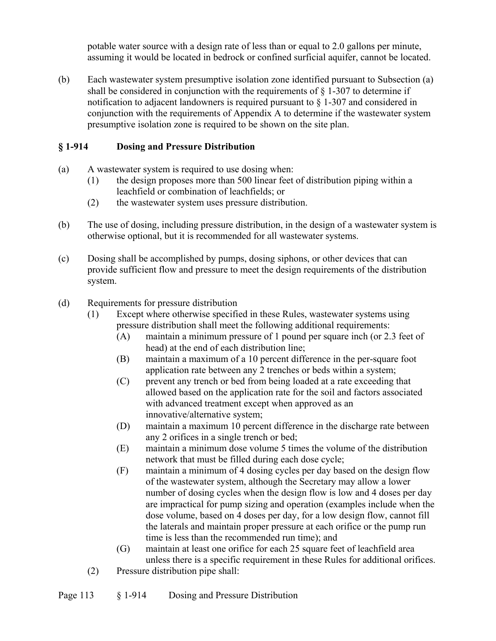potable water source with a design rate of less than or equal to 2.0 gallons per minute, assuming it would be located in bedrock or confined surficial aquifer, cannot be located.

(b) Each wastewater system presumptive isolation zone identified pursuant to Subsection (a) shall be considered in conjunction with the requirements of  $\S$  1-307 to determine if notification to adjacent landowners is required pursuant to § 1-307 and considered in conjunction with the requirements of Appendix A to determine if the wastewater system presumptive isolation zone is required to be shown on the site plan.

## **§ 1-914 Dosing and Pressure Distribution**

- (a) A wastewater system is required to use dosing when:
	- (1) the design proposes more than 500 linear feet of distribution piping within a leachfield or combination of leachfields; or
	- (2) the wastewater system uses pressure distribution.
- (b) The use of dosing, including pressure distribution, in the design of a wastewater system is otherwise optional, but it is recommended for all wastewater systems.
- (c) Dosing shall be accomplished by pumps, dosing siphons, or other devices that can provide sufficient flow and pressure to meet the design requirements of the distribution system.
- (d) Requirements for pressure distribution
	- (1) Except where otherwise specified in these Rules, wastewater systems using pressure distribution shall meet the following additional requirements:
		- (A) maintain a minimum pressure of 1 pound per square inch (or 2.3 feet of head) at the end of each distribution line;
		- (B) maintain a maximum of a 10 percent difference in the per-square foot application rate between any 2 trenches or beds within a system;
		- (C) prevent any trench or bed from being loaded at a rate exceeding that allowed based on the application rate for the soil and factors associated with advanced treatment except when approved as an innovative/alternative system;
		- (D) maintain a maximum 10 percent difference in the discharge rate between any 2 orifices in a single trench or bed;
		- (E) maintain a minimum dose volume 5 times the volume of the distribution network that must be filled during each dose cycle;
		- (F) maintain a minimum of 4 dosing cycles per day based on the design flow of the wastewater system, although the Secretary may allow a lower number of dosing cycles when the design flow is low and 4 doses per day are impractical for pump sizing and operation (examples include when the dose volume, based on 4 doses per day, for a low design flow, cannot fill the laterals and maintain proper pressure at each orifice or the pump run time is less than the recommended run time); and
		- (G) maintain at least one orifice for each 25 square feet of leachfield area unless there is a specific requirement in these Rules for additional orifices.
	- (2) Pressure distribution pipe shall: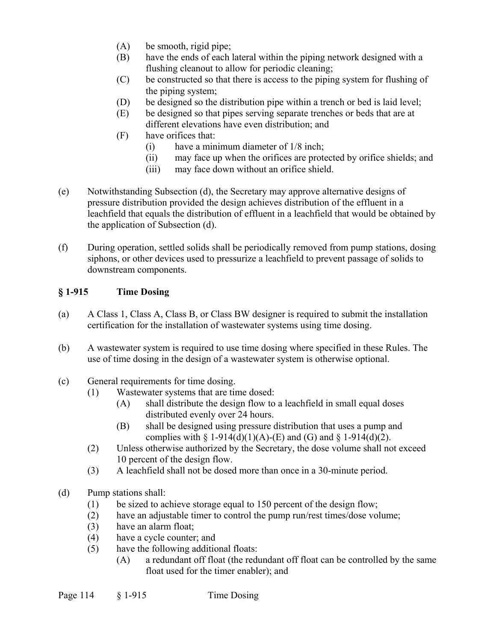- (A) be smooth, rigid pipe;
- (B) have the ends of each lateral within the piping network designed with a flushing cleanout to allow for periodic cleaning;
- (C) be constructed so that there is access to the piping system for flushing of the piping system;
- (D) be designed so the distribution pipe within a trench or bed is laid level;
- (E) be designed so that pipes serving separate trenches or beds that are at different elevations have even distribution; and
- (F) have orifices that:
	- (i) have a minimum diameter of 1/8 inch;
	- (ii) may face up when the orifices are protected by orifice shields; and
	- (iii) may face down without an orifice shield.
- (e) Notwithstanding Subsection (d), the Secretary may approve alternative designs of pressure distribution provided the design achieves distribution of the effluent in a leachfield that equals the distribution of effluent in a leachfield that would be obtained by the application of Subsection (d).
- (f) During operation, settled solids shall be periodically removed from pump stations, dosing siphons, or other devices used to pressurize a leachfield to prevent passage of solids to downstream components.

### **§ 1-915 Time Dosing**

- (a) A Class 1, Class A, Class B, or Class BW designer is required to submit the installation certification for the installation of wastewater systems using time dosing.
- (b) A wastewater system is required to use time dosing where specified in these Rules. The use of time dosing in the design of a wastewater system is otherwise optional.
- (c) General requirements for time dosing.
	- (1) Wastewater systems that are time dosed:
		- (A) shall distribute the design flow to a leachfield in small equal doses distributed evenly over 24 hours.
		- (B) shall be designed using pressure distribution that uses a pump and complies with  $\S 1-914(d)(1)(A)-(E)$  and  $(S)$  and  $\S 1-914(d)(2)$ .
	- (2) Unless otherwise authorized by the Secretary, the dose volume shall not exceed 10 percent of the design flow.
	- (3) A leachfield shall not be dosed more than once in a 30-minute period.
- (d) Pump stations shall:
	- (1) be sized to achieve storage equal to 150 percent of the design flow;
	- (2) have an adjustable timer to control the pump run/rest times/dose volume;
	- (3) have an alarm float;
	- (4) have a cycle counter; and
	- (5) have the following additional floats:
		- (A) a redundant off float (the redundant off float can be controlled by the same float used for the timer enabler); and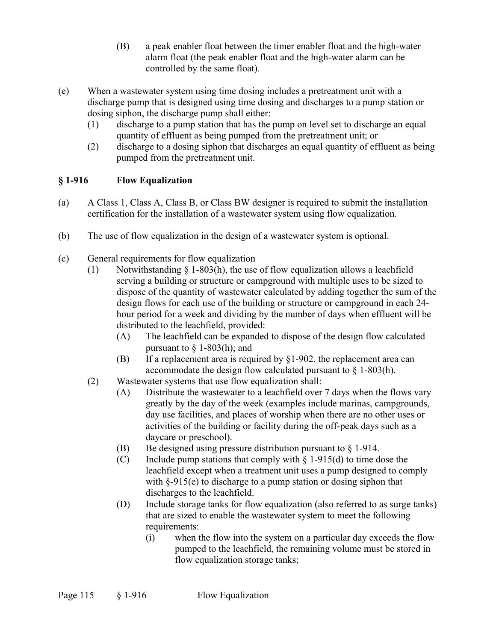- (B) a peak enabler float between the timer enabler float and the high-water alarm float (the peak enabler float and the high-water alarm can be controlled by the same float).
- (e) When a wastewater system using time dosing includes a pretreatment unit with a discharge pump that is designed using time dosing and discharges to a pump station or dosing siphon, the discharge pump shall either:
	- (1) discharge to a pump station that has the pump on level set to discharge an equal quantity of effluent as being pumped from the pretreatment unit; or
	- (2) discharge to a dosing siphon that discharges an equal quantity of effluent as being pumped from the pretreatment unit.

## **§ 1-916 Flow Equalization**

- (a) A Class 1, Class A, Class B, or Class BW designer is required to submit the installation certification for the installation of a wastewater system using flow equalization.
- (b) The use of flow equalization in the design of a wastewater system is optional.
- (c) General requirements for flow equalization
	- (1) Notwithstanding  $\S$  1-803(h), the use of flow equalization allows a leachfield serving a building or structure or campground with multiple uses to be sized to dispose of the quantity of wastewater calculated by adding together the sum of the design flows for each use of the building or structure or campground in each 24 hour period for a week and dividing by the number of days when effluent will be distributed to the leachfield, provided:
		- (A) The leachfield can be expanded to dispose of the design flow calculated pursuant to  $\S$  1-803(h); and
		- (B) If a replacement area is required by  $\S1-902$ , the replacement area can accommodate the design flow calculated pursuant to  $\S$  1-803(h).
	- (2) Wastewater systems that use flow equalization shall:
		- (A) Distribute the wastewater to a leachfield over 7 days when the flows vary greatly by the day of the week (examples include marinas, campgrounds, day use facilities, and places of worship when there are no other uses or activities of the building or facility during the off-peak days such as a daycare or preschool).
		- (B) Be designed using pressure distribution pursuant to  $\S 1-914$ .
		- (C) Include pump stations that comply with  $\S 1-915(d)$  to time dose the leachfield except when a treatment unit uses a pump designed to comply with  $\S-915(e)$  to discharge to a pump station or dosing siphon that discharges to the leachfield.
		- (D) Include storage tanks for flow equalization (also referred to as surge tanks) that are sized to enable the wastewater system to meet the following requirements:
			- (i) when the flow into the system on a particular day exceeds the flow pumped to the leachfield, the remaining volume must be stored in flow equalization storage tanks;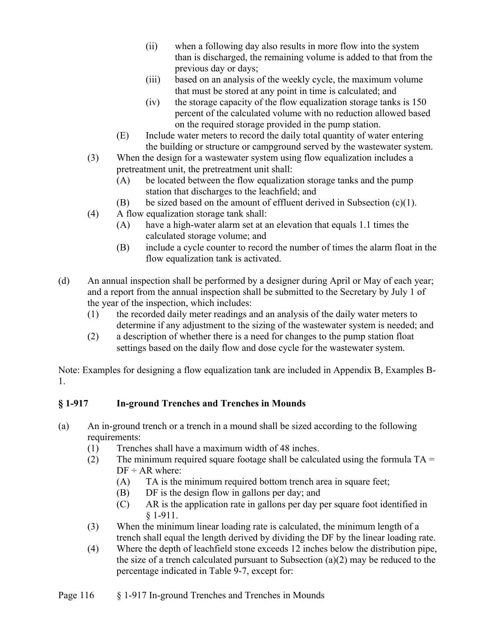- (ii) when a following day also results in more flow into the system than is discharged, the remaining volume is added to that from the previous day or days;
- (iii) based on an analysis of the weekly cycle, the maximum volume that must be stored at any point in time is calculated; and
- (iv) the storage capacity of the flow equalization storage tanks is 150 percent of the calculated volume with no reduction allowed based on the required storage provided in the pump station.
- (E) Include water meters to record the daily total quantity of water entering the building or structure or campground served by the wastewater system.
- (3) When the design for a wastewater system using flow equalization includes a pretreatment unit, the pretreatment unit shall:
	- (A) be located between the flow equalization storage tanks and the pump station that discharges to the leachfield; and
	- (B) be sized based on the amount of effluent derived in Subsection  $(c)(1)$ .
- (4) A flow equalization storage tank shall:
	- (A) have a high-water alarm set at an elevation that equals 1.1 times the calculated storage volume; and
	- (B) include a cycle counter to record the number of times the alarm float in the flow equalization tank is activated.
- (d) An annual inspection shall be performed by a designer during April or May of each year; and a report from the annual inspection shall be submitted to the Secretary by July 1 of the year of the inspection, which includes:
	- (1) the recorded daily meter readings and an analysis of the daily water meters to determine if any adjustment to the sizing of the wastewater system is needed; and
	- (2) a description of whether there is a need for changes to the pump station float settings based on the daily flow and dose cycle for the wastewater system.

Note: Examples for designing a flow equalization tank are included in Appendix B, Examples B-1.

# **§ 1-917 In-ground Trenches and Trenches in Mounds**

- (a) An in-ground trench or a trench in a mound shall be sized according to the following requirements:
	- (1) Trenches shall have a maximum width of 48 inches.
	- (2) The minimum required square footage shall be calculated using the formula  $TA =$  $DF \div AR$  where:
		- (A) TA is the minimum required bottom trench area in square feet;
		- (B) DF is the design flow in gallons per day; and
		- (C) AR is the application rate in gallons per day per square foot identified in § 1-911.
	- (3) When the minimum linear loading rate is calculated, the minimum length of a trench shall equal the length derived by dividing the DF by the linear loading rate.
	- (4) Where the depth of leachfield stone exceeds 12 inches below the distribution pipe, the size of a trench calculated pursuant to Subsection  $(a)(2)$  may be reduced to the percentage indicated in Table 9-7, except for: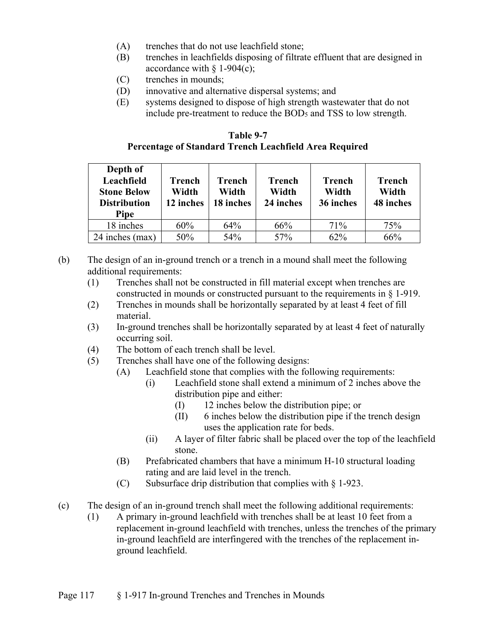- (A) trenches that do not use leachfield stone;
- (B) trenches in leachfields disposing of filtrate effluent that are designed in accordance with  $\S$  1-904(c);
- (C) trenches in mounds;
- (D) innovative and alternative dispersal systems; and
- (E) systems designed to dispose of high strength wastewater that do not include pre-treatment to reduce the BOD5 and TSS to low strength.

| Table 9-7                                              |
|--------------------------------------------------------|
| Percentage of Standard Trench Leachfield Area Required |

| Depth of<br>Leachfield<br><b>Stone Below</b><br><b>Distribution</b><br><b>Pipe</b> | Trench<br>Width<br>12 inches | <b>Trench</b><br>Width<br>18 inches | <b>Trench</b><br>Width<br>24 inches | <b>Trench</b><br>Width<br>36 inches | <b>Trench</b><br>Width<br>48 inches |
|------------------------------------------------------------------------------------|------------------------------|-------------------------------------|-------------------------------------|-------------------------------------|-------------------------------------|
| 18 inches                                                                          | 60%                          | 64%                                 | 66%                                 | 71%                                 | 75%                                 |
| 24 inches (max)                                                                    | 50%                          | 54%                                 | 57%                                 | 62%                                 | 66%                                 |

- (b) The design of an in-ground trench or a trench in a mound shall meet the following additional requirements:
	- (1) Trenches shall not be constructed in fill material except when trenches are constructed in mounds or constructed pursuant to the requirements in § 1-919.
	- (2) Trenches in mounds shall be horizontally separated by at least 4 feet of fill material.
	- (3) In-ground trenches shall be horizontally separated by at least 4 feet of naturally occurring soil.
	- (4) The bottom of each trench shall be level.
	- (5) Trenches shall have one of the following designs:
		- (A) Leachfield stone that complies with the following requirements:
			- (i) Leachfield stone shall extend a minimum of 2 inches above the distribution pipe and either:
				- (I) 12 inches below the distribution pipe; or
				- (II) 6 inches below the distribution pipe if the trench design uses the application rate for beds.
			- (ii) A layer of filter fabric shall be placed over the top of the leachfield stone.
		- (B) Prefabricated chambers that have a minimum H-10 structural loading rating and are laid level in the trench.
		- (C) Subsurface drip distribution that complies with  $\S$  1-923.
- (c) The design of an in-ground trench shall meet the following additional requirements:
	- (1) A primary in-ground leachfield with trenches shall be at least 10 feet from a replacement in-ground leachfield with trenches, unless the trenches of the primary in-ground leachfield are interfingered with the trenches of the replacement inground leachfield.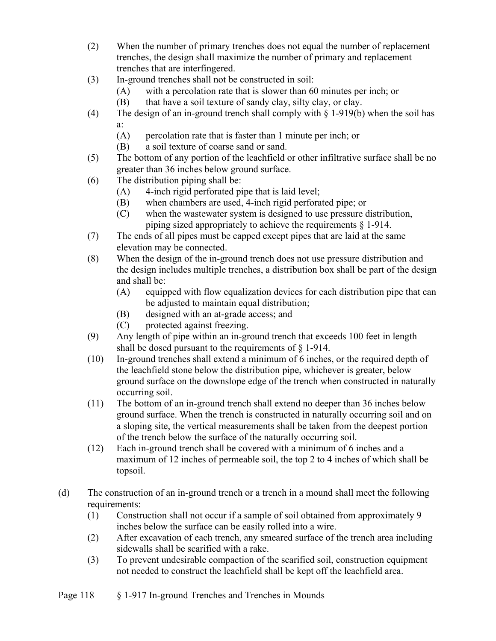- (2) When the number of primary trenches does not equal the number of replacement trenches, the design shall maximize the number of primary and replacement trenches that are interfingered.
- (3) In-ground trenches shall not be constructed in soil:
	- (A) with a percolation rate that is slower than 60 minutes per inch; or
	- (B) that have a soil texture of sandy clay, silty clay, or clay.
- (4) The design of an in-ground trench shall comply with § 1-919(b) when the soil has a:
	- (A) percolation rate that is faster than 1 minute per inch; or
	- (B) a soil texture of coarse sand or sand.
- (5) The bottom of any portion of the leachfield or other infiltrative surface shall be no greater than 36 inches below ground surface.
- (6) The distribution piping shall be:
	- (A) 4-inch rigid perforated pipe that is laid level;
	- (B) when chambers are used, 4-inch rigid perforated pipe; or
	- (C) when the wastewater system is designed to use pressure distribution, piping sized appropriately to achieve the requirements § 1-914.
- (7) The ends of all pipes must be capped except pipes that are laid at the same elevation may be connected.
- (8) When the design of the in-ground trench does not use pressure distribution and the design includes multiple trenches, a distribution box shall be part of the design and shall be:
	- (A) equipped with flow equalization devices for each distribution pipe that can be adjusted to maintain equal distribution;
	- (B) designed with an at-grade access; and
	- (C) protected against freezing.
- (9) Any length of pipe within an in-ground trench that exceeds 100 feet in length shall be dosed pursuant to the requirements of § 1-914.
- (10) In-ground trenches shall extend a minimum of 6 inches, or the required depth of the leachfield stone below the distribution pipe, whichever is greater, below ground surface on the downslope edge of the trench when constructed in naturally occurring soil.
- (11) The bottom of an in-ground trench shall extend no deeper than 36 inches below ground surface. When the trench is constructed in naturally occurring soil and on a sloping site, the vertical measurements shall be taken from the deepest portion of the trench below the surface of the naturally occurring soil.
- (12) Each in-ground trench shall be covered with a minimum of 6 inches and a maximum of 12 inches of permeable soil, the top 2 to 4 inches of which shall be topsoil.
- (d) The construction of an in-ground trench or a trench in a mound shall meet the following requirements:
	- (1) Construction shall not occur if a sample of soil obtained from approximately 9 inches below the surface can be easily rolled into a wire.
	- (2) After excavation of each trench, any smeared surface of the trench area including sidewalls shall be scarified with a rake.
	- (3) To prevent undesirable compaction of the scarified soil, construction equipment not needed to construct the leachfield shall be kept off the leachfield area.
- Page 118 § 1-917 In-ground Trenches and Trenches in Mounds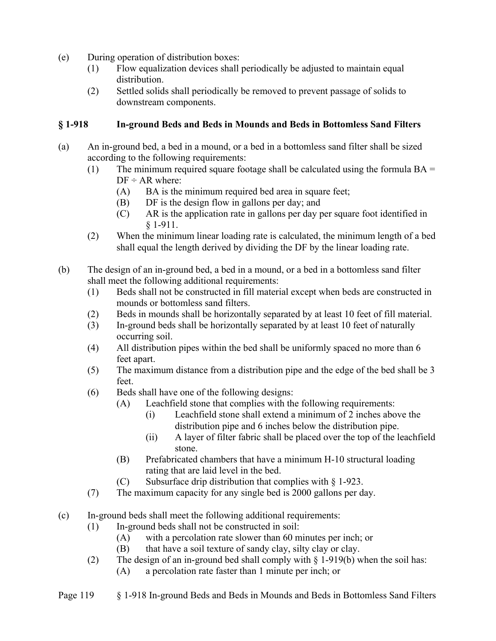- (e) During operation of distribution boxes:
	- (1) Flow equalization devices shall periodically be adjusted to maintain equal distribution.
	- (2) Settled solids shall periodically be removed to prevent passage of solids to downstream components.

### **§ 1-918 In-ground Beds and Beds in Mounds and Beds in Bottomless Sand Filters**

- (a) An in-ground bed, a bed in a mound, or a bed in a bottomless sand filter shall be sized according to the following requirements:
	- (1) The minimum required square footage shall be calculated using the formula  $BA =$  $DF \div AR$  where:
		- (A) BA is the minimum required bed area in square feet;
		- (B) DF is the design flow in gallons per day; and
		- (C) AR is the application rate in gallons per day per square foot identified in § 1-911.
	- (2) When the minimum linear loading rate is calculated, the minimum length of a bed shall equal the length derived by dividing the DF by the linear loading rate.
- (b) The design of an in-ground bed, a bed in a mound, or a bed in a bottomless sand filter shall meet the following additional requirements:
	- (1) Beds shall not be constructed in fill material except when beds are constructed in mounds or bottomless sand filters.
	- (2) Beds in mounds shall be horizontally separated by at least 10 feet of fill material.
	- (3) In-ground beds shall be horizontally separated by at least 10 feet of naturally occurring soil.
	- (4) All distribution pipes within the bed shall be uniformly spaced no more than 6 feet apart.
	- (5) The maximum distance from a distribution pipe and the edge of the bed shall be 3 feet.
	- (6) Beds shall have one of the following designs:
		- (A) Leachfield stone that complies with the following requirements:
			- (i) Leachfield stone shall extend a minimum of 2 inches above the distribution pipe and 6 inches below the distribution pipe.
			- (ii) A layer of filter fabric shall be placed over the top of the leachfield stone.
		- (B) Prefabricated chambers that have a minimum H-10 structural loading rating that are laid level in the bed.
		- (C) Subsurface drip distribution that complies with  $\S$  1-923.
	- (7) The maximum capacity for any single bed is 2000 gallons per day.
- (c) In-ground beds shall meet the following additional requirements:
	- (1) In-ground beds shall not be constructed in soil:
		- (A) with a percolation rate slower than 60 minutes per inch; or
		- (B) that have a soil texture of sandy clay, silty clay or clay.
	- (2) The design of an in-ground bed shall comply with  $\S$  1-919(b) when the soil has: (A) a percolation rate faster than 1 minute per inch; or
- Page 119 § 1-918 In-ground Beds and Beds in Mounds and Beds in Bottomless Sand Filters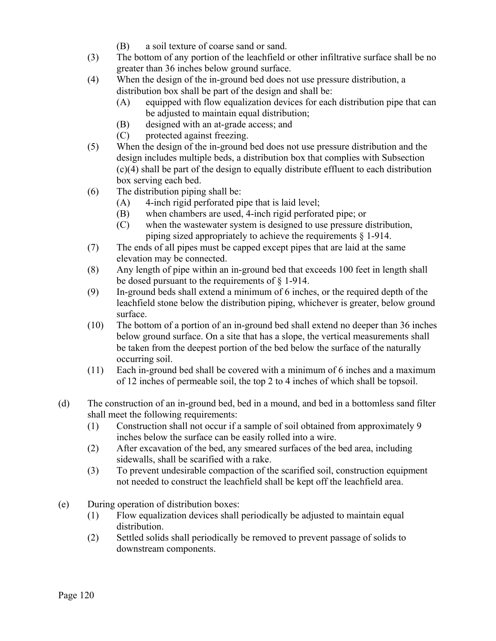- (B) a soil texture of coarse sand or sand.
- (3) The bottom of any portion of the leachfield or other infiltrative surface shall be no greater than 36 inches below ground surface.
- (4) When the design of the in-ground bed does not use pressure distribution, a distribution box shall be part of the design and shall be:
	- (A) equipped with flow equalization devices for each distribution pipe that can be adjusted to maintain equal distribution;
	- (B) designed with an at-grade access; and
	- (C) protected against freezing.
- (5) When the design of the in-ground bed does not use pressure distribution and the design includes multiple beds, a distribution box that complies with Subsection (c)(4) shall be part of the design to equally distribute effluent to each distribution box serving each bed.
- (6) The distribution piping shall be:
	- (A) 4-inch rigid perforated pipe that is laid level;
	- (B) when chambers are used, 4-inch rigid perforated pipe; or
	- (C) when the wastewater system is designed to use pressure distribution, piping sized appropriately to achieve the requirements § 1-914.
- (7) The ends of all pipes must be capped except pipes that are laid at the same elevation may be connected.
- (8) Any length of pipe within an in-ground bed that exceeds 100 feet in length shall be dosed pursuant to the requirements of § 1-914.
- (9) In-ground beds shall extend a minimum of 6 inches, or the required depth of the leachfield stone below the distribution piping, whichever is greater, below ground surface.
- (10) The bottom of a portion of an in-ground bed shall extend no deeper than 36 inches below ground surface. On a site that has a slope, the vertical measurements shall be taken from the deepest portion of the bed below the surface of the naturally occurring soil.
- (11) Each in-ground bed shall be covered with a minimum of 6 inches and a maximum of 12 inches of permeable soil, the top 2 to 4 inches of which shall be topsoil.
- (d) The construction of an in-ground bed, bed in a mound, and bed in a bottomless sand filter shall meet the following requirements:
	- (1) Construction shall not occur if a sample of soil obtained from approximately 9 inches below the surface can be easily rolled into a wire.
	- (2) After excavation of the bed, any smeared surfaces of the bed area, including sidewalls, shall be scarified with a rake.
	- (3) To prevent undesirable compaction of the scarified soil, construction equipment not needed to construct the leachfield shall be kept off the leachfield area.
- (e) During operation of distribution boxes:
	- (1) Flow equalization devices shall periodically be adjusted to maintain equal distribution.
	- (2) Settled solids shall periodically be removed to prevent passage of solids to downstream components.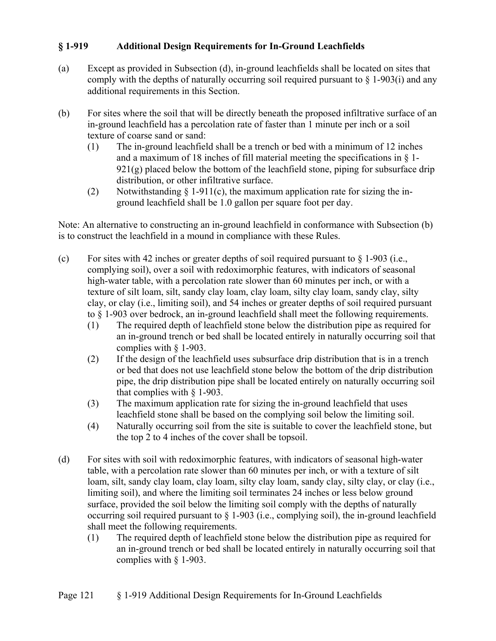### **§ 1-919 Additional Design Requirements for In-Ground Leachfields**

- (a) Except as provided in Subsection (d), in-ground leachfields shall be located on sites that comply with the depths of naturally occurring soil required pursuant to  $\S$  1-903(i) and any additional requirements in this Section.
- (b) For sites where the soil that will be directly beneath the proposed infiltrative surface of an in-ground leachfield has a percolation rate of faster than 1 minute per inch or a soil texture of coarse sand or sand:
	- (1) The in-ground leachfield shall be a trench or bed with a minimum of 12 inches and a maximum of 18 inches of fill material meeting the specifications in § 1-  $921(g)$  placed below the bottom of the leachfield stone, piping for subsurface drip distribution, or other infiltrative surface.
	- (2) Notwithstanding  $\S$  1-911(c), the maximum application rate for sizing the inground leachfield shall be 1.0 gallon per square foot per day.

Note: An alternative to constructing an in-ground leachfield in conformance with Subsection (b) is to construct the leachfield in a mound in compliance with these Rules.

- (c) For sites with 42 inches or greater depths of soil required pursuant to  $\S$  1-903 (i.e., complying soil), over a soil with redoximorphic features, with indicators of seasonal high-water table, with a percolation rate slower than 60 minutes per inch, or with a texture of silt loam, silt, sandy clay loam, clay loam, silty clay loam, sandy clay, silty clay, or clay (i.e., limiting soil), and 54 inches or greater depths of soil required pursuant to § 1-903 over bedrock, an in-ground leachfield shall meet the following requirements.
	- (1) The required depth of leachfield stone below the distribution pipe as required for an in-ground trench or bed shall be located entirely in naturally occurring soil that complies with § 1-903.
	- (2) If the design of the leachfield uses subsurface drip distribution that is in a trench or bed that does not use leachfield stone below the bottom of the drip distribution pipe, the drip distribution pipe shall be located entirely on naturally occurring soil that complies with § 1-903.
	- (3) The maximum application rate for sizing the in-ground leachfield that uses leachfield stone shall be based on the complying soil below the limiting soil.
	- (4) Naturally occurring soil from the site is suitable to cover the leachfield stone, but the top 2 to 4 inches of the cover shall be topsoil.
- (d) For sites with soil with redoximorphic features, with indicators of seasonal high-water table, with a percolation rate slower than 60 minutes per inch, or with a texture of silt loam, silt, sandy clay loam, clay loam, silty clay loam, sandy clay, silty clay, or clay (i.e., limiting soil), and where the limiting soil terminates 24 inches or less below ground surface, provided the soil below the limiting soil comply with the depths of naturally occurring soil required pursuant to § 1-903 (i.e., complying soil), the in-ground leachfield shall meet the following requirements.
	- (1) The required depth of leachfield stone below the distribution pipe as required for an in-ground trench or bed shall be located entirely in naturally occurring soil that complies with § 1-903.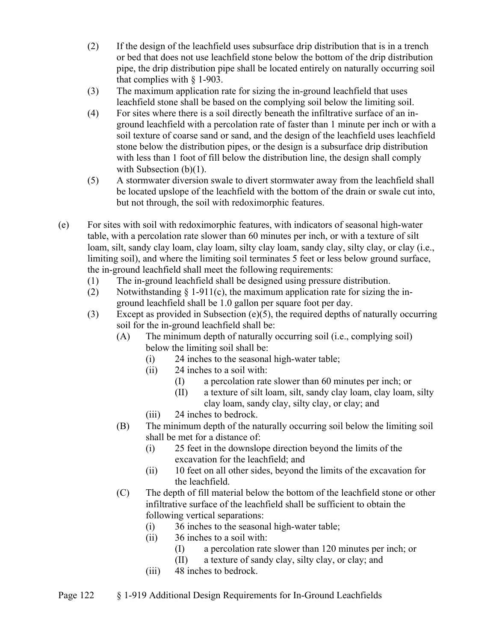- (2) If the design of the leachfield uses subsurface drip distribution that is in a trench or bed that does not use leachfield stone below the bottom of the drip distribution pipe, the drip distribution pipe shall be located entirely on naturally occurring soil that complies with § 1-903.
- (3) The maximum application rate for sizing the in-ground leachfield that uses leachfield stone shall be based on the complying soil below the limiting soil.
- (4) For sites where there is a soil directly beneath the infiltrative surface of an inground leachfield with a percolation rate of faster than 1 minute per inch or with a soil texture of coarse sand or sand, and the design of the leachfield uses leachfield stone below the distribution pipes, or the design is a subsurface drip distribution with less than 1 foot of fill below the distribution line, the design shall comply with Subsection (b)(1).
- (5) A stormwater diversion swale to divert stormwater away from the leachfield shall be located upslope of the leachfield with the bottom of the drain or swale cut into, but not through, the soil with redoximorphic features.
- (e) For sites with soil with redoximorphic features, with indicators of seasonal high-water table, with a percolation rate slower than 60 minutes per inch, or with a texture of silt loam, silt, sandy clay loam, clay loam, silty clay loam, sandy clay, silty clay, or clay (i.e., limiting soil), and where the limiting soil terminates 5 feet or less below ground surface, the in-ground leachfield shall meet the following requirements:
	- (1) The in-ground leachfield shall be designed using pressure distribution.
	- (2) Notwithstanding  $\S 1-911(c)$ , the maximum application rate for sizing the inground leachfield shall be 1.0 gallon per square foot per day.
	- (3) Except as provided in Subsection (e)(5), the required depths of naturally occurring soil for the in-ground leachfield shall be:
		- (A) The minimum depth of naturally occurring soil (i.e., complying soil) below the limiting soil shall be:
			- (i) 24 inches to the seasonal high-water table;
			- (ii) 24 inches to a soil with:
				- (I) a percolation rate slower than 60 minutes per inch; or
				- (II) a texture of silt loam, silt, sandy clay loam, clay loam, silty clay loam, sandy clay, silty clay, or clay; and
			- (iii) 24 inches to bedrock.
		- (B) The minimum depth of the naturally occurring soil below the limiting soil shall be met for a distance of:
			- (i) 25 feet in the downslope direction beyond the limits of the excavation for the leachfield; and
			- (ii) 10 feet on all other sides, beyond the limits of the excavation for the leachfield.
		- (C) The depth of fill material below the bottom of the leachfield stone or other infiltrative surface of the leachfield shall be sufficient to obtain the following vertical separations:
			- (i) 36 inches to the seasonal high-water table;
			- (ii) 36 inches to a soil with:
				- (I) a percolation rate slower than 120 minutes per inch; or
				- (II) a texture of sandy clay, silty clay, or clay; and
			- (iii) 48 inches to bedrock.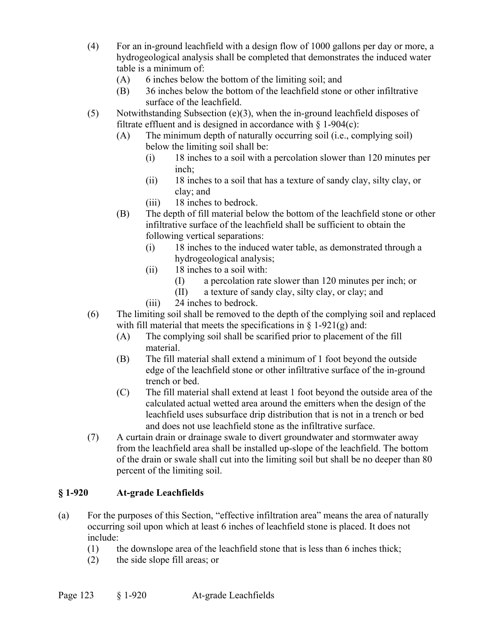- (4) For an in-ground leachfield with a design flow of 1000 gallons per day or more, a hydrogeological analysis shall be completed that demonstrates the induced water table is a minimum of:
	- (A) 6 inches below the bottom of the limiting soil; and
	- (B) 36 inches below the bottom of the leachfield stone or other infiltrative surface of the leachfield.
- (5) Notwithstanding Subsection (e)(3), when the in-ground leachfield disposes of filtrate effluent and is designed in accordance with  $\S$  1-904(c):
	- (A) The minimum depth of naturally occurring soil (i.e., complying soil) below the limiting soil shall be:
		- (i) 18 inches to a soil with a percolation slower than 120 minutes per inch;
		- (ii) 18 inches to a soil that has a texture of sandy clay, silty clay, or clay; and
		- (iii) 18 inches to bedrock.
	- (B) The depth of fill material below the bottom of the leachfield stone or other infiltrative surface of the leachfield shall be sufficient to obtain the following vertical separations:
		- (i) 18 inches to the induced water table, as demonstrated through a hydrogeological analysis;
		- (ii) 18 inches to a soil with:
			- (I) a percolation rate slower than 120 minutes per inch; or
			- (II) a texture of sandy clay, silty clay, or clay; and
		- (iii) 24 inches to bedrock.
- (6) The limiting soil shall be removed to the depth of the complying soil and replaced with fill material that meets the specifications in  $\S$  1-921(g) and:
	- (A) The complying soil shall be scarified prior to placement of the fill material.
	- (B) The fill material shall extend a minimum of 1 foot beyond the outside edge of the leachfield stone or other infiltrative surface of the in-ground trench or bed.
	- (C) The fill material shall extend at least 1 foot beyond the outside area of the calculated actual wetted area around the emitters when the design of the leachfield uses subsurface drip distribution that is not in a trench or bed and does not use leachfield stone as the infiltrative surface.
- (7) A curtain drain or drainage swale to divert groundwater and stormwater away from the leachfield area shall be installed up-slope of the leachfield. The bottom of the drain or swale shall cut into the limiting soil but shall be no deeper than 80 percent of the limiting soil.

### **§ 1-920 At-grade Leachfields**

- (a) For the purposes of this Section, "effective infiltration area" means the area of naturally occurring soil upon which at least 6 inches of leachfield stone is placed. It does not include:
	- $(1)$  the downslope area of the leachfield stone that is less than 6 inches thick;
	- (2) the side slope fill areas; or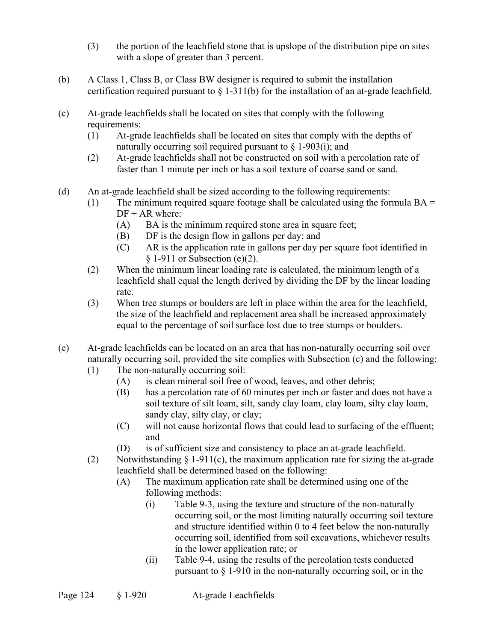- (3) the portion of the leachfield stone that is upslope of the distribution pipe on sites with a slope of greater than 3 percent.
- (b) A Class 1, Class B, or Class BW designer is required to submit the installation certification required pursuant to  $\S 1-311(b)$  for the installation of an at-grade leachfield.
- (c) At-grade leachfields shall be located on sites that comply with the following requirements:
	- (1) At-grade leachfields shall be located on sites that comply with the depths of naturally occurring soil required pursuant to  $\S$  1-903(i); and
	- (2) At-grade leachfields shall not be constructed on soil with a percolation rate of faster than 1 minute per inch or has a soil texture of coarse sand or sand.
- (d) An at-grade leachfield shall be sized according to the following requirements:
	- (1) The minimum required square footage shall be calculated using the formula  $BA =$  $DF \div AR$  where:
		- (A) BA is the minimum required stone area in square feet;
		- (B) DF is the design flow in gallons per day; and
		- (C) AR is the application rate in gallons per day per square foot identified in  $§ 1-911$  or Subsection (e)(2).
	- (2) When the minimum linear loading rate is calculated, the minimum length of a leachfield shall equal the length derived by dividing the DF by the linear loading rate.
	- (3) When tree stumps or boulders are left in place within the area for the leachfield, the size of the leachfield and replacement area shall be increased approximately equal to the percentage of soil surface lost due to tree stumps or boulders.
- (e) At-grade leachfields can be located on an area that has non-naturally occurring soil over naturally occurring soil, provided the site complies with Subsection (c) and the following:
	- (1) The non-naturally occurring soil:
		- (A) is clean mineral soil free of wood, leaves, and other debris;
		- (B) has a percolation rate of 60 minutes per inch or faster and does not have a soil texture of silt loam, silt, sandy clay loam, clay loam, silty clay loam, sandy clay, silty clay, or clay;
		- (C) will not cause horizontal flows that could lead to surfacing of the effluent; and
		- (D) is of sufficient size and consistency to place an at-grade leachfield.
	- (2) Notwithstanding  $\S 1-911(c)$ , the maximum application rate for sizing the at-grade leachfield shall be determined based on the following:
		- (A) The maximum application rate shall be determined using one of the following methods:
			- (i) Table 9-3, using the texture and structure of the non-naturally occurring soil, or the most limiting naturally occurring soil texture and structure identified within 0 to 4 feet below the non-naturally occurring soil, identified from soil excavations, whichever results in the lower application rate; or
			- (ii) Table 9-4, using the results of the percolation tests conducted pursuant to § 1-910 in the non-naturally occurring soil, or in the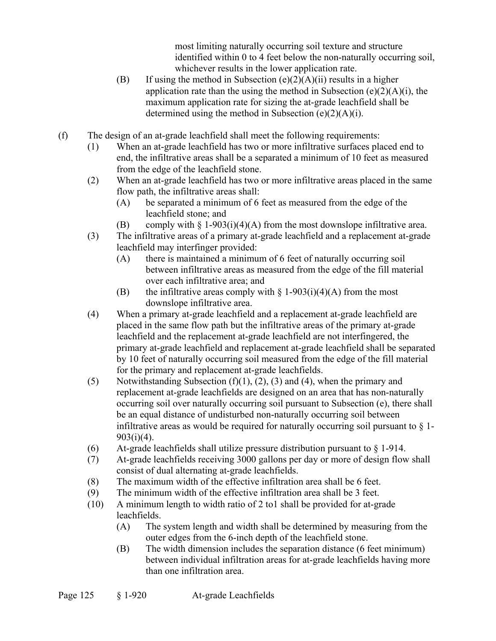most limiting naturally occurring soil texture and structure identified within 0 to 4 feet below the non-naturally occurring soil, whichever results in the lower application rate.

- (B) If using the method in Subsection  $(e)(2)(A)(ii)$  results in a higher application rate than the using the method in Subsection  $(e)(2)(A)(i)$ , the maximum application rate for sizing the at-grade leachfield shall be determined using the method in Subsection (e)(2)(A)(i).
- (f) The design of an at-grade leachfield shall meet the following requirements:
	- (1) When an at-grade leachfield has two or more infiltrative surfaces placed end to end, the infiltrative areas shall be a separated a minimum of 10 feet as measured from the edge of the leachfield stone.
	- (2) When an at-grade leachfield has two or more infiltrative areas placed in the same flow path, the infiltrative areas shall:
		- (A) be separated a minimum of 6 feet as measured from the edge of the leachfield stone; and
		- (B) comply with  $\S 1-903(i)(4)(A)$  from the most downslope infiltrative area.
	- (3) The infiltrative areas of a primary at-grade leachfield and a replacement at-grade leachfield may interfinger provided:
		- (A) there is maintained a minimum of 6 feet of naturally occurring soil between infiltrative areas as measured from the edge of the fill material over each infiltrative area; and
		- (B) the infiltrative areas comply with  $\S 1-903(i)(4)(A)$  from the most downslope infiltrative area.
	- (4) When a primary at-grade leachfield and a replacement at-grade leachfield are placed in the same flow path but the infiltrative areas of the primary at-grade leachfield and the replacement at-grade leachfield are not interfingered, the primary at-grade leachfield and replacement at-grade leachfield shall be separated by 10 feet of naturally occurring soil measured from the edge of the fill material for the primary and replacement at-grade leachfields.
	- (5) Notwithstanding Subsection  $(f)(1)$ ,  $(2)$ ,  $(3)$  and  $(4)$ , when the primary and replacement at-grade leachfields are designed on an area that has non-naturally occurring soil over naturally occurring soil pursuant to Subsection (e), there shall be an equal distance of undisturbed non-naturally occurring soil between infiltrative areas as would be required for naturally occurring soil pursuant to  $\S$  1-903(i)(4).
	- (6) At-grade leachfields shall utilize pressure distribution pursuant to  $\S 1-914$ .
	- (7) At-grade leachfields receiving 3000 gallons per day or more of design flow shall consist of dual alternating at-grade leachfields.
	- (8) The maximum width of the effective infiltration area shall be 6 feet.
	- (9) The minimum width of the effective infiltration area shall be 3 feet.
	- (10) A minimum length to width ratio of 2 to1 shall be provided for at-grade leachfields.
		- (A) The system length and width shall be determined by measuring from the outer edges from the 6-inch depth of the leachfield stone.
		- (B) The width dimension includes the separation distance (6 feet minimum) between individual infiltration areas for at-grade leachfields having more than one infiltration area.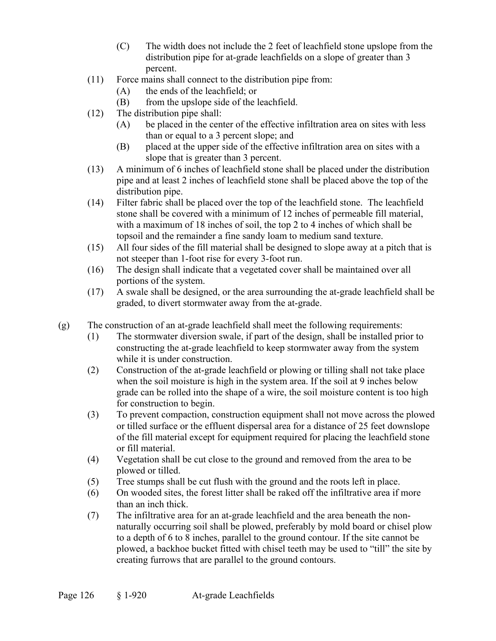- (C) The width does not include the 2 feet of leachfield stone upslope from the distribution pipe for at-grade leachfields on a slope of greater than 3 percent.
- (11) Force mains shall connect to the distribution pipe from:
	- (A) the ends of the leachfield; or
	- (B) from the upslope side of the leachfield.
- (12) The distribution pipe shall:
	- (A) be placed in the center of the effective infiltration area on sites with less than or equal to a 3 percent slope; and
	- (B) placed at the upper side of the effective infiltration area on sites with a slope that is greater than 3 percent.
- (13) A minimum of 6 inches of leachfield stone shall be placed under the distribution pipe and at least 2 inches of leachfield stone shall be placed above the top of the distribution pipe.
- (14) Filter fabric shall be placed over the top of the leachfield stone. The leachfield stone shall be covered with a minimum of 12 inches of permeable fill material, with a maximum of 18 inches of soil, the top 2 to 4 inches of which shall be topsoil and the remainder a fine sandy loam to medium sand texture.
- (15) All four sides of the fill material shall be designed to slope away at a pitch that is not steeper than 1-foot rise for every 3-foot run.
- (16) The design shall indicate that a vegetated cover shall be maintained over all portions of the system.
- (17) A swale shall be designed, or the area surrounding the at-grade leachfield shall be graded, to divert stormwater away from the at-grade.
- (g) The construction of an at-grade leachfield shall meet the following requirements:
	- (1) The stormwater diversion swale, if part of the design, shall be installed prior to constructing the at-grade leachfield to keep stormwater away from the system while it is under construction.
	- (2) Construction of the at-grade leachfield or plowing or tilling shall not take place when the soil moisture is high in the system area. If the soil at 9 inches below grade can be rolled into the shape of a wire, the soil moisture content is too high for construction to begin.
	- (3) To prevent compaction, construction equipment shall not move across the plowed or tilled surface or the effluent dispersal area for a distance of 25 feet downslope of the fill material except for equipment required for placing the leachfield stone or fill material.
	- (4) Vegetation shall be cut close to the ground and removed from the area to be plowed or tilled.
	- (5) Tree stumps shall be cut flush with the ground and the roots left in place.
	- (6) On wooded sites, the forest litter shall be raked off the infiltrative area if more than an inch thick.
	- (7) The infiltrative area for an at-grade leachfield and the area beneath the nonnaturally occurring soil shall be plowed, preferably by mold board or chisel plow to a depth of 6 to 8 inches, parallel to the ground contour. If the site cannot be plowed, a backhoe bucket fitted with chisel teeth may be used to "till" the site by creating furrows that are parallel to the ground contours.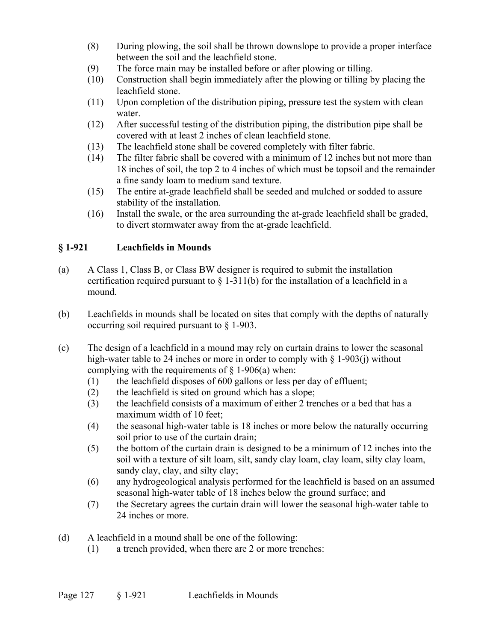- (8) During plowing, the soil shall be thrown downslope to provide a proper interface between the soil and the leachfield stone.
- (9) The force main may be installed before or after plowing or tilling.
- (10) Construction shall begin immediately after the plowing or tilling by placing the leachfield stone.
- (11) Upon completion of the distribution piping, pressure test the system with clean water.
- (12) After successful testing of the distribution piping, the distribution pipe shall be covered with at least 2 inches of clean leachfield stone.
- (13) The leachfield stone shall be covered completely with filter fabric.
- (14) The filter fabric shall be covered with a minimum of 12 inches but not more than 18 inches of soil, the top 2 to 4 inches of which must be topsoil and the remainder a fine sandy loam to medium sand texture.
- (15) The entire at-grade leachfield shall be seeded and mulched or sodded to assure stability of the installation.
- (16) Install the swale, or the area surrounding the at-grade leachfield shall be graded, to divert stormwater away from the at-grade leachfield.

## **§ 1-921 Leachfields in Mounds**

- (a) A Class 1, Class B, or Class BW designer is required to submit the installation certification required pursuant to  $\S$  1-311(b) for the installation of a leachfield in a mound.
- (b) Leachfields in mounds shall be located on sites that comply with the depths of naturally occurring soil required pursuant to § 1-903.
- (c) The design of a leachfield in a mound may rely on curtain drains to lower the seasonal high-water table to 24 inches or more in order to comply with § 1-903(j) without complying with the requirements of  $\S$  1-906(a) when:
	- (1) the leachfield disposes of 600 gallons or less per day of effluent;
	- (2) the leachfield is sited on ground which has a slope;
	- (3) the leachfield consists of a maximum of either 2 trenches or a bed that has a maximum width of 10 feet;
	- (4) the seasonal high-water table is 18 inches or more below the naturally occurring soil prior to use of the curtain drain;
	- (5) the bottom of the curtain drain is designed to be a minimum of 12 inches into the soil with a texture of silt loam, silt, sandy clay loam, clay loam, silty clay loam, sandy clay, clay, and silty clay;
	- (6) any hydrogeological analysis performed for the leachfield is based on an assumed seasonal high-water table of 18 inches below the ground surface; and
	- (7) the Secretary agrees the curtain drain will lower the seasonal high-water table to 24 inches or more.

(d) A leachfield in a mound shall be one of the following:

(1) a trench provided, when there are 2 or more trenches: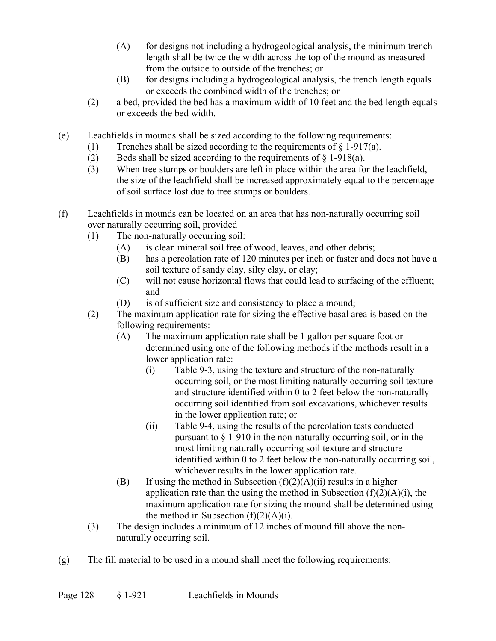- (A) for designs not including a hydrogeological analysis, the minimum trench length shall be twice the width across the top of the mound as measured from the outside to outside of the trenches; or
- (B) for designs including a hydrogeological analysis, the trench length equals or exceeds the combined width of the trenches; or
- (2) a bed, provided the bed has a maximum width of 10 feet and the bed length equals or exceeds the bed width.
- (e) Leachfields in mounds shall be sized according to the following requirements:
	- (1) Trenches shall be sized according to the requirements of  $\S$  1-917(a).
	- (2) Beds shall be sized according to the requirements of  $\S$  1-918(a).
	- (3) When tree stumps or boulders are left in place within the area for the leachfield, the size of the leachfield shall be increased approximately equal to the percentage of soil surface lost due to tree stumps or boulders.
- (f) Leachfields in mounds can be located on an area that has non-naturally occurring soil over naturally occurring soil, provided
	- (1) The non-naturally occurring soil:
		- (A) is clean mineral soil free of wood, leaves, and other debris;
		- (B) has a percolation rate of 120 minutes per inch or faster and does not have a soil texture of sandy clay, silty clay, or clay;
		- (C) will not cause horizontal flows that could lead to surfacing of the effluent; and
		- (D) is of sufficient size and consistency to place a mound;
	- (2) The maximum application rate for sizing the effective basal area is based on the following requirements:
		- (A) The maximum application rate shall be 1 gallon per square foot or determined using one of the following methods if the methods result in a lower application rate:
			- (i) Table 9-3, using the texture and structure of the non-naturally occurring soil, or the most limiting naturally occurring soil texture and structure identified within 0 to 2 feet below the non-naturally occurring soil identified from soil excavations, whichever results in the lower application rate; or
			- (ii) Table 9-4, using the results of the percolation tests conducted pursuant to  $\frac{1}{2}$  1-910 in the non-naturally occurring soil, or in the most limiting naturally occurring soil texture and structure identified within 0 to 2 feet below the non-naturally occurring soil, whichever results in the lower application rate.
		- (B) If using the method in Subsection  $(f)(2)(A)(ii)$  results in a higher application rate than the using the method in Subsection  $(f)(2)(A)(i)$ , the maximum application rate for sizing the mound shall be determined using the method in Subsection  $(f)(2)(A)(i)$ .
	- (3) The design includes a minimum of 12 inches of mound fill above the nonnaturally occurring soil.
- (g) The fill material to be used in a mound shall meet the following requirements: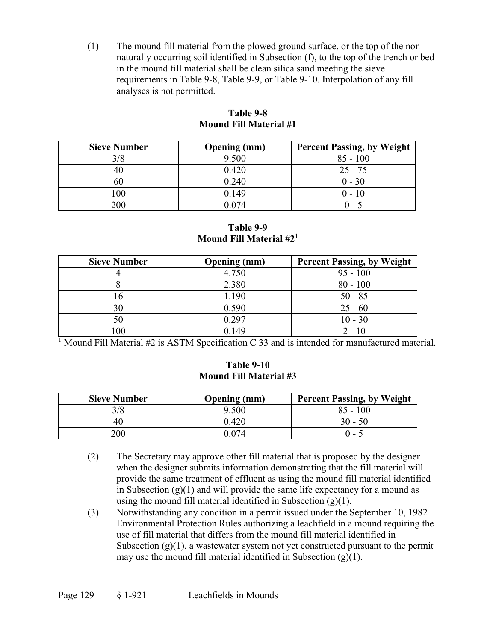(1) The mound fill material from the plowed ground surface, or the top of the nonnaturally occurring soil identified in Subsection (f), to the top of the trench or bed in the mound fill material shall be clean silica sand meeting the sieve requirements in Table 9-8, Table 9-9, or Table 9-10. Interpolation of any fill analyses is not permitted.

| <b>Sieve Number</b> | <b>Opening</b> (mm) | <b>Percent Passing, by Weight</b> |
|---------------------|---------------------|-----------------------------------|
| 3/8                 | 9.500               | $85 - 100$                        |
| 40                  | 0.420               | $25 - 75$                         |
| 60                  | 0.240               | $0 - 30$                          |
| 100                 | 0.149               | $0 - 10$                          |
| 200                 | 0.074               | $(1 - \frac{1}{2})$               |

#### **Table 9-8 Mound Fill Material #1**

**Table 9-9 Mound Fill Material #2**<sup>1</sup>

| <b>Sieve Number</b> | <b>Opening</b> (mm) | <b>Percent Passing, by Weight</b> |
|---------------------|---------------------|-----------------------------------|
|                     | 4.750               | $95 - 100$                        |
|                     | 2.380               | $80 - 100$                        |
| 16                  | 1.190               | $50 - 85$                         |
| 30                  | 0.590               | $25 - 60$                         |
| 50                  | 0.297               | $10 - 30$                         |
| $.00\,$             | 149 (               | $2 - 10$                          |

<sup>1</sup> Mound Fill Material  $#2$  is ASTM Specification C 33 and is intended for manufactured material.

#### **Table 9-10 Mound Fill Material #3**

| <b>Sieve Number</b> | <b>Opening</b> (mm) | <b>Percent Passing, by Weight</b> |
|---------------------|---------------------|-----------------------------------|
| 3/8                 | 9.500               | $85 - 100$                        |
| 40                  | 0.420               | 30 - 50                           |
| 200                 | 074 (               | በ - 5                             |

- (2) The Secretary may approve other fill material that is proposed by the designer when the designer submits information demonstrating that the fill material will provide the same treatment of effluent as using the mound fill material identified in Subsection  $(g)(1)$  and will provide the same life expectancy for a mound as using the mound fill material identified in Subsection  $(g)(1)$ .
- (3) Notwithstanding any condition in a permit issued under the September 10, 1982 Environmental Protection Rules authorizing a leachfield in a mound requiring the use of fill material that differs from the mound fill material identified in Subsection  $(g)(1)$ , a wastewater system not yet constructed pursuant to the permit may use the mound fill material identified in Subsection  $(g)(1)$ .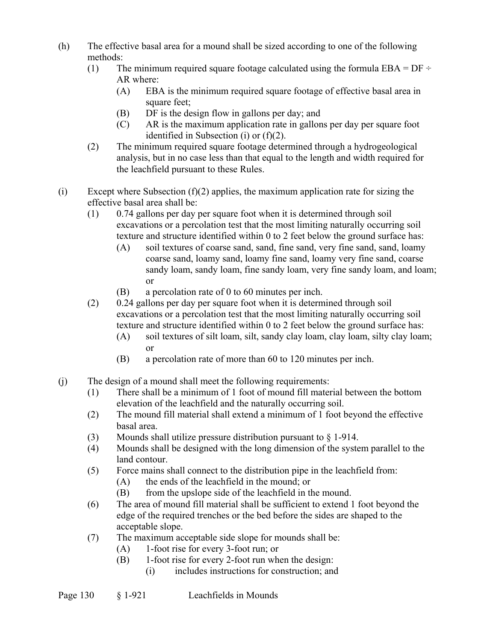- (h) The effective basal area for a mound shall be sized according to one of the following methods:
	- (1) The minimum required square footage calculated using the formula  $EBA = DF \div$ AR where:
		- (A) EBA is the minimum required square footage of effective basal area in square feet;
		- (B) DF is the design flow in gallons per day; and
		- (C) AR is the maximum application rate in gallons per day per square foot identified in Subsection (i) or (f)(2).
	- (2) The minimum required square footage determined through a hydrogeological analysis, but in no case less than that equal to the length and width required for the leachfield pursuant to these Rules.
- (i) Except where Subsection  $(f)(2)$  applies, the maximum application rate for sizing the effective basal area shall be:
	- (1) 0.74 gallons per day per square foot when it is determined through soil excavations or a percolation test that the most limiting naturally occurring soil texture and structure identified within 0 to 2 feet below the ground surface has:
		- (A) soil textures of coarse sand, sand, fine sand, very fine sand, sand, loamy coarse sand, loamy sand, loamy fine sand, loamy very fine sand, coarse sandy loam, sandy loam, fine sandy loam, very fine sandy loam, and loam; or
		- (B) a percolation rate of 0 to 60 minutes per inch.
	- (2) 0.24 gallons per day per square foot when it is determined through soil excavations or a percolation test that the most limiting naturally occurring soil texture and structure identified within 0 to 2 feet below the ground surface has:
		- (A) soil textures of silt loam, silt, sandy clay loam, clay loam, silty clay loam; or
		- (B) a percolation rate of more than 60 to 120 minutes per inch.
- (j) The design of a mound shall meet the following requirements:
	- (1) There shall be a minimum of 1 foot of mound fill material between the bottom elevation of the leachfield and the naturally occurring soil.
	- (2) The mound fill material shall extend a minimum of 1 foot beyond the effective basal area.
	- (3) Mounds shall utilize pressure distribution pursuant to § 1-914.
	- (4) Mounds shall be designed with the long dimension of the system parallel to the land contour.
	- (5) Force mains shall connect to the distribution pipe in the leachfield from:
		- (A) the ends of the leachfield in the mound; or
		- (B) from the upslope side of the leachfield in the mound.
	- (6) The area of mound fill material shall be sufficient to extend 1 foot beyond the edge of the required trenches or the bed before the sides are shaped to the acceptable slope.
	- (7) The maximum acceptable side slope for mounds shall be:
		- (A) 1-foot rise for every 3-foot run; or
		- (B) 1-foot rise for every 2-foot run when the design:
			- (i) includes instructions for construction; and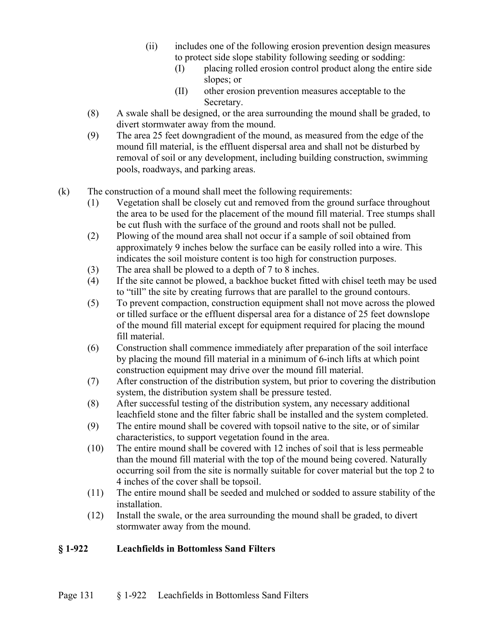- (ii) includes one of the following erosion prevention design measures to protect side slope stability following seeding or sodding:
	- (I) placing rolled erosion control product along the entire side slopes; or
	- (II) other erosion prevention measures acceptable to the Secretary.
- (8) A swale shall be designed, or the area surrounding the mound shall be graded, to divert stormwater away from the mound.
- (9) The area 25 feet downgradient of the mound, as measured from the edge of the mound fill material, is the effluent dispersal area and shall not be disturbed by removal of soil or any development, including building construction, swimming pools, roadways, and parking areas.
- (k) The construction of a mound shall meet the following requirements:
	- (1) Vegetation shall be closely cut and removed from the ground surface throughout the area to be used for the placement of the mound fill material. Tree stumps shall be cut flush with the surface of the ground and roots shall not be pulled.
	- (2) Plowing of the mound area shall not occur if a sample of soil obtained from approximately 9 inches below the surface can be easily rolled into a wire. This indicates the soil moisture content is too high for construction purposes.
	- (3) The area shall be plowed to a depth of 7 to 8 inches.
	- (4) If the site cannot be plowed, a backhoe bucket fitted with chisel teeth may be used to "till" the site by creating furrows that are parallel to the ground contours.
	- (5) To prevent compaction, construction equipment shall not move across the plowed or tilled surface or the effluent dispersal area for a distance of 25 feet downslope of the mound fill material except for equipment required for placing the mound fill material.
	- (6) Construction shall commence immediately after preparation of the soil interface by placing the mound fill material in a minimum of 6-inch lifts at which point construction equipment may drive over the mound fill material.
	- (7) After construction of the distribution system, but prior to covering the distribution system, the distribution system shall be pressure tested.
	- (8) After successful testing of the distribution system, any necessary additional leachfield stone and the filter fabric shall be installed and the system completed.
	- (9) The entire mound shall be covered with topsoil native to the site, or of similar characteristics, to support vegetation found in the area.
	- (10) The entire mound shall be covered with 12 inches of soil that is less permeable than the mound fill material with the top of the mound being covered. Naturally occurring soil from the site is normally suitable for cover material but the top 2 to 4 inches of the cover shall be topsoil.
	- (11) The entire mound shall be seeded and mulched or sodded to assure stability of the installation.
	- (12) Install the swale, or the area surrounding the mound shall be graded, to divert stormwater away from the mound.

### **§ 1-922 Leachfields in Bottomless Sand Filters**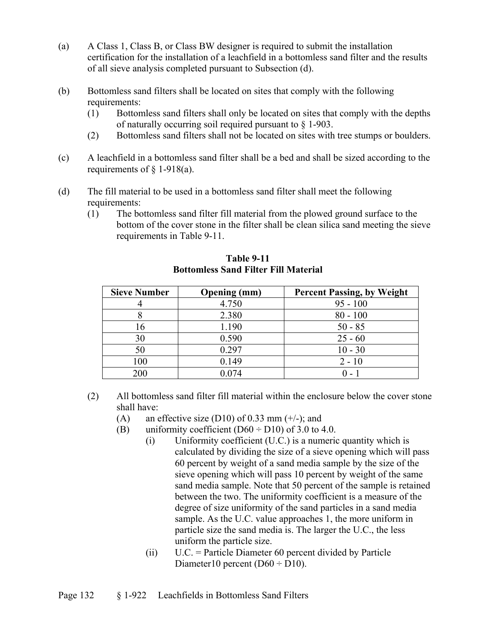- (a) A Class 1, Class B, or Class BW designer is required to submit the installation certification for the installation of a leachfield in a bottomless sand filter and the results of all sieve analysis completed pursuant to Subsection (d).
- (b) Bottomless sand filters shall be located on sites that comply with the following requirements:
	- (1) Bottomless sand filters shall only be located on sites that comply with the depths of naturally occurring soil required pursuant to § 1-903.
	- (2) Bottomless sand filters shall not be located on sites with tree stumps or boulders.
- (c) A leachfield in a bottomless sand filter shall be a bed and shall be sized according to the requirements of  $\S$  1-918(a).
- (d) The fill material to be used in a bottomless sand filter shall meet the following requirements:
	- (1) The bottomless sand filter fill material from the plowed ground surface to the bottom of the cover stone in the filter shall be clean silica sand meeting the sieve requirements in Table 9-11.

| <b>Sieve Number</b> | <b>Opening</b> (mm) | <b>Percent Passing, by Weight</b> |
|---------------------|---------------------|-----------------------------------|
|                     | 4.750               | $95 - 100$                        |
|                     | 2.380               | $80 - 100$                        |
| 16                  | 1.190               | $50 - 85$                         |
| 30                  | 0.590               | $25 - 60$                         |
| 50                  | 0.297               | $10 - 30$                         |
| 100                 | 0.149               | $2 - 10$                          |
| 200                 | 074.                |                                   |

**Table 9-11 Bottomless Sand Filter Fill Material** 

- (2) All bottomless sand filter fill material within the enclosure below the cover stone shall have:
	- (A) an effective size (D10) of 0.33 mm  $(+/-)$ ; and
	- (B) uniformity coefficient  $(D60 + D10)$  of 3.0 to 4.0.
		- (i) Uniformity coefficient (U.C.) is a numeric quantity which is calculated by dividing the size of a sieve opening which will pass 60 percent by weight of a sand media sample by the size of the sieve opening which will pass 10 percent by weight of the same sand media sample. Note that 50 percent of the sample is retained between the two. The uniformity coefficient is a measure of the degree of size uniformity of the sand particles in a sand media sample. As the U.C. value approaches 1, the more uniform in particle size the sand media is. The larger the U.C., the less uniform the particle size.
		- (ii) U.C. = Particle Diameter 60 percent divided by Particle Diameter10 percent ( $D60 \div D10$ ).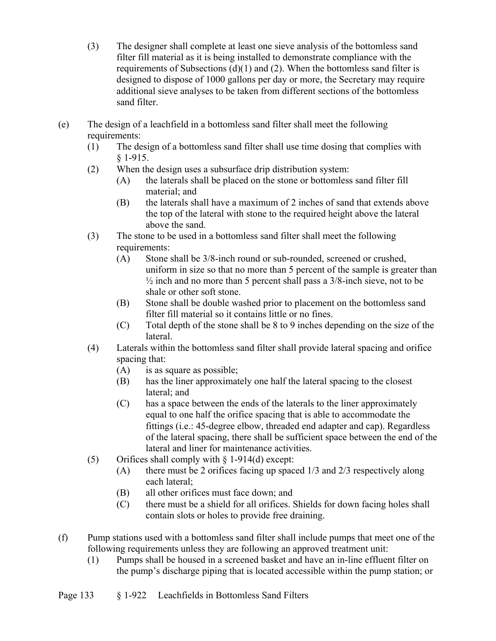- (3) The designer shall complete at least one sieve analysis of the bottomless sand filter fill material as it is being installed to demonstrate compliance with the requirements of Subsections  $(d)(1)$  and  $(2)$ . When the bottomless sand filter is designed to dispose of 1000 gallons per day or more, the Secretary may require additional sieve analyses to be taken from different sections of the bottomless sand filter.
- (e) The design of a leachfield in a bottomless sand filter shall meet the following requirements:
	- (1) The design of a bottomless sand filter shall use time dosing that complies with § 1-915.
	- (2) When the design uses a subsurface drip distribution system:
		- (A) the laterals shall be placed on the stone or bottomless sand filter fill material; and
		- (B) the laterals shall have a maximum of 2 inches of sand that extends above the top of the lateral with stone to the required height above the lateral above the sand.
	- (3) The stone to be used in a bottomless sand filter shall meet the following requirements:
		- (A) Stone shall be 3/8-inch round or sub-rounded, screened or crushed, uniform in size so that no more than 5 percent of the sample is greater than  $\frac{1}{2}$  inch and no more than 5 percent shall pass a  $3/8$ -inch sieve, not to be shale or other soft stone.
		- (B) Stone shall be double washed prior to placement on the bottomless sand filter fill material so it contains little or no fines.
		- (C) Total depth of the stone shall be 8 to 9 inches depending on the size of the lateral.
	- (4) Laterals within the bottomless sand filter shall provide lateral spacing and orifice spacing that:
		- (A) is as square as possible;
		- (B) has the liner approximately one half the lateral spacing to the closest lateral; and
		- (C) has a space between the ends of the laterals to the liner approximately equal to one half the orifice spacing that is able to accommodate the fittings (i.e.: 45-degree elbow, threaded end adapter and cap). Regardless of the lateral spacing, there shall be sufficient space between the end of the lateral and liner for maintenance activities.
	- (5) Orifices shall comply with § 1-914(d) except:
		- (A) there must be 2 orifices facing up spaced 1/3 and 2/3 respectively along each lateral;
		- (B) all other orifices must face down; and
		- (C) there must be a shield for all orifices. Shields for down facing holes shall contain slots or holes to provide free draining.
- (f) Pump stations used with a bottomless sand filter shall include pumps that meet one of the following requirements unless they are following an approved treatment unit:
	- (1) Pumps shall be housed in a screened basket and have an in-line effluent filter on the pump's discharge piping that is located accessible within the pump station; or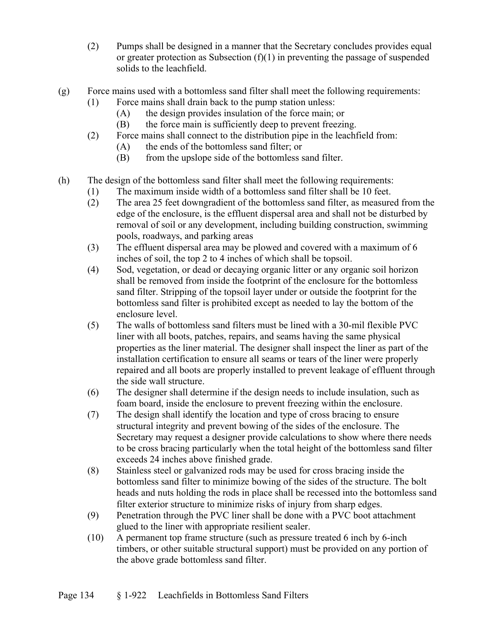- (2) Pumps shall be designed in a manner that the Secretary concludes provides equal or greater protection as Subsection  $(f)(1)$  in preventing the passage of suspended solids to the leachfield.
- (g) Force mains used with a bottomless sand filter shall meet the following requirements:
	- (1) Force mains shall drain back to the pump station unless:
		- (A) the design provides insulation of the force main; or
		- (B) the force main is sufficiently deep to prevent freezing.
	- (2) Force mains shall connect to the distribution pipe in the leachfield from:
		- (A) the ends of the bottomless sand filter; or
		- (B) from the upslope side of the bottomless sand filter.
- (h) The design of the bottomless sand filter shall meet the following requirements:
	- (1) The maximum inside width of a bottomless sand filter shall be 10 feet.
	- (2) The area 25 feet downgradient of the bottomless sand filter, as measured from the edge of the enclosure, is the effluent dispersal area and shall not be disturbed by removal of soil or any development, including building construction, swimming pools, roadways, and parking areas
	- (3) The effluent dispersal area may be plowed and covered with a maximum of 6 inches of soil, the top 2 to 4 inches of which shall be topsoil.
	- (4) Sod, vegetation, or dead or decaying organic litter or any organic soil horizon shall be removed from inside the footprint of the enclosure for the bottomless sand filter. Stripping of the topsoil layer under or outside the footprint for the bottomless sand filter is prohibited except as needed to lay the bottom of the enclosure level.
	- (5) The walls of bottomless sand filters must be lined with a 30-mil flexible PVC liner with all boots, patches, repairs, and seams having the same physical properties as the liner material. The designer shall inspect the liner as part of the installation certification to ensure all seams or tears of the liner were properly repaired and all boots are properly installed to prevent leakage of effluent through the side wall structure.
	- (6) The designer shall determine if the design needs to include insulation, such as foam board, inside the enclosure to prevent freezing within the enclosure.
	- (7) The design shall identify the location and type of cross bracing to ensure structural integrity and prevent bowing of the sides of the enclosure. The Secretary may request a designer provide calculations to show where there needs to be cross bracing particularly when the total height of the bottomless sand filter exceeds 24 inches above finished grade.
	- (8) Stainless steel or galvanized rods may be used for cross bracing inside the bottomless sand filter to minimize bowing of the sides of the structure. The bolt heads and nuts holding the rods in place shall be recessed into the bottomless sand filter exterior structure to minimize risks of injury from sharp edges.
	- (9) Penetration through the PVC liner shall be done with a PVC boot attachment glued to the liner with appropriate resilient sealer.
	- (10) A permanent top frame structure (such as pressure treated 6 inch by 6-inch timbers, or other suitable structural support) must be provided on any portion of the above grade bottomless sand filter.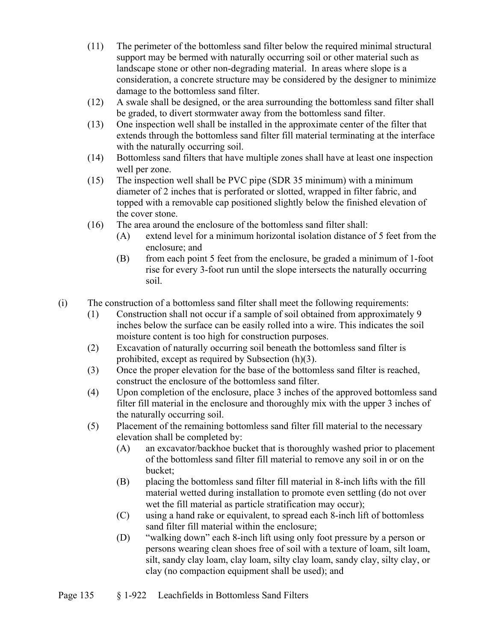- (11) The perimeter of the bottomless sand filter below the required minimal structural support may be bermed with naturally occurring soil or other material such as landscape stone or other non-degrading material.In areas where slope is a consideration, a concrete structure may be considered by the designer to minimize damage to the bottomless sand filter.
- (12) A swale shall be designed, or the area surrounding the bottomless sand filter shall be graded, to divert stormwater away from the bottomless sand filter.
- (13) One inspection well shall be installed in the approximate center of the filter that extends through the bottomless sand filter fill material terminating at the interface with the naturally occurring soil.
- (14) Bottomless sand filters that have multiple zones shall have at least one inspection well per zone.
- (15) The inspection well shall be PVC pipe (SDR 35 minimum) with a minimum diameter of 2 inches that is perforated or slotted, wrapped in filter fabric, and topped with a removable cap positioned slightly below the finished elevation of the cover stone.
- (16) The area around the enclosure of the bottomless sand filter shall:
	- (A) extend level for a minimum horizontal isolation distance of 5 feet from the enclosure; and
	- (B) from each point 5 feet from the enclosure, be graded a minimum of 1-foot rise for every 3-foot run until the slope intersects the naturally occurring soil.
- (i) The construction of a bottomless sand filter shall meet the following requirements:
	- (1) Construction shall not occur if a sample of soil obtained from approximately 9 inches below the surface can be easily rolled into a wire. This indicates the soil moisture content is too high for construction purposes.
	- (2) Excavation of naturally occurring soil beneath the bottomless sand filter is prohibited, except as required by Subsection (h)(3).
	- (3) Once the proper elevation for the base of the bottomless sand filter is reached, construct the enclosure of the bottomless sand filter.
	- (4) Upon completion of the enclosure, place 3 inches of the approved bottomless sand filter fill material in the enclosure and thoroughly mix with the upper 3 inches of the naturally occurring soil.
	- (5) Placement of the remaining bottomless sand filter fill material to the necessary elevation shall be completed by:
		- (A) an excavator/backhoe bucket that is thoroughly washed prior to placement of the bottomless sand filter fill material to remove any soil in or on the bucket;
		- (B) placing the bottomless sand filter fill material in 8-inch lifts with the fill material wetted during installation to promote even settling (do not over wet the fill material as particle stratification may occur);
		- (C) using a hand rake or equivalent, to spread each 8-inch lift of bottomless sand filter fill material within the enclosure;
		- (D) "walking down" each 8-inch lift using only foot pressure by a person or persons wearing clean shoes free of soil with a texture of loam, silt loam, silt, sandy clay loam, clay loam, silty clay loam, sandy clay, silty clay, or clay (no compaction equipment shall be used); and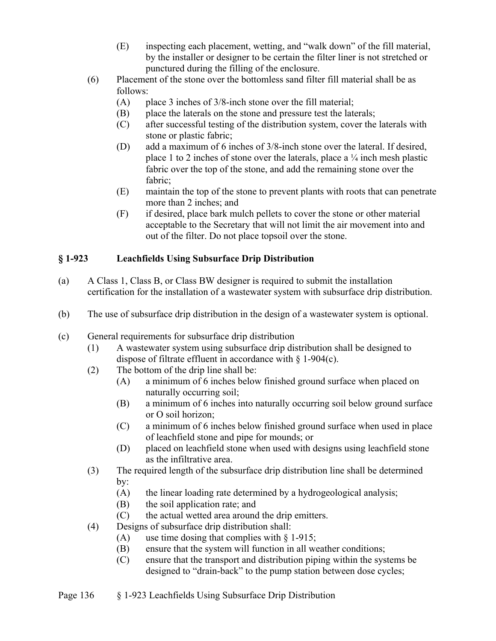- (E) inspecting each placement, wetting, and "walk down" of the fill material, by the installer or designer to be certain the filter liner is not stretched or punctured during the filling of the enclosure.
- (6) Placement of the stone over the bottomless sand filter fill material shall be as follows:
	- (A) place 3 inches of 3/8-inch stone over the fill material;
	- (B) place the laterals on the stone and pressure test the laterals;
	- (C) after successful testing of the distribution system, cover the laterals with stone or plastic fabric;
	- (D) add a maximum of 6 inches of 3/8-inch stone over the lateral. If desired, place 1 to 2 inches of stone over the laterals, place a  $\frac{1}{4}$  inch mesh plastic fabric over the top of the stone, and add the remaining stone over the fabric;
	- (E) maintain the top of the stone to prevent plants with roots that can penetrate more than 2 inches; and
	- (F) if desired, place bark mulch pellets to cover the stone or other material acceptable to the Secretary that will not limit the air movement into and out of the filter. Do not place topsoil over the stone.

## **§ 1-923 Leachfields Using Subsurface Drip Distribution**

- (a) A Class 1, Class B, or Class BW designer is required to submit the installation certification for the installation of a wastewater system with subsurface drip distribution.
- (b) The use of subsurface drip distribution in the design of a wastewater system is optional.
- (c) General requirements for subsurface drip distribution
	- (1) A wastewater system using subsurface drip distribution shall be designed to dispose of filtrate effluent in accordance with § 1-904(c).
	- (2) The bottom of the drip line shall be:
		- (A) a minimum of 6 inches below finished ground surface when placed on naturally occurring soil;
		- (B) a minimum of 6 inches into naturally occurring soil below ground surface or O soil horizon;
		- (C) a minimum of 6 inches below finished ground surface when used in place of leachfield stone and pipe for mounds; or
		- (D) placed on leachfield stone when used with designs using leachfield stone as the infiltrative area.
	- (3) The required length of the subsurface drip distribution line shall be determined by:
		- (A) the linear loading rate determined by a hydrogeological analysis;
		- (B) the soil application rate; and
		- (C) the actual wetted area around the drip emitters.
	- (4) Designs of subsurface drip distribution shall:
		- (A) use time dosing that complies with  $\S$  1-915;
		- (B) ensure that the system will function in all weather conditions;
		- (C) ensure that the transport and distribution piping within the systems be designed to "drain-back" to the pump station between dose cycles;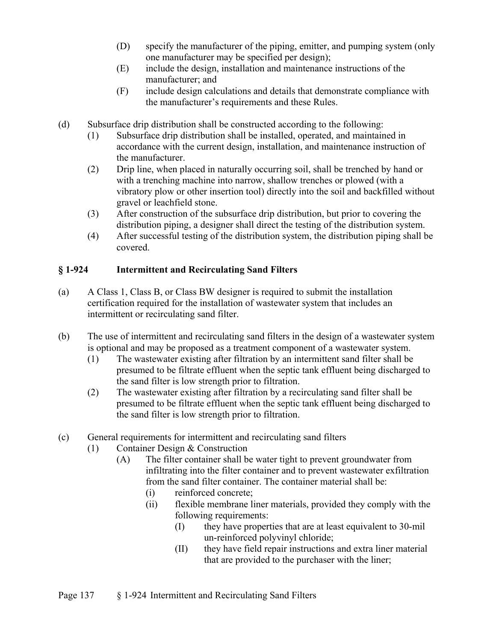- (D) specify the manufacturer of the piping, emitter, and pumping system (only one manufacturer may be specified per design);
- (E) include the design, installation and maintenance instructions of the manufacturer; and
- (F) include design calculations and details that demonstrate compliance with the manufacturer's requirements and these Rules.
- (d) Subsurface drip distribution shall be constructed according to the following:
	- (1) Subsurface drip distribution shall be installed, operated, and maintained in accordance with the current design, installation, and maintenance instruction of the manufacturer.
	- (2) Drip line, when placed in naturally occurring soil, shall be trenched by hand or with a trenching machine into narrow, shallow trenches or plowed (with a vibratory plow or other insertion tool) directly into the soil and backfilled without gravel or leachfield stone.
	- (3) After construction of the subsurface drip distribution, but prior to covering the distribution piping, a designer shall direct the testing of the distribution system.
	- (4) After successful testing of the distribution system, the distribution piping shall be covered.

## **§ 1-924 Intermittent and Recirculating Sand Filters**

- (a) A Class 1, Class B, or Class BW designer is required to submit the installation certification required for the installation of wastewater system that includes an intermittent or recirculating sand filter.
- (b) The use of intermittent and recirculating sand filters in the design of a wastewater system is optional and may be proposed as a treatment component of a wastewater system.
	- (1) The wastewater existing after filtration by an intermittent sand filter shall be presumed to be filtrate effluent when the septic tank effluent being discharged to the sand filter is low strength prior to filtration.
	- (2) The wastewater existing after filtration by a recirculating sand filter shall be presumed to be filtrate effluent when the septic tank effluent being discharged to the sand filter is low strength prior to filtration.
- (c) General requirements for intermittent and recirculating sand filters
	- (1) Container Design & Construction
		- (A) The filter container shall be water tight to prevent groundwater from infiltrating into the filter container and to prevent wastewater exfiltration from the sand filter container. The container material shall be:
			- (i) reinforced concrete;
			- (ii) flexible membrane liner materials, provided they comply with the following requirements:
				- (I) they have properties that are at least equivalent to 30-mil un-reinforced polyvinyl chloride;
				- (II) they have field repair instructions and extra liner material that are provided to the purchaser with the liner;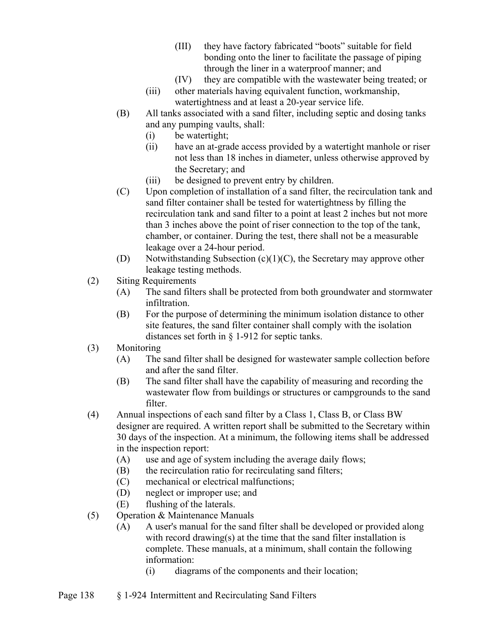- (III) they have factory fabricated "boots" suitable for field bonding onto the liner to facilitate the passage of piping through the liner in a waterproof manner; and
- (IV) they are compatible with the wastewater being treated; or
- (iii) other materials having equivalent function, workmanship, watertightness and at least a 20-year service life.
- (B) All tanks associated with a sand filter, including septic and dosing tanks and any pumping vaults, shall:
	- (i) be watertight;
	- (ii) have an at-grade access provided by a watertight manhole or riser not less than 18 inches in diameter, unless otherwise approved by the Secretary; and
	- (iii) be designed to prevent entry by children.
- (C) Upon completion of installation of a sand filter, the recirculation tank and sand filter container shall be tested for watertightness by filling the recirculation tank and sand filter to a point at least 2 inches but not more than 3 inches above the point of riser connection to the top of the tank, chamber, or container. During the test, there shall not be a measurable leakage over a 24-hour period.
- (D) Notwithstanding Subsection (c)(1)(C), the Secretary may approve other leakage testing methods.
- (2) Siting Requirements
	- (A) The sand filters shall be protected from both groundwater and stormwater infiltration.
	- (B) For the purpose of determining the minimum isolation distance to other site features, the sand filter container shall comply with the isolation distances set forth in § 1-912 for septic tanks.
- (3) Monitoring
	- (A) The sand filter shall be designed for wastewater sample collection before and after the sand filter.
	- (B) The sand filter shall have the capability of measuring and recording the wastewater flow from buildings or structures or campgrounds to the sand filter.
- (4) Annual inspections of each sand filter by a Class 1, Class B, or Class BW designer are required. A written report shall be submitted to the Secretary within 30 days of the inspection. At a minimum, the following items shall be addressed in the inspection report:
	- (A) use and age of system including the average daily flows;
	- (B) the recirculation ratio for recirculating sand filters;
	- (C) mechanical or electrical malfunctions;
	- (D) neglect or improper use; and
	- (E) flushing of the laterals.
- (5) Operation & Maintenance Manuals
	- (A) A user's manual for the sand filter shall be developed or provided along with record drawing(s) at the time that the sand filter installation is complete. These manuals, at a minimum, shall contain the following information:
		- (i) diagrams of the components and their location;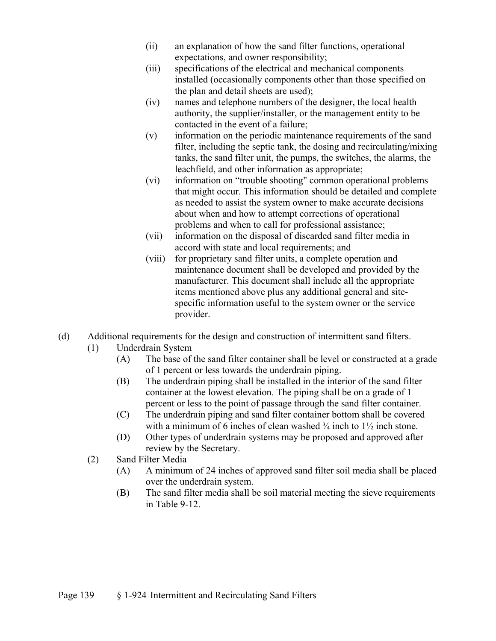- (ii) an explanation of how the sand filter functions, operational expectations, and owner responsibility;
- (iii) specifications of the electrical and mechanical components installed (occasionally components other than those specified on the plan and detail sheets are used);
- (iv) names and telephone numbers of the designer, the local health authority, the supplier/installer, or the management entity to be contacted in the event of a failure;
- (v) information on the periodic maintenance requirements of the sand filter, including the septic tank, the dosing and recirculating/mixing tanks, the sand filter unit, the pumps, the switches, the alarms, the leachfield, and other information as appropriate;
- (vi) information on "trouble shooting" common operational problems that might occur. This information should be detailed and complete as needed to assist the system owner to make accurate decisions about when and how to attempt corrections of operational problems and when to call for professional assistance;
- (vii) information on the disposal of discarded sand filter media in accord with state and local requirements; and
- (viii) for proprietary sand filter units, a complete operation and maintenance document shall be developed and provided by the manufacturer. This document shall include all the appropriate items mentioned above plus any additional general and sitespecific information useful to the system owner or the service provider.
- (d) Additional requirements for the design and construction of intermittent sand filters.
	- (1) Underdrain System
		- (A) The base of the sand filter container shall be level or constructed at a grade of 1 percent or less towards the underdrain piping.
		- (B) The underdrain piping shall be installed in the interior of the sand filter container at the lowest elevation. The piping shall be on a grade of 1 percent or less to the point of passage through the sand filter container.
		- (C) The underdrain piping and sand filter container bottom shall be covered with a minimum of 6 inches of clean washed  $\frac{3}{4}$  inch to  $1\frac{1}{2}$  inch stone.
		- (D) Other types of underdrain systems may be proposed and approved after review by the Secretary.
	- (2) Sand Filter Media
		- (A) A minimum of 24 inches of approved sand filter soil media shall be placed over the underdrain system.
		- (B) The sand filter media shall be soil material meeting the sieve requirements in Table 9-12.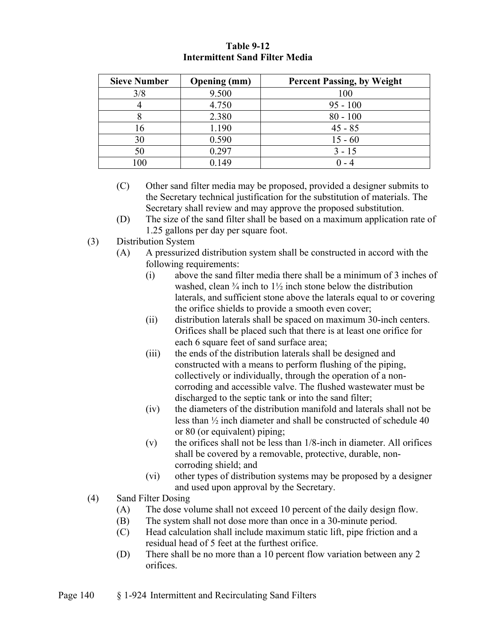| <b>Sieve Number</b> | <b>Opening</b> (mm) | <b>Percent Passing, by Weight</b> |
|---------------------|---------------------|-----------------------------------|
| 3/8                 | 9.500               | 100                               |
|                     | 4.750               | $95 - 100$                        |
|                     | 2.380               | $80 - 100$                        |
| 16                  | 1.190               | $45 - 85$                         |
| 30                  | 0.590               | $15 - 60$                         |
|                     | 0.297               | $3 - 15$                          |
| 00                  | ).149               |                                   |

#### **Table 9-12 Intermittent Sand Filter Media**

- (C) Other sand filter media may be proposed, provided a designer submits to the Secretary technical justification for the substitution of materials. The Secretary shall review and may approve the proposed substitution.
- (D) The size of the sand filter shall be based on a maximum application rate of 1.25 gallons per day per square foot.
- (3) Distribution System
	- (A) A pressurized distribution system shall be constructed in accord with the following requirements:
		- (i) above the sand filter media there shall be a minimum of 3 inches of washed, clean  $\frac{3}{4}$  inch to  $1\frac{1}{2}$  inch stone below the distribution laterals, and sufficient stone above the laterals equal to or covering the orifice shields to provide a smooth even cover;
		- (ii) distribution laterals shall be spaced on maximum 30-inch centers. Orifices shall be placed such that there is at least one orifice for each 6 square feet of sand surface area;
		- (iii) the ends of the distribution laterals shall be designed and constructed with a means to perform flushing of the piping, collectively or individually, through the operation of a noncorroding and accessible valve. The flushed wastewater must be discharged to the septic tank or into the sand filter;
		- (iv) the diameters of the distribution manifold and laterals shall not be less than ½ inch diameter and shall be constructed of schedule 40 or 80 (or equivalent) piping;
		- $(v)$  the orifices shall not be less than  $1/8$ -inch in diameter. All orifices shall be covered by a removable, protective, durable, noncorroding shield; and
		- (vi) other types of distribution systems may be proposed by a designer and used upon approval by the Secretary.
- (4) Sand Filter Dosing
	- (A) The dose volume shall not exceed 10 percent of the daily design flow.
	- (B) The system shall not dose more than once in a 30-minute period.
	- (C) Head calculation shall include maximum static lift, pipe friction and a residual head of 5 feet at the furthest orifice.
	- (D) There shall be no more than a 10 percent flow variation between any 2 orifices.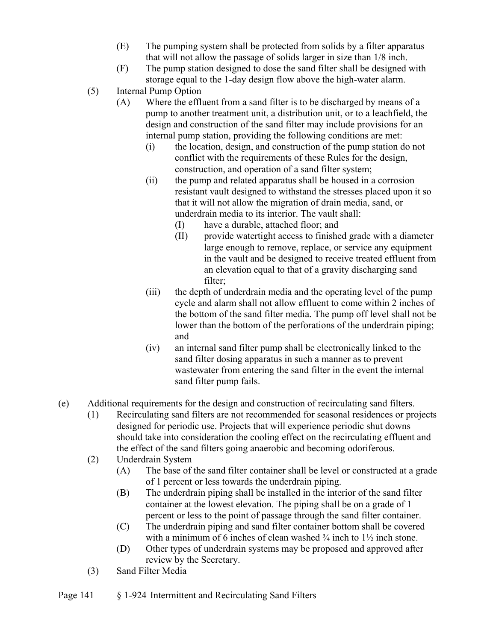- (E) The pumping system shall be protected from solids by a filter apparatus that will not allow the passage of solids larger in size than 1/8 inch.
- (F) The pump station designed to dose the sand filter shall be designed with storage equal to the 1-day design flow above the high-water alarm.
- (5) Internal Pump Option
	- (A) Where the effluent from a sand filter is to be discharged by means of a pump to another treatment unit, a distribution unit, or to a leachfield, the design and construction of the sand filter may include provisions for an internal pump station, providing the following conditions are met:
		- (i) the location, design, and construction of the pump station do not conflict with the requirements of these Rules for the design, construction, and operation of a sand filter system;
		- (ii) the pump and related apparatus shall be housed in a corrosion resistant vault designed to withstand the stresses placed upon it so that it will not allow the migration of drain media, sand, or underdrain media to its interior. The vault shall:
			- (I) have a durable, attached floor; and
			- (II) provide watertight access to finished grade with a diameter large enough to remove, replace, or service any equipment in the vault and be designed to receive treated effluent from an elevation equal to that of a gravity discharging sand filter;
		- (iii) the depth of underdrain media and the operating level of the pump cycle and alarm shall not allow effluent to come within 2 inches of the bottom of the sand filter media. The pump off level shall not be lower than the bottom of the perforations of the underdrain piping; and
		- (iv) an internal sand filter pump shall be electronically linked to the sand filter dosing apparatus in such a manner as to prevent wastewater from entering the sand filter in the event the internal sand filter pump fails.
- (e) Additional requirements for the design and construction of recirculating sand filters.
	- (1) Recirculating sand filters are not recommended for seasonal residences or projects designed for periodic use. Projects that will experience periodic shut downs should take into consideration the cooling effect on the recirculating effluent and the effect of the sand filters going anaerobic and becoming odoriferous.
	- (2) Underdrain System
		- (A) The base of the sand filter container shall be level or constructed at a grade of 1 percent or less towards the underdrain piping.
		- (B) The underdrain piping shall be installed in the interior of the sand filter container at the lowest elevation. The piping shall be on a grade of 1 percent or less to the point of passage through the sand filter container.
		- (C) The underdrain piping and sand filter container bottom shall be covered with a minimum of 6 inches of clean washed  $\frac{3}{4}$  inch to  $1\frac{1}{2}$  inch stone.
		- (D) Other types of underdrain systems may be proposed and approved after review by the Secretary.
	- (3) Sand Filter Media
- Page 141 § 1-924 Intermittent and Recirculating Sand Filters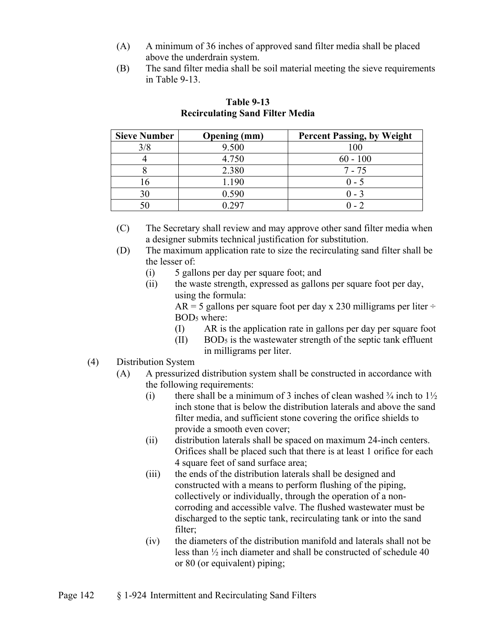- (A) A minimum of 36 inches of approved sand filter media shall be placed above the underdrain system.
- (B) The sand filter media shall be soil material meeting the sieve requirements in Table 9-13.

| <b>Sieve Number</b> | <b>Opening</b> (mm) | <b>Percent Passing, by Weight</b> |
|---------------------|---------------------|-----------------------------------|
|                     | 9.500               | 100                               |
|                     | 4.750               | $60 - 100$                        |
|                     | 2.380               | $7 - 75$                          |
| ۵ ،                 | 1.190               | $0 - 5$                           |
| 30                  | 0.590               | $0 - 3$                           |
|                     | 207 ا               |                                   |

# **Table 9-13 Recirculating Sand Filter Media**

(C) The Secretary shall review and may approve other sand filter media when a designer submits technical justification for substitution.

- (D) The maximum application rate to size the recirculating sand filter shall be the lesser of:
	- (i) 5 gallons per day per square foot; and
	- (ii) the waste strength, expressed as gallons per square foot per day, using the formula:

 $AR = 5$  gallons per square foot per day x 230 milligrams per liter ÷ BOD5 where:

- (I) AR is the application rate in gallons per day per square foot
- $(II)$  BOD<sub>5</sub> is the wastewater strength of the septic tank effluent in milligrams per liter.

# (4) Distribution System

- (A) A pressurized distribution system shall be constructed in accordance with the following requirements:
	- (i) there shall be a minimum of 3 inches of clean washed  $\frac{3}{4}$  inch to  $1\frac{1}{2}$ inch stone that is below the distribution laterals and above the sand filter media, and sufficient stone covering the orifice shields to provide a smooth even cover;
	- (ii) distribution laterals shall be spaced on maximum 24-inch centers. Orifices shall be placed such that there is at least 1 orifice for each 4 square feet of sand surface area;
	- (iii) the ends of the distribution laterals shall be designed and constructed with a means to perform flushing of the piping, collectively or individually, through the operation of a noncorroding and accessible valve. The flushed wastewater must be discharged to the septic tank, recirculating tank or into the sand filter;
	- (iv) the diameters of the distribution manifold and laterals shall not be less than ½ inch diameter and shall be constructed of schedule 40 or 80 (or equivalent) piping;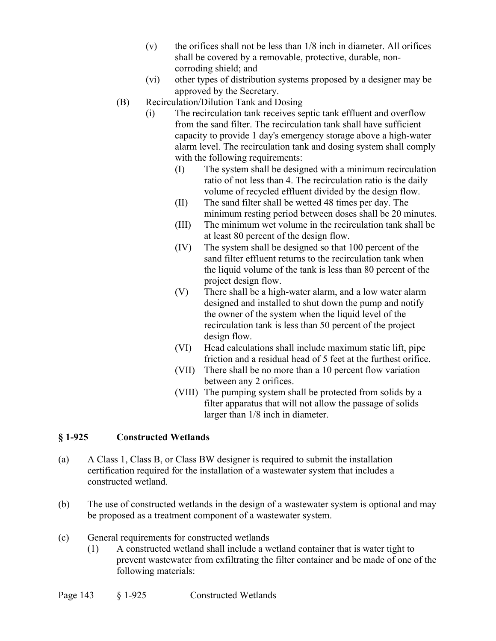- $(v)$  the orifices shall not be less than  $1/8$  inch in diameter. All orifices shall be covered by a removable, protective, durable, noncorroding shield; and
- (vi) other types of distribution systems proposed by a designer may be approved by the Secretary.
- (B) Recirculation/Dilution Tank and Dosing
	- (i) The recirculation tank receives septic tank effluent and overflow from the sand filter. The recirculation tank shall have sufficient capacity to provide 1 day's emergency storage above a high-water alarm level. The recirculation tank and dosing system shall comply with the following requirements:
		- (I) The system shall be designed with a minimum recirculation ratio of not less than 4. The recirculation ratio is the daily volume of recycled effluent divided by the design flow.
		- (II) The sand filter shall be wetted 48 times per day. The minimum resting period between doses shall be 20 minutes.
		- (III) The minimum wet volume in the recirculation tank shall be at least 80 percent of the design flow.
		- (IV) The system shall be designed so that 100 percent of the sand filter effluent returns to the recirculation tank when the liquid volume of the tank is less than 80 percent of the project design flow.
		- (V) There shall be a high-water alarm, and a low water alarm designed and installed to shut down the pump and notify the owner of the system when the liquid level of the recirculation tank is less than 50 percent of the project design flow.
		- (VI) Head calculations shall include maximum static lift, pipe friction and a residual head of 5 feet at the furthest orifice.
		- (VII) There shall be no more than a 10 percent flow variation between any 2 orifices.
		- (VIII) The pumping system shall be protected from solids by a filter apparatus that will not allow the passage of solids larger than 1/8 inch in diameter.

#### **§ 1-925 Constructed Wetlands**

- (a) A Class 1, Class B, or Class BW designer is required to submit the installation certification required for the installation of a wastewater system that includes a constructed wetland.
- (b) The use of constructed wetlands in the design of a wastewater system is optional and may be proposed as a treatment component of a wastewater system.
- (c) General requirements for constructed wetlands
	- (1) A constructed wetland shall include a wetland container that is water tight to prevent wastewater from exfiltrating the filter container and be made of one of the following materials: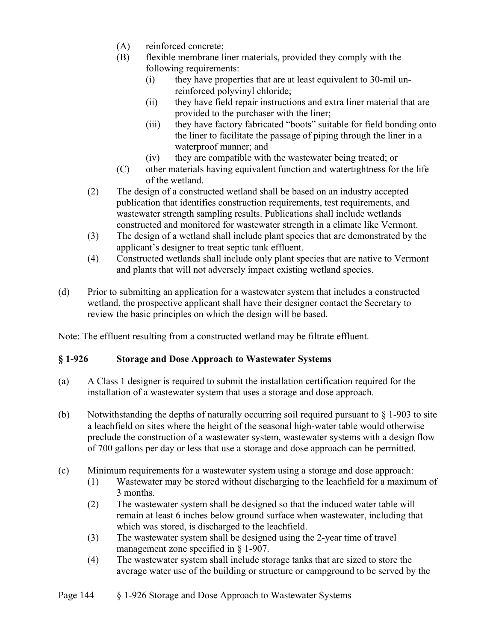- (A) reinforced concrete;
- (B) flexible membrane liner materials, provided they comply with the following requirements:
	- (i) they have properties that are at least equivalent to 30-mil unreinforced polyvinyl chloride;
	- (ii) they have field repair instructions and extra liner material that are provided to the purchaser with the liner;
	- (iii) they have factory fabricated "boots" suitable for field bonding onto the liner to facilitate the passage of piping through the liner in a waterproof manner; and
	- (iv) they are compatible with the wastewater being treated; or
- (C) other materials having equivalent function and watertightness for the life of the wetland.
- (2) The design of a constructed wetland shall be based on an industry accepted publication that identifies construction requirements, test requirements, and wastewater strength sampling results. Publications shall include wetlands constructed and monitored for wastewater strength in a climate like Vermont.
- (3) The design of a wetland shall include plant species that are demonstrated by the applicant's designer to treat septic tank effluent.
- (4) Constructed wetlands shall include only plant species that are native to Vermont and plants that will not adversely impact existing wetland species.
- (d) Prior to submitting an application for a wastewater system that includes a constructed wetland, the prospective applicant shall have their designer contact the Secretary to review the basic principles on which the design will be based.

Note: The effluent resulting from a constructed wetland may be filtrate effluent.

# **§ 1-926 Storage and Dose Approach to Wastewater Systems**

- (a) A Class 1 designer is required to submit the installation certification required for the installation of a wastewater system that uses a storage and dose approach.
- (b) Notwithstanding the depths of naturally occurring soil required pursuant to  $\S$  1-903 to site a leachfield on sites where the height of the seasonal high-water table would otherwise preclude the construction of a wastewater system, wastewater systems with a design flow of 700 gallons per day or less that use a storage and dose approach can be permitted.
- (c) Minimum requirements for a wastewater system using a storage and dose approach:
	- (1) Wastewater may be stored without discharging to the leachfield for a maximum of 3 months.
	- (2) The wastewater system shall be designed so that the induced water table will remain at least 6 inches below ground surface when wastewater, including that which was stored, is discharged to the leachfield.
	- (3) The wastewater system shall be designed using the 2-year time of travel management zone specified in § 1-907.
	- (4) The wastewater system shall include storage tanks that are sized to store the average water use of the building or structure or campground to be served by the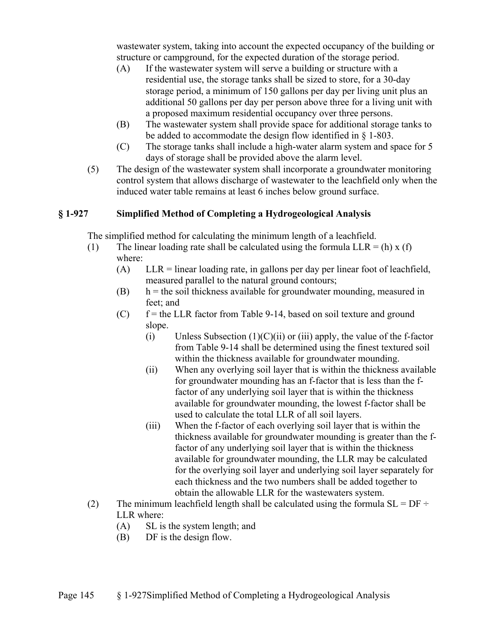wastewater system, taking into account the expected occupancy of the building or structure or campground, for the expected duration of the storage period.

- (A) If the wastewater system will serve a building or structure with a residential use, the storage tanks shall be sized to store, for a 30-day storage period, a minimum of 150 gallons per day per living unit plus an additional 50 gallons per day per person above three for a living unit with a proposed maximum residential occupancy over three persons.
- (B) The wastewater system shall provide space for additional storage tanks to be added to accommodate the design flow identified in § 1-803.
- (C) The storage tanks shall include a high-water alarm system and space for 5 days of storage shall be provided above the alarm level.
- (5) The design of the wastewater system shall incorporate a groundwater monitoring control system that allows discharge of wastewater to the leachfield only when the induced water table remains at least 6 inches below ground surface.

## **§ 1-927 Simplified Method of Completing a Hydrogeological Analysis**

The simplified method for calculating the minimum length of a leachfield.

- (1) The linear loading rate shall be calculated using the formula  $LLR = (h) x (f)$ where:
	- (A) LLR = linear loading rate, in gallons per day per linear foot of leachfield, measured parallel to the natural ground contours;
	- $(b)$  h = the soil thickness available for groundwater mounding, measured in feet; and
	- $(C)$  f = the LLR factor from Table 9-14, based on soil texture and ground slope.
		- (i) Unless Subsection  $(1)(C)(ii)$  or (iii) apply, the value of the f-factor from Table 9-14 shall be determined using the finest textured soil within the thickness available for groundwater mounding.
		- (ii) When any overlying soil layer that is within the thickness available for groundwater mounding has an f-factor that is less than the ffactor of any underlying soil layer that is within the thickness available for groundwater mounding, the lowest f-factor shall be used to calculate the total LLR of all soil layers.
		- (iii) When the f-factor of each overlying soil layer that is within the thickness available for groundwater mounding is greater than the ffactor of any underlying soil layer that is within the thickness available for groundwater mounding, the LLR may be calculated for the overlying soil layer and underlying soil layer separately for each thickness and the two numbers shall be added together to obtain the allowable LLR for the wastewaters system.
- (2) The minimum leachfield length shall be calculated using the formula  $SL = DF \div$ LLR where:
	- (A) SL is the system length; and
	- (B) DF is the design flow.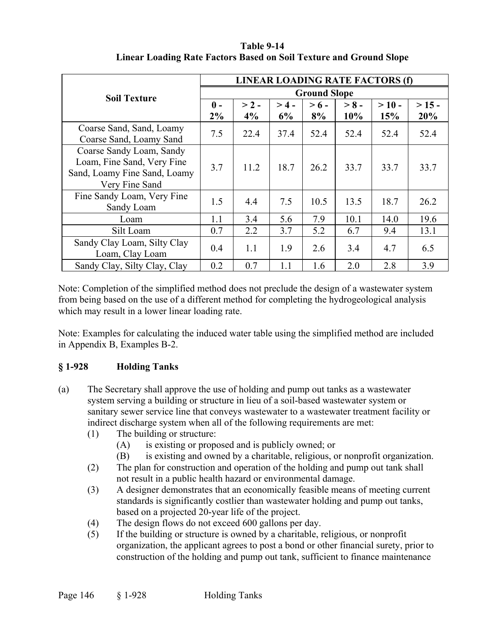|                              | LINEAR LOADING RATE FACTORS (f) |         |         |         |         |          |        |
|------------------------------|---------------------------------|---------|---------|---------|---------|----------|--------|
| <b>Soil Texture</b>          | <b>Ground Slope</b>             |         |         |         |         |          |        |
|                              | $\mathbf{0}$ -                  | $> 2 -$ | $> 4 -$ | $> 6 -$ | $> 8 -$ | $> 10 -$ | $>15-$ |
|                              | $2\%$                           | 4%      | 6%      | 8%      | 10%     | 15%      | 20%    |
| Coarse Sand, Sand, Loamy     |                                 |         |         |         |         |          |        |
| Coarse Sand, Loamy Sand      | 7.5                             | 22.4    | 37.4    | 52.4    | 52.4    | 52.4     | 52.4   |
| Coarse Sandy Loam, Sandy     |                                 |         |         |         |         |          |        |
| Loam, Fine Sand, Very Fine   | 3.7                             | 11.2    | 18.7    | 26.2    | 33.7    | 33.7     | 33.7   |
| Sand, Loamy Fine Sand, Loamy |                                 |         |         |         |         |          |        |
| Very Fine Sand               |                                 |         |         |         |         |          |        |
| Fine Sandy Loam, Very Fine   | 1.5                             | 4.4     | 7.5     | 10.5    | 13.5    | 18.7     | 26.2   |
| Sandy Loam                   |                                 |         |         |         |         |          |        |
| Loam                         | 1.1                             | 3.4     | 5.6     | 7.9     | 10.1    | 14.0     | 19.6   |
| Silt Loam                    | 0.7                             | 2.2     | 3.7     | 5.2     | 6.7     | 9.4      | 13.1   |
| Sandy Clay Loam, Silty Clay  |                                 | 1.1     | 1.9     | 2.6     | 3.4     | 4.7      |        |
| Loam, Clay Loam              | 0.4                             |         |         |         |         | 6.5      |        |
| Sandy Clay, Silty Clay, Clay | 0.2                             | 0.7     | 1.1     | 1.6     | 2.0     | 2.8      | 3.9    |

#### **Table 9-14 Linear Loading Rate Factors Based on Soil Texture and Ground Slope**

Note: Completion of the simplified method does not preclude the design of a wastewater system from being based on the use of a different method for completing the hydrogeological analysis which may result in a lower linear loading rate.

Note: Examples for calculating the induced water table using the simplified method are included in Appendix B, Examples B-2.

# **§ 1-928 Holding Tanks**

- (a) The Secretary shall approve the use of holding and pump out tanks as a wastewater system serving a building or structure in lieu of a soil-based wastewater system or sanitary sewer service line that conveys wastewater to a wastewater treatment facility or indirect discharge system when all of the following requirements are met:
	- (1) The building or structure:
		- (A) is existing or proposed and is publicly owned; or
		- (B) is existing and owned by a charitable, religious, or nonprofit organization.
	- (2) The plan for construction and operation of the holding and pump out tank shall not result in a public health hazard or environmental damage.
	- (3) A designer demonstrates that an economically feasible means of meeting current standards is significantly costlier than wastewater holding and pump out tanks, based on a projected 20-year life of the project.
	- (4) The design flows do not exceed 600 gallons per day.
	- (5) If the building or structure is owned by a charitable, religious, or nonprofit organization, the applicant agrees to post a bond or other financial surety, prior to construction of the holding and pump out tank, sufficient to finance maintenance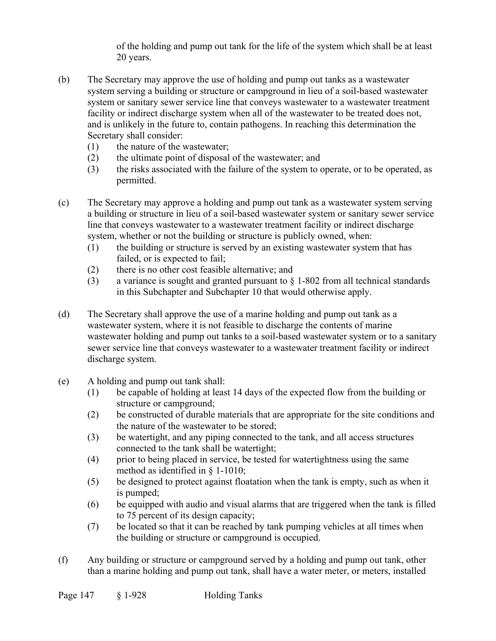of the holding and pump out tank for the life of the system which shall be at least 20 years.

- (b) The Secretary may approve the use of holding and pump out tanks as a wastewater system serving a building or structure or campground in lieu of a soil-based wastewater system or sanitary sewer service line that conveys wastewater to a wastewater treatment facility or indirect discharge system when all of the wastewater to be treated does not, and is unlikely in the future to, contain pathogens. In reaching this determination the Secretary shall consider:
	- (1) the nature of the wastewater;
	- (2) the ultimate point of disposal of the wastewater; and
	- (3) the risks associated with the failure of the system to operate, or to be operated, as permitted.
- (c) The Secretary may approve a holding and pump out tank as a wastewater system serving a building or structure in lieu of a soil-based wastewater system or sanitary sewer service line that conveys wastewater to a wastewater treatment facility or indirect discharge system, whether or not the building or structure is publicly owned, when:
	- (1) the building or structure is served by an existing wastewater system that has failed, or is expected to fail;
	- (2) there is no other cost feasible alternative; and
	- (3) a variance is sought and granted pursuant to  $\S$  1-802 from all technical standards in this Subchapter and Subchapter 10 that would otherwise apply.
- (d) The Secretary shall approve the use of a marine holding and pump out tank as a wastewater system, where it is not feasible to discharge the contents of marine wastewater holding and pump out tanks to a soil-based wastewater system or to a sanitary sewer service line that conveys wastewater to a wastewater treatment facility or indirect discharge system.
- (e) A holding and pump out tank shall:
	- (1) be capable of holding at least 14 days of the expected flow from the building or structure or campground;
	- (2) be constructed of durable materials that are appropriate for the site conditions and the nature of the wastewater to be stored;
	- (3) be watertight, and any piping connected to the tank, and all access structures connected to the tank shall be watertight;
	- (4) prior to being placed in service, be tested for watertightness using the same method as identified in § 1-1010;
	- (5) be designed to protect against floatation when the tank is empty, such as when it is pumped;
	- (6) be equipped with audio and visual alarms that are triggered when the tank is filled to 75 percent of its design capacity;
	- (7) be located so that it can be reached by tank pumping vehicles at all times when the building or structure or campground is occupied.
- (f) Any building or structure or campground served by a holding and pump out tank, other than a marine holding and pump out tank, shall have a water meter, or meters, installed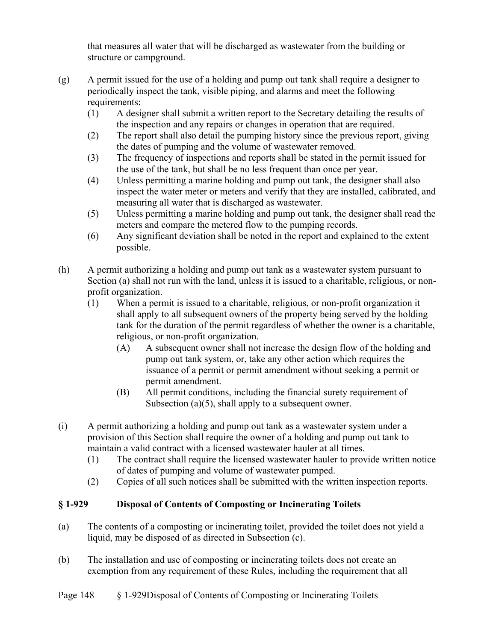that measures all water that will be discharged as wastewater from the building or structure or campground.

- (g) A permit issued for the use of a holding and pump out tank shall require a designer to periodically inspect the tank, visible piping, and alarms and meet the following requirements:
	- (1) A designer shall submit a written report to the Secretary detailing the results of the inspection and any repairs or changes in operation that are required.
	- (2) The report shall also detail the pumping history since the previous report, giving the dates of pumping and the volume of wastewater removed.
	- (3) The frequency of inspections and reports shall be stated in the permit issued for the use of the tank, but shall be no less frequent than once per year.
	- (4) Unless permitting a marine holding and pump out tank, the designer shall also inspect the water meter or meters and verify that they are installed, calibrated, and measuring all water that is discharged as wastewater.
	- (5) Unless permitting a marine holding and pump out tank, the designer shall read the meters and compare the metered flow to the pumping records.
	- (6) Any significant deviation shall be noted in the report and explained to the extent possible.
- (h) A permit authorizing a holding and pump out tank as a wastewater system pursuant to Section (a) shall not run with the land, unless it is issued to a charitable, religious, or nonprofit organization.
	- (1) When a permit is issued to a charitable, religious, or non-profit organization it shall apply to all subsequent owners of the property being served by the holding tank for the duration of the permit regardless of whether the owner is a charitable, religious, or non-profit organization.
		- (A) A subsequent owner shall not increase the design flow of the holding and pump out tank system, or, take any other action which requires the issuance of a permit or permit amendment without seeking a permit or permit amendment.
		- (B) All permit conditions, including the financial surety requirement of Subsection (a)(5), shall apply to a subsequent owner.
- (i) A permit authorizing a holding and pump out tank as a wastewater system under a provision of this Section shall require the owner of a holding and pump out tank to maintain a valid contract with a licensed wastewater hauler at all times.
	- (1) The contract shall require the licensed wastewater hauler to provide written notice of dates of pumping and volume of wastewater pumped.
	- (2) Copies of all such notices shall be submitted with the written inspection reports.

# **§ 1-929 Disposal of Contents of Composting or Incinerating Toilets**

- (a) The contents of a composting or incinerating toilet, provided the toilet does not yield a liquid, may be disposed of as directed in Subsection (c).
- (b) The installation and use of composting or incinerating toilets does not create an exemption from any requirement of these Rules, including the requirement that all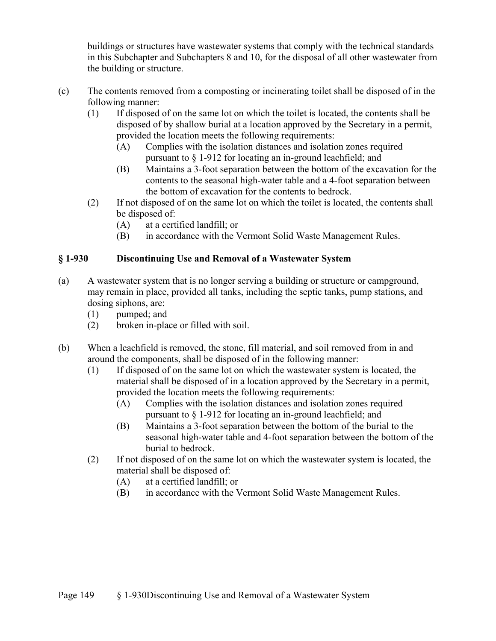buildings or structures have wastewater systems that comply with the technical standards in this Subchapter and Subchapters 8 and 10, for the disposal of all other wastewater from the building or structure.

- (c) The contents removed from a composting or incinerating toilet shall be disposed of in the following manner:
	- (1) If disposed of on the same lot on which the toilet is located, the contents shall be disposed of by shallow burial at a location approved by the Secretary in a permit, provided the location meets the following requirements:
		- (A) Complies with the isolation distances and isolation zones required pursuant to § 1-912 for locating an in-ground leachfield; and
		- (B) Maintains a 3-foot separation between the bottom of the excavation for the contents to the seasonal high-water table and a 4-foot separation between the bottom of excavation for the contents to bedrock.
	- (2) If not disposed of on the same lot on which the toilet is located, the contents shall be disposed of:
		- (A) at a certified landfill; or
		- (B) in accordance with the Vermont Solid Waste Management Rules.

# **§ 1-930 Discontinuing Use and Removal of a Wastewater System**

- (a) A wastewater system that is no longer serving a building or structure or campground, may remain in place, provided all tanks, including the septic tanks, pump stations, and dosing siphons, are:
	- (1) pumped; and
	- (2) broken in-place or filled with soil.
- (b) When a leachfield is removed, the stone, fill material, and soil removed from in and around the components, shall be disposed of in the following manner:
	- (1) If disposed of on the same lot on which the wastewater system is located, the material shall be disposed of in a location approved by the Secretary in a permit, provided the location meets the following requirements:
		- (A) Complies with the isolation distances and isolation zones required pursuant to § 1-912 for locating an in-ground leachfield; and
		- (B) Maintains a 3-foot separation between the bottom of the burial to the seasonal high-water table and 4-foot separation between the bottom of the burial to bedrock.
	- (2) If not disposed of on the same lot on which the wastewater system is located, the material shall be disposed of:
		- (A) at a certified landfill; or
		- (B) in accordance with the Vermont Solid Waste Management Rules.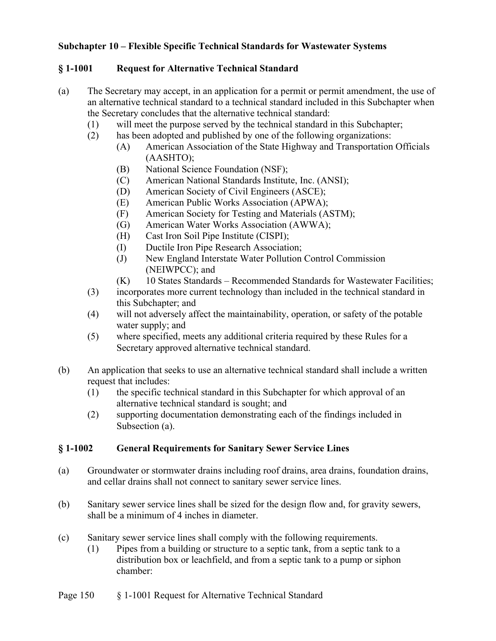## **Subchapter 10 – Flexible Specific Technical Standards for Wastewater Systems**

## **§ 1-1001 Request for Alternative Technical Standard**

- (a) The Secretary may accept, in an application for a permit or permit amendment, the use of an alternative technical standard to a technical standard included in this Subchapter when the Secretary concludes that the alternative technical standard:
	- (1) will meet the purpose served by the technical standard in this Subchapter;
	- (2) has been adopted and published by one of the following organizations:
		- (A) American Association of the State Highway and Transportation Officials (AASHTO);
		- (B) National Science Foundation (NSF);
		- (C) American National Standards Institute, Inc. (ANSI);
		- (D) American Society of Civil Engineers (ASCE);
		- (E) American Public Works Association (APWA);
		- (F) American Society for Testing and Materials (ASTM);
		- (G) American Water Works Association (AWWA);
		- (H) Cast Iron Soil Pipe Institute (CISPI);
		- (I) Ductile Iron Pipe Research Association;
		- (J) New England Interstate Water Pollution Control Commission (NEIWPCC); and
		- (K) 10 States Standards Recommended Standards for Wastewater Facilities;
	- (3) incorporates more current technology than included in the technical standard in this Subchapter; and
	- (4) will not adversely affect the maintainability, operation, or safety of the potable water supply; and
	- (5) where specified, meets any additional criteria required by these Rules for a Secretary approved alternative technical standard.
- (b) An application that seeks to use an alternative technical standard shall include a written request that includes:
	- (1) the specific technical standard in this Subchapter for which approval of an alternative technical standard is sought; and
	- (2) supporting documentation demonstrating each of the findings included in Subsection (a).

#### **§ 1-1002 General Requirements for Sanitary Sewer Service Lines**

- (a) Groundwater or stormwater drains including roof drains, area drains, foundation drains, and cellar drains shall not connect to sanitary sewer service lines.
- (b) Sanitary sewer service lines shall be sized for the design flow and, for gravity sewers, shall be a minimum of 4 inches in diameter.
- (c) Sanitary sewer service lines shall comply with the following requirements.
	- (1) Pipes from a building or structure to a septic tank, from a septic tank to a distribution box or leachfield, and from a septic tank to a pump or siphon chamber: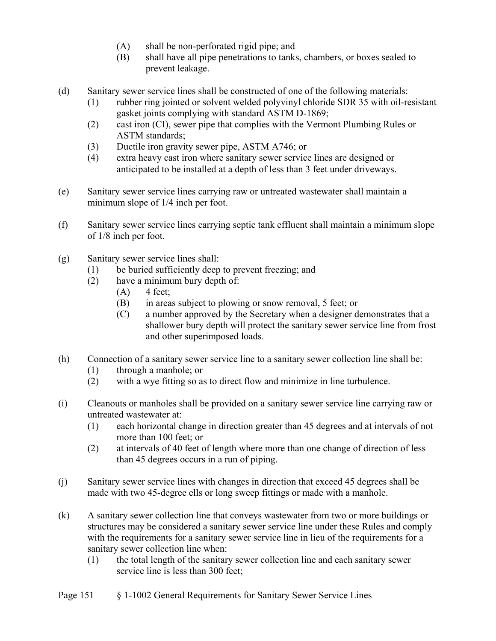- (A) shall be non-perforated rigid pipe; and
- (B) shall have all pipe penetrations to tanks, chambers, or boxes sealed to prevent leakage.
- (d) Sanitary sewer service lines shall be constructed of one of the following materials:
	- (1) rubber ring jointed or solvent welded polyvinyl chloride SDR 35 with oil-resistant gasket joints complying with standard ASTM D-1869;
	- (2) cast iron (CI), sewer pipe that complies with the Vermont Plumbing Rules or ASTM standards;
	- (3) Ductile iron gravity sewer pipe, ASTM A746; or
	- (4) extra heavy cast iron where sanitary sewer service lines are designed or anticipated to be installed at a depth of less than 3 feet under driveways.
- (e) Sanitary sewer service lines carrying raw or untreated wastewater shall maintain a minimum slope of 1/4 inch per foot.
- (f) Sanitary sewer service lines carrying septic tank effluent shall maintain a minimum slope of 1/8 inch per foot.
- (g) Sanitary sewer service lines shall:
	- (1) be buried sufficiently deep to prevent freezing; and
	- (2) have a minimum bury depth of:
		- $(A)$  4 feet;
		- (B) in areas subject to plowing or snow removal, 5 feet; or
		- (C) a number approved by the Secretary when a designer demonstrates that a shallower bury depth will protect the sanitary sewer service line from frost and other superimposed loads.
- (h) Connection of a sanitary sewer service line to a sanitary sewer collection line shall be:
	- (1) through a manhole; or
	- (2) with a wye fitting so as to direct flow and minimize in line turbulence.
- (i) Cleanouts or manholes shall be provided on a sanitary sewer service line carrying raw or untreated wastewater at:
	- (1) each horizontal change in direction greater than 45 degrees and at intervals of not more than 100 feet; or
	- (2) at intervals of 40 feet of length where more than one change of direction of less than 45 degrees occurs in a run of piping.
- (j) Sanitary sewer service lines with changes in direction that exceed 45 degrees shall be made with two 45-degree ells or long sweep fittings or made with a manhole.
- (k) A sanitary sewer collection line that conveys wastewater from two or more buildings or structures may be considered a sanitary sewer service line under these Rules and comply with the requirements for a sanitary sewer service line in lieu of the requirements for a sanitary sewer collection line when:
	- (1) the total length of the sanitary sewer collection line and each sanitary sewer service line is less than 300 feet;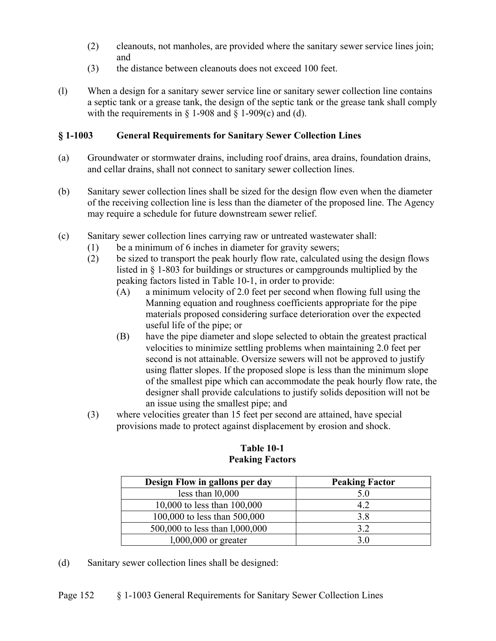- (2) cleanouts, not manholes, are provided where the sanitary sewer service lines join; and
- (3) the distance between cleanouts does not exceed 100 feet.
- (l) When a design for a sanitary sewer service line or sanitary sewer collection line contains a septic tank or a grease tank, the design of the septic tank or the grease tank shall comply with the requirements in  $\S$  1-908 and  $\S$  1-909(c) and (d).

## **§ 1-1003 General Requirements for Sanitary Sewer Collection Lines**

- (a) Groundwater or stormwater drains, including roof drains, area drains, foundation drains, and cellar drains, shall not connect to sanitary sewer collection lines.
- (b) Sanitary sewer collection lines shall be sized for the design flow even when the diameter of the receiving collection line is less than the diameter of the proposed line. The Agency may require a schedule for future downstream sewer relief.
- (c) Sanitary sewer collection lines carrying raw or untreated wastewater shall:
	- (1) be a minimum of 6 inches in diameter for gravity sewers;
	- (2) be sized to transport the peak hourly flow rate, calculated using the design flows listed in § 1-803 for buildings or structures or campgrounds multiplied by the peaking factors listed in Table 10-1, in order to provide:
		- (A) a minimum velocity of 2.0 feet per second when flowing full using the Manning equation and roughness coefficients appropriate for the pipe materials proposed considering surface deterioration over the expected useful life of the pipe; or
		- (B) have the pipe diameter and slope selected to obtain the greatest practical velocities to minimize settling problems when maintaining 2.0 feet per second is not attainable. Oversize sewers will not be approved to justify using flatter slopes. If the proposed slope is less than the minimum slope of the smallest pipe which can accommodate the peak hourly flow rate, the designer shall provide calculations to justify solids deposition will not be an issue using the smallest pipe; and
	- (3) where velocities greater than 15 feet per second are attained, have special provisions made to protect against displacement by erosion and shock.

| Design Flow in gallons per day | <b>Peaking Factor</b> |
|--------------------------------|-----------------------|
| less than $10,000$             | 5.0                   |
| 10,000 to less than 100,000    | 4.2                   |
| 100,000 to less than 500,000   | 3.8                   |
| 500,000 to less than 1,000,000 | 3.2                   |
| $1,000,000$ or greater         | 3 O                   |

#### **Table 10-1 Peaking Factors**

(d) Sanitary sewer collection lines shall be designed: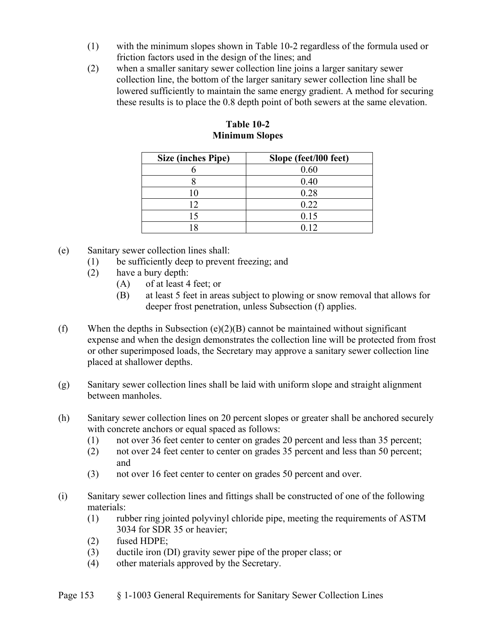- (1) with the minimum slopes shown in Table 10-2 regardless of the formula used or friction factors used in the design of the lines; and
- (2) when a smaller sanitary sewer collection line joins a larger sanitary sewer collection line, the bottom of the larger sanitary sewer collection line shall be lowered sufficiently to maintain the same energy gradient. A method for securing these results is to place the 0.8 depth point of both sewers at the same elevation.

| Size (inches Pipe) | Slope (feet/l00 feet) |
|--------------------|-----------------------|
|                    | 0.60                  |
|                    | 0.40                  |
|                    | 0.28                  |
| 12                 | 0.22                  |
|                    | 0.15                  |
|                    | 0 <sub>12</sub>       |

**Table 10-2 Minimum Slopes**

- (e) Sanitary sewer collection lines shall:
	- (1) be sufficiently deep to prevent freezing; and
	- (2) have a bury depth:
		- (A) of at least 4 feet; or
		- (B) at least 5 feet in areas subject to plowing or snow removal that allows for deeper frost penetration, unless Subsection (f) applies.
- (f) When the depths in Subsection  $(e)(2)(B)$  cannot be maintained without significant expense and when the design demonstrates the collection line will be protected from frost or other superimposed loads, the Secretary may approve a sanitary sewer collection line placed at shallower depths.
- (g) Sanitary sewer collection lines shall be laid with uniform slope and straight alignment between manholes.
- (h) Sanitary sewer collection lines on 20 percent slopes or greater shall be anchored securely with concrete anchors or equal spaced as follows:
	- (1) not over 36 feet center to center on grades 20 percent and less than 35 percent;
	- (2) not over 24 feet center to center on grades 35 percent and less than 50 percent; and
	- (3) not over 16 feet center to center on grades 50 percent and over.
- (i) Sanitary sewer collection lines and fittings shall be constructed of one of the following materials:
	- (1) rubber ring jointed polyvinyl chloride pipe, meeting the requirements of ASTM 3034 for SDR 35 or heavier;
	- (2) fused HDPE;
	- (3) ductile iron (DI) gravity sewer pipe of the proper class; or
	- (4) other materials approved by the Secretary.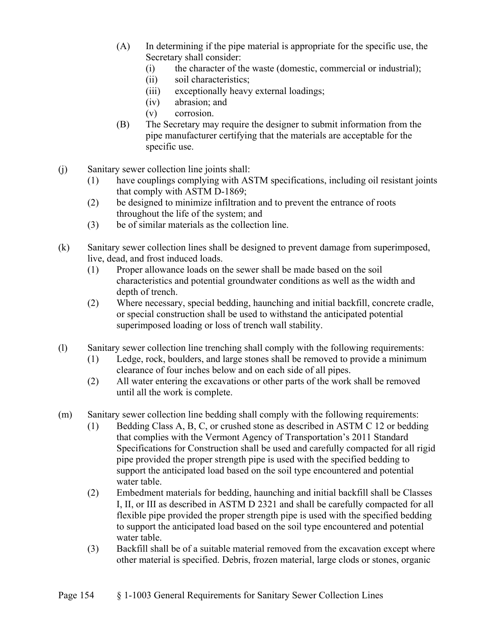- (A) In determining if the pipe material is appropriate for the specific use, the Secretary shall consider:
	- (i) the character of the waste (domestic, commercial or industrial);
	- (ii) soil characteristics;
	- (iii) exceptionally heavy external loadings;
	- (iv) abrasion; and
	- (v) corrosion.
- (B) The Secretary may require the designer to submit information from the pipe manufacturer certifying that the materials are acceptable for the specific use.
- (j) Sanitary sewer collection line joints shall:
	- (1) have couplings complying with ASTM specifications, including oil resistant joints that comply with ASTM D-1869;
	- (2) be designed to minimize infiltration and to prevent the entrance of roots throughout the life of the system; and
	- (3) be of similar materials as the collection line.
- (k) Sanitary sewer collection lines shall be designed to prevent damage from superimposed, live, dead, and frost induced loads.
	- (1) Proper allowance loads on the sewer shall be made based on the soil characteristics and potential groundwater conditions as well as the width and depth of trench.
	- (2) Where necessary, special bedding, haunching and initial backfill, concrete cradle, or special construction shall be used to withstand the anticipated potential superimposed loading or loss of trench wall stability.
- (l) Sanitary sewer collection line trenching shall comply with the following requirements:
	- (1) Ledge, rock, boulders, and large stones shall be removed to provide a minimum clearance of four inches below and on each side of all pipes.
	- (2) All water entering the excavations or other parts of the work shall be removed until all the work is complete.
- (m) Sanitary sewer collection line bedding shall comply with the following requirements:
	- (1) Bedding Class A, B, C, or crushed stone as described in ASTM C 12 or bedding that complies with the Vermont Agency of Transportation's 2011 Standard Specifications for Construction shall be used and carefully compacted for all rigid pipe provided the proper strength pipe is used with the specified bedding to support the anticipated load based on the soil type encountered and potential water table.
	- (2) Embedment materials for bedding, haunching and initial backfill shall be Classes I, II, or III as described in ASTM D 2321 and shall be carefully compacted for all flexible pipe provided the proper strength pipe is used with the specified bedding to support the anticipated load based on the soil type encountered and potential water table.
	- (3) Backfill shall be of a suitable material removed from the excavation except where other material is specified. Debris, frozen material, large clods or stones, organic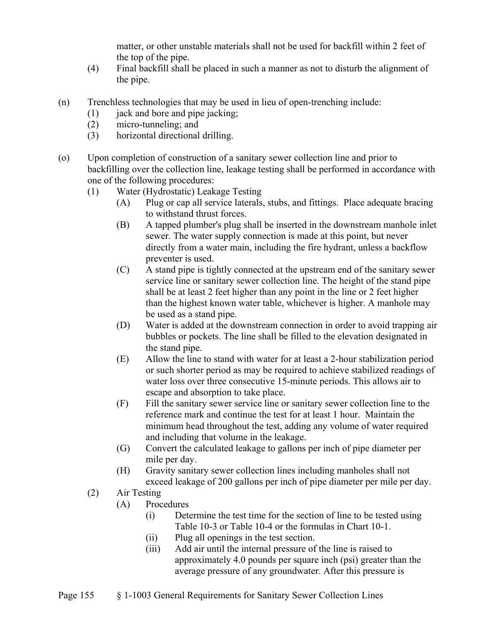matter, or other unstable materials shall not be used for backfill within 2 feet of the top of the pipe.

- (4) Final backfill shall be placed in such a manner as not to disturb the alignment of the pipe.
- (n) Trenchless technologies that may be used in lieu of open-trenching include:
	- (1) jack and bore and pipe jacking;
	- (2) micro-tunneling; and
	- (3) horizontal directional drilling.
- (o) Upon completion of construction of a sanitary sewer collection line and prior to backfilling over the collection line, leakage testing shall be performed in accordance with one of the following procedures:
	- (1) Water (Hydrostatic) Leakage Testing
		- (A) Plug or cap all service laterals, stubs, and fittings. Place adequate bracing to withstand thrust forces.
		- (B) A tapped plumber's plug shall be inserted in the downstream manhole inlet sewer. The water supply connection is made at this point, but never directly from a water main, including the fire hydrant, unless a backflow preventer is used.
		- (C) A stand pipe is tightly connected at the upstream end of the sanitary sewer service line or sanitary sewer collection line. The height of the stand pipe shall be at least 2 feet higher than any point in the line or 2 feet higher than the highest known water table, whichever is higher. A manhole may be used as a stand pipe.
		- (D) Water is added at the downstream connection in order to avoid trapping air bubbles or pockets. The line shall be filled to the elevation designated in the stand pipe.
		- (E) Allow the line to stand with water for at least a 2-hour stabilization period or such shorter period as may be required to achieve stabilized readings of water loss over three consecutive 15-minute periods. This allows air to escape and absorption to take place.
		- (F) Fill the sanitary sewer service line or sanitary sewer collection line to the reference mark and continue the test for at least 1 hour. Maintain the minimum head throughout the test, adding any volume of water required and including that volume in the leakage.
		- (G) Convert the calculated leakage to gallons per inch of pipe diameter per mile per day.
		- (H) Gravity sanitary sewer collection lines including manholes shall not exceed leakage of 200 gallons per inch of pipe diameter per mile per day.
	- (2) Air Testing
		- (A) Procedures
			- (i) Determine the test time for the section of line to be tested using Table 10-3 or Table 10-4 or the formulas in Chart 10-1.
			- (ii) Plug all openings in the test section.
			- (iii) Add air until the internal pressure of the line is raised to approximately 4.0 pounds per square inch (psi) greater than the average pressure of any groundwater. After this pressure is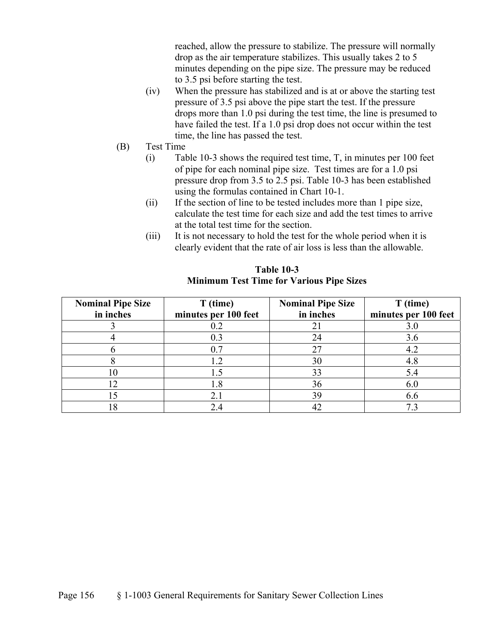reached, allow the pressure to stabilize. The pressure will normally drop as the air temperature stabilizes. This usually takes 2 to 5 minutes depending on the pipe size. The pressure may be reduced to 3.5 psi before starting the test.

- (iv) When the pressure has stabilized and is at or above the starting test pressure of 3.5 psi above the pipe start the test. If the pressure drops more than 1.0 psi during the test time, the line is presumed to have failed the test. If a 1.0 psi drop does not occur within the test time, the line has passed the test.
- (B) Test Time
	- (i) Table 10-3 shows the required test time, T, in minutes per 100 feet of pipe for each nominal pipe size. Test times are for a 1.0 psi pressure drop from 3.5 to 2.5 psi. Table 10-3 has been established using the formulas contained in Chart 10-1.
	- (ii) If the section of line to be tested includes more than 1 pipe size, calculate the test time for each size and add the test times to arrive at the total test time for the section.
	- (iii) It is not necessary to hold the test for the whole period when it is clearly evident that the rate of air loss is less than the allowable.

| <b>Nominal Pipe Size</b><br>in inches | T (time)<br>minutes per 100 feet | <b>Nominal Pipe Size</b><br>in inches | T (time)<br>minutes per 100 feet |
|---------------------------------------|----------------------------------|---------------------------------------|----------------------------------|
|                                       | 0.2                              |                                       | 3.0                              |
|                                       | 0.3                              | 24                                    | 3.6                              |
|                                       | 0.7                              | 27                                    | 4.2                              |
|                                       |                                  | 30                                    | 4.8                              |
| 10                                    |                                  | 33                                    | 5.4                              |
|                                       | 1.8                              | 36                                    | 6.0                              |
|                                       |                                  | 39                                    | 6.6                              |
| 18                                    |                                  |                                       |                                  |

 **Table 10-3 Minimum Test Time for Various Pipe Sizes**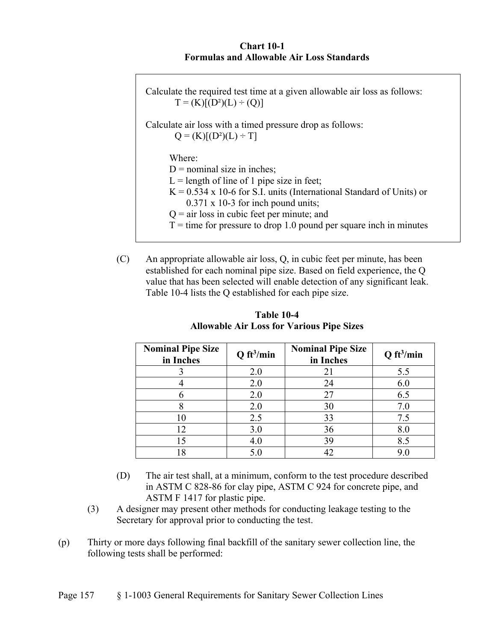#### **Chart 10-1 Formulas and Allowable Air Loss Standards**

Calculate the required test time at a given allowable air loss as follows:  $T = (K)[(D^2)(L) \div (Q)]$ Calculate air loss with a timed pressure drop as follows:  $Q = (K)[(D^2)(L) \div T]$  Where:  $D =$  nominal size in inches;  $L =$  length of line of 1 pipe size in feet;  $K = 0.534$  x 10-6 for S.I. units (International Standard of Units) or 0.371 x 10-3 for inch pound units;  $Q = air$  loss in cubic feet per minute; and  $T =$  time for pressure to drop 1.0 pound per square inch in minutes

(C) An appropriate allowable air loss, Q, in cubic feet per minute, has been established for each nominal pipe size. Based on field experience, the Q value that has been selected will enable detection of any significant leak. Table 10-4 lists the Q established for each pipe size.

| <b>Nominal Pipe Size</b><br>in Inches | Q ft <sup>3</sup> /min | <b>Nominal Pipe Size</b><br>in Inches | Q ft <sup>3</sup> /min |
|---------------------------------------|------------------------|---------------------------------------|------------------------|
|                                       | 2.0                    | 21                                    | 5.5                    |
|                                       | 2.0                    | 24                                    | 6.0                    |
|                                       | 2.0                    | 27                                    | 6.5                    |
|                                       | 2.0                    | 30                                    | 7.0                    |
|                                       | 2.5                    | 33                                    | 7.5                    |
| 12                                    | 3.0                    | 36                                    | 8.0                    |
| ۱۲,                                   | 4.0                    | 39                                    | 8.5                    |
|                                       | $5.0\,$                |                                       |                        |

 **Table 10-4 Allowable Air Loss for Various Pipe Sizes** 

- (D) The air test shall, at a minimum, conform to the test procedure described in ASTM C 828-86 for clay pipe, ASTM C 924 for concrete pipe, and ASTM F 1417 for plastic pipe.
- (3) A designer may present other methods for conducting leakage testing to the Secretary for approval prior to conducting the test.
- (p) Thirty or more days following final backfill of the sanitary sewer collection line, the following tests shall be performed: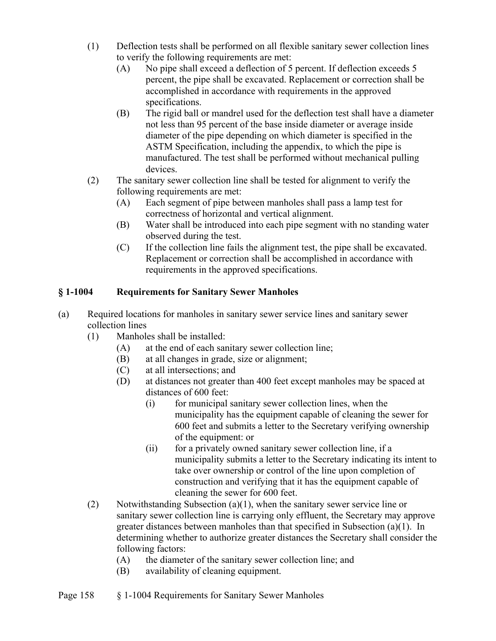- (1) Deflection tests shall be performed on all flexible sanitary sewer collection lines to verify the following requirements are met:
	- (A) No pipe shall exceed a deflection of 5 percent. If deflection exceeds 5 percent, the pipe shall be excavated. Replacement or correction shall be accomplished in accordance with requirements in the approved specifications.
	- (B) The rigid ball or mandrel used for the deflection test shall have a diameter not less than 95 percent of the base inside diameter or average inside diameter of the pipe depending on which diameter is specified in the ASTM Specification, including the appendix, to which the pipe is manufactured. The test shall be performed without mechanical pulling devices.
- (2) The sanitary sewer collection line shall be tested for alignment to verify the following requirements are met:
	- (A) Each segment of pipe between manholes shall pass a lamp test for correctness of horizontal and vertical alignment.
	- (B) Water shall be introduced into each pipe segment with no standing water observed during the test.
	- (C) If the collection line fails the alignment test, the pipe shall be excavated. Replacement or correction shall be accomplished in accordance with requirements in the approved specifications.

# **§ 1-1004 Requirements for Sanitary Sewer Manholes**

- (a) Required locations for manholes in sanitary sewer service lines and sanitary sewer collection lines
	- (1) Manholes shall be installed:
		- (A) at the end of each sanitary sewer collection line;
		- (B) at all changes in grade, size or alignment;
		- (C) at all intersections; and
		- (D) at distances not greater than 400 feet except manholes may be spaced at distances of 600 feet:
			- (i) for municipal sanitary sewer collection lines, when the municipality has the equipment capable of cleaning the sewer for 600 feet and submits a letter to the Secretary verifying ownership of the equipment: or
			- (ii) for a privately owned sanitary sewer collection line, if a municipality submits a letter to the Secretary indicating its intent to take over ownership or control of the line upon completion of construction and verifying that it has the equipment capable of cleaning the sewer for 600 feet.
	- (2) Notwithstanding Subsection (a)(1), when the sanitary sewer service line or sanitary sewer collection line is carrying only effluent, the Secretary may approve greater distances between manholes than that specified in Subsection (a)(1). In determining whether to authorize greater distances the Secretary shall consider the following factors:
		- (A) the diameter of the sanitary sewer collection line; and
		- (B) availability of cleaning equipment.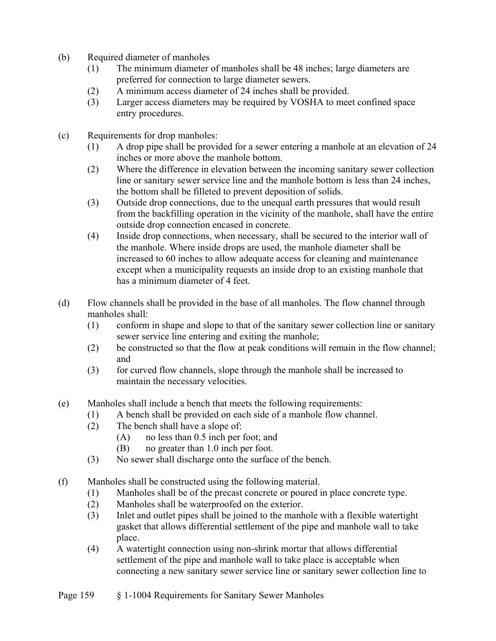- (b) Required diameter of manholes
	- (1) The minimum diameter of manholes shall be 48 inches; large diameters are preferred for connection to large diameter sewers.
	- (2) A minimum access diameter of 24 inches shall be provided.
	- (3) Larger access diameters may be required by VOSHA to meet confined space entry procedures.
- (c) Requirements for drop manholes:
	- (1) A drop pipe shall be provided for a sewer entering a manhole at an elevation of 24 inches or more above the manhole bottom.
	- (2) Where the difference in elevation between the incoming sanitary sewer collection line or sanitary sewer service line and the manhole bottom is less than 24 inches, the bottom shall be filleted to prevent deposition of solids.
	- (3) Outside drop connections, due to the unequal earth pressures that would result from the backfilling operation in the vicinity of the manhole, shall have the entire outside drop connection encased in concrete.
	- (4) Inside drop connections, when necessary, shall be secured to the interior wall of the manhole. Where inside drops are used, the manhole diameter shall be increased to 60 inches to allow adequate access for cleaning and maintenance except when a municipality requests an inside drop to an existing manhole that has a minimum diameter of 4 feet.
- (d) Flow channels shall be provided in the base of all manholes. The flow channel through manholes shall:
	- (1) conform in shape and slope to that of the sanitary sewer collection line or sanitary sewer service line entering and exiting the manhole;
	- (2) be constructed so that the flow at peak conditions will remain in the flow channel; and
	- (3) for curved flow channels, slope through the manhole shall be increased to maintain the necessary velocities.
- (e) Manholes shall include a bench that meets the following requirements:
	- (1) A bench shall be provided on each side of a manhole flow channel.
	- (2) The bench shall have a slope of:
		- (A) no less than 0.5 inch per foot; and
		- (B) no greater than 1.0 inch per foot.
	- (3) No sewer shall discharge onto the surface of the bench.
- (f) Manholes shall be constructed using the following material.
	- (1) Manholes shall be of the precast concrete or poured in place concrete type.
	- (2) Manholes shall be waterproofed on the exterior.
	- (3) Inlet and outlet pipes shall be joined to the manhole with a flexible watertight gasket that allows differential settlement of the pipe and manhole wall to take place.
	- (4) A watertight connection using non-shrink mortar that allows differential settlement of the pipe and manhole wall to take place is acceptable when connecting a new sanitary sewer service line or sanitary sewer collection line to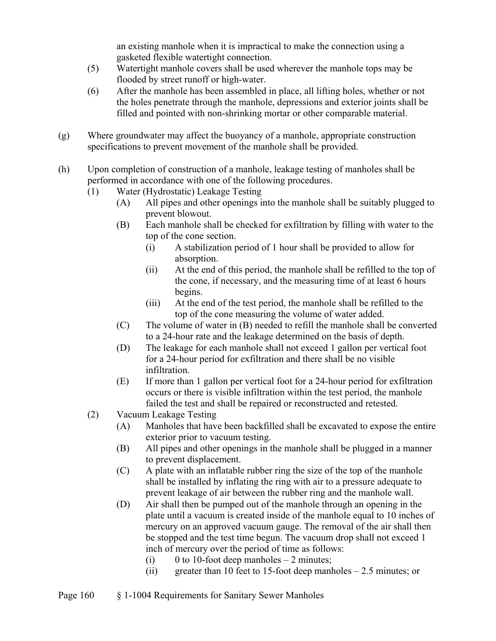an existing manhole when it is impractical to make the connection using a gasketed flexible watertight connection.

- (5) Watertight manhole covers shall be used wherever the manhole tops may be flooded by street runoff or high-water.
- (6) After the manhole has been assembled in place, all lifting holes, whether or not the holes penetrate through the manhole, depressions and exterior joints shall be filled and pointed with non-shrinking mortar or other comparable material.
- (g) Where groundwater may affect the buoyancy of a manhole, appropriate construction specifications to prevent movement of the manhole shall be provided.
- (h) Upon completion of construction of a manhole, leakage testing of manholes shall be performed in accordance with one of the following procedures.
	- (1) Water (Hydrostatic) Leakage Testing
		- (A) All pipes and other openings into the manhole shall be suitably plugged to prevent blowout.
		- (B) Each manhole shall be checked for exfiltration by filling with water to the top of the cone section.
			- (i) A stabilization period of 1 hour shall be provided to allow for absorption.
			- (ii) At the end of this period, the manhole shall be refilled to the top of the cone, if necessary, and the measuring time of at least 6 hours begins.
			- (iii) At the end of the test period, the manhole shall be refilled to the top of the cone measuring the volume of water added.
		- (C) The volume of water in (B) needed to refill the manhole shall be converted to a 24-hour rate and the leakage determined on the basis of depth.
		- (D) The leakage for each manhole shall not exceed 1 gallon per vertical foot for a 24-hour period for exfiltration and there shall be no visible infiltration.
		- (E) If more than 1 gallon per vertical foot for a 24-hour period for exfiltration occurs or there is visible infiltration within the test period, the manhole failed the test and shall be repaired or reconstructed and retested.
	- (2) Vacuum Leakage Testing
		- (A) Manholes that have been backfilled shall be excavated to expose the entire exterior prior to vacuum testing.
		- (B) All pipes and other openings in the manhole shall be plugged in a manner to prevent displacement.
		- (C) A plate with an inflatable rubber ring the size of the top of the manhole shall be installed by inflating the ring with air to a pressure adequate to prevent leakage of air between the rubber ring and the manhole wall.
		- (D) Air shall then be pumped out of the manhole through an opening in the plate until a vacuum is created inside of the manhole equal to 10 inches of mercury on an approved vacuum gauge. The removal of the air shall then be stopped and the test time begun. The vacuum drop shall not exceed 1 inch of mercury over the period of time as follows:
			- (i) 0 to 10-foot deep manholes  $-2$  minutes;
			- (ii) greater than 10 feet to 15-foot deep manholes  $-2.5$  minutes; or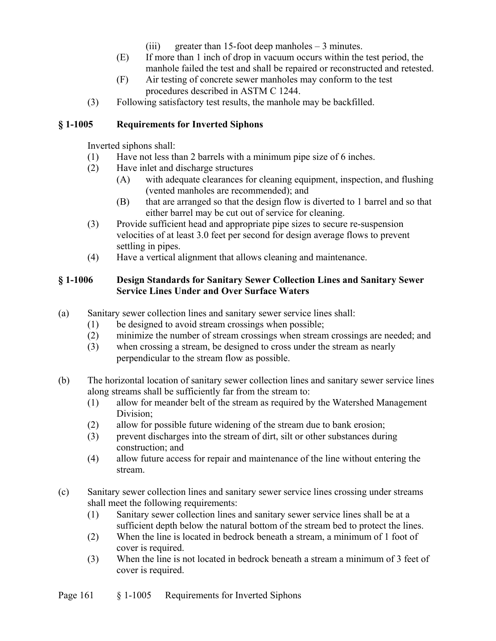- (iii) greater than 15-foot deep manholes  $-3$  minutes.
- (E) If more than 1 inch of drop in vacuum occurs within the test period, the manhole failed the test and shall be repaired or reconstructed and retested.
- (F) Air testing of concrete sewer manholes may conform to the test procedures described in ASTM C 1244.
- (3) Following satisfactory test results, the manhole may be backfilled.

## **§ 1-1005 Requirements for Inverted Siphons**

Inverted siphons shall:

- (1) Have not less than 2 barrels with a minimum pipe size of 6 inches.
- (2) Have inlet and discharge structures
	- (A) with adequate clearances for cleaning equipment, inspection, and flushing (vented manholes are recommended); and
	- (B) that are arranged so that the design flow is diverted to 1 barrel and so that either barrel may be cut out of service for cleaning.
- (3) Provide sufficient head and appropriate pipe sizes to secure re-suspension velocities of at least 3.0 feet per second for design average flows to prevent settling in pipes.
- (4) Have a vertical alignment that allows cleaning and maintenance.

## **§ 1-1006 Design Standards for Sanitary Sewer Collection Lines and Sanitary Sewer Service Lines Under and Over Surface Waters**

- (a) Sanitary sewer collection lines and sanitary sewer service lines shall:
	- (1) be designed to avoid stream crossings when possible;
	- (2) minimize the number of stream crossings when stream crossings are needed; and
	- (3) when crossing a stream, be designed to cross under the stream as nearly perpendicular to the stream flow as possible.
- (b) The horizontal location of sanitary sewer collection lines and sanitary sewer service lines along streams shall be sufficiently far from the stream to:
	- (1) allow for meander belt of the stream as required by the Watershed Management Division;
	- (2) allow for possible future widening of the stream due to bank erosion;
	- (3) prevent discharges into the stream of dirt, silt or other substances during construction; and
	- (4) allow future access for repair and maintenance of the line without entering the stream.
- (c) Sanitary sewer collection lines and sanitary sewer service lines crossing under streams shall meet the following requirements:
	- (1) Sanitary sewer collection lines and sanitary sewer service lines shall be at a sufficient depth below the natural bottom of the stream bed to protect the lines.
	- (2) When the line is located in bedrock beneath a stream, a minimum of 1 foot of cover is required.
	- (3) When the line is not located in bedrock beneath a stream a minimum of 3 feet of cover is required.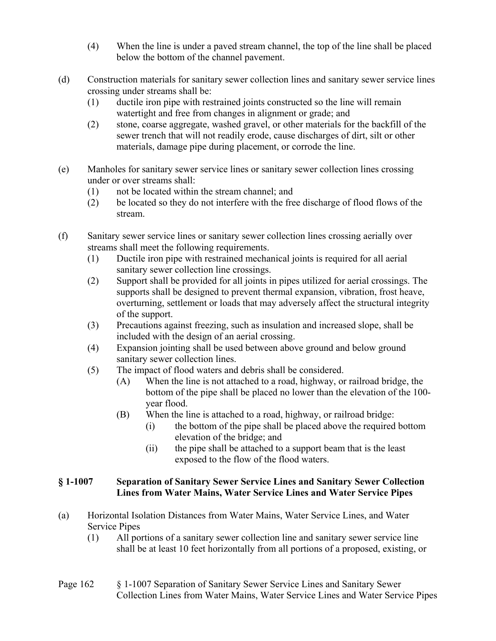- (4) When the line is under a paved stream channel, the top of the line shall be placed below the bottom of the channel pavement.
- (d) Construction materials for sanitary sewer collection lines and sanitary sewer service lines crossing under streams shall be:
	- (1) ductile iron pipe with restrained joints constructed so the line will remain watertight and free from changes in alignment or grade; and
	- (2) stone, coarse aggregate, washed gravel, or other materials for the backfill of the sewer trench that will not readily erode, cause discharges of dirt, silt or other materials, damage pipe during placement, or corrode the line.
- (e) Manholes for sanitary sewer service lines or sanitary sewer collection lines crossing under or over streams shall:
	- (1) not be located within the stream channel; and
	- (2) be located so they do not interfere with the free discharge of flood flows of the stream.
- (f) Sanitary sewer service lines or sanitary sewer collection lines crossing aerially over streams shall meet the following requirements.
	- (1) Ductile iron pipe with restrained mechanical joints is required for all aerial sanitary sewer collection line crossings.
	- (2) Support shall be provided for all joints in pipes utilized for aerial crossings. The supports shall be designed to prevent thermal expansion, vibration, frost heave, overturning, settlement or loads that may adversely affect the structural integrity of the support.
	- (3) Precautions against freezing, such as insulation and increased slope, shall be included with the design of an aerial crossing.
	- (4) Expansion jointing shall be used between above ground and below ground sanitary sewer collection lines.
	- (5) The impact of flood waters and debris shall be considered.
		- (A) When the line is not attached to a road, highway, or railroad bridge, the bottom of the pipe shall be placed no lower than the elevation of the 100 year flood.
		- (B) When the line is attached to a road, highway, or railroad bridge:
			- (i) the bottom of the pipe shall be placed above the required bottom elevation of the bridge; and
			- (ii) the pipe shall be attached to a support beam that is the least exposed to the flow of the flood waters.

#### **§ 1-1007 Separation of Sanitary Sewer Service Lines and Sanitary Sewer Collection Lines from Water Mains, Water Service Lines and Water Service Pipes**

- (a) Horizontal Isolation Distances from Water Mains, Water Service Lines, and Water Service Pipes
	- (1) All portions of a sanitary sewer collection line and sanitary sewer service line shall be at least 10 feet horizontally from all portions of a proposed, existing, or
- Page 162 § 1-1007 Separation of Sanitary Sewer Service Lines and Sanitary Sewer Collection Lines from Water Mains, Water Service Lines and Water Service Pipes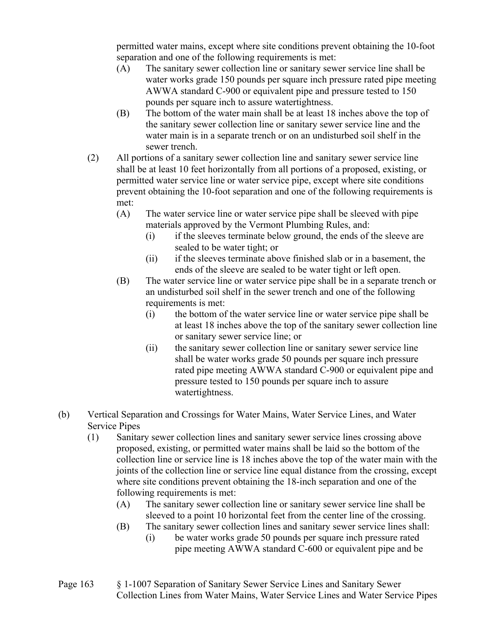permitted water mains, except where site conditions prevent obtaining the 10-foot separation and one of the following requirements is met:

- (A) The sanitary sewer collection line or sanitary sewer service line shall be water works grade 150 pounds per square inch pressure rated pipe meeting AWWA standard C-900 or equivalent pipe and pressure tested to 150 pounds per square inch to assure watertightness.
- (B) The bottom of the water main shall be at least 18 inches above the top of the sanitary sewer collection line or sanitary sewer service line and the water main is in a separate trench or on an undisturbed soil shelf in the sewer trench.
- (2) All portions of a sanitary sewer collection line and sanitary sewer service line shall be at least 10 feet horizontally from all portions of a proposed, existing, or permitted water service line or water service pipe, except where site conditions prevent obtaining the 10-foot separation and one of the following requirements is met:
	- (A) The water service line or water service pipe shall be sleeved with pipe materials approved by the Vermont Plumbing Rules, and:
		- (i) if the sleeves terminate below ground, the ends of the sleeve are sealed to be water tight; or
		- (ii) if the sleeves terminate above finished slab or in a basement, the ends of the sleeve are sealed to be water tight or left open.
	- (B) The water service line or water service pipe shall be in a separate trench or an undisturbed soil shelf in the sewer trench and one of the following requirements is met:
		- (i) the bottom of the water service line or water service pipe shall be at least 18 inches above the top of the sanitary sewer collection line or sanitary sewer service line; or
		- (ii) the sanitary sewer collection line or sanitary sewer service line shall be water works grade 50 pounds per square inch pressure rated pipe meeting AWWA standard C-900 or equivalent pipe and pressure tested to 150 pounds per square inch to assure watertightness.
- (b) Vertical Separation and Crossings for Water Mains, Water Service Lines, and Water Service Pipes
	- (1) Sanitary sewer collection lines and sanitary sewer service lines crossing above proposed, existing, or permitted water mains shall be laid so the bottom of the collection line or service line is 18 inches above the top of the water main with the joints of the collection line or service line equal distance from the crossing, except where site conditions prevent obtaining the 18-inch separation and one of the following requirements is met:
		- (A) The sanitary sewer collection line or sanitary sewer service line shall be sleeved to a point 10 horizontal feet from the center line of the crossing.
		- (B) The sanitary sewer collection lines and sanitary sewer service lines shall:
			- (i) be water works grade 50 pounds per square inch pressure rated pipe meeting AWWA standard C-600 or equivalent pipe and be
- Page 163 § 1-1007 Separation of Sanitary Sewer Service Lines and Sanitary Sewer Collection Lines from Water Mains, Water Service Lines and Water Service Pipes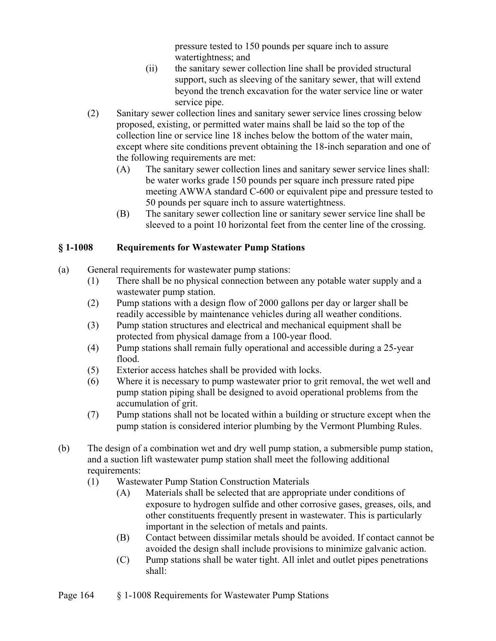pressure tested to 150 pounds per square inch to assure watertightness; and

- (ii) the sanitary sewer collection line shall be provided structural support, such as sleeving of the sanitary sewer, that will extend beyond the trench excavation for the water service line or water service pipe.
- (2) Sanitary sewer collection lines and sanitary sewer service lines crossing below proposed, existing, or permitted water mains shall be laid so the top of the collection line or service line 18 inches below the bottom of the water main, except where site conditions prevent obtaining the 18-inch separation and one of the following requirements are met:
	- (A) The sanitary sewer collection lines and sanitary sewer service lines shall: be water works grade 150 pounds per square inch pressure rated pipe meeting AWWA standard C-600 or equivalent pipe and pressure tested to 50 pounds per square inch to assure watertightness.
	- (B) The sanitary sewer collection line or sanitary sewer service line shall be sleeved to a point 10 horizontal feet from the center line of the crossing.

# **§ 1-1008 Requirements for Wastewater Pump Stations**

- (a) General requirements for wastewater pump stations:
	- (1) There shall be no physical connection between any potable water supply and a wastewater pump station.
	- (2) Pump stations with a design flow of 2000 gallons per day or larger shall be readily accessible by maintenance vehicles during all weather conditions.
	- (3) Pump station structures and electrical and mechanical equipment shall be protected from physical damage from a 100-year flood.
	- (4) Pump stations shall remain fully operational and accessible during a 25-year flood.
	- (5) Exterior access hatches shall be provided with locks.
	- (6) Where it is necessary to pump wastewater prior to grit removal, the wet well and pump station piping shall be designed to avoid operational problems from the accumulation of grit.
	- (7) Pump stations shall not be located within a building or structure except when the pump station is considered interior plumbing by the Vermont Plumbing Rules.
- (b) The design of a combination wet and dry well pump station, a submersible pump station, and a suction lift wastewater pump station shall meet the following additional requirements:
	- (1) Wastewater Pump Station Construction Materials
		- (A) Materials shall be selected that are appropriate under conditions of exposure to hydrogen sulfide and other corrosive gases, greases, oils, and other constituents frequently present in wastewater. This is particularly important in the selection of metals and paints.
		- (B) Contact between dissimilar metals should be avoided. If contact cannot be avoided the design shall include provisions to minimize galvanic action.
		- (C) Pump stations shall be water tight. All inlet and outlet pipes penetrations shall: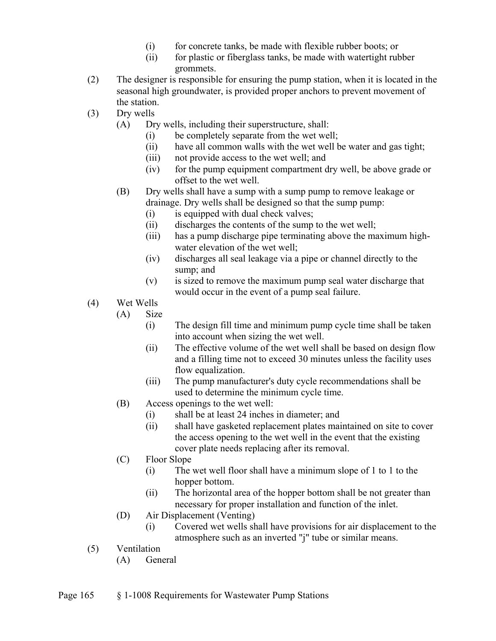- (i) for concrete tanks, be made with flexible rubber boots; or
- (ii) for plastic or fiberglass tanks, be made with watertight rubber grommets.
- (2) The designer is responsible for ensuring the pump station, when it is located in the seasonal high groundwater, is provided proper anchors to prevent movement of the station.
- (3) Dry wells
	- (A) Dry wells, including their superstructure, shall:
		- (i) be completely separate from the wet well;
		- (ii) have all common walls with the wet well be water and gas tight;
		- (iii) not provide access to the wet well; and
		- (iv) for the pump equipment compartment dry well, be above grade or offset to the wet well.
	- (B) Dry wells shall have a sump with a sump pump to remove leakage or drainage. Dry wells shall be designed so that the sump pump:
		- (i) is equipped with dual check valves;
		- (ii) discharges the contents of the sump to the wet well;
		- (iii) has a pump discharge pipe terminating above the maximum highwater elevation of the wet well;
		- (iv) discharges all seal leakage via a pipe or channel directly to the sump; and
		- (v) is sized to remove the maximum pump seal water discharge that would occur in the event of a pump seal failure.
- (4) Wet Wells
	- (A) Size
		- (i) The design fill time and minimum pump cycle time shall be taken into account when sizing the wet well.
		- (ii) The effective volume of the wet well shall be based on design flow and a filling time not to exceed 30 minutes unless the facility uses flow equalization.
		- (iii) The pump manufacturer's duty cycle recommendations shall be used to determine the minimum cycle time.
	- (B) Access openings to the wet well:
		- (i) shall be at least 24 inches in diameter; and
		- (ii) shall have gasketed replacement plates maintained on site to cover the access opening to the wet well in the event that the existing cover plate needs replacing after its removal.
	- (C) Floor Slope
		- (i) The wet well floor shall have a minimum slope of 1 to 1 to the hopper bottom.
		- (ii) The horizontal area of the hopper bottom shall be not greater than necessary for proper installation and function of the inlet.
	- (D) Air Displacement (Venting)
		- (i) Covered wet wells shall have provisions for air displacement to the atmosphere such as an inverted "j" tube or similar means.
- (5) Ventilation
	- (A) General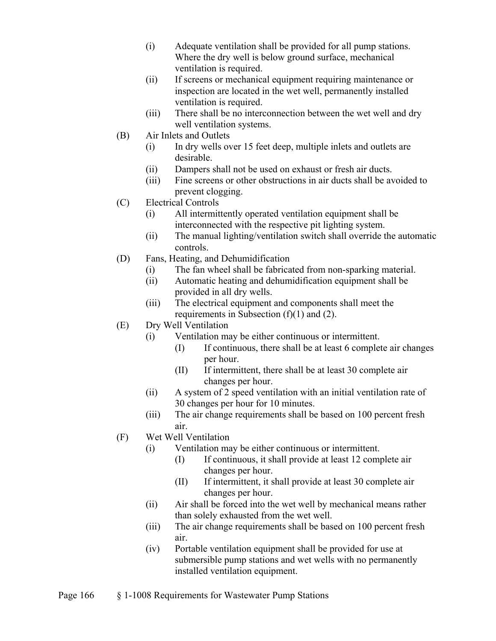- (i) Adequate ventilation shall be provided for all pump stations. Where the dry well is below ground surface, mechanical ventilation is required.
- (ii) If screens or mechanical equipment requiring maintenance or inspection are located in the wet well, permanently installed ventilation is required.
- (iii) There shall be no interconnection between the wet well and dry well ventilation systems.
- (B) Air Inlets and Outlets
	- (i) In dry wells over 15 feet deep, multiple inlets and outlets are desirable.
	- (ii) Dampers shall not be used on exhaust or fresh air ducts.
	- (iii) Fine screens or other obstructions in air ducts shall be avoided to prevent clogging.
- (C) Electrical Controls
	- (i) All intermittently operated ventilation equipment shall be interconnected with the respective pit lighting system.
	- (ii) The manual lighting/ventilation switch shall override the automatic controls.
- (D) Fans, Heating, and Dehumidification
	- (i) The fan wheel shall be fabricated from non-sparking material.
	- (ii) Automatic heating and dehumidification equipment shall be provided in all dry wells.
	- (iii) The electrical equipment and components shall meet the requirements in Subsection  $(f)(1)$  and  $(2)$ .
- (E) Dry Well Ventilation
	- (i) Ventilation may be either continuous or intermittent.
		- (I) If continuous, there shall be at least 6 complete air changes per hour.
		- (II) If intermittent, there shall be at least 30 complete air changes per hour.
	- (ii) A system of 2 speed ventilation with an initial ventilation rate of 30 changes per hour for 10 minutes.
	- (iii) The air change requirements shall be based on 100 percent fresh air.
- (F) Wet Well Ventilation
	- (i) Ventilation may be either continuous or intermittent.
		- (I) If continuous, it shall provide at least 12 complete air changes per hour.
		- (II) If intermittent, it shall provide at least 30 complete air changes per hour.
	- (ii) Air shall be forced into the wet well by mechanical means rather than solely exhausted from the wet well.
	- (iii) The air change requirements shall be based on 100 percent fresh air.
	- (iv) Portable ventilation equipment shall be provided for use at submersible pump stations and wet wells with no permanently installed ventilation equipment.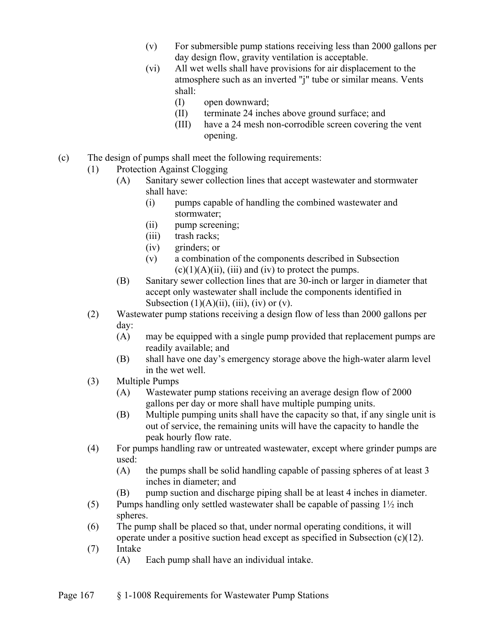- (v) For submersible pump stations receiving less than 2000 gallons per day design flow, gravity ventilation is acceptable.
- (vi) All wet wells shall have provisions for air displacement to the atmosphere such as an inverted "j" tube or similar means. Vents shall:
	- (I) open downward;
	- (II) terminate 24 inches above ground surface; and
	- (III) have a 24 mesh non-corrodible screen covering the vent opening.
- (c) The design of pumps shall meet the following requirements:
	- (1) Protection Against Clogging
		- (A) Sanitary sewer collection lines that accept wastewater and stormwater shall have:
			- (i) pumps capable of handling the combined wastewater and stormwater;
			- (ii) pump screening;
			- (iii) trash racks;
			- (iv) grinders; or
			- (v) a combination of the components described in Subsection  $(c)(1)(A)(ii)$ , (iii) and (iv) to protect the pumps.
		- (B) Sanitary sewer collection lines that are 30-inch or larger in diameter that accept only wastewater shall include the components identified in Subsection  $(1)(A)(ii)$ ,  $(iii)$ ,  $(iv)$  or  $(v)$ .
	- (2) Wastewater pump stations receiving a design flow of less than 2000 gallons per day:
		- (A) may be equipped with a single pump provided that replacement pumps are readily available; and
		- (B) shall have one day's emergency storage above the high-water alarm level in the wet well.
	- (3) Multiple Pumps
		- (A) Wastewater pump stations receiving an average design flow of 2000 gallons per day or more shall have multiple pumping units.
		- (B) Multiple pumping units shall have the capacity so that, if any single unit is out of service, the remaining units will have the capacity to handle the peak hourly flow rate.
	- (4) For pumps handling raw or untreated wastewater, except where grinder pumps are used:
		- (A) the pumps shall be solid handling capable of passing spheres of at least 3 inches in diameter; and
		- (B) pump suction and discharge piping shall be at least 4 inches in diameter.
	- (5) Pumps handling only settled wastewater shall be capable of passing  $1\frac{1}{2}$  inch spheres.
	- (6) The pump shall be placed so that, under normal operating conditions, it will operate under a positive suction head except as specified in Subsection (c)(12).
	- (7) Intake
		- (A) Each pump shall have an individual intake.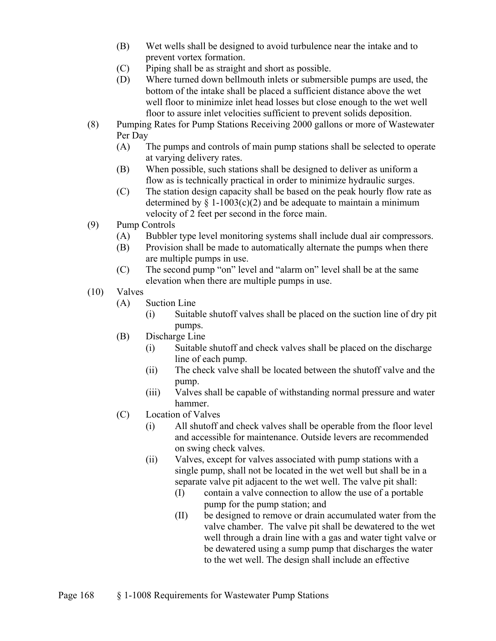- (B) Wet wells shall be designed to avoid turbulence near the intake and to prevent vortex formation.
- (C) Piping shall be as straight and short as possible.
- (D) Where turned down bellmouth inlets or submersible pumps are used, the bottom of the intake shall be placed a sufficient distance above the wet well floor to minimize inlet head losses but close enough to the wet well floor to assure inlet velocities sufficient to prevent solids deposition.
- (8) Pumping Rates for Pump Stations Receiving 2000 gallons or more of Wastewater Per Day
	- (A) The pumps and controls of main pump stations shall be selected to operate at varying delivery rates.
	- (B) When possible, such stations shall be designed to deliver as uniform a flow as is technically practical in order to minimize hydraulic surges.
	- (C) The station design capacity shall be based on the peak hourly flow rate as determined by  $\S$  1-1003(c)(2) and be adequate to maintain a minimum velocity of 2 feet per second in the force main.
- (9) Pump Controls
	- (A) Bubbler type level monitoring systems shall include dual air compressors.
	- (B) Provision shall be made to automatically alternate the pumps when there are multiple pumps in use.
	- (C) The second pump "on" level and "alarm on" level shall be at the same elevation when there are multiple pumps in use.
- (10) Valves
	- (A) Suction Line
		- (i) Suitable shutoff valves shall be placed on the suction line of dry pit pumps.
	- (B) Discharge Line
		- (i) Suitable shutoff and check valves shall be placed on the discharge line of each pump.
		- (ii) The check valve shall be located between the shutoff valve and the pump.
		- (iii) Valves shall be capable of withstanding normal pressure and water hammer.
	- (C) Location of Valves
		- (i) All shutoff and check valves shall be operable from the floor level and accessible for maintenance. Outside levers are recommended on swing check valves.
		- (ii) Valves, except for valves associated with pump stations with a single pump, shall not be located in the wet well but shall be in a separate valve pit adjacent to the wet well. The valve pit shall:
			- (I) contain a valve connection to allow the use of a portable pump for the pump station; and
			- (II) be designed to remove or drain accumulated water from the valve chamber. The valve pit shall be dewatered to the wet well through a drain line with a gas and water tight valve or be dewatered using a sump pump that discharges the water to the wet well. The design shall include an effective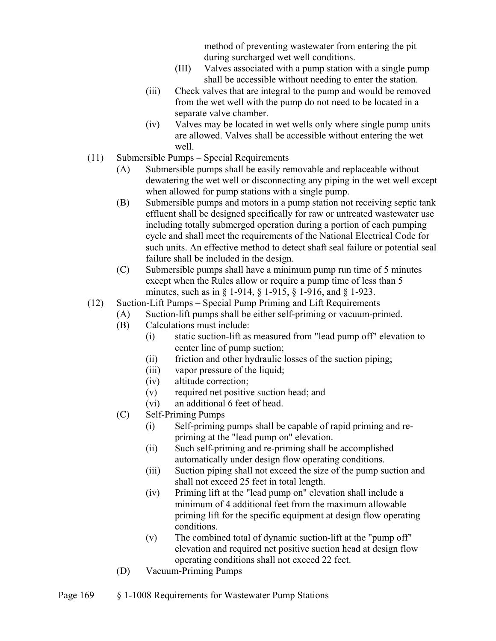method of preventing wastewater from entering the pit during surcharged wet well conditions.

- (III) Valves associated with a pump station with a single pump shall be accessible without needing to enter the station.
- (iii) Check valves that are integral to the pump and would be removed from the wet well with the pump do not need to be located in a separate valve chamber.
- (iv) Valves may be located in wet wells only where single pump units are allowed. Valves shall be accessible without entering the wet well.
- (11) Submersible Pumps Special Requirements
	- (A) Submersible pumps shall be easily removable and replaceable without dewatering the wet well or disconnecting any piping in the wet well except when allowed for pump stations with a single pump.
	- (B) Submersible pumps and motors in a pump station not receiving septic tank effluent shall be designed specifically for raw or untreated wastewater use including totally submerged operation during a portion of each pumping cycle and shall meet the requirements of the National Electrical Code for such units. An effective method to detect shaft seal failure or potential seal failure shall be included in the design.
	- (C) Submersible pumps shall have a minimum pump run time of 5 minutes except when the Rules allow or require a pump time of less than 5 minutes, such as in § 1-914, § 1-915, § 1-916, and § 1-923.
- (12) Suction-Lift Pumps Special Pump Priming and Lift Requirements
	- (A) Suction-lift pumps shall be either self-priming or vacuum-primed.
	- (B) Calculations must include:
		- (i) static suction-lift as measured from "lead pump off" elevation to center line of pump suction;
		- (ii) friction and other hydraulic losses of the suction piping;
		- (iii) vapor pressure of the liquid;
		- (iv) altitude correction;
		- (v) required net positive suction head; and
		- (vi) an additional 6 feet of head.
	- (C) Self-Priming Pumps
		- (i) Self-priming pumps shall be capable of rapid priming and repriming at the "lead pump on" elevation.
		- (ii) Such self-priming and re-priming shall be accomplished automatically under design flow operating conditions.
		- (iii) Suction piping shall not exceed the size of the pump suction and shall not exceed 25 feet in total length.
		- (iv) Priming lift at the "lead pump on" elevation shall include a minimum of 4 additional feet from the maximum allowable priming lift for the specific equipment at design flow operating conditions.
		- (v) The combined total of dynamic suction-lift at the "pump off" elevation and required net positive suction head at design flow operating conditions shall not exceed 22 feet.
	- (D) Vacuum-Priming Pumps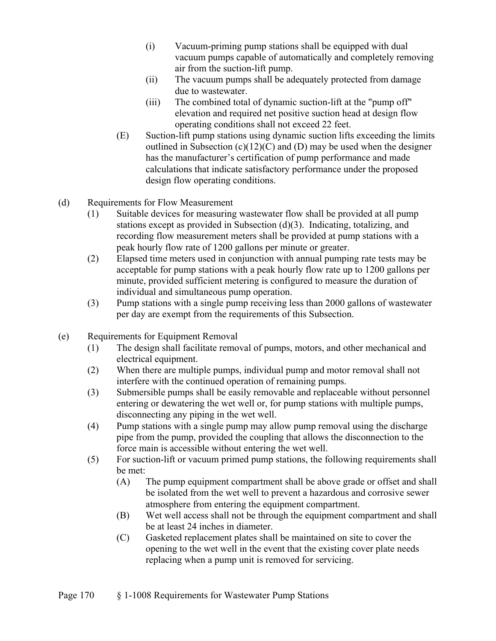- (i) Vacuum-priming pump stations shall be equipped with dual vacuum pumps capable of automatically and completely removing air from the suction-lift pump.
- (ii) The vacuum pumps shall be adequately protected from damage due to wastewater.
- (iii) The combined total of dynamic suction-lift at the "pump off" elevation and required net positive suction head at design flow operating conditions shall not exceed 22 feet.
- (E) Suction-lift pump stations using dynamic suction lifts exceeding the limits outlined in Subsection  $(c)(12)(C)$  and  $(D)$  may be used when the designer has the manufacturer's certification of pump performance and made calculations that indicate satisfactory performance under the proposed design flow operating conditions.
- (d) Requirements for Flow Measurement
	- (1) Suitable devices for measuring wastewater flow shall be provided at all pump stations except as provided in Subsection (d)(3). Indicating, totalizing, and recording flow measurement meters shall be provided at pump stations with a peak hourly flow rate of 1200 gallons per minute or greater.
	- (2) Elapsed time meters used in conjunction with annual pumping rate tests may be acceptable for pump stations with a peak hourly flow rate up to 1200 gallons per minute, provided sufficient metering is configured to measure the duration of individual and simultaneous pump operation.
	- (3) Pump stations with a single pump receiving less than 2000 gallons of wastewater per day are exempt from the requirements of this Subsection.
- (e) Requirements for Equipment Removal
	- (1) The design shall facilitate removal of pumps, motors, and other mechanical and electrical equipment.
	- (2) When there are multiple pumps, individual pump and motor removal shall not interfere with the continued operation of remaining pumps.
	- (3) Submersible pumps shall be easily removable and replaceable without personnel entering or dewatering the wet well or, for pump stations with multiple pumps, disconnecting any piping in the wet well.
	- (4) Pump stations with a single pump may allow pump removal using the discharge pipe from the pump, provided the coupling that allows the disconnection to the force main is accessible without entering the wet well.
	- (5) For suction-lift or vacuum primed pump stations, the following requirements shall be met:
		- (A) The pump equipment compartment shall be above grade or offset and shall be isolated from the wet well to prevent a hazardous and corrosive sewer atmosphere from entering the equipment compartment.
		- (B) Wet well access shall not be through the equipment compartment and shall be at least 24 inches in diameter.
		- (C) Gasketed replacement plates shall be maintained on site to cover the opening to the wet well in the event that the existing cover plate needs replacing when a pump unit is removed for servicing.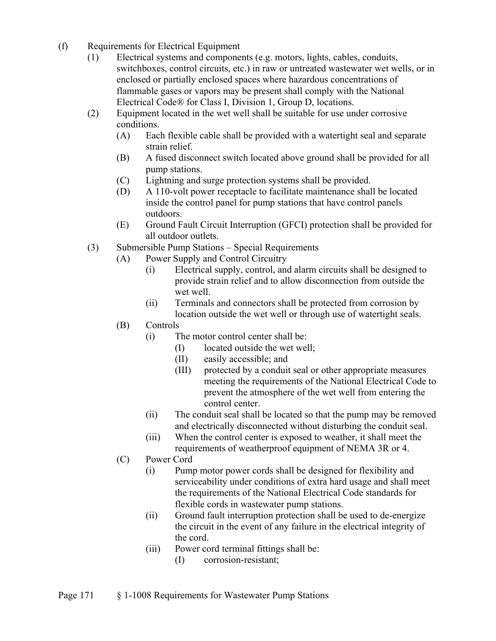- (f) Requirements for Electrical Equipment
	- (1) Electrical systems and components (e.g. motors, lights, cables, conduits, switchboxes, control circuits, etc.) in raw or untreated wastewater wet wells, or in enclosed or partially enclosed spaces where hazardous concentrations of flammable gases or vapors may be present shall comply with the National Electrical Code® for Class I, Division 1, Group D, locations.
	- (2) Equipment located in the wet well shall be suitable for use under corrosive conditions.
		- (A) Each flexible cable shall be provided with a watertight seal and separate strain relief.
		- (B) A fused disconnect switch located above ground shall be provided for all pump stations.
		- (C) Lightning and surge protection systems shall be provided.
		- (D) A 110-volt power receptacle to facilitate maintenance shall be located inside the control panel for pump stations that have control panels outdoors.
		- (E) Ground Fault Circuit Interruption (GFCI) protection shall be provided for all outdoor outlets.
	- (3) Submersible Pump Stations Special Requirements
		- (A) Power Supply and Control Circuitry
			- (i) Electrical supply, control, and alarm circuits shall be designed to provide strain relief and to allow disconnection from outside the wet well.
			- (ii) Terminals and connectors shall be protected from corrosion by location outside the wet well or through use of watertight seals.

#### (B) Controls

- (i) The motor control center shall be:
	- (I) located outside the wet well;
	- (II) easily accessible; and
	- (III) protected by a conduit seal or other appropriate measures meeting the requirements of the National Electrical Code to prevent the atmosphere of the wet well from entering the control center.
- (ii) The conduit seal shall be located so that the pump may be removed and electrically disconnected without disturbing the conduit seal.
- (iii) When the control center is exposed to weather, it shall meet the requirements of weatherproof equipment of NEMA 3R or 4.
- (C) Power Cord
	- (i) Pump motor power cords shall be designed for flexibility and serviceability under conditions of extra hard usage and shall meet the requirements of the National Electrical Code standards for flexible cords in wastewater pump stations.
	- (ii) Ground fault interruption protection shall be used to de-energize the circuit in the event of any failure in the electrical integrity of the cord.
	- (iii) Power cord terminal fittings shall be:
		- (I) corrosion-resistant;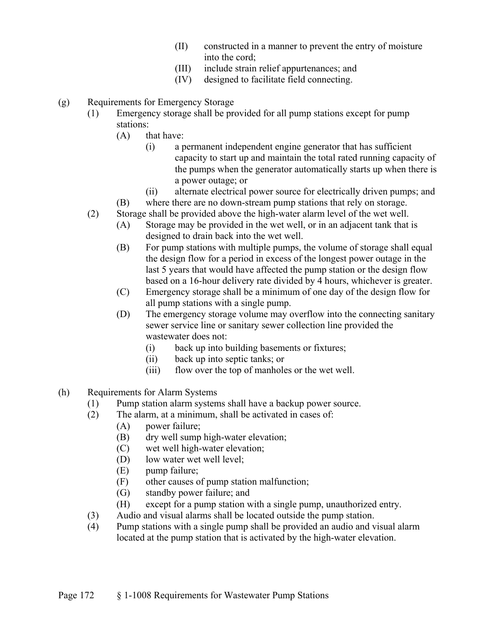- (II) constructed in a manner to prevent the entry of moisture into the cord;
- (III) include strain relief appurtenances; and
- (IV) designed to facilitate field connecting.
- (g) Requirements for Emergency Storage
	- (1) Emergency storage shall be provided for all pump stations except for pump stations:
		- (A) that have:
			- (i) a permanent independent engine generator that has sufficient capacity to start up and maintain the total rated running capacity of the pumps when the generator automatically starts up when there is a power outage; or
			- (ii) alternate electrical power source for electrically driven pumps; and
		- (B) where there are no down-stream pump stations that rely on storage.
	- (2) Storage shall be provided above the high-water alarm level of the wet well.
		- (A) Storage may be provided in the wet well, or in an adjacent tank that is designed to drain back into the wet well.
		- (B) For pump stations with multiple pumps, the volume of storage shall equal the design flow for a period in excess of the longest power outage in the last 5 years that would have affected the pump station or the design flow based on a 16-hour delivery rate divided by 4 hours, whichever is greater.
		- (C) Emergency storage shall be a minimum of one day of the design flow for all pump stations with a single pump.
		- (D) The emergency storage volume may overflow into the connecting sanitary sewer service line or sanitary sewer collection line provided the wastewater does not:
			- (i) back up into building basements or fixtures;
			- (ii) back up into septic tanks; or
			- (iii) flow over the top of manholes or the wet well.
- (h) Requirements for Alarm Systems
	- (1) Pump station alarm systems shall have a backup power source.
	- (2) The alarm, at a minimum, shall be activated in cases of:
		- (A) power failure;
		- (B) dry well sump high-water elevation;
		- (C) wet well high-water elevation;
		- (D) low water wet well level;
		- (E) pump failure;
		- (F) other causes of pump station malfunction;
		- (G) standby power failure; and
		- (H) except for a pump station with a single pump, unauthorized entry.
	- (3) Audio and visual alarms shall be located outside the pump station.
	- (4) Pump stations with a single pump shall be provided an audio and visual alarm located at the pump station that is activated by the high-water elevation.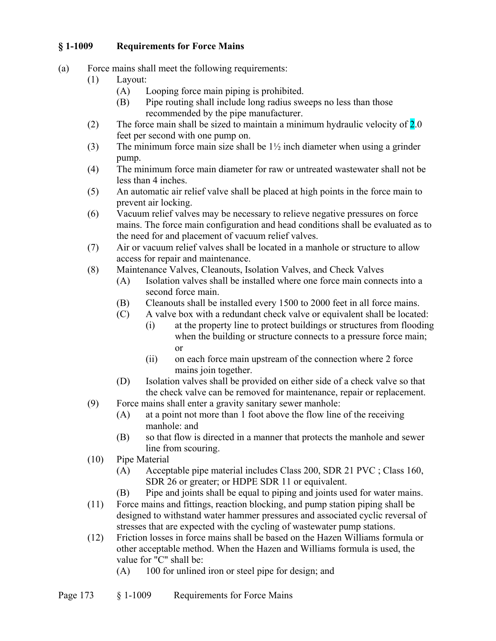## **§ 1-1009 Requirements for Force Mains**

- (a) Force mains shall meet the following requirements:
	- (1) Layout:
		- (A) Looping force main piping is prohibited.
		- (B) Pipe routing shall include long radius sweeps no less than those recommended by the pipe manufacturer.
	- (2) The force main shall be sized to maintain a minimum hydraulic velocity of  $2.0$ feet per second with one pump on.
	- (3) The minimum force main size shall be  $1\frac{1}{2}$  inch diameter when using a grinder pump.
	- (4) The minimum force main diameter for raw or untreated wastewater shall not be less than 4 inches.
	- (5) An automatic air relief valve shall be placed at high points in the force main to prevent air locking.
	- (6) Vacuum relief valves may be necessary to relieve negative pressures on force mains. The force main configuration and head conditions shall be evaluated as to the need for and placement of vacuum relief valves.
	- (7) Air or vacuum relief valves shall be located in a manhole or structure to allow access for repair and maintenance.
	- (8) Maintenance Valves, Cleanouts, Isolation Valves, and Check Valves
		- (A) Isolation valves shall be installed where one force main connects into a second force main.
		- (B) Cleanouts shall be installed every 1500 to 2000 feet in all force mains.
		- (C) A valve box with a redundant check valve or equivalent shall be located:
			- (i) at the property line to protect buildings or structures from flooding when the building or structure connects to a pressure force main; or
			- (ii) on each force main upstream of the connection where 2 force mains join together.
		- (D) Isolation valves shall be provided on either side of a check valve so that the check valve can be removed for maintenance, repair or replacement.
	- (9) Force mains shall enter a gravity sanitary sewer manhole:
		- (A) at a point not more than 1 foot above the flow line of the receiving manhole: and
		- (B) so that flow is directed in a manner that protects the manhole and sewer line from scouring.
	- (10) Pipe Material
		- (A) Acceptable pipe material includes Class 200, SDR 21 PVC ; Class 160, SDR 26 or greater; or HDPE SDR 11 or equivalent.
		- (B) Pipe and joints shall be equal to piping and joints used for water mains.
	- (11) Force mains and fittings, reaction blocking, and pump station piping shall be designed to withstand water hammer pressures and associated cyclic reversal of stresses that are expected with the cycling of wastewater pump stations.
	- (12) Friction losses in force mains shall be based on the Hazen Williams formula or other acceptable method. When the Hazen and Williams formula is used, the value for "C" shall be:
		- (A) 100 for unlined iron or steel pipe for design; and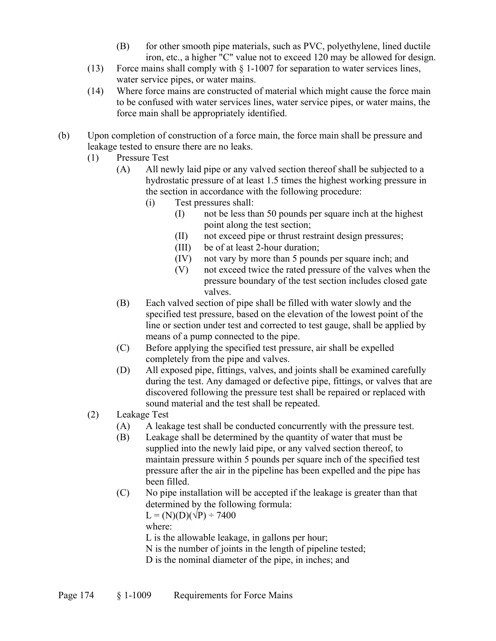- (B) for other smooth pipe materials, such as PVC, polyethylene, lined ductile iron, etc., a higher "C" value not to exceed 120 may be allowed for design.
- (13) Force mains shall comply with § 1-1007 for separation to water services lines, water service pipes, or water mains.
- (14) Where force mains are constructed of material which might cause the force main to be confused with water services lines, water service pipes, or water mains, the force main shall be appropriately identified.
- (b) Upon completion of construction of a force main, the force main shall be pressure and leakage tested to ensure there are no leaks.
	- (1) Pressure Test
		- (A) All newly laid pipe or any valved section thereof shall be subjected to a hydrostatic pressure of at least 1.5 times the highest working pressure in the section in accordance with the following procedure:
			- (i) Test pressures shall:
				- (I) not be less than 50 pounds per square inch at the highest point along the test section;
				- (II) not exceed pipe or thrust restraint design pressures;
				- (III) be of at least 2-hour duration;
				- (IV) not vary by more than 5 pounds per square inch; and
				- (V) not exceed twice the rated pressure of the valves when the pressure boundary of the test section includes closed gate valves.
		- (B) Each valved section of pipe shall be filled with water slowly and the specified test pressure, based on the elevation of the lowest point of the line or section under test and corrected to test gauge, shall be applied by means of a pump connected to the pipe.
		- (C) Before applying the specified test pressure, air shall be expelled completely from the pipe and valves.
		- (D) All exposed pipe, fittings, valves, and joints shall be examined carefully during the test. Any damaged or defective pipe, fittings, or valves that are discovered following the pressure test shall be repaired or replaced with sound material and the test shall be repeated.
	- (2) Leakage Test
		- (A) A leakage test shall be conducted concurrently with the pressure test.
		- (B) Leakage shall be determined by the quantity of water that must be supplied into the newly laid pipe, or any valved section thereof, to maintain pressure within 5 pounds per square inch of the specified test pressure after the air in the pipeline has been expelled and the pipe has been filled.
		- (C) No pipe installation will be accepted if the leakage is greater than that determined by the following formula:

 $L = (N)(D)(\sqrt{P}) \div 7400$ 

where:

L is the allowable leakage, in gallons per hour;

N is the number of joints in the length of pipeline tested;

D is the nominal diameter of the pipe, in inches; and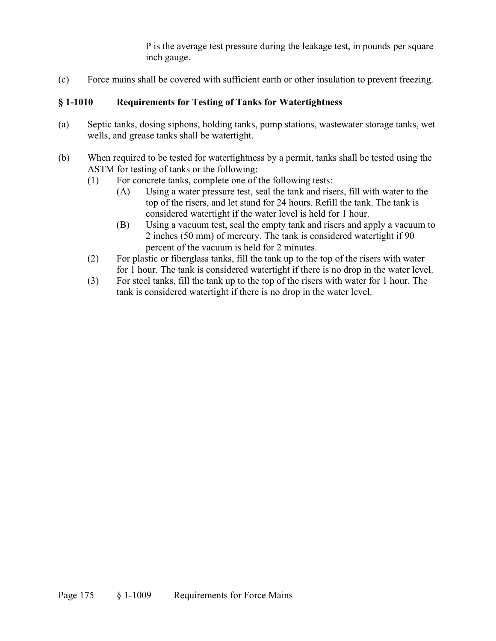P is the average test pressure during the leakage test, in pounds per square inch gauge.

(c) Force mains shall be covered with sufficient earth or other insulation to prevent freezing.

## **§ 1-1010 Requirements for Testing of Tanks for Watertightness**

- (a) Septic tanks, dosing siphons, holding tanks, pump stations, wastewater storage tanks, wet wells, and grease tanks shall be watertight.
- (b) When required to be tested for watertightness by a permit, tanks shall be tested using the ASTM for testing of tanks or the following:
	- (1) For concrete tanks, complete one of the following tests:
		- (A) Using a water pressure test, seal the tank and risers, fill with water to the top of the risers, and let stand for 24 hours. Refill the tank. The tank is considered watertight if the water level is held for 1 hour.
		- (B) Using a vacuum test, seal the empty tank and risers and apply a vacuum to 2 inches (50 mm) of mercury. The tank is considered watertight if 90 percent of the vacuum is held for 2 minutes.
	- (2) For plastic or fiberglass tanks, fill the tank up to the top of the risers with water for 1 hour. The tank is considered watertight if there is no drop in the water level.
	- (3) For steel tanks, fill the tank up to the top of the risers with water for 1 hour. The tank is considered watertight if there is no drop in the water level.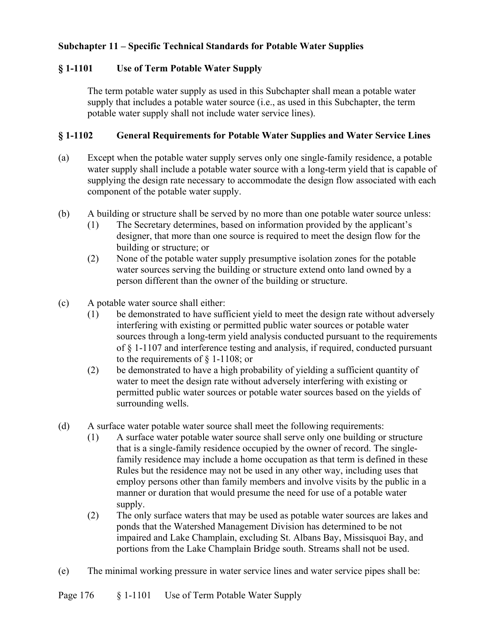### **Subchapter 11 – Specific Technical Standards for Potable Water Supplies**

### **§ 1-1101 Use of Term Potable Water Supply**

The term potable water supply as used in this Subchapter shall mean a potable water supply that includes a potable water source (i.e., as used in this Subchapter, the term potable water supply shall not include water service lines).

#### **§ 1-1102 General Requirements for Potable Water Supplies and Water Service Lines**

- (a) Except when the potable water supply serves only one single-family residence, a potable water supply shall include a potable water source with a long-term yield that is capable of supplying the design rate necessary to accommodate the design flow associated with each component of the potable water supply.
- (b) A building or structure shall be served by no more than one potable water source unless:
	- (1) The Secretary determines, based on information provided by the applicant's designer, that more than one source is required to meet the design flow for the building or structure; or
	- (2) None of the potable water supply presumptive isolation zones for the potable water sources serving the building or structure extend onto land owned by a person different than the owner of the building or structure.
- (c) A potable water source shall either:
	- (1) be demonstrated to have sufficient yield to meet the design rate without adversely interfering with existing or permitted public water sources or potable water sources through a long-term yield analysis conducted pursuant to the requirements of § 1-1107 and interference testing and analysis, if required, conducted pursuant to the requirements of § 1-1108; or
	- (2) be demonstrated to have a high probability of yielding a sufficient quantity of water to meet the design rate without adversely interfering with existing or permitted public water sources or potable water sources based on the yields of surrounding wells.
- (d) A surface water potable water source shall meet the following requirements:
	- (1) A surface water potable water source shall serve only one building or structure that is a single-family residence occupied by the owner of record. The singlefamily residence may include a home occupation as that term is defined in these Rules but the residence may not be used in any other way, including uses that employ persons other than family members and involve visits by the public in a manner or duration that would presume the need for use of a potable water supply.
	- (2) The only surface waters that may be used as potable water sources are lakes and ponds that the Watershed Management Division has determined to be not impaired and Lake Champlain, excluding St. Albans Bay, Missisquoi Bay, and portions from the Lake Champlain Bridge south. Streams shall not be used.
- (e) The minimal working pressure in water service lines and water service pipes shall be: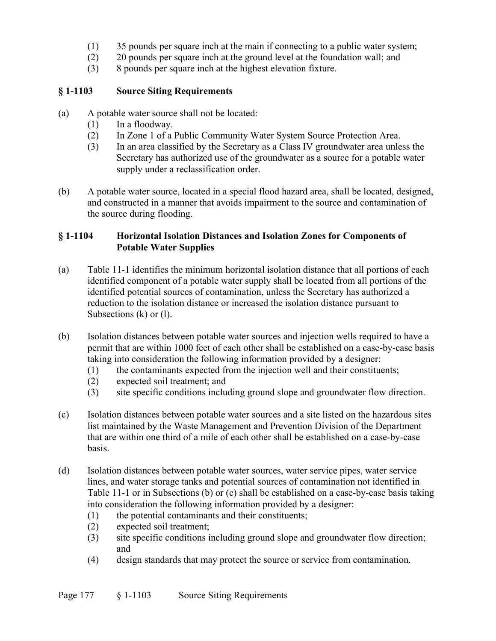- (1) 35 pounds per square inch at the main if connecting to a public water system;
- (2) 20 pounds per square inch at the ground level at the foundation wall; and
- (3) 8 pounds per square inch at the highest elevation fixture.

### **§ 1-1103 Source Siting Requirements**

- (a) A potable water source shall not be located:
	- (1) In a floodway.
	- (2) In Zone 1 of a Public Community Water System Source Protection Area.
	- (3) In an area classified by the Secretary as a Class IV groundwater area unless the Secretary has authorized use of the groundwater as a source for a potable water supply under a reclassification order.
- (b) A potable water source, located in a special flood hazard area, shall be located, designed, and constructed in a manner that avoids impairment to the source and contamination of the source during flooding.

### **§ 1-1104 Horizontal Isolation Distances and Isolation Zones for Components of Potable Water Supplies**

- (a) Table 11-1 identifies the minimum horizontal isolation distance that all portions of each identified component of a potable water supply shall be located from all portions of the identified potential sources of contamination, unless the Secretary has authorized a reduction to the isolation distance or increased the isolation distance pursuant to Subsections (k) or (l).
- (b) Isolation distances between potable water sources and injection wells required to have a permit that are within 1000 feet of each other shall be established on a case-by-case basis taking into consideration the following information provided by a designer:
	- (1) the contaminants expected from the injection well and their constituents;
	- (2) expected soil treatment; and
	- (3) site specific conditions including ground slope and groundwater flow direction.
- (c) Isolation distances between potable water sources and a site listed on the hazardous sites list maintained by the Waste Management and Prevention Division of the Department that are within one third of a mile of each other shall be established on a case-by-case basis.
- (d) Isolation distances between potable water sources, water service pipes, water service lines, and water storage tanks and potential sources of contamination not identified in Table 11-1 or in Subsections (b) or (c) shall be established on a case-by-case basis taking into consideration the following information provided by a designer:
	- (1) the potential contaminants and their constituents;
	- (2) expected soil treatment;
	- (3) site specific conditions including ground slope and groundwater flow direction; and
	- (4) design standards that may protect the source or service from contamination.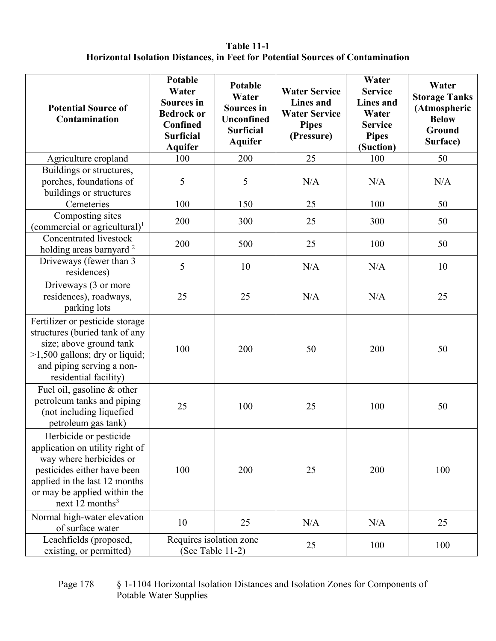### **Table 11-1 Horizontal Isolation Distances, in Feet for Potential Sources of Contamination**

| <b>Potential Source of</b><br>Contamination                                                                                                                                                                | Potable<br>Water<br><b>Sources</b> in<br><b>Bedrock or</b><br>Confined<br><b>Surficial</b><br><b>Aquifer</b> | Potable<br>Water<br><b>Sources</b> in<br><b>Unconfined</b><br><b>Surficial</b><br><b>Aquifer</b> | <b>Water Service</b><br><b>Lines</b> and<br><b>Water Service</b><br><b>Pipes</b><br>(Pressure) | Water<br><b>Service</b><br><b>Lines</b> and<br>Water<br><b>Service</b><br><b>Pipes</b><br>(Suction) | Water<br><b>Storage Tanks</b><br>(Atmospheric<br><b>Below</b><br>Ground<br>Surface) |
|------------------------------------------------------------------------------------------------------------------------------------------------------------------------------------------------------------|--------------------------------------------------------------------------------------------------------------|--------------------------------------------------------------------------------------------------|------------------------------------------------------------------------------------------------|-----------------------------------------------------------------------------------------------------|-------------------------------------------------------------------------------------|
| Agriculture cropland                                                                                                                                                                                       | 100                                                                                                          | 200                                                                                              | 25                                                                                             | 100                                                                                                 | 50                                                                                  |
| Buildings or structures,<br>porches, foundations of<br>buildings or structures                                                                                                                             | 5                                                                                                            | 5                                                                                                | N/A                                                                                            | N/A                                                                                                 | N/A                                                                                 |
| Cemeteries                                                                                                                                                                                                 | 100                                                                                                          | 150                                                                                              | 25                                                                                             | 100                                                                                                 | 50                                                                                  |
| Composting sites<br>(commercial or agricultural) $^1$                                                                                                                                                      | 200                                                                                                          | 300                                                                                              | 25                                                                                             | 300                                                                                                 | 50                                                                                  |
| Concentrated livestock<br>holding areas barnyard <sup>2</sup>                                                                                                                                              | 200                                                                                                          | 500                                                                                              | 25                                                                                             | 100                                                                                                 | 50                                                                                  |
| Driveways (fewer than 3<br>residences)                                                                                                                                                                     | 5                                                                                                            | 10                                                                                               | N/A                                                                                            | N/A                                                                                                 | 10                                                                                  |
| Driveways (3 or more<br>residences), roadways,<br>parking lots                                                                                                                                             | 25                                                                                                           | 25                                                                                               | N/A                                                                                            | N/A                                                                                                 | 25                                                                                  |
| Fertilizer or pesticide storage<br>structures (buried tank of any<br>size; above ground tank<br>$>1,500$ gallons; dry or liquid;<br>and piping serving a non-<br>residential facility)                     | 100                                                                                                          | 200                                                                                              | 50                                                                                             | 200                                                                                                 | 50                                                                                  |
| Fuel oil, gasoline & other<br>petroleum tanks and piping<br>(not including liquefied<br>petroleum gas tank)                                                                                                | 25                                                                                                           | 100                                                                                              | 25                                                                                             | 100                                                                                                 | 50                                                                                  |
| Herbicide or pesticide<br>application on utility right of<br>way where herbicides or<br>pesticides either have been<br>applied in the last 12 months<br>or may be applied within the<br>next 12 months $3$ | 100                                                                                                          | 200                                                                                              | 25                                                                                             | 200                                                                                                 | 100                                                                                 |
| Normal high-water elevation<br>of surface water                                                                                                                                                            | 10                                                                                                           | 25                                                                                               | N/A                                                                                            | N/A                                                                                                 | 25                                                                                  |
| Leachfields (proposed,<br>existing, or permitted)                                                                                                                                                          | Requires isolation zone<br>(See Table 11-2)                                                                  |                                                                                                  | 25                                                                                             | 100                                                                                                 | 100                                                                                 |

Page 178 § 1-1104 Horizontal Isolation Distances and Isolation Zones for Components of Potable Water Supplies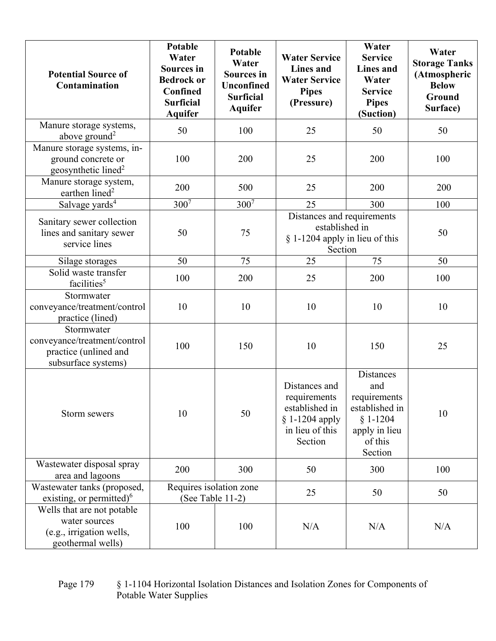| <b>Potential Source of</b><br>Contamination                                                  | <b>Potable</b><br>Water<br><b>Sources</b> in<br><b>Bedrock or</b><br>Confined<br><b>Surficial</b><br><b>Aquifer</b> | <b>Potable</b><br>Water<br><b>Sources</b> in<br><b>Unconfined</b><br><b>Surficial</b><br><b>Aquifer</b> | <b>Water Service</b><br><b>Lines</b> and<br><b>Water Service</b><br><b>Pipes</b><br>(Pressure)    | Water<br><b>Service</b><br><b>Lines</b> and<br>Water<br><b>Service</b><br><b>Pipes</b><br>(Suction)     | Water<br><b>Storage Tanks</b><br>(Atmospheric<br><b>Below</b><br>Ground<br>Surface) |
|----------------------------------------------------------------------------------------------|---------------------------------------------------------------------------------------------------------------------|---------------------------------------------------------------------------------------------------------|---------------------------------------------------------------------------------------------------|---------------------------------------------------------------------------------------------------------|-------------------------------------------------------------------------------------|
| Manure storage systems,<br>above ground <sup>2</sup>                                         | 50                                                                                                                  | 100                                                                                                     | 25                                                                                                | 50                                                                                                      | 50                                                                                  |
| Manure storage systems, in-<br>ground concrete or<br>geosynthetic lined <sup>2</sup>         | 100                                                                                                                 | 200                                                                                                     | 25                                                                                                | 200                                                                                                     | 100                                                                                 |
| Manure storage system,<br>earthen lined <sup>2</sup>                                         | 200                                                                                                                 | 500                                                                                                     | 25                                                                                                | 200                                                                                                     | 200                                                                                 |
| Salvage yards <sup>4</sup>                                                                   | $300^{7}$                                                                                                           | $300^{7}$                                                                                               | 25                                                                                                | 300                                                                                                     | 100                                                                                 |
| Sanitary sewer collection<br>lines and sanitary sewer<br>service lines                       | 50                                                                                                                  | 75                                                                                                      | Distances and requirements<br>established in<br>§ 1-1204 apply in lieu of this<br>Section         |                                                                                                         | 50                                                                                  |
| Silage storages                                                                              | 50                                                                                                                  | 75                                                                                                      | 25                                                                                                | 75                                                                                                      | 50                                                                                  |
| Solid waste transfer<br>facilities <sup>5</sup>                                              | 100                                                                                                                 | 200                                                                                                     | 25                                                                                                | 200                                                                                                     | 100                                                                                 |
| Stormwater<br>conveyance/treatment/control<br>practice (lined)                               | 10                                                                                                                  | 10                                                                                                      | 10                                                                                                | 10                                                                                                      | 10                                                                                  |
| Stormwater<br>conveyance/treatment/control<br>practice (unlined and<br>subsurface systems)   | 100                                                                                                                 | 150                                                                                                     | 10                                                                                                | 150                                                                                                     | 25                                                                                  |
| Storm sewers                                                                                 | 10                                                                                                                  | 50                                                                                                      | Distances and<br>requirements<br>established in<br>$§ 1-1204$ apply<br>in lieu of this<br>Section | Distances<br>and<br>requirements<br>established in<br>$§ 1-1204$<br>apply in lieu<br>of this<br>Section | 10                                                                                  |
| Wastewater disposal spray<br>area and lagoons                                                | 200                                                                                                                 | 300                                                                                                     | 50                                                                                                | 300                                                                                                     | 100                                                                                 |
| Wastewater tanks (proposed,<br>existing, or permitted) $6$                                   | Requires isolation zone<br>(See Table 11-2)                                                                         |                                                                                                         | 25                                                                                                | 50                                                                                                      | 50                                                                                  |
| Wells that are not potable<br>water sources<br>(e.g., irrigation wells,<br>geothermal wells) | 100                                                                                                                 | 100                                                                                                     | N/A                                                                                               | N/A                                                                                                     | N/A                                                                                 |

#### Page 179 § 1-1104 Horizontal Isolation Distances and Isolation Zones for Components of Potable Water Supplies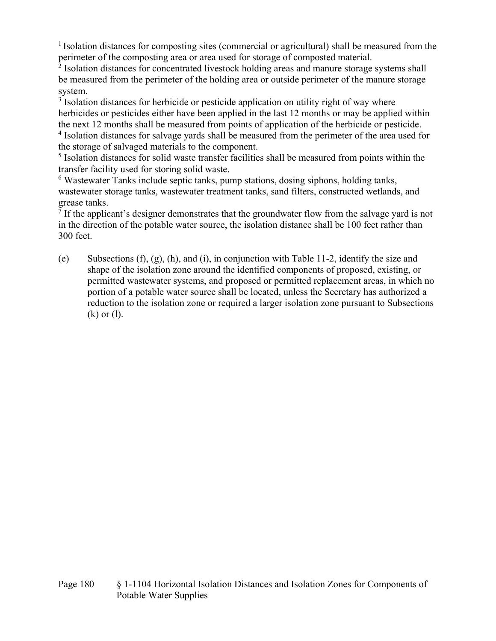$<sup>1</sup>$  Isolation distances for composting sites (commercial or agricultural) shall be measured from the</sup> perimeter of the composting area or area used for storage of composted material.

<sup>2</sup> Isolation distances for concentrated livestock holding areas and manure storage systems shall be measured from the perimeter of the holding area or outside perimeter of the manure storage system.

<sup>3</sup> Isolation distances for herbicide or pesticide application on utility right of way where herbicides or pesticides either have been applied in the last 12 months or may be applied within the next 12 months shall be measured from points of application of the herbicide or pesticide.

<sup>4</sup> Isolation distances for salvage yards shall be measured from the perimeter of the area used for the storage of salvaged materials to the component.

<sup>5</sup> Isolation distances for solid waste transfer facilities shall be measured from points within the transfer facility used for storing solid waste.

<sup>6</sup> Wastewater Tanks include septic tanks, pump stations, dosing siphons, holding tanks, wastewater storage tanks, wastewater treatment tanks, sand filters, constructed wetlands, and grease tanks.

 $<sup>7</sup>$  If the applicant's designer demonstrates that the groundwater flow from the salvage yard is not</sup> in the direction of the potable water source, the isolation distance shall be 100 feet rather than 300 feet.

(e) Subsections (f), (g), (h), and (i), in conjunction with Table 11-2, identify the size and shape of the isolation zone around the identified components of proposed, existing, or permitted wastewater systems, and proposed or permitted replacement areas, in which no portion of a potable water source shall be located, unless the Secretary has authorized a reduction to the isolation zone or required a larger isolation zone pursuant to Subsections (k) or (l).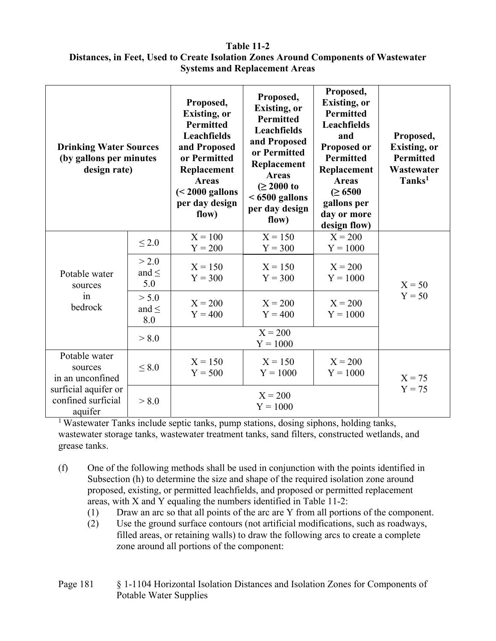#### **Table 11-2**

### **Distances, in Feet, Used to Create Isolation Zones Around Components of Wastewater Systems and Replacement Areas**

| <b>Drinking Water Sources</b><br>(by gallons per minutes<br>design rate) |                            | Proposed,<br><b>Existing, or</b><br><b>Permitted</b><br><b>Leachfields</b><br>and Proposed<br>or Permitted<br>Replacement<br><b>Areas</b><br>$(2000 gallonsper day designflow)$ | Proposed,<br><b>Existing, or</b><br><b>Permitted</b><br>Leachfields<br>and Proposed<br>or Permitted<br>Replacement<br><b>Areas</b><br>$( \ge 2000 \text{ to }$<br>$< 6500$ gallons<br>per day design<br>flow) | Proposed,<br><b>Existing, or</b><br><b>Permitted</b><br>Leachfields<br>and<br>Proposed or<br><b>Permitted</b><br>Replacement<br><b>Areas</b><br>$( \ge 6500$<br>gallons per<br>day or more<br>design flow) | Proposed,<br><b>Existing, or</b><br><b>Permitted</b><br>Wastewater<br>Tanks <sup>1</sup> |
|--------------------------------------------------------------------------|----------------------------|---------------------------------------------------------------------------------------------------------------------------------------------------------------------------------|---------------------------------------------------------------------------------------------------------------------------------------------------------------------------------------------------------------|------------------------------------------------------------------------------------------------------------------------------------------------------------------------------------------------------------|------------------------------------------------------------------------------------------|
|                                                                          | $\leq 2.0$                 | $X = 100$<br>$Y = 200$                                                                                                                                                          | $X = 150$<br>$Y = 300$                                                                                                                                                                                        | $X = 200$<br>$Y = 1000$                                                                                                                                                                                    |                                                                                          |
| Potable water<br>sources                                                 | > 2.0<br>and $\leq$<br>5.0 | $X = 150$<br>$Y = 300$                                                                                                                                                          | $X = 150$<br>$Y = 300$                                                                                                                                                                                        | $X = 200$<br>$Y = 1000$                                                                                                                                                                                    | $X = 50$                                                                                 |
| in<br>bedrock                                                            | > 5.0<br>and $\leq$<br>8.0 | $X = 200$<br>$Y = 400$                                                                                                                                                          | $X = 200$<br>$Y = 400$                                                                                                                                                                                        | $X = 200$<br>$Y = 1000$                                                                                                                                                                                    | $Y = 50$                                                                                 |
|                                                                          | > 8.0                      |                                                                                                                                                                                 | $X = 200$<br>$Y = 1000$                                                                                                                                                                                       |                                                                                                                                                                                                            |                                                                                          |
| Potable water<br>sources<br>in an unconfined                             | < 8.0                      | $X = 150$<br>$Y = 500$                                                                                                                                                          | $X = 150$<br>$Y = 1000$                                                                                                                                                                                       | $X = 200$<br>$Y = 1000$                                                                                                                                                                                    | $X = 75$                                                                                 |
| surficial aquifer or<br>confined surficial<br>aquifer                    | > 8.0                      |                                                                                                                                                                                 | $X = 200$<br>$Y = 1000$                                                                                                                                                                                       |                                                                                                                                                                                                            | $Y = 75$                                                                                 |

<sup>1</sup> Wastewater Tanks include septic tanks, pump stations, dosing siphons, holding tanks, wastewater storage tanks, wastewater treatment tanks, sand filters, constructed wetlands, and grease tanks.

- (f) One of the following methods shall be used in conjunction with the points identified in Subsection (h) to determine the size and shape of the required isolation zone around proposed, existing, or permitted leachfields, and proposed or permitted replacement areas, with X and Y equaling the numbers identified in Table 11-2:
	- (1) Draw an arc so that all points of the arc are Y from all portions of the component.
	- (2) Use the ground surface contours (not artificial modifications, such as roadways, filled areas, or retaining walls) to draw the following arcs to create a complete zone around all portions of the component:

Page 181  $\Diamond$  1-1104 Horizontal Isolation Distances and Isolation Zones for Components of Potable Water Supplies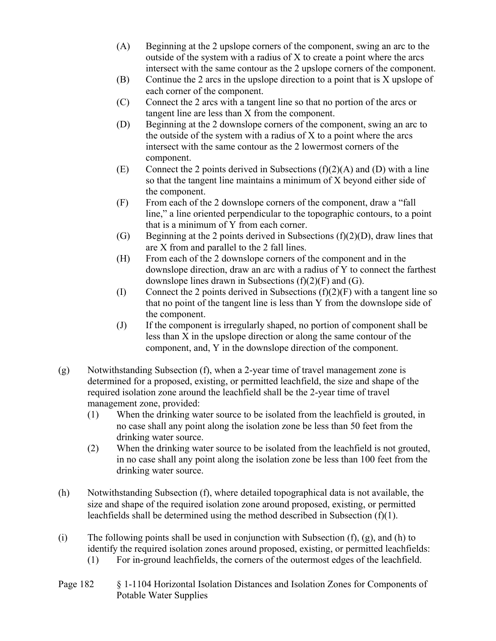- (A) Beginning at the 2 upslope corners of the component, swing an arc to the outside of the system with a radius of X to create a point where the arcs intersect with the same contour as the 2 upslope corners of the component.
- (B) Continue the 2 arcs in the upslope direction to a point that is X upslope of each corner of the component.
- (C) Connect the 2 arcs with a tangent line so that no portion of the arcs or tangent line are less than X from the component.
- (D) Beginning at the 2 downslope corners of the component, swing an arc to the outside of the system with a radius of  $X$  to a point where the arcs intersect with the same contour as the 2 lowermost corners of the component.
- (E) Connect the 2 points derived in Subsections  $(f)(2)(A)$  and  $(D)$  with a line so that the tangent line maintains a minimum of X beyond either side of the component.
- (F) From each of the 2 downslope corners of the component, draw a "fall line," a line oriented perpendicular to the topographic contours, to a point that is a minimum of Y from each corner.
- (G) Beginning at the 2 points derived in Subsections  $(f)(2)(D)$ , draw lines that are X from and parallel to the 2 fall lines.
- (H) From each of the 2 downslope corners of the component and in the downslope direction, draw an arc with a radius of Y to connect the farthest downslope lines drawn in Subsections  $(f)(2)(F)$  and  $(G)$ .
- (I) Connect the 2 points derived in Subsections  $(f)(2)(F)$  with a tangent line so that no point of the tangent line is less than Y from the downslope side of the component.
- (J) If the component is irregularly shaped, no portion of component shall be less than X in the upslope direction or along the same contour of the component, and, Y in the downslope direction of the component.
- (g) Notwithstanding Subsection (f), when a 2-year time of travel management zone is determined for a proposed, existing, or permitted leachfield, the size and shape of the required isolation zone around the leachfield shall be the 2-year time of travel management zone, provided:
	- (1) When the drinking water source to be isolated from the leachfield is grouted, in no case shall any point along the isolation zone be less than 50 feet from the drinking water source.
	- (2) When the drinking water source to be isolated from the leachfield is not grouted, in no case shall any point along the isolation zone be less than 100 feet from the drinking water source.
- (h) Notwithstanding Subsection (f), where detailed topographical data is not available, the size and shape of the required isolation zone around proposed, existing, or permitted leachfields shall be determined using the method described in Subsection (f)(1).
- (i) The following points shall be used in conjunction with Subsection  $(f)$ ,  $(g)$ , and  $(h)$  to identify the required isolation zones around proposed, existing, or permitted leachfields:
	- (1) For in-ground leachfields, the corners of the outermost edges of the leachfield.
- Page 182 § 1-1104 Horizontal Isolation Distances and Isolation Zones for Components of Potable Water Supplies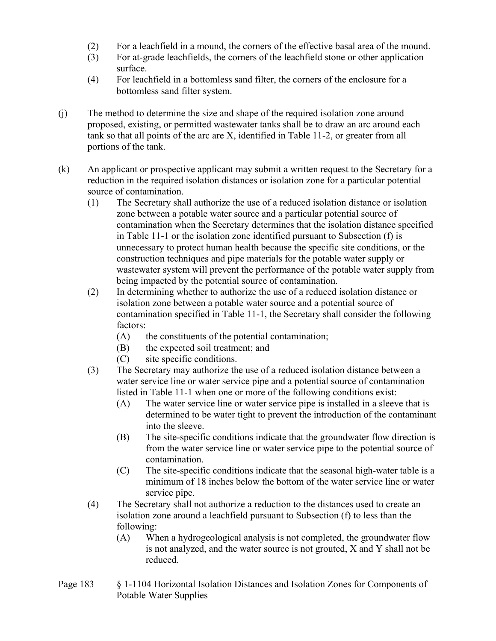- (2) For a leachfield in a mound, the corners of the effective basal area of the mound.
- (3) For at-grade leachfields, the corners of the leachfield stone or other application surface.
- (4) For leachfield in a bottomless sand filter, the corners of the enclosure for a bottomless sand filter system.
- (j) The method to determine the size and shape of the required isolation zone around proposed, existing, or permitted wastewater tanks shall be to draw an arc around each tank so that all points of the arc are X, identified in Table 11-2, or greater from all portions of the tank.
- (k) An applicant or prospective applicant may submit a written request to the Secretary for a reduction in the required isolation distances or isolation zone for a particular potential source of contamination.
	- (1) The Secretary shall authorize the use of a reduced isolation distance or isolation zone between a potable water source and a particular potential source of contamination when the Secretary determines that the isolation distance specified in Table 11-1 or the isolation zone identified pursuant to Subsection (f) is unnecessary to protect human health because the specific site conditions, or the construction techniques and pipe materials for the potable water supply or wastewater system will prevent the performance of the potable water supply from being impacted by the potential source of contamination.
	- (2) In determining whether to authorize the use of a reduced isolation distance or isolation zone between a potable water source and a potential source of contamination specified in Table 11-1, the Secretary shall consider the following factors:
		- (A) the constituents of the potential contamination;
		- (B) the expected soil treatment; and
		- (C) site specific conditions.
	- (3) The Secretary may authorize the use of a reduced isolation distance between a water service line or water service pipe and a potential source of contamination listed in Table 11-1 when one or more of the following conditions exist:
		- (A) The water service line or water service pipe is installed in a sleeve that is determined to be water tight to prevent the introduction of the contaminant into the sleeve.
		- (B) The site-specific conditions indicate that the groundwater flow direction is from the water service line or water service pipe to the potential source of contamination.
		- (C) The site-specific conditions indicate that the seasonal high-water table is a minimum of 18 inches below the bottom of the water service line or water service pipe.
	- (4) The Secretary shall not authorize a reduction to the distances used to create an isolation zone around a leachfield pursuant to Subsection (f) to less than the following:
		- (A) When a hydrogeological analysis is not completed, the groundwater flow is not analyzed, and the water source is not grouted, X and Y shall not be reduced.
- Page 183 § 1-1104 Horizontal Isolation Distances and Isolation Zones for Components of Potable Water Supplies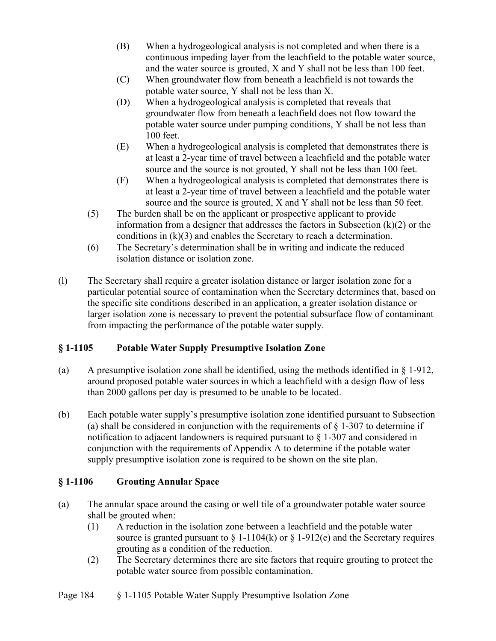- (B) When a hydrogeological analysis is not completed and when there is a continuous impeding layer from the leachfield to the potable water source, and the water source is grouted, X and Y shall not be less than 100 feet.
- (C) When groundwater flow from beneath a leachfield is not towards the potable water source, Y shall not be less than X.
- (D) When a hydrogeological analysis is completed that reveals that groundwater flow from beneath a leachfield does not flow toward the potable water source under pumping conditions, Y shall be not less than 100 feet.
- (E) When a hydrogeological analysis is completed that demonstrates there is at least a 2-year time of travel between a leachfield and the potable water source and the source is not grouted, Y shall not be less than 100 feet.
- (F) When a hydrogeological analysis is completed that demonstrates there is at least a 2-year time of travel between a leachfield and the potable water source and the source is grouted, X and Y shall not be less than 50 feet.
- (5) The burden shall be on the applicant or prospective applicant to provide information from a designer that addresses the factors in Subsection  $(k)(2)$  or the conditions in (k)(3) and enables the Secretary to reach a determination.
- (6) The Secretary's determination shall be in writing and indicate the reduced isolation distance or isolation zone.
- (l) The Secretary shall require a greater isolation distance or larger isolation zone for a particular potential source of contamination when the Secretary determines that, based on the specific site conditions described in an application, a greater isolation distance or larger isolation zone is necessary to prevent the potential subsurface flow of contaminant from impacting the performance of the potable water supply.

## **§ 1-1105 Potable Water Supply Presumptive Isolation Zone**

- (a) A presumptive isolation zone shall be identified, using the methods identified in  $\S$  1-912, around proposed potable water sources in which a leachfield with a design flow of less than 2000 gallons per day is presumed to be unable to be located.
- (b) Each potable water supply's presumptive isolation zone identified pursuant to Subsection (a) shall be considered in conjunction with the requirements of  $\S$  1-307 to determine if notification to adjacent landowners is required pursuant to § 1-307 and considered in conjunction with the requirements of Appendix A to determine if the potable water supply presumptive isolation zone is required to be shown on the site plan.

## **§ 1-1106 Grouting Annular Space**

- (a) The annular space around the casing or well tile of a groundwater potable water source shall be grouted when:
	- (1) A reduction in the isolation zone between a leachfield and the potable water source is granted pursuant to  $\S 1-1104(k)$  or  $\S 1-912(e)$  and the Secretary requires grouting as a condition of the reduction.
	- (2) The Secretary determines there are site factors that require grouting to protect the potable water source from possible contamination.

## Page 184 § 1-1105 Potable Water Supply Presumptive Isolation Zone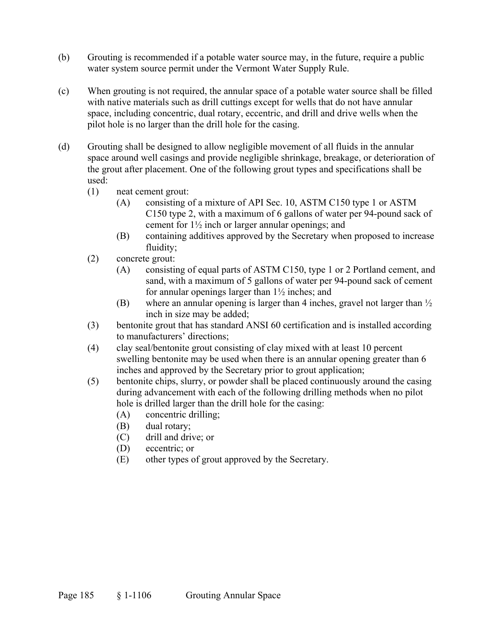- (b) Grouting is recommended if a potable water source may, in the future, require a public water system source permit under the Vermont Water Supply Rule.
- (c) When grouting is not required, the annular space of a potable water source shall be filled with native materials such as drill cuttings except for wells that do not have annular space, including concentric, dual rotary, eccentric, and drill and drive wells when the pilot hole is no larger than the drill hole for the casing.
- (d) Grouting shall be designed to allow negligible movement of all fluids in the annular space around well casings and provide negligible shrinkage, breakage, or deterioration of the grout after placement. One of the following grout types and specifications shall be used:
	- (1) neat cement grout:
		- (A) consisting of a mixture of API Sec. 10, ASTM C150 type 1 or ASTM C150 type 2, with a maximum of 6 gallons of water per 94-pound sack of cement for 1½ inch or larger annular openings; and
		- (B) containing additives approved by the Secretary when proposed to increase fluidity;
	- (2) concrete grout:
		- (A) consisting of equal parts of ASTM C150, type 1 or 2 Portland cement, and sand, with a maximum of 5 gallons of water per 94-pound sack of cement for annular openings larger than 1½ inches; and
		- (B) where an annular opening is larger than 4 inches, gravel not larger than ½ inch in size may be added;
	- (3) bentonite grout that has standard ANSI 60 certification and is installed according to manufacturers' directions;
	- (4) clay seal/bentonite grout consisting of clay mixed with at least 10 percent swelling bentonite may be used when there is an annular opening greater than 6 inches and approved by the Secretary prior to grout application;
	- (5) bentonite chips, slurry, or powder shall be placed continuously around the casing during advancement with each of the following drilling methods when no pilot hole is drilled larger than the drill hole for the casing:
		- (A) concentric drilling;
		- (B) dual rotary;
		- (C) drill and drive; or
		- (D) eccentric; or
		- (E) other types of grout approved by the Secretary.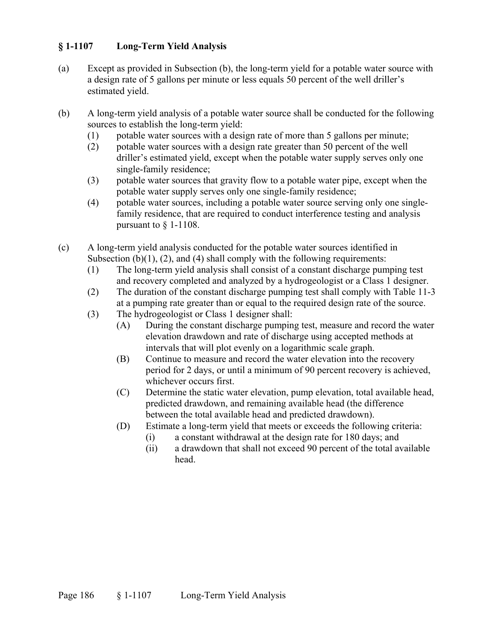### **§ 1-1107 Long-Term Yield Analysis**

- (a) Except as provided in Subsection (b), the long-term yield for a potable water source with a design rate of 5 gallons per minute or less equals 50 percent of the well driller's estimated yield.
- (b) A long-term yield analysis of a potable water source shall be conducted for the following sources to establish the long-term yield:
	- (1) potable water sources with a design rate of more than 5 gallons per minute;
	- (2) potable water sources with a design rate greater than 50 percent of the well driller's estimated yield, except when the potable water supply serves only one single-family residence;
	- (3) potable water sources that gravity flow to a potable water pipe, except when the potable water supply serves only one single-family residence;
	- (4) potable water sources, including a potable water source serving only one singlefamily residence, that are required to conduct interference testing and analysis pursuant to § 1-1108.
- (c) A long-term yield analysis conducted for the potable water sources identified in Subsection  $(b)(1)$ ,  $(2)$ , and  $(4)$  shall comply with the following requirements:
	- (1) The long-term yield analysis shall consist of a constant discharge pumping test and recovery completed and analyzed by a hydrogeologist or a Class 1 designer.
	- (2) The duration of the constant discharge pumping test shall comply with Table 11-3 at a pumping rate greater than or equal to the required design rate of the source.
	- (3) The hydrogeologist or Class 1 designer shall:
		- (A) During the constant discharge pumping test, measure and record the water elevation drawdown and rate of discharge using accepted methods at intervals that will plot evenly on a logarithmic scale graph.
		- (B) Continue to measure and record the water elevation into the recovery period for 2 days, or until a minimum of 90 percent recovery is achieved, whichever occurs first.
		- (C) Determine the static water elevation, pump elevation, total available head, predicted drawdown, and remaining available head (the difference between the total available head and predicted drawdown).
		- (D) Estimate a long-term yield that meets or exceeds the following criteria:
			- (i) a constant withdrawal at the design rate for 180 days; and
			- (ii) a drawdown that shall not exceed 90 percent of the total available head.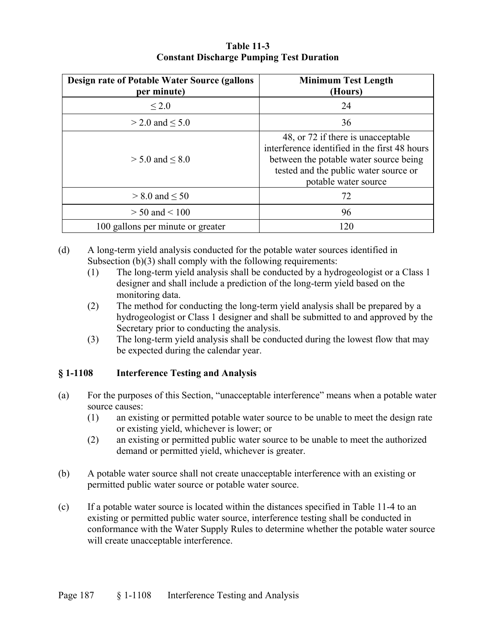| <b>Design rate of Potable Water Source (gallons)</b><br>per minute) | <b>Minimum Test Length</b><br>(Hours)                                                                                                                                                          |
|---------------------------------------------------------------------|------------------------------------------------------------------------------------------------------------------------------------------------------------------------------------------------|
| ${}_{\leq 2.0}$                                                     | 24                                                                                                                                                                                             |
| $>$ 2.0 and $\leq$ 5.0                                              | 36                                                                                                                                                                                             |
| $> 5.0$ and $< 8.0$                                                 | 48, or 72 if there is unacceptable<br>interference identified in the first 48 hours<br>between the potable water source being<br>tested and the public water source or<br>potable water source |
| $> 8.0$ and $< 50$                                                  | 72                                                                                                                                                                                             |
| $> 50$ and $< 100$                                                  | 96                                                                                                                                                                                             |
| 100 gallons per minute or greater                                   | 120                                                                                                                                                                                            |

### **Table 11-3 Constant Discharge Pumping Test Duration**

- (d) A long-term yield analysis conducted for the potable water sources identified in Subsection (b)(3) shall comply with the following requirements:
	- (1) The long-term yield analysis shall be conducted by a hydrogeologist or a Class 1 designer and shall include a prediction of the long-term yield based on the monitoring data.
	- (2) The method for conducting the long-term yield analysis shall be prepared by a hydrogeologist or Class 1 designer and shall be submitted to and approved by the Secretary prior to conducting the analysis.
	- (3) The long-term yield analysis shall be conducted during the lowest flow that may be expected during the calendar year.

## **§ 1-1108 Interference Testing and Analysis**

- (a) For the purposes of this Section, "unacceptable interference" means when a potable water source causes:
	- (1) an existing or permitted potable water source to be unable to meet the design rate or existing yield, whichever is lower; or
	- (2) an existing or permitted public water source to be unable to meet the authorized demand or permitted yield, whichever is greater.
- (b) A potable water source shall not create unacceptable interference with an existing or permitted public water source or potable water source.
- (c) If a potable water source is located within the distances specified in Table 11-4 to an existing or permitted public water source, interference testing shall be conducted in conformance with the Water Supply Rules to determine whether the potable water source will create unacceptable interference.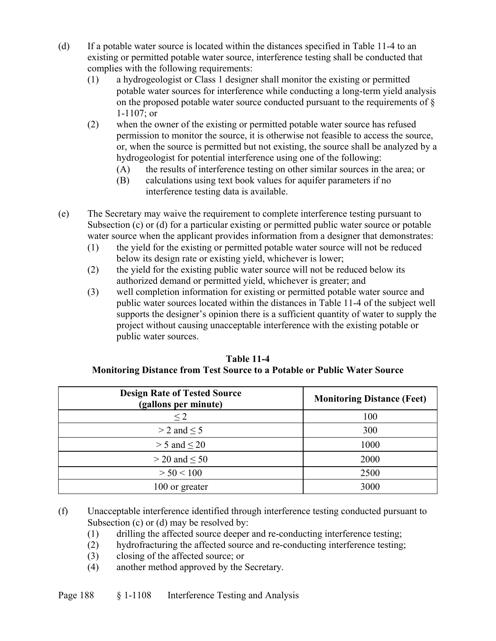- (d) If a potable water source is located within the distances specified in Table 11-4 to an existing or permitted potable water source, interference testing shall be conducted that complies with the following requirements:
	- (1) a hydrogeologist or Class 1 designer shall monitor the existing or permitted potable water sources for interference while conducting a long-term yield analysis on the proposed potable water source conducted pursuant to the requirements of § 1-1107; or
	- (2) when the owner of the existing or permitted potable water source has refused permission to monitor the source, it is otherwise not feasible to access the source, or, when the source is permitted but not existing, the source shall be analyzed by a hydrogeologist for potential interference using one of the following:
		- (A) the results of interference testing on other similar sources in the area; or
		- (B) calculations using text book values for aquifer parameters if no interference testing data is available.
- (e) The Secretary may waive the requirement to complete interference testing pursuant to Subsection (c) or (d) for a particular existing or permitted public water source or potable water source when the applicant provides information from a designer that demonstrates:
	- (1) the yield for the existing or permitted potable water source will not be reduced below its design rate or existing yield, whichever is lower;
	- (2) the yield for the existing public water source will not be reduced below its authorized demand or permitted yield, whichever is greater; and
	- (3) well completion information for existing or permitted potable water source and public water sources located within the distances in Table 11-4 of the subject well supports the designer's opinion there is a sufficient quantity of water to supply the project without causing unacceptable interference with the existing potable or public water sources.

| <b>Design Rate of Tested Source</b><br>(gallons per minute) | <b>Monitoring Distance (Feet)</b> |
|-------------------------------------------------------------|-----------------------------------|
| $\leq$ 2                                                    | 100                               |
| $>$ 2 and $\leq$ 5                                          | 300                               |
| $> 5$ and $< 20$                                            | 1000                              |
| $>$ 20 and $<$ 50                                           | 2000                              |
| > 50 < 100                                                  | 2500                              |
| 100 or greater                                              | 3000                              |

**Table 11-4 Monitoring Distance from Test Source to a Potable or Public Water Source**

- (f) Unacceptable interference identified through interference testing conducted pursuant to Subsection (c) or (d) may be resolved by:
	- (1) drilling the affected source deeper and re-conducting interference testing;
	- (2) hydrofracturing the affected source and re-conducting interference testing;
	- (3) closing of the affected source; or
	- (4) another method approved by the Secretary.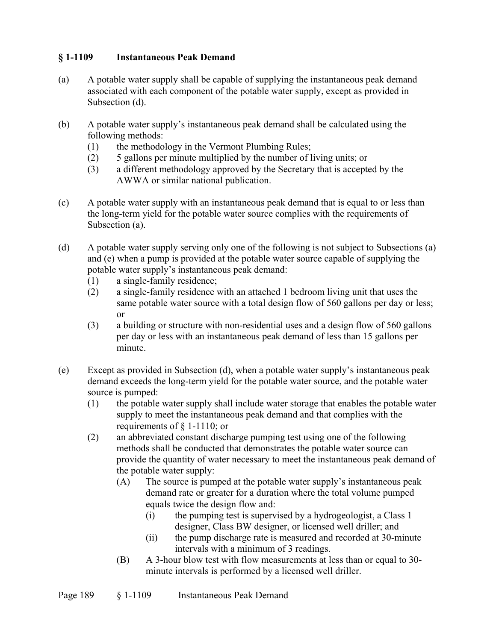### **§ 1-1109 Instantaneous Peak Demand**

- (a) A potable water supply shall be capable of supplying the instantaneous peak demand associated with each component of the potable water supply, except as provided in Subsection (d).
- (b) A potable water supply's instantaneous peak demand shall be calculated using the following methods:
	- (1) the methodology in the Vermont Plumbing Rules;
	- (2) 5 gallons per minute multiplied by the number of living units; or
	- (3) a different methodology approved by the Secretary that is accepted by the AWWA or similar national publication.
- (c) A potable water supply with an instantaneous peak demand that is equal to or less than the long-term yield for the potable water source complies with the requirements of Subsection (a).
- (d) A potable water supply serving only one of the following is not subject to Subsections (a) and (e) when a pump is provided at the potable water source capable of supplying the potable water supply's instantaneous peak demand:
	- (1) a single-family residence;
	- (2) a single-family residence with an attached 1 bedroom living unit that uses the same potable water source with a total design flow of 560 gallons per day or less; or
	- (3) a building or structure with non-residential uses and a design flow of 560 gallons per day or less with an instantaneous peak demand of less than 15 gallons per minute.
- (e) Except as provided in Subsection (d), when a potable water supply's instantaneous peak demand exceeds the long-term yield for the potable water source, and the potable water source is pumped:
	- (1) the potable water supply shall include water storage that enables the potable water supply to meet the instantaneous peak demand and that complies with the requirements of § 1-1110; or
	- (2) an abbreviated constant discharge pumping test using one of the following methods shall be conducted that demonstrates the potable water source can provide the quantity of water necessary to meet the instantaneous peak demand of the potable water supply:
		- (A) The source is pumped at the potable water supply's instantaneous peak demand rate or greater for a duration where the total volume pumped equals twice the design flow and:
			- (i) the pumping test is supervised by a hydrogeologist, a Class 1 designer, Class BW designer, or licensed well driller; and
			- (ii) the pump discharge rate is measured and recorded at 30-minute intervals with a minimum of 3 readings.
		- (B) A 3-hour blow test with flow measurements at less than or equal to 30 minute intervals is performed by a licensed well driller.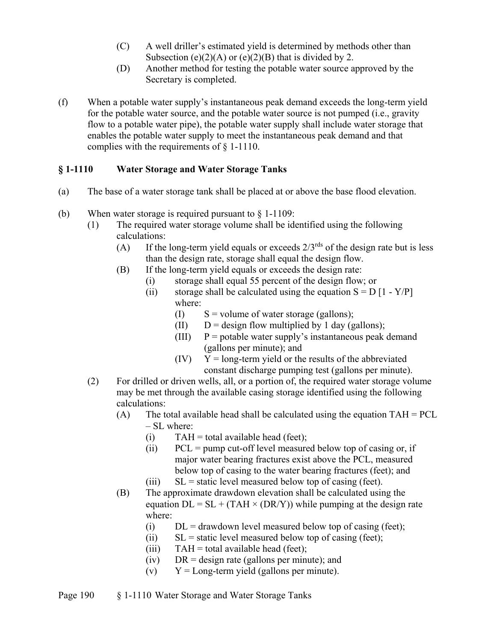- (C) A well driller's estimated yield is determined by methods other than Subsection (e)(2)(A) or (e)(2)(B) that is divided by 2.
- (D) Another method for testing the potable water source approved by the Secretary is completed.
- (f) When a potable water supply's instantaneous peak demand exceeds the long-term yield for the potable water source, and the potable water source is not pumped (i.e., gravity flow to a potable water pipe), the potable water supply shall include water storage that enables the potable water supply to meet the instantaneous peak demand and that complies with the requirements of § 1-1110.

## **§ 1-1110 Water Storage and Water Storage Tanks**

- (a) The base of a water storage tank shall be placed at or above the base flood elevation.
- (b) When water storage is required pursuant to  $\S 1-1109$ :
	- (1) The required water storage volume shall be identified using the following calculations:
		- (A) If the long-term yield equals or exceeds  $2/3^{rds}$  of the design rate but is less than the design rate, storage shall equal the design flow.
		- (B) If the long-term yield equals or exceeds the design rate:
			- (i) storage shall equal 55 percent of the design flow; or
			- (ii) storage shall be calculated using the equation  $S = D [1 Y/P]$ where:
				- (I)  $S =$  volume of water storage (gallons);
				- (II)  $D =$  design flow multiplied by 1 day (gallons);
				- (III)  $P =$  potable water supply's instantaneous peak demand (gallons per minute); and
				- $(IV)$   $Y = long-term yield or the results of the abbreviated$ constant discharge pumping test (gallons per minute).
	- (2) For drilled or driven wells, all, or a portion of, the required water storage volume may be met through the available casing storage identified using the following calculations:
		- (A) The total available head shall be calculated using the equation  $TAH = PCL$ – SL where:
			- (i)  $TAH = total available head (feet);$
			- (ii)  $PCL = pump cut-off level measured below top of casting or, if$ major water bearing fractures exist above the PCL, measured below top of casing to the water bearing fractures (feet); and
			- (iii)  $SL =$  static level measured below top of casing (feet).
		- (B) The approximate drawdown elevation shall be calculated using the equation  $DL = SL + (TAH \times (DR/Y))$  while pumping at the design rate where:
			- (i)  $DL =$  drawdown level measured below top of casing (feet);
			- (ii)  $SL =$  static level measured below top of casing (feet);
			- (iii)  $TAH = total available head (feet);$
			- (iv) DR = design rate (gallons per minute); and
			- (v)  $Y = Long-term yield (gallons per minute).$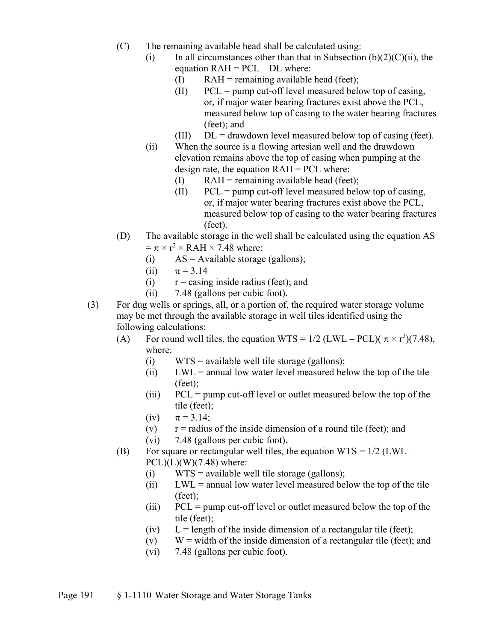- (C) The remaining available head shall be calculated using:
	- (i) In all circumstances other than that in Subsection  $(b)(2)(C)(ii)$ , the equation  $RAH = PCL - DL$  where:
		- $(I)$  RAH = remaining available head (feet);
		- $(II)$  PCL = pump cut-off level measured below top of casing, or, if major water bearing fractures exist above the PCL, measured below top of casing to the water bearing fractures (feet); and
		- (III)  $DL =$  drawdown level measured below top of casing (feet).
	- (ii) When the source is a flowing artesian well and the drawdown elevation remains above the top of casing when pumping at the design rate, the equation RAH = PCL where:
		- $(I)$  RAH = remaining available head (feet);
		- $(II)$  PCL = pump cut-off level measured below top of casing, or, if major water bearing fractures exist above the PCL, measured below top of casing to the water bearing fractures (feet).
- (D) The available storage in the well shall be calculated using the equation AS  $= \pi \times r^2 \times RAH \times 7.48$  where:
	- (i)  $AS = \text{Available storage (gallons)};$
	- (ii)  $\pi = 3.14$
	- (i)  $r = \text{casing inside radius (feet)};$  and
	- (ii) 7.48 (gallons per cubic foot).
- (3) For dug wells or springs, all, or a portion of, the required water storage volume may be met through the available storage in well tiles identified using the following calculations:
	- (A) For round well tiles, the equation WTS =  $1/2$  (LWL PCL)( $\pi \times r^2$ )(7.48), where:
		- (i)  $WTS = \text{available well tile storage (gallons)};$
		- (ii) LWL = annual low water level measured below the top of the tile (feet);
		- (iii) PCL = pump cut-off level or outlet measured below the top of the tile (feet);
		- (iv)  $\pi = 3.14;$
		- (v)  $r =$  radius of the inside dimension of a round tile (feet); and
		- (vi) 7.48 (gallons per cubic foot).
	- (B) For square or rectangular well tiles, the equation  $WTS = 1/2$  (LWL  $PCL$ ) $(L)$  $(W)$  $(7.48)$  where:
		- (i)  $WTS = available$  well tile storage (gallons);
		- $(iii)$  LWL = annual low water level measured below the top of the tile (feet);
		- (iii) PCL = pump cut-off level or outlet measured below the top of the tile (feet);
		- (iv)  $L =$  length of the inside dimension of a rectangular tile (feet);
		- (v)  $W =$  width of the inside dimension of a rectangular tile (feet); and
		- (vi) 7.48 (gallons per cubic foot).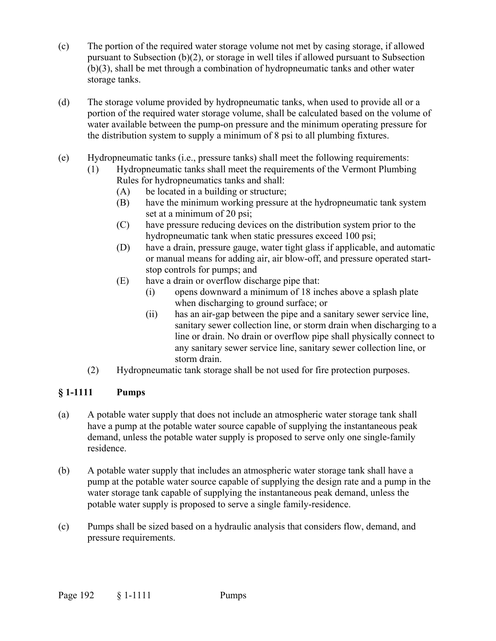- (c) The portion of the required water storage volume not met by casing storage, if allowed pursuant to Subsection (b)(2), or storage in well tiles if allowed pursuant to Subsection (b)(3), shall be met through a combination of hydropneumatic tanks and other water storage tanks.
- (d) The storage volume provided by hydropneumatic tanks, when used to provide all or a portion of the required water storage volume, shall be calculated based on the volume of water available between the pump-on pressure and the minimum operating pressure for the distribution system to supply a minimum of 8 psi to all plumbing fixtures.
- (e) Hydropneumatic tanks (i.e., pressure tanks) shall meet the following requirements:
	- (1) Hydropneumatic tanks shall meet the requirements of the Vermont Plumbing Rules for hydropneumatics tanks and shall:
		- (A) be located in a building or structure;
		- (B) have the minimum working pressure at the hydropneumatic tank system set at a minimum of 20 psi;
		- (C) have pressure reducing devices on the distribution system prior to the hydropneumatic tank when static pressures exceed 100 psi;
		- (D) have a drain, pressure gauge, water tight glass if applicable, and automatic or manual means for adding air, air blow-off, and pressure operated startstop controls for pumps; and
		- (E) have a drain or overflow discharge pipe that:
			- (i) opens downward a minimum of 18 inches above a splash plate when discharging to ground surface; or
			- (ii) has an air-gap between the pipe and a sanitary sewer service line, sanitary sewer collection line, or storm drain when discharging to a line or drain. No drain or overflow pipe shall physically connect to any sanitary sewer service line, sanitary sewer collection line, or storm drain.
	- (2) Hydropneumatic tank storage shall be not used for fire protection purposes.

## **§ 1-1111 Pumps**

- (a) A potable water supply that does not include an atmospheric water storage tank shall have a pump at the potable water source capable of supplying the instantaneous peak demand, unless the potable water supply is proposed to serve only one single-family residence.
- (b) A potable water supply that includes an atmospheric water storage tank shall have a pump at the potable water source capable of supplying the design rate and a pump in the water storage tank capable of supplying the instantaneous peak demand, unless the potable water supply is proposed to serve a single family-residence.
- (c) Pumps shall be sized based on a hydraulic analysis that considers flow, demand, and pressure requirements.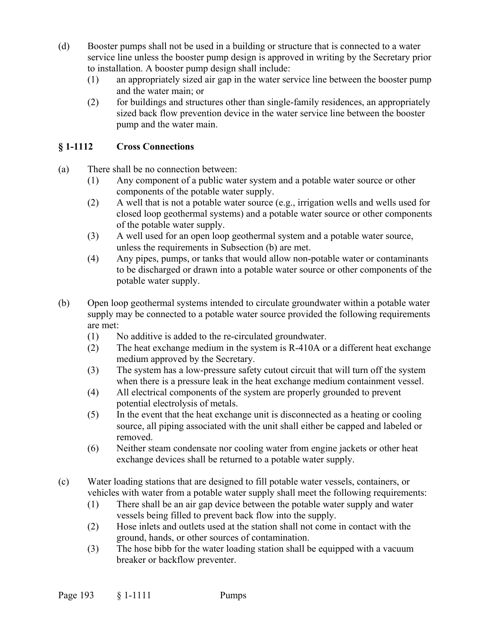- (d) Booster pumps shall not be used in a building or structure that is connected to a water service line unless the booster pump design is approved in writing by the Secretary prior to installation. A booster pump design shall include:
	- (1) an appropriately sized air gap in the water service line between the booster pump and the water main; or
	- (2) for buildings and structures other than single-family residences, an appropriately sized back flow prevention device in the water service line between the booster pump and the water main.

## **§ 1-1112 Cross Connections**

- (a) There shall be no connection between:
	- (1) Any component of a public water system and a potable water source or other components of the potable water supply.
	- (2) A well that is not a potable water source (e.g., irrigation wells and wells used for closed loop geothermal systems) and a potable water source or other components of the potable water supply.
	- (3) A well used for an open loop geothermal system and a potable water source, unless the requirements in Subsection (b) are met.
	- (4) Any pipes, pumps, or tanks that would allow non-potable water or contaminants to be discharged or drawn into a potable water source or other components of the potable water supply.
- (b) Open loop geothermal systems intended to circulate groundwater within a potable water supply may be connected to a potable water source provided the following requirements are met:
	- (1) No additive is added to the re-circulated groundwater.
	- (2) The heat exchange medium in the system is R-410A or a different heat exchange medium approved by the Secretary.
	- (3) The system has a low-pressure safety cutout circuit that will turn off the system when there is a pressure leak in the heat exchange medium containment vessel.
	- (4) All electrical components of the system are properly grounded to prevent potential electrolysis of metals.
	- (5) In the event that the heat exchange unit is disconnected as a heating or cooling source, all piping associated with the unit shall either be capped and labeled or removed.
	- (6) Neither steam condensate nor cooling water from engine jackets or other heat exchange devices shall be returned to a potable water supply.
- (c) Water loading stations that are designed to fill potable water vessels, containers, or vehicles with water from a potable water supply shall meet the following requirements:
	- (1) There shall be an air gap device between the potable water supply and water vessels being filled to prevent back flow into the supply.
	- (2) Hose inlets and outlets used at the station shall not come in contact with the ground, hands, or other sources of contamination.
	- (3) The hose bibb for the water loading station shall be equipped with a vacuum breaker or backflow preventer.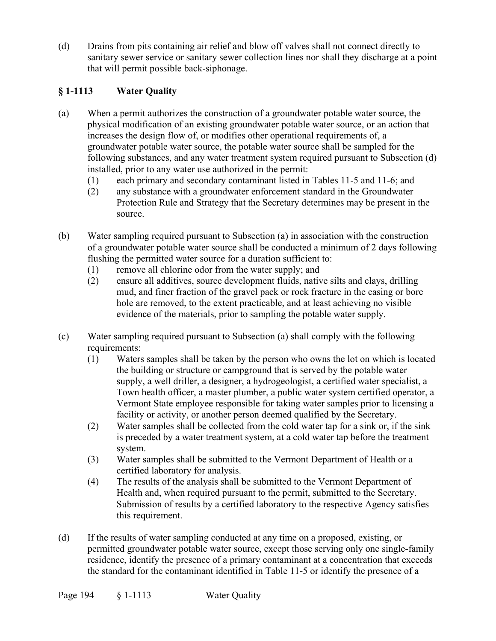(d) Drains from pits containing air relief and blow off valves shall not connect directly to sanitary sewer service or sanitary sewer collection lines nor shall they discharge at a point that will permit possible back-siphonage.

## **§ 1-1113 Water Quality**

- (a) When a permit authorizes the construction of a groundwater potable water source, the physical modification of an existing groundwater potable water source, or an action that increases the design flow of, or modifies other operational requirements of, a groundwater potable water source, the potable water source shall be sampled for the following substances, and any water treatment system required pursuant to Subsection (d) installed, prior to any water use authorized in the permit:
	- (1) each primary and secondary contaminant listed in Tables 11-5 and 11-6; and
	- (2) any substance with a groundwater enforcement standard in the Groundwater Protection Rule and Strategy that the Secretary determines may be present in the source.
- (b) Water sampling required pursuant to Subsection (a) in association with the construction of a groundwater potable water source shall be conducted a minimum of 2 days following flushing the permitted water source for a duration sufficient to:
	- (1) remove all chlorine odor from the water supply; and
	- (2) ensure all additives, source development fluids, native silts and clays, drilling mud, and finer fraction of the gravel pack or rock fracture in the casing or bore hole are removed, to the extent practicable, and at least achieving no visible evidence of the materials, prior to sampling the potable water supply.
- (c) Water sampling required pursuant to Subsection (a) shall comply with the following requirements:
	- (1) Waters samples shall be taken by the person who owns the lot on which is located the building or structure or campground that is served by the potable water supply, a well driller, a designer, a hydrogeologist, a certified water specialist, a Town health officer, a master plumber, a public water system certified operator, a Vermont State employee responsible for taking water samples prior to licensing a facility or activity, or another person deemed qualified by the Secretary.
	- (2) Water samples shall be collected from the cold water tap for a sink or, if the sink is preceded by a water treatment system, at a cold water tap before the treatment system.
	- (3) Water samples shall be submitted to the Vermont Department of Health or a certified laboratory for analysis.
	- (4) The results of the analysis shall be submitted to the Vermont Department of Health and, when required pursuant to the permit, submitted to the Secretary. Submission of results by a certified laboratory to the respective Agency satisfies this requirement.
- (d) If the results of water sampling conducted at any time on a proposed, existing, or permitted groundwater potable water source, except those serving only one single-family residence, identify the presence of a primary contaminant at a concentration that exceeds the standard for the contaminant identified in Table 11-5 or identify the presence of a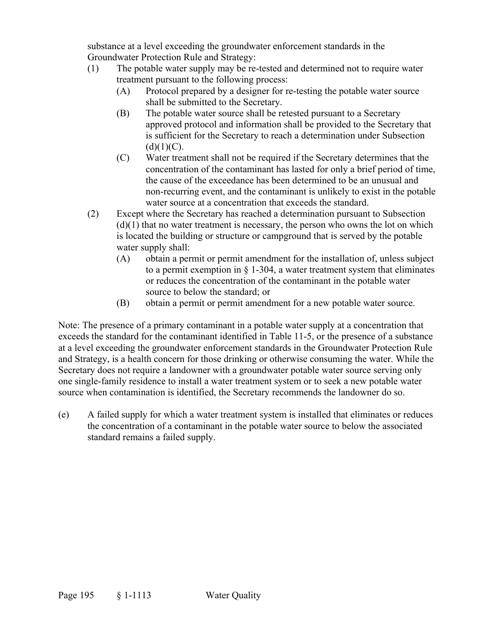substance at a level exceeding the groundwater enforcement standards in the Groundwater Protection Rule and Strategy:

- (1) The potable water supply may be re-tested and determined not to require water treatment pursuant to the following process:
	- (A) Protocol prepared by a designer for re-testing the potable water source shall be submitted to the Secretary.
	- (B) The potable water source shall be retested pursuant to a Secretary approved protocol and information shall be provided to the Secretary that is sufficient for the Secretary to reach a determination under Subsection  $(d)(1)(C)$ .
	- (C) Water treatment shall not be required if the Secretary determines that the concentration of the contaminant has lasted for only a brief period of time, the cause of the exceedance has been determined to be an unusual and non-recurring event, and the contaminant is unlikely to exist in the potable water source at a concentration that exceeds the standard.
- (2) Except where the Secretary has reached a determination pursuant to Subsection  $(d)(1)$  that no water treatment is necessary, the person who owns the lot on which is located the building or structure or campground that is served by the potable water supply shall:
	- (A) obtain a permit or permit amendment for the installation of, unless subject to a permit exemption in  $\S$  1-304, a water treatment system that eliminates or reduces the concentration of the contaminant in the potable water source to below the standard; or
	- (B) obtain a permit or permit amendment for a new potable water source.

Note: The presence of a primary contaminant in a potable water supply at a concentration that exceeds the standard for the contaminant identified in Table 11-5, or the presence of a substance at a level exceeding the groundwater enforcement standards in the Groundwater Protection Rule and Strategy, is a health concern for those drinking or otherwise consuming the water. While the Secretary does not require a landowner with a groundwater potable water source serving only one single-family residence to install a water treatment system or to seek a new potable water source when contamination is identified, the Secretary recommends the landowner do so.

(e) A failed supply for which a water treatment system is installed that eliminates or reduces the concentration of a contaminant in the potable water source to below the associated standard remains a failed supply.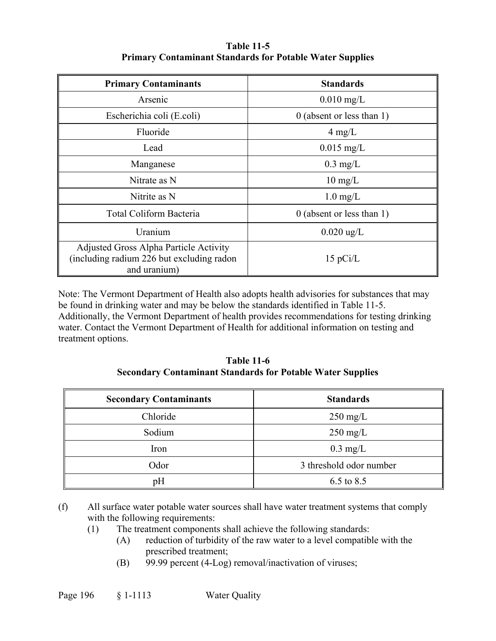### **Table 11-5 Primary Contaminant Standards for Potable Water Supplies**

| <b>Primary Contaminants</b>                                                                          | <b>Standards</b>            |
|------------------------------------------------------------------------------------------------------|-----------------------------|
| Arsenic                                                                                              | $0.010$ mg/L                |
| Escherichia coli (E.coli)                                                                            | $0$ (absent or less than 1) |
| Fluoride                                                                                             | $4 \text{ mg/L}$            |
| Lead                                                                                                 | $0.015$ mg/L                |
| Manganese                                                                                            | $0.3 \text{ mg/L}$          |
| Nitrate as N                                                                                         | $10 \text{ mg/L}$           |
| Nitrite as N                                                                                         | $1.0 \text{ mg/L}$          |
| Total Coliform Bacteria                                                                              | $0$ (absent or less than 1) |
| Uranium                                                                                              | $0.020 \text{ ug/L}$        |
| Adjusted Gross Alpha Particle Activity<br>(including radium 226 but excluding radon)<br>and uranium) | $15$ pCi/L                  |

Note: The Vermont Department of Health also adopts health advisories for substances that may be found in drinking water and may be below the standards identified in Table 11-5. Additionally, the Vermont Department of health provides recommendations for testing drinking water. Contact the Vermont Department of Health for additional information on testing and treatment options.

**Table 11-6 Secondary Contaminant Standards for Potable Water Supplies** 

| <b>Secondary Contaminants</b> | <b>Standards</b>        |
|-------------------------------|-------------------------|
| Chloride                      | $250 \text{ mg/L}$      |
| Sodium                        | $250 \text{ mg/L}$      |
| Iron                          | $0.3 \text{ mg/L}$      |
| Odor                          | 3 threshold odor number |
| pH                            | 6.5 to 8.5              |

<sup>(</sup>f) All surface water potable water sources shall have water treatment systems that comply with the following requirements:

- (1) The treatment components shall achieve the following standards:
	- (A) reduction of turbidity of the raw water to a level compatible with the prescribed treatment;
		- (B) 99.99 percent (4-Log) removal/inactivation of viruses;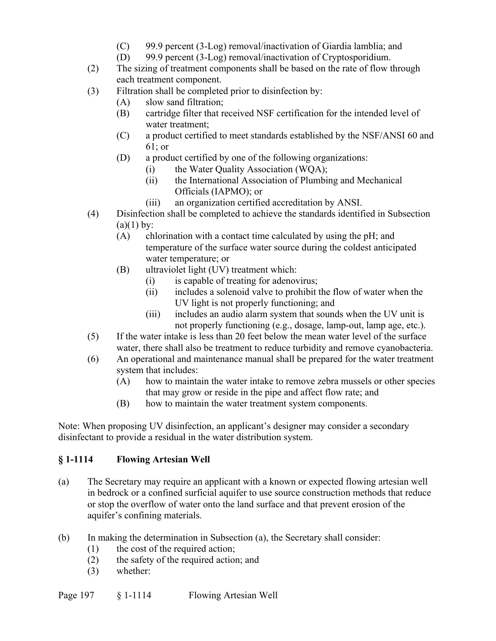- (C) 99.9 percent (3-Log) removal/inactivation of Giardia lamblia; and
- (D) 99.9 percent (3-Log) removal/inactivation of Cryptosporidium.
- (2) The sizing of treatment components shall be based on the rate of flow through each treatment component.
- (3) Filtration shall be completed prior to disinfection by:
	- (A) slow sand filtration;
	- (B) cartridge filter that received NSF certification for the intended level of water treatment;
	- (C) a product certified to meet standards established by the NSF/ANSI 60 and 61; or
	- (D) a product certified by one of the following organizations:
		- (i) the Water Quality Association (WQA);
		- (ii) the International Association of Plumbing and Mechanical Officials (IAPMO); or
		- (iii) an organization certified accreditation by ANSI.
- (4) Disinfection shall be completed to achieve the standards identified in Subsection  $(a)(1)$  by:
	- (A) chlorination with a contact time calculated by using the pH; and temperature of the surface water source during the coldest anticipated water temperature; or
	- (B) ultraviolet light (UV) treatment which:
		- (i) is capable of treating for adenovirus;
		- (ii) includes a solenoid valve to prohibit the flow of water when the UV light is not properly functioning; and
		- (iii) includes an audio alarm system that sounds when the UV unit is not properly functioning (e.g., dosage, lamp-out, lamp age, etc.).
- (5) If the water intake is less than 20 feet below the mean water level of the surface water, there shall also be treatment to reduce turbidity and remove cyanobacteria.
- (6) An operational and maintenance manual shall be prepared for the water treatment system that includes:
	- (A) how to maintain the water intake to remove zebra mussels or other species that may grow or reside in the pipe and affect flow rate; and
	- (B) how to maintain the water treatment system components.

Note: When proposing UV disinfection, an applicant's designer may consider a secondary disinfectant to provide a residual in the water distribution system.

## **§ 1-1114 Flowing Artesian Well**

- (a) The Secretary may require an applicant with a known or expected flowing artesian well in bedrock or a confined surficial aquifer to use source construction methods that reduce or stop the overflow of water onto the land surface and that prevent erosion of the aquifer's confining materials.
- (b) In making the determination in Subsection (a), the Secretary shall consider:
	- (1) the cost of the required action;
	- (2) the safety of the required action; and
	- (3) whether: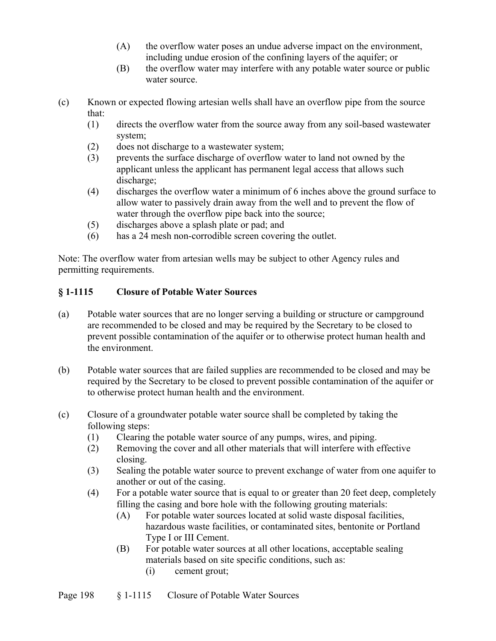- (A) the overflow water poses an undue adverse impact on the environment, including undue erosion of the confining layers of the aquifer; or
- (B) the overflow water may interfere with any potable water source or public water source.
- (c) Known or expected flowing artesian wells shall have an overflow pipe from the source that:
	- (1) directs the overflow water from the source away from any soil-based wastewater system;
	- (2) does not discharge to a wastewater system;
	- (3) prevents the surface discharge of overflow water to land not owned by the applicant unless the applicant has permanent legal access that allows such discharge;
	- (4) discharges the overflow water a minimum of 6 inches above the ground surface to allow water to passively drain away from the well and to prevent the flow of water through the overflow pipe back into the source;
	- (5) discharges above a splash plate or pad; and
	- (6) has a 24 mesh non-corrodible screen covering the outlet.

Note: The overflow water from artesian wells may be subject to other Agency rules and permitting requirements.

## **§ 1-1115 Closure of Potable Water Sources**

- (a) Potable water sources that are no longer serving a building or structure or campground are recommended to be closed and may be required by the Secretary to be closed to prevent possible contamination of the aquifer or to otherwise protect human health and the environment.
- (b) Potable water sources that are failed supplies are recommended to be closed and may be required by the Secretary to be closed to prevent possible contamination of the aquifer or to otherwise protect human health and the environment.
- (c) Closure of a groundwater potable water source shall be completed by taking the following steps:
	- (1) Clearing the potable water source of any pumps, wires, and piping.
	- (2) Removing the cover and all other materials that will interfere with effective closing.
	- (3) Sealing the potable water source to prevent exchange of water from one aquifer to another or out of the casing.
	- (4) For a potable water source that is equal to or greater than 20 feet deep, completely filling the casing and bore hole with the following grouting materials:
		- (A) For potable water sources located at solid waste disposal facilities, hazardous waste facilities, or contaminated sites, bentonite or Portland Type I or III Cement.
		- (B) For potable water sources at all other locations, acceptable sealing materials based on site specific conditions, such as:
			- (i) cement grout;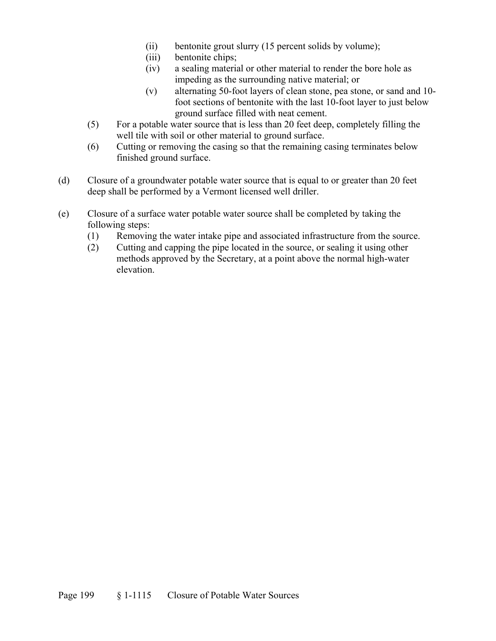- (ii) bentonite grout slurry (15 percent solids by volume);
- (iii) bentonite chips;
- (iv) a sealing material or other material to render the bore hole as impeding as the surrounding native material; or
- (v) alternating 50-foot layers of clean stone, pea stone, or sand and 10 foot sections of bentonite with the last 10-foot layer to just below ground surface filled with neat cement.
- (5) For a potable water source that is less than 20 feet deep, completely filling the well tile with soil or other material to ground surface.
- (6) Cutting or removing the casing so that the remaining casing terminates below finished ground surface.
- (d) Closure of a groundwater potable water source that is equal to or greater than 20 feet deep shall be performed by a Vermont licensed well driller.
- (e) Closure of a surface water potable water source shall be completed by taking the following steps:
	- (1) Removing the water intake pipe and associated infrastructure from the source.
	- (2) Cutting and capping the pipe located in the source, or sealing it using other methods approved by the Secretary, at a point above the normal high-water elevation.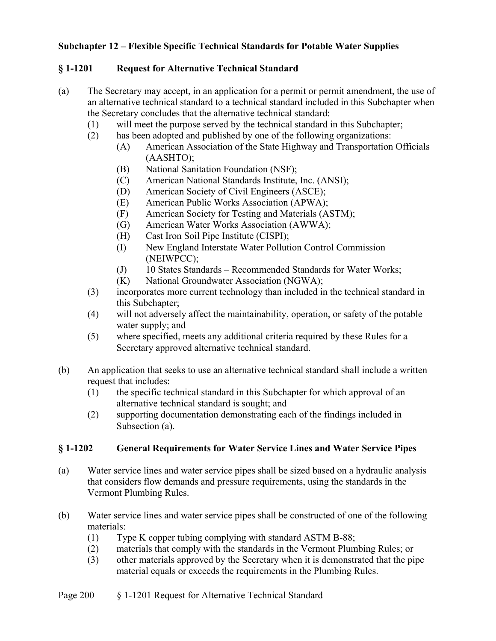### **Subchapter 12 – Flexible Specific Technical Standards for Potable Water Supplies**

### **§ 1-1201 Request for Alternative Technical Standard**

- (a) The Secretary may accept, in an application for a permit or permit amendment, the use of an alternative technical standard to a technical standard included in this Subchapter when the Secretary concludes that the alternative technical standard:
	- (1) will meet the purpose served by the technical standard in this Subchapter;
	- (2) has been adopted and published by one of the following organizations:
		- (A) American Association of the State Highway and Transportation Officials (AASHTO);
		- (B) National Sanitation Foundation (NSF);
		- (C) American National Standards Institute, Inc. (ANSI);
		- (D) American Society of Civil Engineers (ASCE);
		- (E) American Public Works Association (APWA);
		- (F) American Society for Testing and Materials (ASTM);
		- (G) American Water Works Association (AWWA);
		- (H) Cast Iron Soil Pipe Institute (CISPI);
		- (I) New England Interstate Water Pollution Control Commission (NEIWPCC);
		- (J) 10 States Standards Recommended Standards for Water Works;
		- (K) National Groundwater Association (NGWA);
	- (3) incorporates more current technology than included in the technical standard in this Subchapter;
	- (4) will not adversely affect the maintainability, operation, or safety of the potable water supply; and
	- (5) where specified, meets any additional criteria required by these Rules for a Secretary approved alternative technical standard.
- (b) An application that seeks to use an alternative technical standard shall include a written request that includes:
	- (1) the specific technical standard in this Subchapter for which approval of an alternative technical standard is sought; and
	- (2) supporting documentation demonstrating each of the findings included in Subsection (a).

#### **§ 1-1202 General Requirements for Water Service Lines and Water Service Pipes**

- (a) Water service lines and water service pipes shall be sized based on a hydraulic analysis that considers flow demands and pressure requirements, using the standards in the Vermont Plumbing Rules.
- (b) Water service lines and water service pipes shall be constructed of one of the following materials:
	- (1) Type K copper tubing complying with standard ASTM B-88;
	- (2) materials that comply with the standards in the Vermont Plumbing Rules; or
	- (3) other materials approved by the Secretary when it is demonstrated that the pipe material equals or exceeds the requirements in the Plumbing Rules.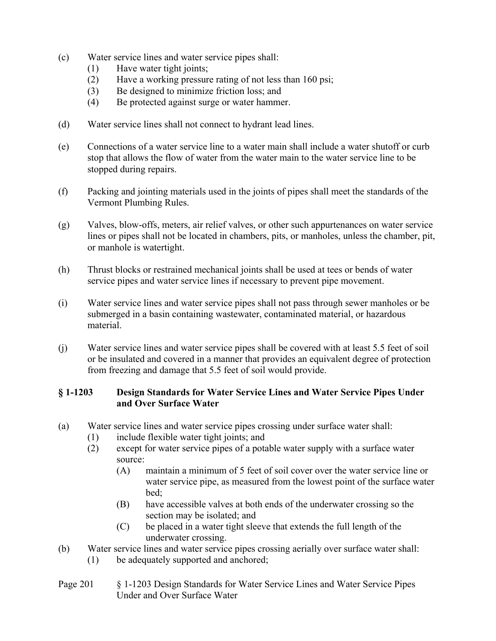- (c) Water service lines and water service pipes shall:
	- (1) Have water tight joints;
	- (2) Have a working pressure rating of not less than 160 psi;
	- (3) Be designed to minimize friction loss; and
	- (4) Be protected against surge or water hammer.
- (d) Water service lines shall not connect to hydrant lead lines.
- (e) Connections of a water service line to a water main shall include a water shutoff or curb stop that allows the flow of water from the water main to the water service line to be stopped during repairs.
- (f) Packing and jointing materials used in the joints of pipes shall meet the standards of the Vermont Plumbing Rules.
- (g) Valves, blow-offs, meters, air relief valves, or other such appurtenances on water service lines or pipes shall not be located in chambers, pits, or manholes, unless the chamber, pit, or manhole is watertight.
- (h) Thrust blocks or restrained mechanical joints shall be used at tees or bends of water service pipes and water service lines if necessary to prevent pipe movement.
- (i) Water service lines and water service pipes shall not pass through sewer manholes or be submerged in a basin containing wastewater, contaminated material, or hazardous material.
- (j) Water service lines and water service pipes shall be covered with at least 5.5 feet of soil or be insulated and covered in a manner that provides an equivalent degree of protection from freezing and damage that 5.5 feet of soil would provide.

#### **§ 1-1203 Design Standards for Water Service Lines and Water Service Pipes Under and Over Surface Water**

- (a) Water service lines and water service pipes crossing under surface water shall:
	- (1) include flexible water tight joints; and
	- (2) except for water service pipes of a potable water supply with a surface water source:
		- (A) maintain a minimum of 5 feet of soil cover over the water service line or water service pipe, as measured from the lowest point of the surface water bed;
		- (B) have accessible valves at both ends of the underwater crossing so the section may be isolated; and
		- (C) be placed in a water tight sleeve that extends the full length of the underwater crossing.
- (b) Water service lines and water service pipes crossing aerially over surface water shall: (1) be adequately supported and anchored;
- Page 201 § 1-1203 Design Standards for Water Service Lines and Water Service Pipes Under and Over Surface Water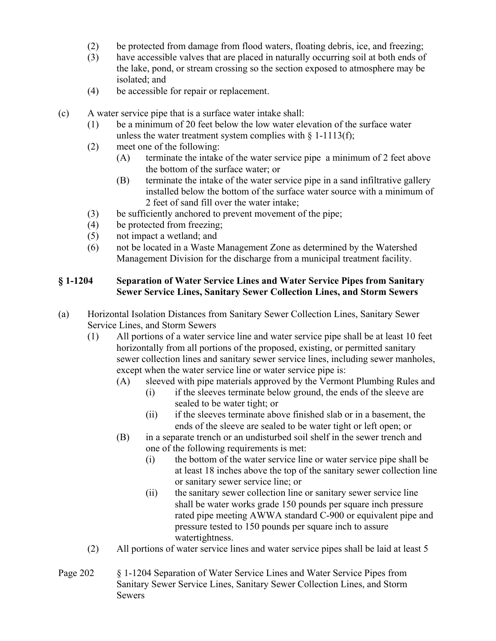- (2) be protected from damage from flood waters, floating debris, ice, and freezing;
- (3) have accessible valves that are placed in naturally occurring soil at both ends of the lake, pond, or stream crossing so the section exposed to atmosphere may be isolated; and
- (4) be accessible for repair or replacement.
- (c) A water service pipe that is a surface water intake shall:
	- (1) be a minimum of 20 feet below the low water elevation of the surface water unless the water treatment system complies with  $\S$  1-1113(f);
	- (2) meet one of the following:
		- (A) terminate the intake of the water service pipe a minimum of 2 feet above the bottom of the surface water; or
		- (B) terminate the intake of the water service pipe in a sand infiltrative gallery installed below the bottom of the surface water source with a minimum of 2 feet of sand fill over the water intake;
	- (3) be sufficiently anchored to prevent movement of the pipe;
	- (4) be protected from freezing;
	- (5) not impact a wetland; and
	- (6) not be located in a Waste Management Zone as determined by the Watershed Management Division for the discharge from a municipal treatment facility.

#### **§ 1-1204 Separation of Water Service Lines and Water Service Pipes from Sanitary Sewer Service Lines, Sanitary Sewer Collection Lines, and Storm Sewers**

- (a) Horizontal Isolation Distances from Sanitary Sewer Collection Lines, Sanitary Sewer Service Lines, and Storm Sewers
	- (1) All portions of a water service line and water service pipe shall be at least 10 feet horizontally from all portions of the proposed, existing, or permitted sanitary sewer collection lines and sanitary sewer service lines, including sewer manholes, except when the water service line or water service pipe is:
		- (A) sleeved with pipe materials approved by the Vermont Plumbing Rules and
			- (i) if the sleeves terminate below ground, the ends of the sleeve are sealed to be water tight; or
			- (ii) if the sleeves terminate above finished slab or in a basement, the ends of the sleeve are sealed to be water tight or left open; or
		- (B) in a separate trench or an undisturbed soil shelf in the sewer trench and one of the following requirements is met:
			- (i) the bottom of the water service line or water service pipe shall be at least 18 inches above the top of the sanitary sewer collection line or sanitary sewer service line; or
			- (ii) the sanitary sewer collection line or sanitary sewer service line shall be water works grade 150 pounds per square inch pressure rated pipe meeting AWWA standard C-900 or equivalent pipe and pressure tested to 150 pounds per square inch to assure watertightness.
	- (2) All portions of water service lines and water service pipes shall be laid at least 5
- Page 202 § 1-1204 Separation of Water Service Lines and Water Service Pipes from Sanitary Sewer Service Lines, Sanitary Sewer Collection Lines, and Storm Sewers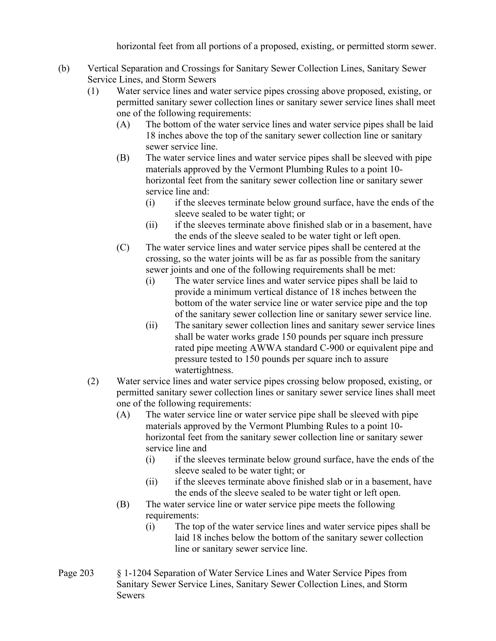horizontal feet from all portions of a proposed, existing, or permitted storm sewer.

- (b) Vertical Separation and Crossings for Sanitary Sewer Collection Lines, Sanitary Sewer Service Lines, and Storm Sewers
	- (1) Water service lines and water service pipes crossing above proposed, existing, or permitted sanitary sewer collection lines or sanitary sewer service lines shall meet one of the following requirements:
		- (A) The bottom of the water service lines and water service pipes shall be laid 18 inches above the top of the sanitary sewer collection line or sanitary sewer service line.
		- (B) The water service lines and water service pipes shall be sleeved with pipe materials approved by the Vermont Plumbing Rules to a point 10 horizontal feet from the sanitary sewer collection line or sanitary sewer service line and:
			- (i) if the sleeves terminate below ground surface, have the ends of the sleeve sealed to be water tight; or
			- (ii) if the sleeves terminate above finished slab or in a basement, have the ends of the sleeve sealed to be water tight or left open.
		- (C) The water service lines and water service pipes shall be centered at the crossing, so the water joints will be as far as possible from the sanitary sewer joints and one of the following requirements shall be met:
			- (i) The water service lines and water service pipes shall be laid to provide a minimum vertical distance of 18 inches between the bottom of the water service line or water service pipe and the top of the sanitary sewer collection line or sanitary sewer service line.
			- (ii) The sanitary sewer collection lines and sanitary sewer service lines shall be water works grade 150 pounds per square inch pressure rated pipe meeting AWWA standard C-900 or equivalent pipe and pressure tested to 150 pounds per square inch to assure watertightness.
	- (2) Water service lines and water service pipes crossing below proposed, existing, or permitted sanitary sewer collection lines or sanitary sewer service lines shall meet one of the following requirements:
		- (A) The water service line or water service pipe shall be sleeved with pipe materials approved by the Vermont Plumbing Rules to a point 10 horizontal feet from the sanitary sewer collection line or sanitary sewer service line and
			- (i) if the sleeves terminate below ground surface, have the ends of the sleeve sealed to be water tight; or
			- (ii) if the sleeves terminate above finished slab or in a basement, have the ends of the sleeve sealed to be water tight or left open.
		- (B) The water service line or water service pipe meets the following requirements:
			- (i) The top of the water service lines and water service pipes shall be laid 18 inches below the bottom of the sanitary sewer collection line or sanitary sewer service line.
- Page 203 § 1-1204 Separation of Water Service Lines and Water Service Pipes from Sanitary Sewer Service Lines, Sanitary Sewer Collection Lines, and Storm Sewers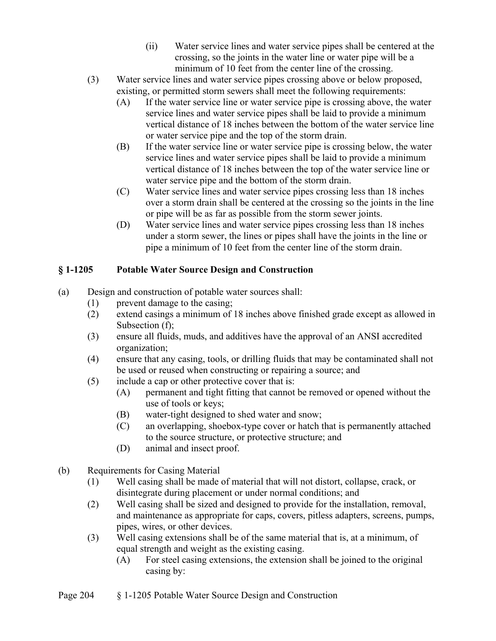- (ii) Water service lines and water service pipes shall be centered at the crossing, so the joints in the water line or water pipe will be a minimum of 10 feet from the center line of the crossing.
- (3) Water service lines and water service pipes crossing above or below proposed, existing, or permitted storm sewers shall meet the following requirements:
	- (A) If the water service line or water service pipe is crossing above, the water service lines and water service pipes shall be laid to provide a minimum vertical distance of 18 inches between the bottom of the water service line or water service pipe and the top of the storm drain.
	- (B) If the water service line or water service pipe is crossing below, the water service lines and water service pipes shall be laid to provide a minimum vertical distance of 18 inches between the top of the water service line or water service pipe and the bottom of the storm drain.
	- (C) Water service lines and water service pipes crossing less than 18 inches over a storm drain shall be centered at the crossing so the joints in the line or pipe will be as far as possible from the storm sewer joints.
	- (D) Water service lines and water service pipes crossing less than 18 inches under a storm sewer, the lines or pipes shall have the joints in the line or pipe a minimum of 10 feet from the center line of the storm drain.

# **§ 1-1205 Potable Water Source Design and Construction**

- (a) Design and construction of potable water sources shall:
	- (1) prevent damage to the casing;
	- (2) extend casings a minimum of 18 inches above finished grade except as allowed in Subsection (f);
	- (3) ensure all fluids, muds, and additives have the approval of an ANSI accredited organization;
	- (4) ensure that any casing, tools, or drilling fluids that may be contaminated shall not be used or reused when constructing or repairing a source; and
	- (5) include a cap or other protective cover that is:
		- (A) permanent and tight fitting that cannot be removed or opened without the use of tools or keys;
		- (B) water-tight designed to shed water and snow;
		- (C) an overlapping, shoebox-type cover or hatch that is permanently attached to the source structure, or protective structure; and
		- (D) animal and insect proof.
- (b) Requirements for Casing Material
	- (1) Well casing shall be made of material that will not distort, collapse, crack, or disintegrate during placement or under normal conditions; and
	- (2) Well casing shall be sized and designed to provide for the installation, removal, and maintenance as appropriate for caps, covers, pitless adapters, screens, pumps, pipes, wires, or other devices.
	- (3) Well casing extensions shall be of the same material that is, at a minimum, of equal strength and weight as the existing casing.
		- (A) For steel casing extensions, the extension shall be joined to the original casing by: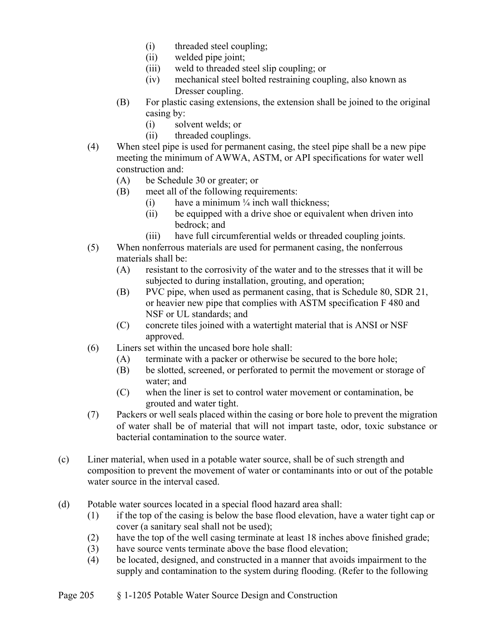- (i) threaded steel coupling;
- (ii) welded pipe joint;
- (iii) weld to threaded steel slip coupling; or
- (iv) mechanical steel bolted restraining coupling, also known as Dresser coupling.
- (B) For plastic casing extensions, the extension shall be joined to the original casing by:
	- (i) solvent welds; or
	- (ii) threaded couplings.
- (4) When steel pipe is used for permanent casing, the steel pipe shall be a new pipe meeting the minimum of AWWA, ASTM, or API specifications for water well construction and:
	- (A) be Schedule 30 or greater; or
	- (B) meet all of the following requirements:
		- (i) have a minimum  $\frac{1}{4}$  inch wall thickness;
		- (ii) be equipped with a drive shoe or equivalent when driven into bedrock; and
		- (iii) have full circumferential welds or threaded coupling joints.
- (5) When nonferrous materials are used for permanent casing, the nonferrous materials shall be:
	- (A) resistant to the corrosivity of the water and to the stresses that it will be subjected to during installation, grouting, and operation;
	- (B) PVC pipe, when used as permanent casing, that is Schedule 80, SDR 21, or heavier new pipe that complies with ASTM specification F 480 and NSF or UL standards; and
	- (C) concrete tiles joined with a watertight material that is ANSI or NSF approved.
- (6) Liners set within the uncased bore hole shall:
	- (A) terminate with a packer or otherwise be secured to the bore hole;
	- (B) be slotted, screened, or perforated to permit the movement or storage of water; and
	- (C) when the liner is set to control water movement or contamination, be grouted and water tight.
- (7) Packers or well seals placed within the casing or bore hole to prevent the migration of water shall be of material that will not impart taste, odor, toxic substance or bacterial contamination to the source water.
- (c) Liner material, when used in a potable water source, shall be of such strength and composition to prevent the movement of water or contaminants into or out of the potable water source in the interval cased.
- (d) Potable water sources located in a special flood hazard area shall:
	- (1) if the top of the casing is below the base flood elevation, have a water tight cap or cover (a sanitary seal shall not be used);
	- (2) have the top of the well casing terminate at least 18 inches above finished grade;
	- (3) have source vents terminate above the base flood elevation;
	- (4) be located, designed, and constructed in a manner that avoids impairment to the supply and contamination to the system during flooding. (Refer to the following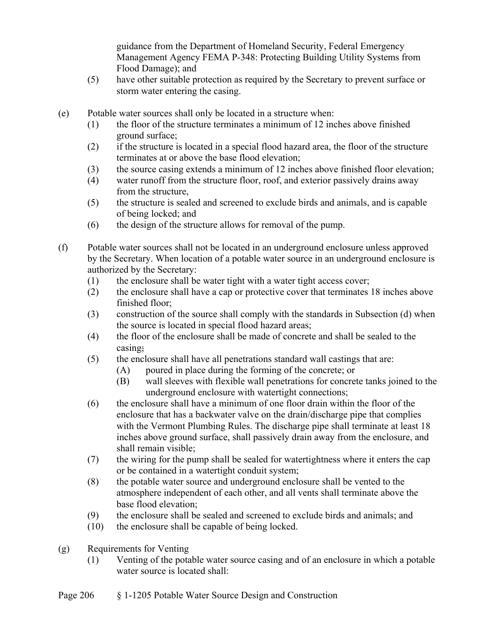guidance from the Department of Homeland Security, Federal Emergency Management Agency FEMA P-348: Protecting Building Utility Systems from Flood Damage); and

- (5) have other suitable protection as required by the Secretary to prevent surface or storm water entering the casing.
- (e) Potable water sources shall only be located in a structure when:
	- (1) the floor of the structure terminates a minimum of 12 inches above finished ground surface;
	- (2) if the structure is located in a special flood hazard area, the floor of the structure terminates at or above the base flood elevation;
	- (3) the source casing extends a minimum of 12 inches above finished floor elevation;
	- (4) water runoff from the structure floor, roof, and exterior passively drains away from the structure,
	- (5) the structure is sealed and screened to exclude birds and animals, and is capable of being locked; and
	- (6) the design of the structure allows for removal of the pump.
- (f) Potable water sources shall not be located in an underground enclosure unless approved by the Secretary. When location of a potable water source in an underground enclosure is authorized by the Secretary:
	- (1) the enclosure shall be water tight with a water tight access cover;
	- (2) the enclosure shall have a cap or protective cover that terminates 18 inches above finished floor;
	- (3) construction of the source shall comply with the standards in Subsection (d) when the source is located in special flood hazard areas;
	- (4) the floor of the enclosure shall be made of concrete and shall be sealed to the casing;
	- (5) the enclosure shall have all penetrations standard wall castings that are:
		- (A) poured in place during the forming of the concrete; or
		- (B) wall sleeves with flexible wall penetrations for concrete tanks joined to the underground enclosure with watertight connections;
	- (6) the enclosure shall have a minimum of one floor drain within the floor of the enclosure that has a backwater valve on the drain/discharge pipe that complies with the Vermont Plumbing Rules. The discharge pipe shall terminate at least 18 inches above ground surface, shall passively drain away from the enclosure, and shall remain visible;
	- (7) the wiring for the pump shall be sealed for watertightness where it enters the cap or be contained in a watertight conduit system;
	- (8) the potable water source and underground enclosure shall be vented to the atmosphere independent of each other, and all vents shall terminate above the base flood elevation;
	- (9) the enclosure shall be sealed and screened to exclude birds and animals; and
	- (10) the enclosure shall be capable of being locked.
- (g) Requirements for Venting
	- (1) Venting of the potable water source casing and of an enclosure in which a potable water source is located shall: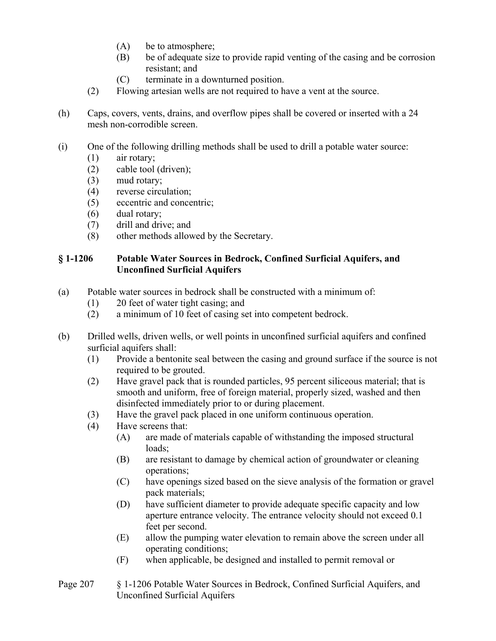- (A) be to atmosphere;
- (B) be of adequate size to provide rapid venting of the casing and be corrosion resistant; and
- (C) terminate in a downturned position.
- (2) Flowing artesian wells are not required to have a vent at the source.
- (h) Caps, covers, vents, drains, and overflow pipes shall be covered or inserted with a 24 mesh non-corrodible screen.
- (i) One of the following drilling methods shall be used to drill a potable water source:
	- (1) air rotary;
	- (2) cable tool (driven);
	- (3) mud rotary;
	- (4) reverse circulation;
	- (5) eccentric and concentric;
	- (6) dual rotary;
	- (7) drill and drive; and
	- (8) other methods allowed by the Secretary.

#### **§ 1-1206 Potable Water Sources in Bedrock, Confined Surficial Aquifers, and Unconfined Surficial Aquifers**

- (a) Potable water sources in bedrock shall be constructed with a minimum of:
	- (1) 20 feet of water tight casing; and
	- (2) a minimum of 10 feet of casing set into competent bedrock.
- (b) Drilled wells, driven wells, or well points in unconfined surficial aquifers and confined surficial aquifers shall:
	- (1) Provide a bentonite seal between the casing and ground surface if the source is not required to be grouted.
	- (2) Have gravel pack that is rounded particles, 95 percent siliceous material; that is smooth and uniform, free of foreign material, properly sized, washed and then disinfected immediately prior to or during placement.
	- (3) Have the gravel pack placed in one uniform continuous operation.
	- (4) Have screens that:
		- (A) are made of materials capable of withstanding the imposed structural loads;
		- (B) are resistant to damage by chemical action of groundwater or cleaning operations;
		- (C) have openings sized based on the sieve analysis of the formation or gravel pack materials;
		- (D) have sufficient diameter to provide adequate specific capacity and low aperture entrance velocity. The entrance velocity should not exceed 0.1 feet per second.
		- (E) allow the pumping water elevation to remain above the screen under all operating conditions;
		- (F) when applicable, be designed and installed to permit removal or
- Page 207 § 1-1206 Potable Water Sources in Bedrock, Confined Surficial Aquifers, and Unconfined Surficial Aquifers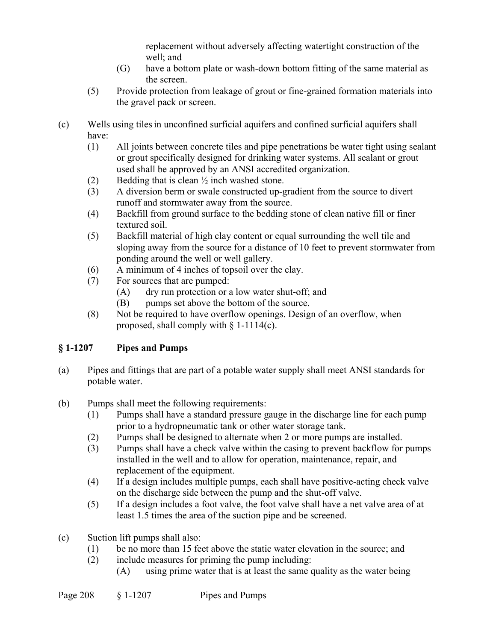replacement without adversely affecting watertight construction of the well; and

- (G) have a bottom plate or wash-down bottom fitting of the same material as the screen.
- (5) Provide protection from leakage of grout or fine-grained formation materials into the gravel pack or screen.
- (c) Wells using tilesin unconfined surficial aquifers and confined surficial aquifers shall have:
	- (1) All joints between concrete tiles and pipe penetrations be water tight using sealant or grout specifically designed for drinking water systems. All sealant or grout used shall be approved by an ANSI accredited organization.
	- (2) Bedding that is clean  $\frac{1}{2}$  inch washed stone.
	- (3) A diversion berm or swale constructed up-gradient from the source to divert runoff and stormwater away from the source.
	- (4) Backfill from ground surface to the bedding stone of clean native fill or finer textured soil.
	- (5) Backfill material of high clay content or equal surrounding the well tile and sloping away from the source for a distance of 10 feet to prevent stormwater from ponding around the well or well gallery.
	- (6) A minimum of 4 inches of topsoil over the clay.
	- (7) For sources that are pumped:
		- (A) dry run protection or a low water shut-off; and
		- (B) pumps set above the bottom of the source.
	- (8) Not be required to have overflow openings. Design of an overflow, when proposed, shall comply with  $\S$  1-1114(c).

# **§ 1-1207 Pipes and Pumps**

- (a) Pipes and fittings that are part of a potable water supply shall meet ANSI standards for potable water.
- (b) Pumps shall meet the following requirements:
	- (1) Pumps shall have a standard pressure gauge in the discharge line for each pump prior to a hydropneumatic tank or other water storage tank.
	- (2) Pumps shall be designed to alternate when 2 or more pumps are installed.
	- (3) Pumps shall have a check valve within the casing to prevent backflow for pumps installed in the well and to allow for operation, maintenance, repair, and replacement of the equipment.
	- (4) If a design includes multiple pumps, each shall have positive-acting check valve on the discharge side between the pump and the shut-off valve.
	- (5) If a design includes a foot valve, the foot valve shall have a net valve area of at least 1.5 times the area of the suction pipe and be screened.
- (c) Suction lift pumps shall also:
	- (1) be no more than 15 feet above the static water elevation in the source; and
	- (2) include measures for priming the pump including: (A) using prime water that is at least the same quality as the water being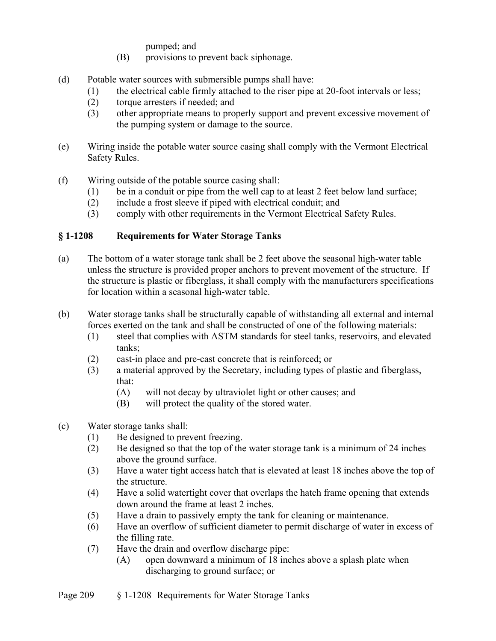pumped; and

- (B) provisions to prevent back siphonage.
- (d) Potable water sources with submersible pumps shall have:
	- (1) the electrical cable firmly attached to the riser pipe at 20-foot intervals or less;
	- (2) torque arresters if needed; and
	- (3) other appropriate means to properly support and prevent excessive movement of the pumping system or damage to the source.
- (e) Wiring inside the potable water source casing shall comply with the Vermont Electrical Safety Rules.
- (f) Wiring outside of the potable source casing shall:
	- (1) be in a conduit or pipe from the well cap to at least 2 feet below land surface;
	- (2) include a frost sleeve if piped with electrical conduit; and
	- (3) comply with other requirements in the Vermont Electrical Safety Rules.

### **§ 1-1208 Requirements for Water Storage Tanks**

- (a) The bottom of a water storage tank shall be 2 feet above the seasonal high-water table unless the structure is provided proper anchors to prevent movement of the structure. If the structure is plastic or fiberglass, it shall comply with the manufacturers specifications for location within a seasonal high-water table.
- (b) Water storage tanks shall be structurally capable of withstanding all external and internal forces exerted on the tank and shall be constructed of one of the following materials:
	- (1) steel that complies with ASTM standards for steel tanks, reservoirs, and elevated tanks;
	- (2) cast-in place and pre-cast concrete that is reinforced; or
	- (3) a material approved by the Secretary, including types of plastic and fiberglass, that:
		- (A) will not decay by ultraviolet light or other causes; and
		- (B) will protect the quality of the stored water.
- (c) Water storage tanks shall:
	- (1) Be designed to prevent freezing.
	- (2) Be designed so that the top of the water storage tank is a minimum of 24 inches above the ground surface.
	- (3) Have a water tight access hatch that is elevated at least 18 inches above the top of the structure.
	- (4) Have a solid watertight cover that overlaps the hatch frame opening that extends down around the frame at least 2 inches.
	- (5) Have a drain to passively empty the tank for cleaning or maintenance.
	- (6) Have an overflow of sufficient diameter to permit discharge of water in excess of the filling rate.
	- (7) Have the drain and overflow discharge pipe:
		- (A) open downward a minimum of 18 inches above a splash plate when discharging to ground surface; or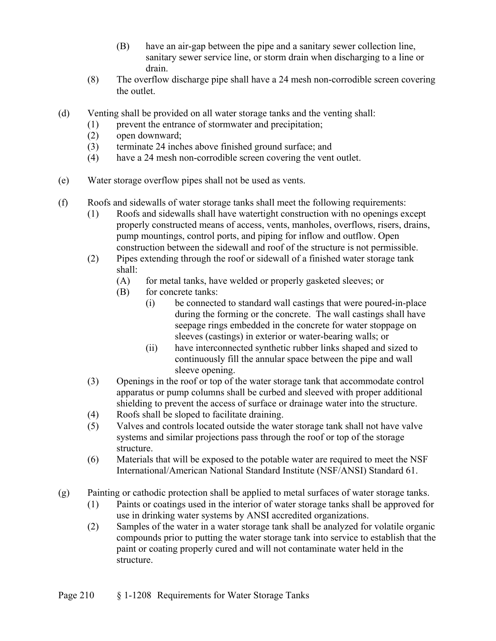- (B) have an air-gap between the pipe and a sanitary sewer collection line, sanitary sewer service line, or storm drain when discharging to a line or drain.
- (8) The overflow discharge pipe shall have a 24 mesh non-corrodible screen covering the outlet.
- (d) Venting shall be provided on all water storage tanks and the venting shall:
	- (1) prevent the entrance of stormwater and precipitation;
	- (2) open downward;
	- (3) terminate 24 inches above finished ground surface; and
	- (4) have a 24 mesh non-corrodible screen covering the vent outlet.
- (e) Water storage overflow pipes shall not be used as vents.
- (f) Roofs and sidewalls of water storage tanks shall meet the following requirements:
	- (1) Roofs and sidewalls shall have watertight construction with no openings except properly constructed means of access, vents, manholes, overflows, risers, drains, pump mountings, control ports, and piping for inflow and outflow. Open construction between the sidewall and roof of the structure is not permissible.
	- (2) Pipes extending through the roof or sidewall of a finished water storage tank shall:
		- (A) for metal tanks, have welded or properly gasketed sleeves; or
		- (B) for concrete tanks:
			- (i) be connected to standard wall castings that were poured-in-place during the forming or the concrete. The wall castings shall have seepage rings embedded in the concrete for water stoppage on sleeves (castings) in exterior or water-bearing walls; or
			- (ii) have interconnected synthetic rubber links shaped and sized to continuously fill the annular space between the pipe and wall sleeve opening.
	- (3) Openings in the roof or top of the water storage tank that accommodate control apparatus or pump columns shall be curbed and sleeved with proper additional shielding to prevent the access of surface or drainage water into the structure.
	- (4) Roofs shall be sloped to facilitate draining.
	- (5) Valves and controls located outside the water storage tank shall not have valve systems and similar projections pass through the roof or top of the storage structure.
	- (6) Materials that will be exposed to the potable water are required to meet the NSF International/American National Standard Institute (NSF/ANSI) Standard 61.
- (g) Painting or cathodic protection shall be applied to metal surfaces of water storage tanks.
	- (1) Paints or coatings used in the interior of water storage tanks shall be approved for use in drinking water systems by ANSI accredited organizations.
	- (2) Samples of the water in a water storage tank shall be analyzed for volatile organic compounds prior to putting the water storage tank into service to establish that the paint or coating properly cured and will not contaminate water held in the structure.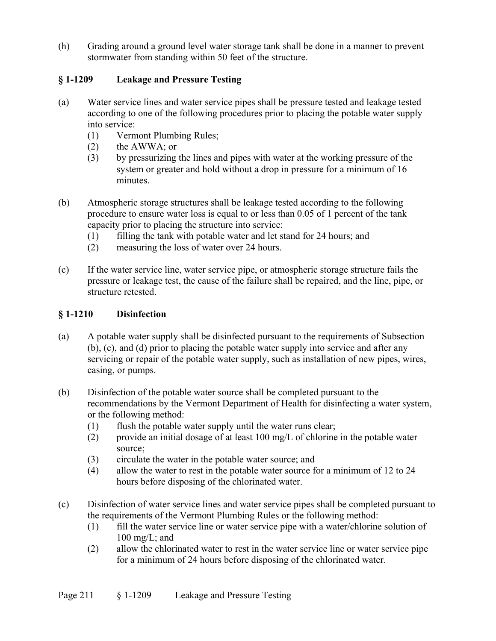(h) Grading around a ground level water storage tank shall be done in a manner to prevent stormwater from standing within 50 feet of the structure.

# **§ 1-1209 Leakage and Pressure Testing**

- (a) Water service lines and water service pipes shall be pressure tested and leakage tested according to one of the following procedures prior to placing the potable water supply into service:
	- (1) Vermont Plumbing Rules;
	- (2) the AWWA; or
	- (3) by pressurizing the lines and pipes with water at the working pressure of the system or greater and hold without a drop in pressure for a minimum of 16 minutes.
- (b) Atmospheric storage structures shall be leakage tested according to the following procedure to ensure water loss is equal to or less than 0.05 of 1 percent of the tank capacity prior to placing the structure into service:
	- (1) filling the tank with potable water and let stand for 24 hours; and
	- (2) measuring the loss of water over 24 hours.
- (c) If the water service line, water service pipe, or atmospheric storage structure fails the pressure or leakage test, the cause of the failure shall be repaired, and the line, pipe, or structure retested.

## **§ 1-1210 Disinfection**

- (a) A potable water supply shall be disinfected pursuant to the requirements of Subsection (b), (c), and (d) prior to placing the potable water supply into service and after any servicing or repair of the potable water supply, such as installation of new pipes, wires, casing, or pumps.
- (b) Disinfection of the potable water source shall be completed pursuant to the recommendations by the Vermont Department of Health for disinfecting a water system, or the following method:
	- (1) flush the potable water supply until the water runs clear;
	- (2) provide an initial dosage of at least 100 mg/L of chlorine in the potable water source;
	- (3) circulate the water in the potable water source; and
	- (4) allow the water to rest in the potable water source for a minimum of 12 to 24 hours before disposing of the chlorinated water.
- (c) Disinfection of water service lines and water service pipes shall be completed pursuant to the requirements of the Vermont Plumbing Rules or the following method:
	- (1) fill the water service line or water service pipe with a water/chlorine solution of  $100 \text{ mg/L}$ ; and
	- (2) allow the chlorinated water to rest in the water service line or water service pipe for a minimum of 24 hours before disposing of the chlorinated water.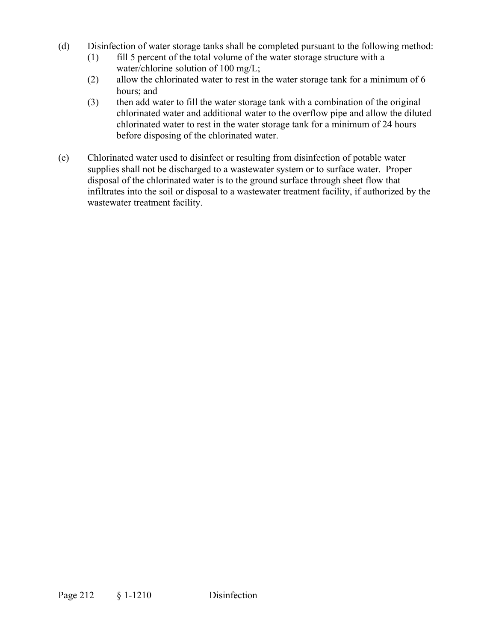- (d) Disinfection of water storage tanks shall be completed pursuant to the following method:
	- (1) fill 5 percent of the total volume of the water storage structure with a water/chlorine solution of 100 mg/L;
	- (2) allow the chlorinated water to rest in the water storage tank for a minimum of 6 hours; and
	- (3) then add water to fill the water storage tank with a combination of the original chlorinated water and additional water to the overflow pipe and allow the diluted chlorinated water to rest in the water storage tank for a minimum of 24 hours before disposing of the chlorinated water.
- (e) Chlorinated water used to disinfect or resulting from disinfection of potable water supplies shall not be discharged to a wastewater system or to surface water. Proper disposal of the chlorinated water is to the ground surface through sheet flow that infiltrates into the soil or disposal to a wastewater treatment facility, if authorized by the wastewater treatment facility.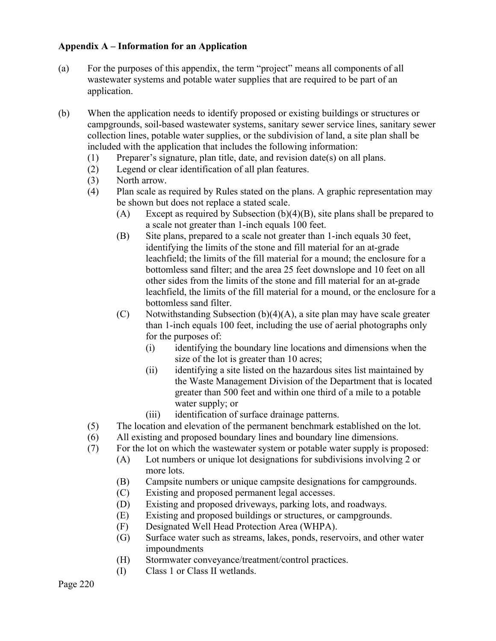### **Appendix A – Information for an Application**

- (a) For the purposes of this appendix, the term "project" means all components of all wastewater systems and potable water supplies that are required to be part of an application.
- (b) When the application needs to identify proposed or existing buildings or structures or campgrounds, soil-based wastewater systems, sanitary sewer service lines, sanitary sewer collection lines, potable water supplies, or the subdivision of land, a site plan shall be included with the application that includes the following information:
	- (1) Preparer's signature, plan title, date, and revision date(s) on all plans.
	- (2) Legend or clear identification of all plan features.
	- (3) North arrow.
	- (4) Plan scale as required by Rules stated on the plans. A graphic representation may be shown but does not replace a stated scale.
		- (A) Except as required by Subsection (b)(4)(B), site plans shall be prepared to a scale not greater than 1-inch equals 100 feet.
		- (B) Site plans, prepared to a scale not greater than 1-inch equals 30 feet, identifying the limits of the stone and fill material for an at-grade leachfield; the limits of the fill material for a mound; the enclosure for a bottomless sand filter; and the area 25 feet downslope and 10 feet on all other sides from the limits of the stone and fill material for an at-grade leachfield, the limits of the fill material for a mound, or the enclosure for a bottomless sand filter.
		- $(C)$  Notwithstanding Subsection  $(b)(4)(A)$ , a site plan may have scale greater than 1-inch equals 100 feet, including the use of aerial photographs only for the purposes of:
			- (i) identifying the boundary line locations and dimensions when the size of the lot is greater than 10 acres;
			- (ii) identifying a site listed on the hazardous sites list maintained by the Waste Management Division of the Department that is located greater than 500 feet and within one third of a mile to a potable water supply; or
			- (iii) identification of surface drainage patterns.
	- (5) The location and elevation of the permanent benchmark established on the lot.
	- (6) All existing and proposed boundary lines and boundary line dimensions.
	- (7) For the lot on which the wastewater system or potable water supply is proposed:
		- (A) Lot numbers or unique lot designations for subdivisions involving 2 or more lots.
		- (B) Campsite numbers or unique campsite designations for campgrounds.
		- (C) Existing and proposed permanent legal accesses.
		- (D) Existing and proposed driveways, parking lots, and roadways.
		- (E) Existing and proposed buildings or structures, or campgrounds.
		- (F) Designated Well Head Protection Area (WHPA).
		- (G) Surface water such as streams, lakes, ponds, reservoirs, and other water impoundments
		- (H) Stormwater conveyance/treatment/control practices.
		- (I) Class 1 or Class II wetlands.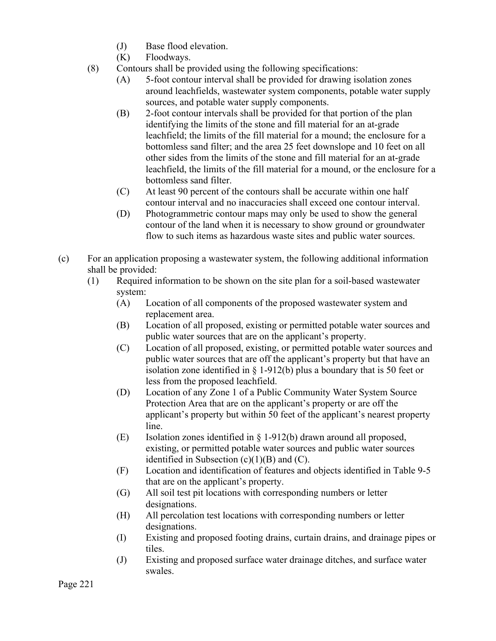- (J) Base flood elevation.
- (K) Floodways.
- (8) Contours shall be provided using the following specifications:
	- (A) 5-foot contour interval shall be provided for drawing isolation zones around leachfields, wastewater system components, potable water supply sources, and potable water supply components.
	- (B) 2-foot contour intervals shall be provided for that portion of the plan identifying the limits of the stone and fill material for an at-grade leachfield; the limits of the fill material for a mound; the enclosure for a bottomless sand filter; and the area 25 feet downslope and 10 feet on all other sides from the limits of the stone and fill material for an at-grade leachfield, the limits of the fill material for a mound, or the enclosure for a bottomless sand filter.
	- (C) At least 90 percent of the contours shall be accurate within one half contour interval and no inaccuracies shall exceed one contour interval.
	- (D) Photogrammetric contour maps may only be used to show the general contour of the land when it is necessary to show ground or groundwater flow to such items as hazardous waste sites and public water sources.
- (c) For an application proposing a wastewater system, the following additional information shall be provided:
	- (1) Required information to be shown on the site plan for a soil-based wastewater system:
		- (A) Location of all components of the proposed wastewater system and replacement area.
		- (B) Location of all proposed, existing or permitted potable water sources and public water sources that are on the applicant's property.
		- (C) Location of all proposed, existing, or permitted potable water sources and public water sources that are off the applicant's property but that have an isolation zone identified in  $\S$  1-912(b) plus a boundary that is 50 feet or less from the proposed leachfield.
		- (D) Location of any Zone 1 of a Public Community Water System Source Protection Area that are on the applicant's property or are off the applicant's property but within 50 feet of the applicant's nearest property line.
		- (E) Isolation zones identified in § 1-912(b) drawn around all proposed, existing, or permitted potable water sources and public water sources identified in Subsection  $(c)(1)(B)$  and  $(C)$ .
		- (F) Location and identification of features and objects identified in Table 9-5 that are on the applicant's property.
		- (G) All soil test pit locations with corresponding numbers or letter designations.
		- (H) All percolation test locations with corresponding numbers or letter designations.
		- (I) Existing and proposed footing drains, curtain drains, and drainage pipes or tiles.
		- (J) Existing and proposed surface water drainage ditches, and surface water swales.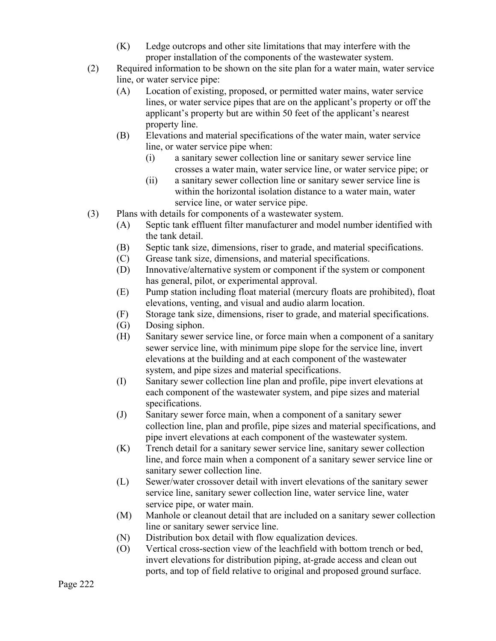- (K) Ledge outcrops and other site limitations that may interfere with the proper installation of the components of the wastewater system.
- (2) Required information to be shown on the site plan for a water main, water service line, or water service pipe:
	- (A) Location of existing, proposed, or permitted water mains, water service lines, or water service pipes that are on the applicant's property or off the applicant's property but are within 50 feet of the applicant's nearest property line.
	- (B) Elevations and material specifications of the water main, water service line, or water service pipe when:
		- (i) a sanitary sewer collection line or sanitary sewer service line crosses a water main, water service line, or water service pipe; or
		- (ii) a sanitary sewer collection line or sanitary sewer service line is within the horizontal isolation distance to a water main, water service line, or water service pipe.
- (3) Plans with details for components of a wastewater system.
	- (A) Septic tank effluent filter manufacturer and model number identified with the tank detail.
	- (B) Septic tank size, dimensions, riser to grade, and material specifications.
	- (C) Grease tank size, dimensions, and material specifications.
	- (D) Innovative/alternative system or component if the system or component has general, pilot, or experimental approval.
	- (E) Pump station including float material (mercury floats are prohibited), float elevations, venting, and visual and audio alarm location.
	- (F) Storage tank size, dimensions, riser to grade, and material specifications.
	- (G) Dosing siphon.
	- (H) Sanitary sewer service line, or force main when a component of a sanitary sewer service line, with minimum pipe slope for the service line, invert elevations at the building and at each component of the wastewater system, and pipe sizes and material specifications.
	- (I) Sanitary sewer collection line plan and profile, pipe invert elevations at each component of the wastewater system, and pipe sizes and material specifications.
	- (J) Sanitary sewer force main, when a component of a sanitary sewer collection line, plan and profile, pipe sizes and material specifications, and pipe invert elevations at each component of the wastewater system.
	- (K) Trench detail for a sanitary sewer service line, sanitary sewer collection line, and force main when a component of a sanitary sewer service line or sanitary sewer collection line.
	- (L) Sewer/water crossover detail with invert elevations of the sanitary sewer service line, sanitary sewer collection line, water service line, water service pipe, or water main.
	- (M) Manhole or cleanout detail that are included on a sanitary sewer collection line or sanitary sewer service line.
	- (N) Distribution box detail with flow equalization devices.
	- (O) Vertical cross-section view of the leachfield with bottom trench or bed, invert elevations for distribution piping, at-grade access and clean out ports, and top of field relative to original and proposed ground surface.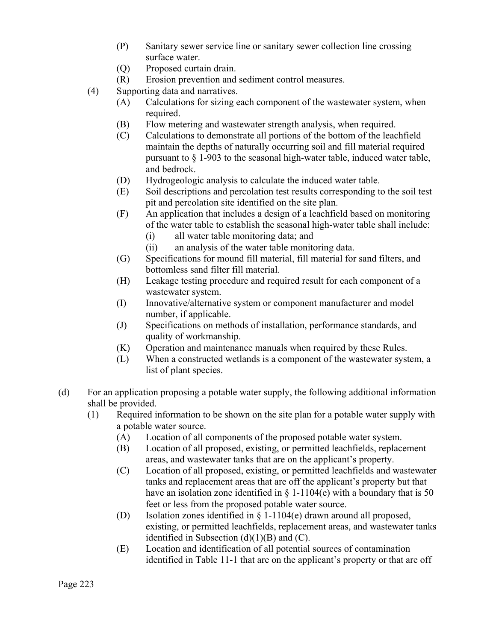- (P) Sanitary sewer service line or sanitary sewer collection line crossing surface water.
- (Q) Proposed curtain drain.
- (R) Erosion prevention and sediment control measures.
- (4) Supporting data and narratives.
	- (A) Calculations for sizing each component of the wastewater system, when required.
	- (B) Flow metering and wastewater strength analysis, when required.
	- (C) Calculations to demonstrate all portions of the bottom of the leachfield maintain the depths of naturally occurring soil and fill material required pursuant to § 1-903 to the seasonal high-water table, induced water table, and bedrock.
	- (D) Hydrogeologic analysis to calculate the induced water table.
	- (E) Soil descriptions and percolation test results corresponding to the soil test pit and percolation site identified on the site plan.
	- (F) An application that includes a design of a leachfield based on monitoring of the water table to establish the seasonal high-water table shall include:
		- (i) all water table monitoring data; and
		- (ii) an analysis of the water table monitoring data.
	- (G) Specifications for mound fill material, fill material for sand filters, and bottomless sand filter fill material.
	- (H) Leakage testing procedure and required result for each component of a wastewater system.
	- (I) Innovative/alternative system or component manufacturer and model number, if applicable.
	- (J) Specifications on methods of installation, performance standards, and quality of workmanship.
	- (K) Operation and maintenance manuals when required by these Rules.
	- (L) When a constructed wetlands is a component of the wastewater system, a list of plant species.
- (d) For an application proposing a potable water supply, the following additional information shall be provided.
	- (1) Required information to be shown on the site plan for a potable water supply with a potable water source.
		- (A) Location of all components of the proposed potable water system.
		- (B) Location of all proposed, existing, or permitted leachfields, replacement areas, and wastewater tanks that are on the applicant's property.
		- (C) Location of all proposed, existing, or permitted leachfields and wastewater tanks and replacement areas that are off the applicant's property but that have an isolation zone identified in  $\S$  1-1104(e) with a boundary that is 50 feet or less from the proposed potable water source.
		- (D) Isolation zones identified in § 1-1104(e) drawn around all proposed, existing, or permitted leachfields, replacement areas, and wastewater tanks identified in Subsection  $(d)(1)(B)$  and  $(C)$ .
		- (E) Location and identification of all potential sources of contamination identified in Table 11-1 that are on the applicant's property or that are off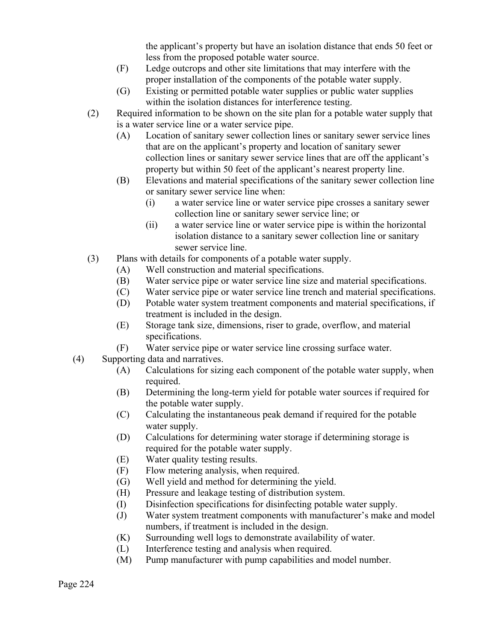the applicant's property but have an isolation distance that ends 50 feet or less from the proposed potable water source.

- (F) Ledge outcrops and other site limitations that may interfere with the proper installation of the components of the potable water supply.
- (G) Existing or permitted potable water supplies or public water supplies within the isolation distances for interference testing.
- (2) Required information to be shown on the site plan for a potable water supply that is a water service line or a water service pipe.
	- (A) Location of sanitary sewer collection lines or sanitary sewer service lines that are on the applicant's property and location of sanitary sewer collection lines or sanitary sewer service lines that are off the applicant's property but within 50 feet of the applicant's nearest property line.
	- (B) Elevations and material specifications of the sanitary sewer collection line or sanitary sewer service line when:
		- (i) a water service line or water service pipe crosses a sanitary sewer collection line or sanitary sewer service line; or
		- (ii) a water service line or water service pipe is within the horizontal isolation distance to a sanitary sewer collection line or sanitary sewer service line.
- (3) Plans with details for components of a potable water supply.
	- (A) Well construction and material specifications.
	- (B) Water service pipe or water service line size and material specifications.
	- (C) Water service pipe or water service line trench and material specifications.
	- (D) Potable water system treatment components and material specifications, if treatment is included in the design.
	- (E) Storage tank size, dimensions, riser to grade, overflow, and material specifications.
	- (F) Water service pipe or water service line crossing surface water.
- (4) Supporting data and narratives.
	- (A) Calculations for sizing each component of the potable water supply, when required.
	- (B) Determining the long-term yield for potable water sources if required for the potable water supply.
	- (C) Calculating the instantaneous peak demand if required for the potable water supply.
	- (D) Calculations for determining water storage if determining storage is required for the potable water supply.
	- (E) Water quality testing results.
	- (F) Flow metering analysis, when required.
	- (G) Well yield and method for determining the yield.
	- (H) Pressure and leakage testing of distribution system.
	- (I) Disinfection specifications for disinfecting potable water supply.
	- (J) Water system treatment components with manufacturer's make and model numbers, if treatment is included in the design.
	- (K) Surrounding well logs to demonstrate availability of water.
	- (L) Interference testing and analysis when required.
	- (M) Pump manufacturer with pump capabilities and model number.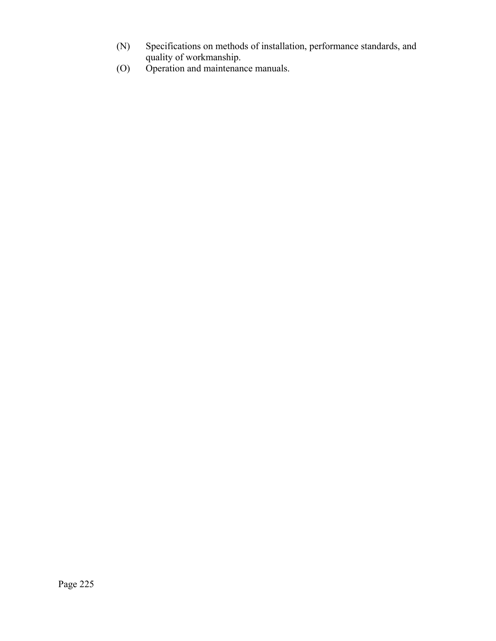- (N) Specifications on methods of installation, performance standards, and quality of workmanship.
- (O) Operation and maintenance manuals.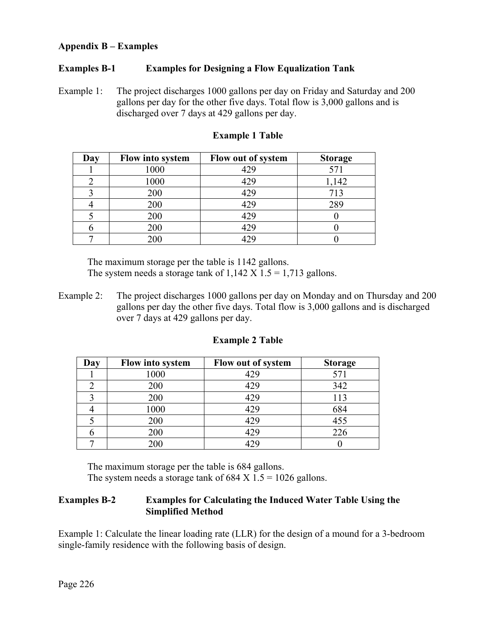### **Appendix B – Examples**

### **Examples B-1 Examples for Designing a Flow Equalization Tank**

Example 1: The project discharges 1000 gallons per day on Friday and Saturday and 200 gallons per day for the other five days. Total flow is 3,000 gallons and is discharged over 7 days at 429 gallons per day.

| Day | Flow into system | Flow out of system | <b>Storage</b> |
|-----|------------------|--------------------|----------------|
|     | 1000             | 429                |                |
|     | 1000             | 429                | 1,142          |
|     | 200              | 429                | 713            |
|     | 200              | 429                | 289            |
|     | 200              | 429                |                |
|     | 200              | 429                |                |
|     | 200              |                    |                |

#### **Example 1 Table**

The maximum storage per the table is 1142 gallons. The system needs a storage tank of  $1,142 \text{ X } 1.5 = 1,713$  gallons.

Example 2: The project discharges 1000 gallons per day on Monday and on Thursday and 200 gallons per day the other five days. Total flow is 3,000 gallons and is discharged over 7 days at 429 gallons per day.

| Day | Flow into system | Flow out of system | <b>Storage</b> |
|-----|------------------|--------------------|----------------|
|     | 1000             | 429                | 571            |
|     | 200              | 429                | 342            |
|     | 200              | 429                | 113            |
|     | 1000             | 429                | 684            |
|     | 200              | 429                | 455            |
|     | 200              | 429                | 226            |
|     |                  |                    |                |

#### **Example 2 Table**

The maximum storage per the table is 684 gallons. The system needs a storage tank of  $684 \text{ X } 1.5 = 1026 \text{ gallons.}$ 

### **Examples B-2 Examples for Calculating the Induced Water Table Using the Simplified Method**

Example 1: Calculate the linear loading rate (LLR) for the design of a mound for a 3-bedroom single-family residence with the following basis of design.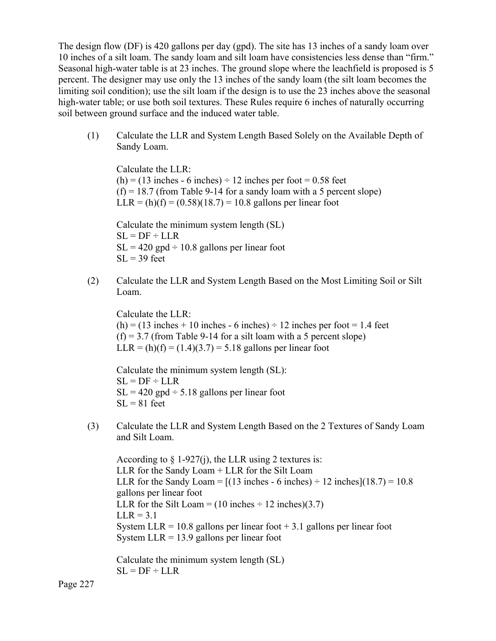The design flow (DF) is 420 gallons per day (gpd). The site has 13 inches of a sandy loam over 10 inches of a silt loam. The sandy loam and silt loam have consistencies less dense than "firm." Seasonal high-water table is at 23 inches. The ground slope where the leachfield is proposed is 5 percent. The designer may use only the 13 inches of the sandy loam (the silt loam becomes the limiting soil condition); use the silt loam if the design is to use the 23 inches above the seasonal high-water table; or use both soil textures. These Rules require 6 inches of naturally occurring soil between ground surface and the induced water table.

(1) Calculate the LLR and System Length Based Solely on the Available Depth of Sandy Loam.

 Calculate the LLR:  $(h) = (13$  inches - 6 inches)  $\div$  12 inches per foot = 0.58 feet  $(f) = 18.7$  (from Table 9-14 for a sandy loam with a 5 percent slope)  $LLR = (h)(f) = (0.58)(18.7) = 10.8$  gallons per linear foot

 Calculate the minimum system length (SL)  $SL = DF \div LLR$  $SL = 420$  gpd  $\div 10.8$  gallons per linear foot  $SL = 39$  feet

(2) Calculate the LLR and System Length Based on the Most Limiting Soil or Silt Loam.

 Calculate the LLR:  $(h) = (13$  inches + 10 inches - 6 inches)  $\div$  12 inches per foot = 1.4 feet  $(f) = 3.7$  (from Table 9-14 for a silt loam with a 5 percent slope)  $LLR = (h)(f) = (1.4)(3.7) = 5.18$  gallons per linear foot

 Calculate the minimum system length (SL):  $SL = DF \div LLR$  $SL = 420$  gpd  $\div$  5.18 gallons per linear foot  $SL = 81$  feet

(3) Calculate the LLR and System Length Based on the 2 Textures of Sandy Loam and Silt Loam.

According to  $\S 1-927(i)$ , the LLR using 2 textures is: LLR for the Sandy Loam + LLR for the Silt Loam LLR for the Sandy Loam =  $[(13 \text{ inches} - 6 \text{ inches}) \div 12 \text{ inches}]$  $(18.7) = 10.8$  gallons per linear foot LLR for the Silt Loam =  $(10 \text{ inches} \div 12 \text{ inches})(3.7)$  $LLR = 3.1$ System LLR = 10.8 gallons per linear foot  $+$  3.1 gallons per linear foot System  $LLR = 13.9$  gallons per linear foot

 Calculate the minimum system length (SL)  $SL = DF \div LLR$